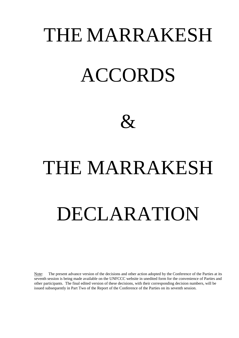# THE MARRAKESH

# ACCORDS



# THE MARRAKESH DECLARATION

Note: The present advance version of the decisions and other action adopted by the Conference of the Parties at its seventh session is being made available on the UNFCCC website in unedited form for the convenience of Parties and other participants. The final edited version of these decisions, with their corresponding decision numbers, will be issued subsequently in Part Two of the Report of the Conference of the Parties on its seventh session.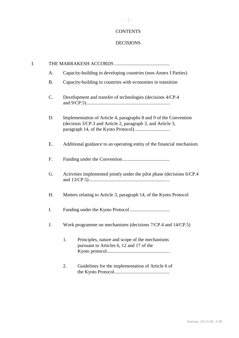#### **CONTENTS**

# DECISIONS

| I. |           |                                                                                                                                  |  |  |  |
|----|-----------|----------------------------------------------------------------------------------------------------------------------------------|--|--|--|
|    | A.        | Capacity-building in developing countries (non-Annex I Parties)                                                                  |  |  |  |
|    | <b>B.</b> | Capacity-building in countries with economies in transition                                                                      |  |  |  |
|    | C.        | Development and transfer of technologies (decisions 4/CP.4)                                                                      |  |  |  |
|    | D.        | Implementation of Article 4, paragraphs 8 and 9 of the Convention<br>(decision 3/CP.3 and Article 2, paragraph 3, and Article 3, |  |  |  |
|    | Ε.        | Additional guidance to an operating entity of the financial mechanism                                                            |  |  |  |
|    | F.        |                                                                                                                                  |  |  |  |
|    | G.        | Activities implemented jointly under the pilot phase (decisions 6/CP.4)                                                          |  |  |  |
|    | Η.        | Matters relating to Article 3, paragraph 14, of the Kyoto Protocol                                                               |  |  |  |
|    | I.        |                                                                                                                                  |  |  |  |
|    | J.        | Work programme on mechanisms (decisions 7/CP.4 and 14/CP.5)                                                                      |  |  |  |
|    |           | Principles, nature and scope of the mechanisms<br>1.<br>pursuant to Articles 6, 12 and 17 of the                                 |  |  |  |
|    |           | 2.<br>Guidelines for the implementation of Article 6 of                                                                          |  |  |  |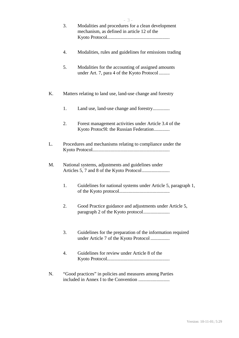|    |    | $-3-$                                                                                           |  |  |  |
|----|----|-------------------------------------------------------------------------------------------------|--|--|--|
|    | 3. | Modalities and procedures for a clean development<br>mechanism, as defined in article 12 of the |  |  |  |
|    | 4. | Modalities, rules and guidelines for emissions trading                                          |  |  |  |
|    | 5. | Modalities for the accounting of assigned amounts<br>under Art. 7, para 4 of the Kyoto Protocol |  |  |  |
| K. |    | Matters relating to land use, land-use change and forestry                                      |  |  |  |
|    | 1. | Land use, land-use change and forestry                                                          |  |  |  |
|    | 2. | Forest management activities under Article 3.4 of the<br>Kyoto Protoc91: the Russian Federation |  |  |  |
| L. |    | Procedures and mechanisms relating to compliance under the                                      |  |  |  |
| М. |    | National systems, adjustments and guidelines under                                              |  |  |  |
|    | 1. | Guidelines for national systems under Article 5, paragraph 1,                                   |  |  |  |
|    | 2. | Good Practice guidance and adjustments under Article 5,                                         |  |  |  |
|    | 3. | Guidelines for the preparation of the information required                                      |  |  |  |
|    | 4. | Guidelines for review under Article 8 of the                                                    |  |  |  |
| N. |    | "Good practices" in policies and measures among Parties                                         |  |  |  |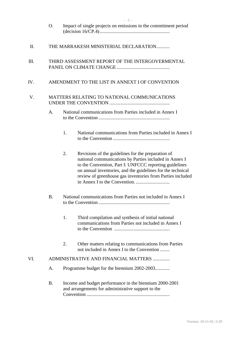|                 |                                             | $-4-$                                                                                                                                                                                                                                                                                                     |  |  |  |
|-----------------|---------------------------------------------|-----------------------------------------------------------------------------------------------------------------------------------------------------------------------------------------------------------------------------------------------------------------------------------------------------------|--|--|--|
|                 | O.                                          | Impact of single projects on emissions in the commitment period                                                                                                                                                                                                                                           |  |  |  |
| $\mathbf{II}$ . |                                             | THE MARRAKESH MINISTERIAL DECLARATION                                                                                                                                                                                                                                                                     |  |  |  |
| Ш.              |                                             | THIRD ASSESSMENT REPORT OF THE INTERGOVERMENTAL                                                                                                                                                                                                                                                           |  |  |  |
| IV.             |                                             | AMENDMENT TO THE LIST IN ANNEXT I OF CONVENTION                                                                                                                                                                                                                                                           |  |  |  |
| V.              | MATTERS RELATING TO NATIONAL COMMUNICATIONS |                                                                                                                                                                                                                                                                                                           |  |  |  |
|                 | A.                                          | National communications from Parties included in Annex I                                                                                                                                                                                                                                                  |  |  |  |
|                 |                                             | National communications from Parties included in Annex I<br>1.                                                                                                                                                                                                                                            |  |  |  |
|                 |                                             | 2.<br>Revisions of the guidelines for the preparation of<br>national communications by Parties included in Annex I<br>to the Convention, Part I: UNFCCC reporting guidelines<br>on annual inventories, and the guidelines for the technical<br>review of greenhouse gas inventories from Parties included |  |  |  |
|                 | Β.                                          | National communications from Parties not included in Annex I                                                                                                                                                                                                                                              |  |  |  |
|                 |                                             | 1.<br>Third compilation and synthesis of initial national<br>communications from Parties not included in Annex I                                                                                                                                                                                          |  |  |  |
|                 |                                             | 2.<br>Other matters relating to communications from Parties<br>not included in Annex I to the Convention                                                                                                                                                                                                  |  |  |  |
| VI.             | ADMINISTRATIVE AND FINANCIAL MATTERS        |                                                                                                                                                                                                                                                                                                           |  |  |  |
|                 | A.                                          | Programme budget for the biennium 2002-2003                                                                                                                                                                                                                                                               |  |  |  |
|                 | <b>B.</b>                                   | Income and budget performance in the biennium 2000-2001<br>and arrangements for administrative support to the                                                                                                                                                                                             |  |  |  |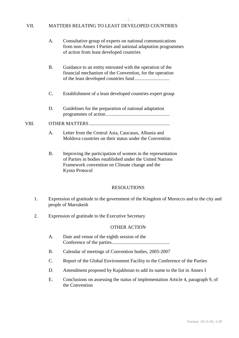#### VII. MATTERS RELATING TO LEAST DEVELOPED COUNTRIES

**-** 5 -

|       | A.              | Consultative group of experts on national communications<br>from non-Annex I Parties and national adaptation programmes<br>of action from least developed countries |  |
|-------|-----------------|---------------------------------------------------------------------------------------------------------------------------------------------------------------------|--|
|       | <b>B.</b>       | Guidance to an entity entrusted with the operation of the<br>financial mechanism of the Convention, for the operation                                               |  |
|       | $\mathcal{C}$ . | Establishment of a least developed countries expert group                                                                                                           |  |
|       | D.              | Guidelines for the preparation of national adaptation                                                                                                               |  |
| VIII. |                 |                                                                                                                                                                     |  |
|       | A.              | Letter from the Central Asia, Caucasus, Albania and<br>Moldova countries on their status under the Convention                                                       |  |

B. Improving the participation of women in the representation of Parties in bodies established under the United Nations Framework convention on Climate change and the Kyoto Protocol

#### RESOLUTIONS

- 1. Expression of gratitude to the government of the Kingdom of Morocco and to the city and people of Marrakesh
- 2. Expression of gratitude to the Executive Secretary

#### OTHER ACTION

- A. Date and venue of the eighth session of the Conference of the parties................................................
- B. Calendar of meetings of Convention bodies, 2005-2007
- C. Report of the Global Environment Facility to the Conference of the Parties
- D. Amendment proposed by Kajakhstan to add its name to the list in Annex I
- E. Conclusions on assessing the status of implementation Article 4, paragraph 9, of the Convention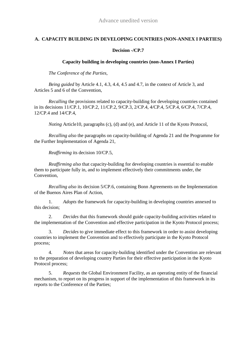#### **A. CAPACITY BUILDING IN DEVELOPING COUNTRIES (NON-ANNEX I PARTIES)**

#### **Decision -/CP.7**

#### **Capacity building in developing countries (non-Annex I Parties)**

*The Conference of the Parties,*

*Being guided* by Article 4.1, 4.3, 4.4, 4.5 and 4.7, in the context of Article 3, and Articles 5 and 6 of the Convention,

*Recalling* the provisions related to capacity-building for developing countries contained in its decisions 11/CP.1, 10/CP.2, 11/CP.2, 9/CP.3, 2/CP.4, 4/CP.4, 5/CP.4, 6/CP.4, 7/CP.4, 12/CP.4 and 14/CP.4,

*Noting* Article10, paragraphs (c), (d) and (e), and Article 11 of the Kyoto Protocol,

*Recalling also* the paragraphs on capacity-building of Agenda 21 and the Programme for the Further Implementation of Agenda 21,

*Reaffirming* its decision 10/CP.5,

*Reaffirming also* that capacity-building for developing countries is essential to enable them to participate fully in, and to implement effectively their commitments under, the Convention,

*Recalling also* its decision 5/CP.6, containing Bonn Agreements on the Implementation of the Buenos Aires Plan of Action,

1. *Adopts* the framework for capacity-building in developing countries annexed to this decision;

2. *Decides* that this framework should guide capacity-building activities related to the implementation of the Convention and effective participation in the Kyoto Protocol process;

3. *Decides* to give immediate effect to this framework in order to assist developing countries to implement the Convention and to effectively participate in the Kyoto Protocol process;

4. *Notes* that areas for capacity-building identified under the Convention are relevant to the preparation of developing country Parties for their effective participation in the Kyoto Protocol process;

5. *Requests* the Global Environment Facility, as an operating entity of the financial mechanism, to report on its progress in support of the implementation of this framework in its reports to the Conference of the Parties;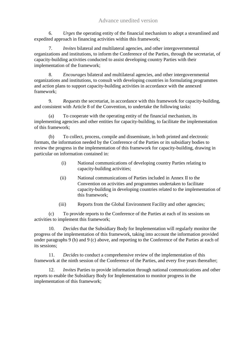6. *Urges* the operating entity of the financial mechanism to adopt a streamlined and expedited approach in financing activities within this framework;

7. *Invites* bilateral and multilateral agencies, and other intergovernmental organizations and institutions, to inform the Conference of the Parties, through the secretariat, of capacity-building activities conducted to assist developing country Parties with their implementation of the framework;

8. *Encourages* bilateral and multilateral agencies, and other intergovernmental organizations and institutions, to consult with developing countries in formulating programmes and action plans to support capacity-building activities in accordance with the annexed framework;

9. *Requests* the secretariat, in accordance with this framework for capacity-building, and consistent with Article 8 of the Convention, to undertake the following tasks:

(a) To cooperate with the operating entity of the financial mechanism, its implementing agencies and other entities for capacity-building, to facilitate the implementation of this framework;

(b) To collect, process, compile and disseminate, in both printed and electronic formats, the information needed by the Conference of the Parties or its subsidiary bodies to review the progress in the implementation of this framework for capacity-building, drawing in particular on information contained in:

- (i) National communications of developing country Parties relating to capacity-building activities;
- (ii) National communications of Parties included in Annex II to the Convention on activities and programmes undertaken to facilitate capacity-building in developing countries related to the implementation of this framework;
- (iii) Reports from the Global Environment Facility and other agencies;

(c) To provide reports to the Conference of the Parties at each of its sessions on activities to implement this framework;

10. *Decides* that the Subsidiary Body for Implementation will regularly monitor the progress of the implementation of this framework, taking into account the information provided under paragraphs 9 (b) and 9 (c) above, and reporting to the Conference of the Parties at each of its sessions;

11. *Decides* to conduct a comprehensive review of the implementation of this framework at the ninth session of the Conference of the Parties, and every five years thereafter;

12. *Invites* Parties to provide information through national communications and other reports to enable the Subsidiary Body for Implementation to monitor progress in the implementation of this framework;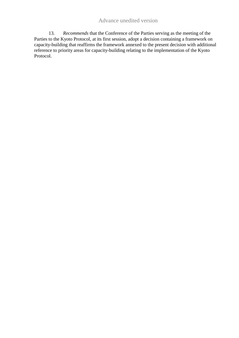13. *Recommends* that the Conference of the Parties serving as the meeting of the Parties to the Kyoto Protocol, at its first session, adopt a decision containing a framework on capacity-building that reaffirms the framework annexed to the present decision with additional reference to priority areas for capacity-building relating to the implementation of the Kyoto Protocol.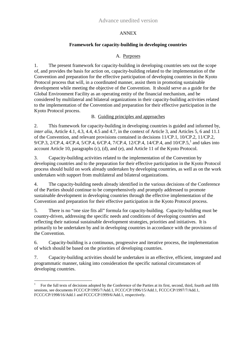#### ANNEX

#### **Framework for capacity-building in developing countries**

#### A. Purposes

1. The present framework for capacity-building in developing countries sets out the scope of, and provides the basis for action on, capacity-building related to the implementation of the Convention and preparation for the effective participation of developing countries in the Kyoto Protocol process that will, in a coordinated manner, assist them in promoting sustainable development while meeting the objective of the Convention. It should serve as a guide for the Global Environment Facility as an operating entity of the financial mechanism, and be considered by multilateral and bilateral organizations in their capacity-building activities related to the implementation of the Convention and preparation for their effective participation in the Kyoto Protocol process.

#### B. Guiding principles and approaches

2. This framework for capacity-building in developing countries is guided and informed by, *inter alia*, Article 4.1, 4.3, 4.4, 4.5 and 4.7, in the context of Article 3, and Articles 5, 6 and 11.1 of the Convention, and relevant provisions contained in decisions 11/CP.1, 10/CP.2, 11/CP.2, 9/CP.3, 2/CP.4, 4/CP.4, 5/CP.4, 6/CP.4, 7/CP.4, 12/CP.4, 14/CP.4, and 10/CP.5, and takes into account Article 10, paragraphs (c), (d), and (e), and Article 11 of the Kyoto Protocol.

3. Capacity-building activities related to the implementation of the Convention by developing countries and to the preparation for their effective participation in the Kyoto Protocol process should build on work already undertaken by developing countries, as well as on the work undertaken with support from multilateral and bilateral organizations.

4. The capacity-building needs already identified in the various decisions of the Conference of the Parties should continue to be comprehensively and promptly addressed to promote sustainable development in developing countries through the effective implementation of the Convention and preparation for their effective participation in the Kyoto Protocol process.

5. There is no "one size fits all" formula for capacity-building. Capacity-building must be country-driven, addressing the specific needs and conditions of developing countries and reflecting their national sustainable development strategies, priorities and initiatives. It is primarily to be undertaken by and in developing countries in accordance with the provisions of the Convention.

6. Capacity-building is a continuous, progressive and iterative process, the implementation of which should be based on the priorities of developing countries.

7. Capacity-building activities should be undertaken in an effective, efficient, integrated and programmatic manner, taking into consideration the specific national circumstances of developing countries.

 $\overline{a}$ 

<sup>1</sup> For the full texts of decisions adopted by the Conference of the Parties at its first, second, third, fourth and fifth sessions, see documents FCCC/CP/1995/7/Add.1, FCCC/CP/1996/15/Add.1, FCCC/CP/1997/7/Add.1, FCCC/CP/1998/16/Add.1 and FCCC/CP/1999/6/Add.1, respectively.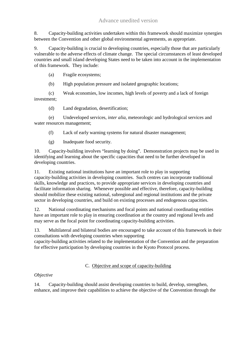8. Capacity-building activities undertaken within this framework should maximize synergies between the Convention and other global environmental agreements, as appropriate.

9. Capacity-building is crucial to developing countries, especially those that are particularly vulnerable to the adverse effects of climate change. The special circumstances of least developed countries and small island developing States need to be taken into account in the implementation of this framework. They include:

(a) Fragile ecosystems;

(b) High population pressure and isolated geographic locations;

(c) Weak economies, low incomes, high levels of poverty and a lack of foreign investment;

(d) Land degradation, desertification;

(e) Undeveloped services, *inter alia*, meteorologic and hydrological services and water resources management;

(f) Lack of early warning systems for natural disaster management;

(g) Inadequate food security.

10. Capacity-building involves "learning by doing". Demonstration projects may be used in identifying and learning about the specific capacities that need to be further developed in developing countries.

11. Existing national institutions have an important role to play in supporting capacity-building activities in developing countries. Such centres can incorporate traditional skills, knowledge and practices, to provide appropriate services in developing countries and facilitate information sharing. Whenever possible and effective, therefore, capacity-building should mobilize these existing national, subregional and regional institutions and the private sector in developing countries, and build on existing processes and endogenous capacities.

12. National coordinating mechanisms and focal points and national coordinating entities have an important role to play in ensuring coordination at the country and regional levels and may serve as the focal point for coordinating capacity-building activities.

13. Multilateral and bilateral bodies are encouraged to take account of this framework in their consultations with developing countries when supporting

capacity-building activities related to the implementation of the Convention and the preparation for effective participation by developing countries in the Kyoto Protocol process.

# C. Objective and scope of capacity-building

# *Objective*

14. Capacity-building should assist developing countries to build, develop, strengthen, enhance, and improve their capabilities to achieve the objective of the Convention through the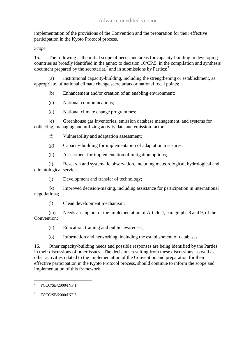implementation of the provisions of the Convention and the preparation for their effective participation in the Kyoto Protocol process.

*Scope*

15. The following is the initial scope of needs and areas for capacity-building in developing countries as broadly identified in the annex to decision 10/CP.5, in the compilation and synthesis document prepared by the secretariat,<sup>2</sup> and in submissions by Parties:<sup>3</sup>

(a) Institutional capacity-building, including the strengthening or establishment, as appropriate, of national climate change secretariats or national focal points;

(b) Enhancement and/or creation of an enabling environment;

(c) National communications;

(d) National climate change programmes;

(e) Greenhouse gas inventories, emission database management, and systems for collecting, managing and utilizing activity data and emission factors;

(f) Vulnerability and adaptation assessment;

(g) Capacity-building for implementation of adaptation measures;

(h) Assessment for implementation of mitigation options;

(i) Research and systematic observation, including meteorological, hydrological and climatological services;

(j) Development and transfer of technology;

(k) Improved decision-making, including assistance for participation in international negotiations;

(l) Clean development mechanism;

(m) Needs arising out of the implementation of Article 4, paragraphs 8 and 9, of the Convention;

- (n) Education, training and public awareness;
- (o) Information and networking, including the establishment of databases.

16. Other capacity-building needs and possible responses are being identified by the Parties in their discussions of other issues. The decisions resulting from these discussions, as well as other activities related to the implementation of the Convention and preparation for their effective participation in the Kyoto Protocol process, should continue to inform the scope and implementation of this framework.

 $\frac{1}{2}$ FCCC/SB/2000/INF.1.

<sup>3</sup> FCCC/SB/2000/INF.5.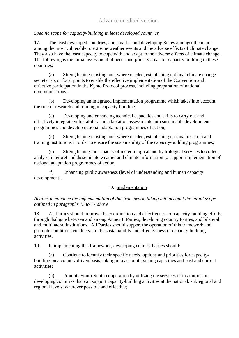## *Specific scope for capacity-building in least developed countries*

17. The least developed countries, and small island developing States amongst them, are among the most vulnerable to extreme weather events and the adverse effects of climate change. They also have the least capacity to cope with and adapt to the adverse effects of climate change. The following is the initial assessment of needs and priority areas for capacity-building in these countries:

(a) Strengthening existing and, where needed, establishing national climate change secretariats or focal points to enable the effective implementation of the Convention and effective participation in the Kyoto Protocol process, including preparation of national communications;

(b) Developing an integrated implementation programme which takes into account the role of research and training in capacity-building;

(c) Developing and enhancing technical capacities and skills to carry out and effectively integrate vulnerability and adaptation assessments into sustainable development programmes and develop national adaptation programmes of action;

(d) Strengthening existing and, where needed, establishing national research and training institutions in order to ensure the sustainability of the capacity-building programmes;

(e) Strengthening the capacity of meteorological and hydrological services to collect, analyse, interpret and disseminate weather and climate information to support implementation of national adaptation programmes of action;

(f) Enhancing public awareness (level of understanding and human capacity development).

## D. Implementation

## *Actions to enhance the implementation of this framework, taking into account the initial scope outlined in paragraphs 15 to 17 above*

18. All Parties should improve the coordination and effectiveness of capacity-building efforts through dialogue between and among Annex II Parties, developing country Parties, and bilateral and multilateral institutions. All Parties should support the operation of this framework and promote conditions conducive to the sustainability and effectiveness of capacity-building activities.

19. In implementing this framework, developing country Parties should:

(a) Continue to identify their specific needs, options and priorities for capacitybuilding on a country-driven basis, taking into account existing capacities and past and current activities;

(b) Promote South-South cooperation by utilizing the services of institutions in developing countries that can support capacity-building activities at the national, subregional and regional levels, wherever possible and effective;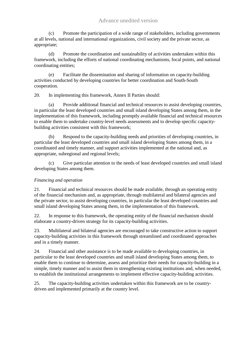(c) Promote the participation of a wide range of stakeholders, including governments at all levels, national and international organizations, civil society and the private sector, as appropriate;

(d) Promote the coordination and sustainability of activities undertaken within this framework, including the efforts of national coordinating mechanisms, focal points, and national coordinating entities;

(e) Facilitate the dissemination and sharing of information on capacity-building activities conducted by developing countries for better coordination and South-South cooperation.

20. In implementing this framework, Annex II Parties should:

(a) Provide additional financial and technical resources to assist developing countries, in particular the least developed countries and small island developing States among them, in the implementation of this framework, including promptly available financial and technical resources to enable them to undertake country-level needs assessments and to develop specific capacitybuilding activities consistent with this framework;

(b) Respond to the capacity-building needs and priorities of developing countries, in particular the least developed countries and small island developing States among them, in a coordinated and timely manner, and support activities implemented at the national and, as appropriate, subregional and regional levels;

(c) Give particular attention to the needs of least developed countries and small island developing States among them.

## *Financing and operation*

21. Financial and technical resources should be made available, through an operating entity of the financial mechanism and, as appropriate, through multilateral and bilateral agencies and the private sector, to assist developing countries, in particular the least developed countries and small island developing States among them, in the implementation of this framework.

22. In response to this framework, the operating entity of the financial mechanism should elaborate a country-driven strategy for its capacity-building activities.

23. Multilateral and bilateral agencies are encouraged to take constructive action to support capacity-building activities in this framework through streamlined and coordinated approaches and in a timely manner.

24. Financial and other assistance is to be made available to developing countries, in particular to the least developed countries and small island developing States among them, to enable them to continue to determine, assess and prioritize their needs for capacity-building in a simple, timely manner and to assist them in strengthening existing institutions and, when needed, to establish the institutional arrangements to implement effective capacity-building activities.

25. The capacity-building activities undertaken within this framework are to be countrydriven and implemented primarily at the country level.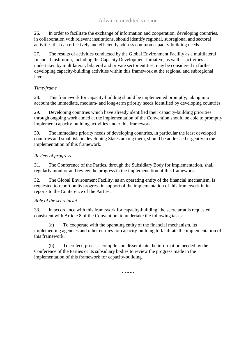26. In order to facilitate the exchange of information and cooperation, developing countries, in collaboration with relevant institutions, should identify regional, subregional and sectoral activities that can effectively and efficiently address common capacity-building needs.

27. The results of activities conducted by the Global Environment Facility as a multilateral financial institution, including the Capacity Development Initiative, as well as activities undertaken by multilateral, bilateral and private sector entities, may be considered in further developing capacity-building activities within this framework at the regional and subregional levels.

# *Time-frame*

28. This framework for capacity-building should be implemented promptly, taking into account the immediate, medium- and long-term priority needs identified by developing countries.

29. Developing countries which have already identified their capacity-building priorities through ongoing work aimed at the implementation of the Convention should be able to promptly implement capacity-building activities under this framework.

30. The immediate priority needs of developing countries, in particular the least developed countries and small island developing States among them, should be addressed urgently in the implementation of this framework.

# *Review of progress*

31. The Conference of the Parties, through the Subsidiary Body for Implementation, shall regularly monitor and review the progress in the implementation of this framework.

32. The Global Environment Facility, as an operating entity of the financial mechanism, is requested to report on its progress in support of the implementation of this framework in its reports to the Conference of the Parties.

## *Role of the secretariat*

33. In accordance with this framework for capacity-building, the secretariat is requested, consistent with Article 8 of the Convention, to undertake the following tasks:

(a) To cooperate with the operating entity of the financial mechanism, its implementing agencies and other entities for capacity-building to facilitate the implementation of this framework;

(b) To collect, process, compile and disseminate the information needed by the Conference of the Parties or its subsidiary bodies to review the progress made in the implementation of this framework for capacity-building.

**- - - - -**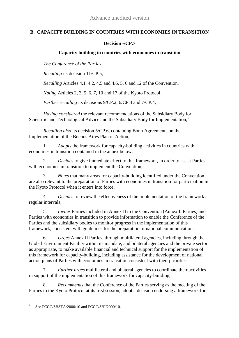# **B. CAPACITY BUILDING IN COUNTRIES WITH ECONOMIES IN TRANSITION**

# **Decision -/CP.7**

## **Capacity building in countries with economies in transition**

*The Conference of the Parties,*

*Recalling* its decision 11/CP.5,

*Recalling* Articles 4.1, 4.2, 4.5 and 4.6, 5, 6 and 12 of the Convention,

*Noting* Articles 2, 3, 5, 6, 7, 10 and 17 of the Kyoto Protocol,

*Further recalling* its decisions 9/CP.2, 6/CP.4 and 7/CP.4,

*Having considered* the relevant recommendations of the Subsidiary Body for Scientific and Technological Advice and the Subsidiary Body for Implementation,<sup>1</sup>

*Recalling also* its decision 5/CP.6, containing Bonn Agreements on the Implementation of the Buenos Aires Plan of Action,

1. *Adopts* the framework for capacity-building activities in countries with economies in transition contained in the annex below;

2. *Decides* to give immediate effect to this framework, in order to assist Parties with economies in transition to implement the Convention;

3. *Notes* that many areas for capacity-building identified under the Convention are also relevant to the preparation of Parties with economies in transition for participation in the Kyoto Protocol when it enters into force;

4. *Decides* to review the effectiveness of the implementation of the framework at regular intervals;

5. *Invites* Parties included in Annex II to the Convention (Annex II Parties) and Parties with economies in transition to provide information to enable the Conference of the Parties and the subsidiary bodies to monitor progress in the implementation of this framework, consistent with guidelines for the preparation of national communications;

6. *Urges* Annex II Parties, through multilateral agencies, including through the Global Environment Facility within its mandate, and bilateral agencies and the private sector, as appropriate, to make available financial and technical support for the implementation of this framework for capacity-building, including assistance for the development of national action plans of Parties with economies in transition consistent with their priorities;

7. *Further urges* multilateral and bilateral agencies to coordinate their activities in support of the implementation of this framework for capacity-building;

8. *Recommends* that the Conference of the Parties serving as the meeting of the Parties to the Kyoto Protocol at its first session, adopt a decision endorsing a framework for

 $\overline{a}$ 1 See FCCC/SBSTA/2000/10 and FCCC/SBI/2000/10.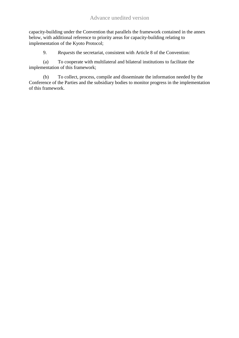capacity-building under the Convention that parallels the framework contained in the annex below, with additional reference to priority areas for capacity-building relating to implementation of the Kyoto Protocol;

9. *Requests* the secretariat, consistent with Article 8 of the Convention:

(a) To cooperate with multilateral and bilateral institutions to facilitate the implementation of this framework;

(b) To collect, process, compile and disseminate the information needed by the Conference of the Parties and the subsidiary bodies to monitor progress in the implementation of this framework.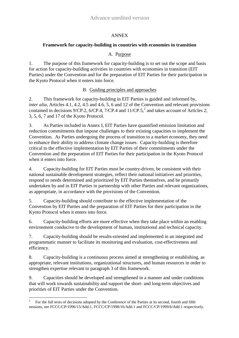# ANNEX

## **Framework for capacity-building in countries with economies in transition**

#### A. Purpose

1. The purpose of this framework for capacity-building is to set out the scope and basis for action for capacity-building activities in countries with economies in transition (EIT Parties) under the Convention and for the preparation of EIT Parties for their participation in the Kyoto Protocol when it enters into force.

#### B. Guiding principles and approaches

2. This framework for capacity-building in EIT Parties is guided and informed by, *inter alia*, Articles 4.1, 4.2, 4.5 and 4.6, 5, 6 and 12 of the Convention and relevant provisions contained in decisions 9/CP.2,  $6/CP.4$ ,  $7/CP.4$  and  $11/CP.5$ , and takes account of Articles 2, 3, 5, 6, 7 and 17 of the Kyoto Protocol.

3. As Parties included in Annex I, EIT Parties have quantified emission limitation and reduction commitments that impose challenges to their existing capacities to implement the Convention. As Parties undergoing the process of transition to a market economy, they need to enhance their ability to address climate change issues. Capacity-building is therefore critical to the effective implementation by EIT Parties of their commitments under the Convention and the preparation of EIT Parties for their participation in the Kyoto Protocol when it enters into force.

4. Capacity-building for EIT Parties must be country-driven, be consistent with their national sustainable development strategies, reflect their national initiatives and priorities, respond to needs determined and prioritized by EIT Parties themselves, and be primarily undertaken by and in EIT Parties in partnership with other Parties and relevant organizations, as appropriate, in accordance with the provisions of the Convention.

5. Capacity-building should contribute to the effective implementation of the Convention by EIT Parties and the preparation of EIT Parties for their participation in the Kyoto Protocol when it enters into force.

6. Capacity-building efforts are more effective when they take place within an enabling environment conducive to the development of human, institutional and technical capacity.

7. Capacity-building should be results-oriented and implemented in an integrated and programmatic manner to facilitate its monitoring and evaluation, cost-effectiveness and efficiency.

8. Capacity-building is a continuous process aimed at strengthening or establishing, as appropriate, relevant institutions, organizational structures, and human resources in order to strengthen expertise relevant to paragraph 3 of this framework.

9. Capacities should be developed and strengthened in a manner and under conditions that will work towards sustainability and support the short- and long-term objectives and priorities of EIT Parties under the Convention.

 $\overline{a}$ 2 For the full texts of decisions adopted by the Conference of the Parties at its second, fourth and fifth sessions, see FCCC/CP/1996/15/Add.1, FCCC/CP/1998/16/Add.1 and FCCC/CP/1999/6/Add.1 respectively.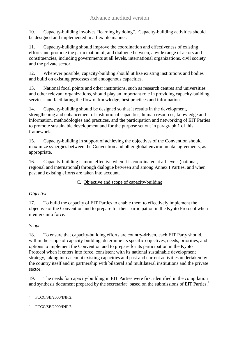10. Capacity-building involves "learning by doing". Capacity-building activities should be designed and implemented in a flexible manner.

11. Capacity-building should improve the coordination and effectiveness of existing efforts and promote the participation of, and dialogue between, a wide range of actors and constituencies, including governments at all levels, international organizations, civil society and the private sector.

12. Wherever possible, capacity-building should utilize existing institutions and bodies and build on existing processes and endogenous capacities.

13. National focal points and other institutions, such as research centres and universities and other relevant organizations, should play an important role in providing capacity-building services and facilitating the flow of knowledge, best practices and information.

14. Capacity-building should be designed so that it results in the development, strengthening and enhancement of institutional capacities, human resources, knowledge and information, methodologies and practices, and the participation and networking of EIT Parties to promote sustainable development and for the purpose set out in paragraph 1 of this framework.

15. Capacity-building in support of achieving the objectives of the Convention should maximize synergies between the Convention and other global environmental agreements, as appropriate.

16. Capacity-building is more effective when it is coordinated at all levels (national, regional and international) through dialogue between and among Annex I Parties, and when past and existing efforts are taken into account.

C. Objective and scope of capacity-building

# *Objective*

17. To build the capacity of EIT Parties to enable them to effectively implement the objective of the Convention and to prepare for their participation in the Kyoto Protocol when it enters into force.

# *Scope*

18. To ensure that capacity-building efforts are country-driven, each EIT Party should, within the scope of capacity-building, determine its specific objectives, needs, priorities, and options to implement the Convention and to prepare for its participation in the Kyoto Protocol when it enters into force, consistent with its national sustainable development strategy, taking into account existing capacities and past and current activities undertaken by the country itself and in partnership with bilateral and multilateral institutions and the private sector.

19. The needs for capacity-building in EIT Parties were first identified in the compilation and synthesis document prepared by the secretariat<sup>3</sup> based on the submissions of EIT Parties.<sup>4</sup>

 3 FCCC/SB/2000/INF.2.

<sup>4</sup> FCCC/SB/2000/INF.7.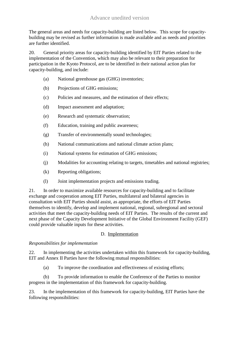The general areas and needs for capacity-building are listed below. This scope for capacitybuilding may be revised as further information is made available and as needs and priorities are further identified.

20. General priority areas for capacity-building identified by EIT Parties related to the implementation of the Convention, which may also be relevant to their preparation for participation in the Kyoto Protocol, are to be identified in their national action plan for capacity-building, and include:

- (a) National greenhouse gas (GHG) inventories;
- (b) Projections of GHG emissions;
- (c) Policies and measures, and the estimation of their effects;
- (d) Impact assessment and adaptation;
- (e) Research and systematic observation;
- (f) Education, training and public awareness;
- (g) Transfer of environmentally sound technologies;
- (h) National communications and national climate action plans;
- (i) National systems for estimation of GHG emissions;
- (j) Modalities for accounting relating to targets, timetables and national registries;
- (k) Reporting obligations;
- (l) Joint implementation projects and emissions trading.

21. In order to maximize available resources for capacity-building and to facilitate exchange and cooperation among EIT Parties, multilateral and bilateral agencies in consultation with EIT Parties should assist, as appropriate, the efforts of EIT Parties themselves to identify, develop and implement national, regional, subregional and sectoral activities that meet the capacity-building needs of EIT Parties. The results of the current and next phase of the Capacity Development Initiative of the Global Environment Facility (GEF) could provide valuable inputs for these activities.

## D. Implementation

## *Responsibilities for implementation*

22. In implementing the activities undertaken within this framework for capacity-building, EIT and Annex II Parties have the following mutual responsibilities:

(a) To improve the coordination and effectiveness of existing efforts;

(b) To provide information to enable the Conference of the Parties to monitor progress in the implementation of this framework for capacity-building.

23. In the implementation of this framework for capacity-building, EIT Parties have the following responsibilities: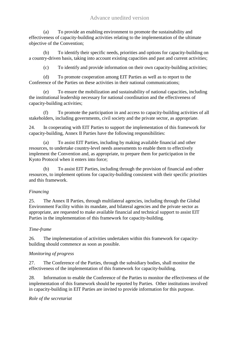(a) To provide an enabling environment to promote the sustainability and effectiveness of capacity-building activities relating to the implementation of the ultimate objective of the Convention;

(b) To identify their specific needs, priorities and options for capacity-building on a country-driven basis, taking into account existing capacities and past and current activities;

(c) To identify and provide information on their own capacity-building activities;

(d) To promote cooperation among EIT Parties as well as to report to the Conference of the Parties on these activities in their national communications;

(e) To ensure the mobilization and sustainability of national capacities, including the institutional leadership necessary for national coordination and the effectiveness of capacity-building activities;

(f) To promote the participation in and access to capacity-building activities of all stakeholders, including governments, civil society and the private sector, as appropriate.

24. In cooperating with EIT Parties to support the implementation of this framework for capacity-building, Annex II Parties have the following responsibilities:

(a) To assist EIT Parties, including by making available financial and other resources, to undertake country-level needs assessments to enable them to effectively implement the Convention and, as appropriate, to prepare them for participation in the Kyoto Protocol when it enters into force;

(b) To assist EIT Parties, including through the provision of financial and other resources, to implement options for capacity-building consistent with their specific priorities and this framework.

## *Financing*

25. The Annex II Parties, through multilateral agencies, including through the Global Environment Facility within its mandate, and bilateral agencies and the private sector as appropriate, are requested to make available financial and technical support to assist EIT Parties in the implementation of this framework for capacity-building.

## *Time-frame*

26. The implementation of activities undertaken within this framework for capacitybuilding should commence as soon as possible.

# *Monitoring of progress*

27. The Conference of the Parties, through the subsidiary bodies, shall monitor the effectiveness of the implementation of this framework for capacity-building.

28. Information to enable the Conference of the Parties to monitor the effectiveness of the implementation of this framework should be reported by Parties. Other institutions involved in capacity-building in EIT Parties are invited to provide information for this purpose.

## *Role of the secretariat*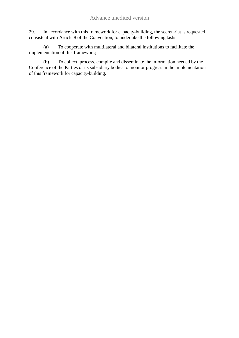29. In accordance with this framework for capacity-building, the secretariat is requested, consistent with Article 8 of the Convention, to undertake the following tasks:

(a) To cooperate with multilateral and bilateral institutions to facilitate the implementation of this framework;

(b) To collect, process, compile and disseminate the information needed by the Conference of the Parties or its subsidiary bodies to monitor progress in the implementation of this framework for capacity-building.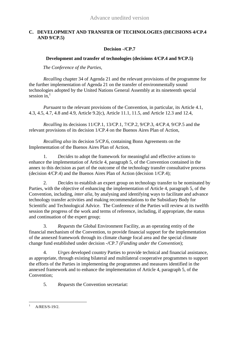## **C. DEVELOPMENT AND TRANSFER OF TECHNOLOGIES (DECISIONS 4/CP.4 AND 9/CP.5)**

# **Decision -/CP.7**

## **Development and transfer of technologies (decisions 4/CP.4 and 9/CP.5)**

*The Conference of the Parties,*

*Recalling* chapter 34 of Agenda 21 and the relevant provisions of the programme for the further implementation of Agenda 21 on the transfer of environmentally sound technologies adopted by the United Nations General Assembly at its nineteenth special session in $<sup>1</sup>$ </sup>

*Pursuant* to the relevant provisions of the Convention, in particular, its Article 4.1, 4.3, 4.5, 4.7, 4.8 and 4.9, Article 9.2(c), Article 11.1, 11.5, and Article 12.3 and 12.4,

*Recalling* its decisions 11/CP.1, 13/CP.1, 7/CP.2, 9/CP.3, 4/CP.4, 9/CP.5 and the relevant provisions of its decision 1/CP.4 on the Buenos Aires Plan of Action,

*Recalling also* its decision 5/CP.6, containing Bonn Agreements on the Implementation of the Buenos Aires Plan of Action,

1. *Decides* to adopt the framework for meaningful and effective actions to enhance the implementation of Article 4, paragraph 5, of the Convention contained in the annex to this decision as part of the outcome of the technology transfer consultative process (decision 4/CP.4) and the Buenos Aires Plan of Action (decision 1/CP.4);

2. *Decides* to establish an expert group on technology transfer to be nominated by Parties, with the objective of enhancing the implementation of Article 4, paragraph 5, of the Convention, including, *inter alia*, by analysing and identifying ways to facilitate and advance technology transfer activities and making recommendations to the Subsidiary Body for Scientific and Technological Advice. The Conference of the Parties will review at its twelfth session the progress of the work and terms of reference, including, if appropriate, the status and continuation of the expert group;

3. *Requests* the Global Environment Facility, as an operating entity of the financial mechanism of the Convention, to provide financial support for the implementation of the annexed framework through its climate change focal area and the special climate change fund established under decision -/CP.7 *(Funding under the Convention*);

4. *Urges* developed country Parties to provide technical and financial assistance, as appropriate, through existing bilateral and multilateral cooperative programmes to support the efforts of the Parties in implementing the programmes and measures identified in the annexed framework and to enhance the implementation of Article 4, paragraph 5, of the Convention;

5. *Requests* the Convention secretariat:

 $\overline{a}$ 1 A/RES/S-19/2.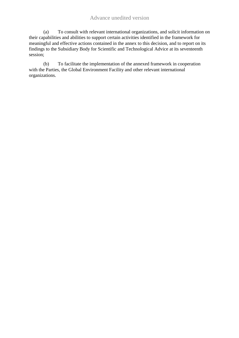(a) To consult with relevant international organizations, and solicit information on their capabilities and abilities to support certain activities identified in the framework for meaningful and effective actions contained in the annex to this decision, and to report on its findings to the Subsidiary Body for Scientific and Technological Advice at its seventeenth session;

(b) To facilitate the implementation of the annexed framework in cooperation with the Parties, the Global Environment Facility and other relevant international organizations.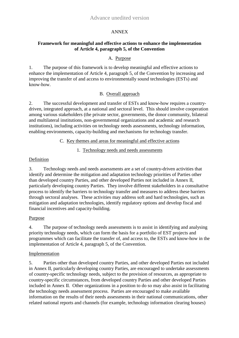# ANNEX

## **Framework for meaningful and effective actions to enhance the implementation of Article 4, paragraph 5, of the Convention**

## A. Purpose

1. The purpose of this framework is to develop meaningful and effective actions to enhance the implementation of Article 4, paragraph 5, of the Convention by increasing and improving the transfer of and access to environmentally sound technologies (ESTs) and know-how.

# B. Overall approach

2. The successful development and transfer of ESTs and know-how requires a countrydriven, integrated approach, at a national and sectoral level. This should involve cooperation among various stakeholders (the private sector, governments, the donor community, bilateral and multilateral institutions, non-governmental organizations and academic and research institutions), including activities on technology needs assessments, technology information, enabling environments, capacity-building and mechanisms for technology transfer.

#### C. Key themes and areas for meaningful and effective actions

# 1. Technology needs and needs assessments

## Definition

3. Technology needs and needs assessments are a set of country-driven activities that identify and determine the mitigation and adaptation technology priorities of Parties other than developed country Parties, and other developed Parties not included in Annex II, particularly developing country Parties. They involve different stakeholders in a consultative process to identify the barriers to technology transfer and measures to address these barriers through sectoral analyses. These activities may address soft and hard technologies, such as mitigation and adaptation technologies, identify regulatory options and develop fiscal and financial incentives and capacity-building.

## Purpose

4. The purpose of technology needs assessments is to assist in identifying and analysing priority technology needs, which can form the basis for a portfolio of EST projects and programmes which can facilitate the transfer of, and access to, the ESTs and know-how in the implementation of Article 4, paragraph 5, of the Convention.

## Implementation

5. Parties other than developed country Parties, and other developed Parties not included in Annex II, particularly developing country Parties, are encouraged to undertake assessments of country-specific technology needs, subject to the provision of resources, as appropriate to country-specific circumstances, from developed country Parties and other developed Parties included in Annex II. Other organizations in a position to do so may also assist in facilitating the technology needs assessment process. Parties are encouraged to make available information on the results of their needs assessments in their national communications, other related national reports and channels (for example, technology information clearing houses)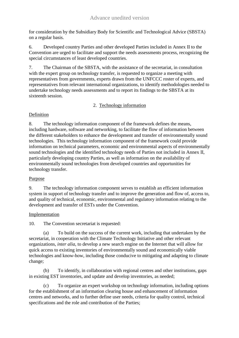for consideration by the Subsidiary Body for Scientific and Technological Advice (SBSTA) on a regular basis.

6. Developed country Parties and other developed Parties included in Annex II to the Convention are urged to facilitate and support the needs assessments process, recognizing the special circumstances of least developed countries.

7. The Chairman of the SBSTA, with the assistance of the secretariat, in consultation with the expert group on technology transfer, is requested to organize a meeting with representatives from governments, experts drawn from the UNFCCC roster of experts, and representatives from relevant international organizations, to identify methodologies needed to undertake technology needs assessments and to report its findings to the SBSTA at its sixteenth session.

# 2. Technology information

# Definition

8. The technology information component of the framework defines the means, including hardware, software and networking, to facilitate the flow of information between the different stakeholders to enhance the development and transfer of environmentally sound technologies. This technology information component of the framework could provide information on technical parameters, economic and environmental aspects of environmentally sound technologies and the identified technology needs of Parties not included in Annex II, particularly developing country Parties, as well as information on the availability of environmentally sound technologies from developed countries and opportunities for technology transfer.

# Purpose

9. The technology information component serves to establish an efficient information system in support of technology transfer and to improve the generation and flow of, access to, and quality of technical, economic, environmental and regulatory information relating to the development and transfer of ESTs under the Convention.

# Implementation

10. The Convention secretariat is requested:

(a) To build on the success of the current work, including that undertaken by the secretariat, in cooperation with the Climate Technology Initiative and other relevant organizations, *inter alia*, to develop a new search engine on the Internet that will allow for quick access to existing inventories of environmentally sound and economically viable technologies and know-how, including those conducive to mitigating and adapting to climate change;

(b) To identify, in collaboration with regional centres and other institutions, gaps in existing EST inventories, and update and develop inventories, as needed;

(c) To organize an expert workshop on technology information, including options for the establishment of an information clearing house and enhancement of information centres and networks, and to further define user needs, criteria for quality control, technical specifications and the role and contribution of the Parties;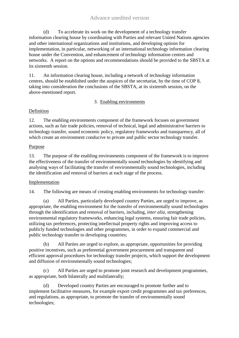(d) To accelerate its work on the development of a technology transfer information clearing house by coordinating with Parties and relevant United Nations agencies and other international organizations and institutions, and developing options for implementation, in particular, networking of an international technology information clearing house under the Convention, and enhancement of technology information centres and networks. A report on the options and recommendations should be provided to the SBSTA at its sixteenth session.

11. An information clearing house, including a network of technology information centres, should be established under the auspices of the secretariat, by the time of COP 8, taking into consideration the conclusions of the SBSTA, at its sixteenth session, on the above-mentioned report.

## 3. Enabling environments

## Definition

12. The enabling environments component of the framework focuses on government actions, such as fair trade policies, removal of technical, legal and administrative barriers to technology transfer, sound economic policy, regulatory frameworks and transparency, all of which create an environment conducive to private and public sector technology transfer.

# Purpose

13. The purpose of the enabling environments component of the framework is to improve the effectiveness of the transfer of environmentally sound technologies by identifying and analysing ways of facilitating the transfer of environmentally sound technologies, including the identification and removal of barriers at each stage of the process.

## Implementation

14. The following are means of creating enabling environments for technology transfer:

(a) All Parties, particularly developed country Parties, are urged to improve, as appropriate, the enabling environment for the transfer of environmentally sound technologies through the identification and removal of barriers, including, *inter alia*, strengthening environmental regulatory frameworks, enhancing legal systems, ensuring fair trade policies, utilizing tax preferences, protecting intellectual property rights and improving access to publicly funded technologies and other programmes, in order to expand commercial and public technology transfer to developing countries;

(b) All Parties are urged to explore, as appropriate, opportunities for providing positive incentives, such as preferential government procurement and transparent and efficient approval procedures for technology transfer projects, which support the development and diffusion of environmentally sound technologies;

(c) All Parties are urged to promote joint research and development programmes, as appropriate, both bilaterally and multilaterally;

(d) Developed country Parties are encouraged to promote further and to implement facilitative measures, for example export credit programmes and tax preferences, and regulations, as appropriate, to promote the transfer of environmentally sound technologies;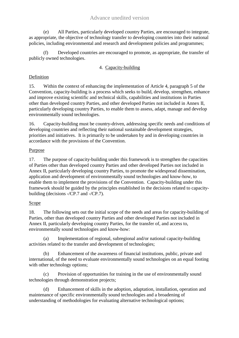(e) All Parties, particularly developed country Parties, are encouraged to integrate, as appropriate, the objective of technology transfer to developing countries into their national policies, including environmental and research and development policies and programmes;

(f) Developed countries are encouraged to promote, as appropriate, the transfer of publicly owned technologies.

# 4. Capacity-building

# Definition

15. Within the context of enhancing the implementation of Article 4, paragraph 5 of the Convention, capacity-building is a process which seeks to build, develop, strengthen, enhance and improve existing scientific and technical skills, capabilities and institutions in Parties other than developed country Parties, and other developed Parties not included in Annex II, particularly developing country Parties, to enable them to assess, adapt, manage and develop environmentally sound technologies.

16. Capacity-building must be country-driven, addressing specific needs and conditions of developing countries and reflecting their national sustainable development strategies, priorities and initiatives. It is primarily to be undertaken by and in developing countries in accordance with the provisions of the Convention.

# Purpose

17. The purpose of capacity-building under this framework is to strengthen the capacities of Parties other than developed country Parties and other developed Parties not included in Annex II, particularly developing country Parties, to promote the widespread dissemination, application and development of environmentally sound technologies and know-how, to enable them to implement the provisions of the Convention. Capacity-building under this framework should be guided by the principles established in the decisions related to capacitybuilding (decisions -/CP.7 and -/CP.7).

# Scope

18. The following sets out the initial scope of the needs and areas for capacity-building of Parties, other than developed country Parties and other developed Parties not included in Annex II, particularly developing country Parties, for the transfer of, and access to, environmentally sound technologies and know-how:

(a) Implementation of regional, subregional and/or national capacity-building activities related to the transfer and development of technologies;

(b) Enhancement of the awareness of financial institutions, public, private and international, of the need to evaluate environmentally sound technologies on an equal footing with other technology options;

(c) Provision of opportunities for training in the use of environmentally sound technologies through demonstration projects;

(d) Enhancement of skills in the adoption, adaptation, installation, operation and maintenance of specific environmentally sound technologies and a broadening of understanding of methodologies for evaluating alternative technological options;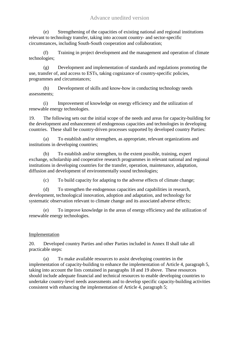(e) Strengthening of the capacities of existing national and regional institutions relevant to technology transfer, taking into account country- and sector-specific circumstances, including South-South cooperation and collaboration;

(f) Training in project development and the management and operation of climate technologies;

(g) Development and implementation of standards and regulations promoting the use, transfer of, and access to ESTs, taking cognizance of country-specific policies, programmes and circumstances;

(h) Development of skills and know-how in conducting technology needs assessments;

(i) Improvement of knowledge on energy efficiency and the utilization of renewable energy technologies.

19. The following sets out the initial scope of the needs and areas for capacity-building for the development and enhancement of endogenous capacities and technologies in developing countries. These shall be country-driven processes supported by developed country Parties:

(a) To establish and/or strengthen, as appropriate, relevant organizations and institutions in developing countries;

(b) To establish and/or strengthen, to the extent possible, training, expert exchange, scholarship and cooperative research programmes in relevant national and regional institutions in developing countries for the transfer, operation, maintenance, adaptation, diffusion and development of environmentally sound technologies;

(c) To build capacity for adapting to the adverse effects of climate change;

(d) To strengthen the endogenous capacities and capabilities in research, development, technological innovation, adoption and adaptation, and technology for systematic observation relevant to climate change and its associated adverse effects;

(e) To improve knowledge in the areas of energy efficiency and the utilization of renewable energy technologies.

## Implementation

20. Developed country Parties and other Parties included in Annex II shall take all practicable steps:

(a) To make available resources to assist developing countries in the implementation of capacity-building to enhance the implementation of Article 4, paragraph 5, taking into account the lists contained in paragraphs 18 and 19 above. These resources should include adequate financial and technical resources to enable developing countries to undertake country-level needs assessments and to develop specific capacity-building activities consistent with enhancing the implementation of Article 4, paragraph 5;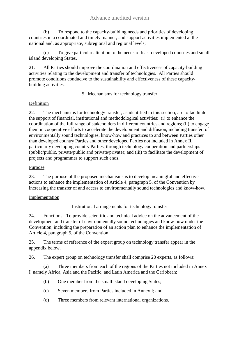(b) To respond to the capacity-building needs and priorities of developing countries in a coordinated and timely manner, and support activities implemented at the national and, as appropriate, subregional and regional levels;

(c) To give particular attention to the needs of least developed countries and small island developing States.

21. All Parties should improve the coordination and effectiveness of capacity-building activities relating to the development and transfer of technologies. All Parties should promote conditions conducive to the sustainability and effectiveness of these capacitybuilding activities.

# 5. Mechanisms for technology transfer

# Definition

22. The mechanisms for technology transfer, as identified in this section, are to facilitate the support of financial, institutional and methodological activities: (i) to enhance the coordination of the full range of stakeholders in different countries and regions; (ii) to engage them in cooperative efforts to accelerate the development and diffusion, including transfer, of environmentally sound technologies, know-how and practices to and between Parties other than developed country Parties and other developed Parties not included in Annex II, particularly developing country Parties, through technology cooperation and partnerships (public/public, private/public and private/private); and (iii) to facilitate the development of projects and programmes to support such ends.

# Purpose

23. The purpose of the proposed mechanisms is to develop meaningful and effective actions to enhance the implementation of Article 4, paragraph 5, of the Convention by increasing the transfer of and access to environmentally sound technologies and know-how.

## Implementation

# Institutional arrangements for technology transfer

24. Functions: To provide scientific and technical advice on the advancement of the development and transfer of environmentally sound technologies and know-how under the Convention, including the preparation of an action plan to enhance the implementation of Article 4, paragraph 5, of the Convention.

25. The terms of reference of the expert group on technology transfer appear in the appendix below.

26. The expert group on technology transfer shall comprise 20 experts, as follows:

(a) Three members from each of the regions of the Parties not included in Annex I, namely Africa, Asia and the Pacific, and Latin America and the Caribbean;

- (b) One member from the small island developing States;
- (c) Seven members from Parties included in Annex I; and
- (d) Three members from relevant international organizations.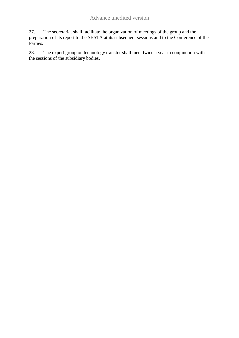27. The secretariat shall facilitate the organization of meetings of the group and the preparation of its report to the SBSTA at its subsequent sessions and to the Conference of the Parties.

28. The expert group on technology transfer shall meet twice a year in conjunction with the sessions of the subsidiary bodies.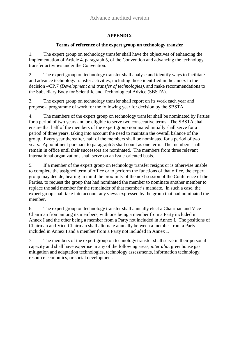# **APPENDIX**

## **Terms of reference of the expert group on technology transfer**

1. The expert group on technology transfer shall have the objectives of enhancing the implementation of Article 4, paragraph 5, of the Convention and advancing the technology transfer activities under the Convention.

2. The expert group on technology transfer shall analyse and identify ways to facilitate and advance technology transfer activities, including those identified in the annex to the decision -/CP.7 *(Development and transfer of technologies)*, and make recommendations to the Subsidiary Body for Scientific and Technological Advice (SBSTA).

3. The expert group on technology transfer shall report on its work each year and propose a programme of work for the following year for decision by the SBSTA.

4. The members of the expert group on technology transfer shall be nominated by Parties for a period of two years and be eligible to serve two consecutive terms. The SBSTA shall ensure that half of the members of the expert group nominated initially shall serve for a period of three years, taking into account the need to maintain the overall balance of the group. Every year thereafter, half of the members shall be nominated for a period of two years. Appointment pursuant to paragraph 5 shall count as one term. The members shall remain in office until their successors are nominated. The members from three relevant international organizations shall serve on an issue-oriented basis.

5. If a member of the expert group on technology transfer resigns or is otherwise unable to complete the assigned term of office or to perform the functions of that office, the expert group may decide, bearing in mind the proximity of the next session of the Conference of the Parties, to request the group that had nominated the member to nominate another member to replace the said member for the remainder of that member's mandate. In such a case, the expert group shall take into account any views expressed by the group that had nominated the member.

6. The expert group on technology transfer shall annually elect a Chairman and Vice-Chairman from among its members, with one being a member from a Party included in Annex I and the other being a member from a Party not included in Annex I. The positions of Chairman and Vice-Chairman shall alternate annually between a member from a Party included in Annex I and a member from a Party not included in Annex I.

7. The members of the expert group on technology transfer shall serve in their personal capacity and shall have expertise in any of the following areas, *inter alia*, greenhouse gas mitigation and adaptation technologies, technology assessments, information technology, resource economics, or social development.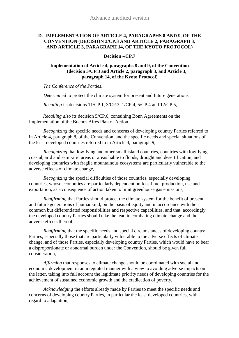#### **D. IMPLEMENTATION OF ARTICLE 4, PARAGRAPHS 8 AND 9, OF THE CONVENTION (DECISION 3/CP.3 AND ARTICLE 2, PARAGRAPH 3, AND ARTICLE 3, PARAGRAPH 14, OF THE KYOTO PROTOCOL)**

**Decision -/CP.7**

#### **Implementation of Article 4, paragraphs 8 and 9, of the Convention (decision 3/CP.3 and Article 2, paragraph 3, and Article 3, paragraph 14, of the Kyoto Protocol)**

*The Conference of the Parties,*

*Determined* to protect the climate system for present and future generations,

*Recalling* its decisions 11/CP.1, 3/CP.3, 1/CP.4, 5/CP.4 and 12/CP.5,

*Recalling also* its decision 5/CP.6, containing Bonn Agreements on the Implementation of the Buenos Aires Plan of Action,

*Recognizing* the specific needs and concerns of developing country Parties referred to in Article 4, paragraph 8, of the Convention, and the specific needs and special situations of the least developed countries referred to in Article 4, paragraph 9,

*Recognizing* that low-lying and other small island countries, countries with low-lying coastal, arid and semi-arid areas or areas liable to floods, drought and desertification, and developing countries with fragile mountainous ecosystems are particularly vulnerable to the adverse effects of climate change,

*Recognizing* the special difficulties of those countries, especially developing countries, whose economies are particularly dependent on fossil fuel production, use and exportation, as a consequence of action taken to limit greenhouse gas emissions,

*Reaffirming* that Parties should protect the climate system for the benefit of present and future generations of humankind, on the basis of equity and in accordance with their common but differentiated responsibilities and respective capabilities, and that, accordingly, the developed country Parties should take the lead in combating climate change and the adverse effects thereof,

*Reaffirming* that the specific needs and special circumstances of developing country Parties, especially those that are particularly vulnerable to the adverse effects of climate change, and of those Parties, especially developing country Parties, which would have to bear a disproportionate or abnormal burden under the Convention, should be given full consideration,

*Affirming* that responses to climate change should be coordinated with social and economic development in an integrated manner with a view to avoiding adverse impacts on the latter, taking into full account the legitimate priority needs of developing countries for the achievement of sustained economic growth and the eradication of poverty,

*Acknowledging* the efforts already made by Parties to meet the specific needs and concerns of developing country Parties, in particular the least developed countries, with regard to adaptation,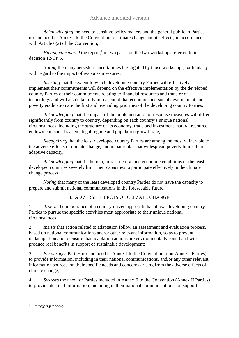*Acknowledging* the need to sensitize policy makers and the general public in Parties not included in Annex I to the Convention to climate change and its effects, in accordance with Article 6(a) of the Convention,

Having considered the report,<sup>1</sup> in two parts, on the two workshops referred to in decision 12/CP.5,

*Noting* the many persistent uncertainties highlighted by those workshops, particularly with regard to the impact of response measures,

*Insisting* that the extent to which developing country Parties will effectively implement their commitments will depend on the effective implementation by the developed country Parties of their commitments relating to financial resources and transfer of technology and will also take fully into account that economic and social development and poverty eradication are the first and overriding priorities of the developing country Parties,

*Acknowledging* that the impact of the implementation of response measures will differ significantly from country to country, depending on each country's unique national circumstances, including the structure of its economy, trade and investment, natural resource endowment, social system, legal regime and population growth rate,

*Recognizing* that the least developed country Parties are among the most vulnerable to the adverse effects of climate change, and in particular that widespread poverty limits their adaptive capacity,

*Acknowledging* that the human, infrastructural and economic conditions of the least developed countries severely limit their capacities to participate effectively in the climate change process,

*Noting* that many of the least developed country Parties do not have the capacity to prepare and submit national communications in the foreseeable future,

# I. ADVERSE EFFECTS OF CLIMATE CHANGE

1. *Asserts* the importance of a country-driven approach that allows developing country Parties to pursue the specific activities most appropriate to their unique national circumstances;

2. *Insists* that action related to adaptation follow an assessment and evaluation process, based on national communications and/or other relevant information, so as to prevent maladaptation and to ensure that adaptation actions are environmentally sound and will produce real benefits in support of sustainable development;

3. *Encourages* Parties not included in Annex I to the Convention (non-Annex I Parties) to provide information, including in their national communications, and/or any other relevant information sources, on their specific needs and concerns arising from the adverse effects of climate change;

4. *Stresses* the need for Parties included in Annex II to the Convention (Annex II Parties) to provide detailed information, including in their national communications, on support

 $\frac{1}{1}$ FCCC/SB/2000/2.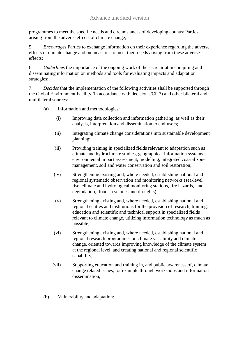programmes to meet the specific needs and circumstances of developing country Parties arising from the adverse effects of climate change;

5. *Encourages* Parties to exchange information on their experience regarding the adverse effects of climate change and on measures to meet their needs arising from these adverse effects;

6. *Underlines* the importance of the ongoing work of the secretariat in compiling and disseminating information on methods and tools for evaluating impacts and adaptation strategies;

7. *Decides* that the implementation of the following activities shall be supported through the Global Environment Facility (in accordance with decision -/CP.7) and other bilateral and multilateral sources:

- (a) Information and methodologies:
	- (i) Improving data collection and information gathering, as well as their analysis, interpretation and dissemination to end-users;
	- (ii) Integrating climate change considerations into sustainable development planning;
	- (iii) Providing training in specialized fields relevant to adaptation such as climate and hydroclimate studies, geographical information systems, environmental impact assessment, modelling, integrated coastal zone management, soil and water conservation and soil restoration;
	- (iv) Strengthening existing and, where needed, establishing national and regional systematic observation and monitoring networks (sea-level rise, climate and hydrological monitoring stations, fire hazards, land degradation, floods, cyclones and droughts);
	- (v) Strengthening existing and, where needed, establishing national and regional centres and institutions for the provision of research, training, education and scientific and technical support in specialized fields relevant to climate change, utilizing information technology as much as possible;
	- (vi) Strengthening existing and, where needed, establishing national and regional research programmes on climate variability and climate change, oriented towards improving knowledge of the climate system at the regional level, and creating national and regional scientific capability;
	- (vii) Supporting education and training in, and public awareness of, climate change related issues, for example through workshops and information dissemination;
- (b) Vulnerability and adaptation: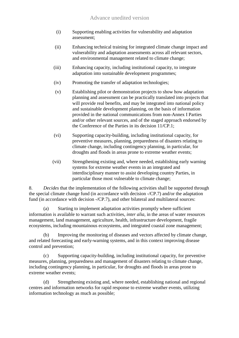- (i) Supporting enabling activities for vulnerability and adaptation assessment;
- (ii) Enhancing technical training for integrated climate change impact and vulnerability and adaptation assessments across all relevant sectors, and environmental management related to climate change;
- (iii) Enhancing capacity, including institutional capacity, to integrate adaptation into sustainable development programmes;
- (iv) Promoting the transfer of adaptation technologies;
- (v) Establishing pilot or demonstration projects to show how adaptation planning and assessment can be practically translated into projects that will provide real benefits, and may be integrated into national policy and sustainable development planning, on the basis of information provided in the national communications from non-Annex I Parties and/or other relevant sources, and of the staged approach endorsed by the Conference of the Parties in its decision 11/CP.1;
- (vi) Supporting capacity-building, including institutional capacity, for preventive measures, planning, preparedness of disasters relating to climate change, including contingency planning, in particular, for droughts and floods in areas prone to extreme weather events;
- (vii) Strengthening existing and, where needed, establishing early warning systems for extreme weather events in an integrated and interdisciplinary manner to assist developing country Parties, in particular those most vulnerable to climate change;

8. *Decides* that the implementation of the following activities shall be supported through the special climate change fund (in accordance with decision -/CP.7) and/or the adaptation fund (in accordance with decision -/CP.7), and other bilateral and multilateral sources:

(a) Starting to implement adaptation activities promptly where sufficient information is available to warrant such activities, *inter alia*, in the areas of water resources management, land management, agriculture, health, infrastructure development, fragile ecosystems, including mountainous ecosystems, and integrated coastal zone management;

(b) Improving the monitoring of diseases and vectors affected by climate change, and related forecasting and early-warning systems, and in this context improving disease control and prevention;

(c) Supporting capacity-building, including institutional capacity, for preventive measures, planning, preparedness and management of disasters relating to climate change, including contingency planning, in particular, for droughts and floods in areas prone to extreme weather events;

(d) Strengthening existing and, where needed, establishing national and regional centres and information networks for rapid response to extreme weather events, utilizing information technology as much as possible;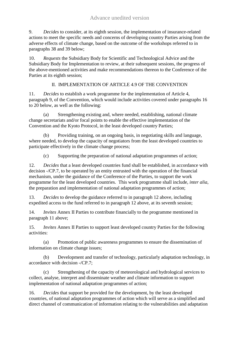9. *Decides* to consider, at its eighth session, the implementation of insurance-related actions to meet the specific needs and concerns of developing country Parties arising from the adverse effects of climate change, based on the outcome of the workshops referred to in paragraphs 38 and 39 below;

10. *Requests* the Subsidiary Body for Scientific and Technological Advice and the Subsidiary Body for Implementation to review, at their subsequent sessions, the progress of the above-mentioned activities and make recommendations thereon to the Conference of the Parties at its eighth session;

# II. IMPLEMENTATION OF ARTICLE 4.9 OF THE CONVENTION

11. *Decides* to establish a work programme for the implementation of Article 4, paragraph 9, of the Convention, which would include activities covered under paragraphs 16 to 20 below, as well as the following:

(a) Strengthening existing and, where needed, establishing, national climate change secretariats and/or focal points to enable the effective implementation of the Convention and the Kyoto Protocol, in the least developed country Parties;

(b) Providing training, on an ongoing basis, in negotiating skills and language, where needed, to develop the capacity of negotiators from the least developed countries to participate effectively in the climate change process;

(c) Supporting the preparation of national adaptation programmes of action;

12. *Decides* that a least developed countries fund shall be established, in accordance with decision -/CP.7, to be operated by an entity entrusted with the operation of the financial mechanism, under the guidance of the Conference of the Parties, to support the work programme for the least developed countries. This work programme shall include*, inter alia*, the preparation and implementation of national adaptation programmes of action;

13. *Decides* to develop the guidance referred to in paragraph 12 above, including expedited access to the fund referred to in paragraph 12 above, at its seventh session;

14. *Invites* Annex II Parties to contribute financially to the programme mentioned in paragraph 11 above;

15. *Invites* Annex II Parties to support least developed country Parties for the following activities:

(a) Promotion of public awareness programmes to ensure the dissemination of information on climate change issues;

(b) Development and transfer of technology, particularly adaptation technology, in accordance with decision -/CP.7;

(c) Strengthening of the capacity of meteorological and hydrological services to collect, analyse, interpret and disseminate weather and climate information to support implementation of national adaptation programmes of action;

16. *Decides* that support be provided for the development, by the least developed countries, of national adaptation programmes of action which will serve as a simplified and direct channel of communication of information relating to the vulnerabilities and adaptation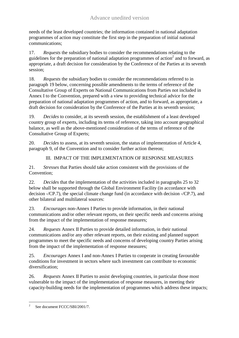needs of the least developed countries; the information contained in national adaptation programmes of action may constitute the first step in the preparation of initial national communications;

17. *Requests* the subsidiary bodies to consider the recommendations relating to the guidelines for the preparation of national adaptation programmes of action<sup>2</sup> and to forward, as appropriate, a draft decision for consideration by the Conference of the Parties at its seventh session;

18. *Requests* the subsidiary bodies to consider the recommendations referred to in paragraph 19 below, concerning possible amendments to the terms of reference of the Consultative Group of Experts on National Communications from Parties not included in Annex I to the Convention, prepared with a view to providing technical advice for the preparation of national adaptation programmes of action, and to forward, as appropriate, a draft decision for consideration by the Conference of the Parties at its seventh session;

19. *Decides* to consider, at its seventh session, the establishment of a least developed country group of experts, including its terms of reference, taking into account geographical balance, as well as the above-mentioned consideration of the terms of reference of the Consultative Group of Experts;

20. *Decides* to assess, at its seventh session, the status of implementation of Article 4, paragraph 9, of the Convention and to consider further action thereon;

# III. IMPACT OF THE IMPLEMENTATION OF RESPONSE MEASURES

21. *Stresses* that Parties should take action consistent with the provisions of the Convention;

22. *Decides* that the implementation of the activities included in paragraphs 25 to 32 below shall be supported through the Global Environment Facility (in accordance with decision -/CP.7), the special climate change fund (in accordance with decision -/CP.7), and other bilateral and multilateral sources:

23. *Encourages* non-Annex I Parties to provide information, in their national communications and/or other relevant reports, on their specific needs and concerns arising from the impact of the implementation of response measures;

24. *Requests* Annex II Parties to provide detailed information, in their national communications and/or any other relevant reports, on their existing and planned support programmes to meet the specific needs and concerns of developing country Parties arising from the impact of the implementation of response measures;

25. *Encourages* Annex I and non-Annex I Parties to cooperate in creating favourable conditions for investment in sectors where such investment can contribute to economic diversification;

26. *Requests* Annex II Parties to assist developing countries, in particular those most vulnerable to the impact of the implementation of response measures, in meeting their capacity-building needs for the implementation of programmes which address these impacts;

 $\frac{1}{2}$ See document FCCC/SBI/2001/7.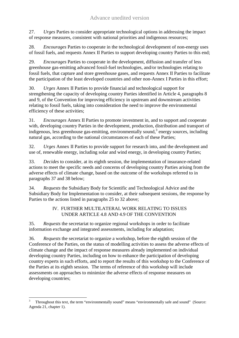27. *Urges* Parties to consider appropriate technological options in addressing the impact of response measures, consistent with national priorities and indigenous resources;

28. *Encourages* Parties to cooperate in the technological development of non-energy uses of fossil fuels, and requests Annex II Parties to support developing country Parties to this end;

29. *Encourages* Parties to cooperate in the development, diffusion and transfer of less greenhouse gas-emitting advanced fossil-fuel technologies, and/or technologies relating to fossil fuels, that capture and store greenhouse gases, and requests Annex II Parties to facilitate the participation of the least developed countries and other non-Annex I Parties in this effort;

30. *Urges* Annex II Parties to provide financial and technological support for strengthening the capacity of developing country Parties identified in Article 4, paragraphs 8 and 9, of the Convention for improving efficiency in upstream and downstream activities relating to fossil fuels, taking into consideration the need to improve the environmental efficiency of these activities;

31. *Encourages* Annex II Parties to promote investment in, and to support and cooperate with, developing country Parties in the development, production, distribution and transport of indigenous, less greenhouse gas-emitting, environmentally sound,<sup>3</sup> energy sources, including natural gas, according to the national circumstances of each of these Parties;

32. *Urges* Annex II Parties to provide support for research into, and the development and use of, renewable energy, including solar and wind energy, in developing country Parties;

33. *Decides* to consider, at its eighth session, the implementation of insurance-related actions to meet the specific needs and concerns of developing country Parties arising from the adverse effects of climate change, based on the outcome of the workshops referred to in paragraphs 37 and 38 below;

34. *Requests* the Subsidiary Body for Scientific and Technological Advice and the Subsidiary Body for Implementation to consider, at their subsequent sessions, the response by Parties to the actions listed in paragraphs 25 to 32 above;

# IV. FURTHER MULTILATERAL WORK RELATING TO ISSUES UNDER ARTICLE 4.8 AND 4.9 OF THE CONVENTION

35. *Requests* the secretariat to organize regional workshops in order to facilitate information exchange and integrated assessments, including for adaptation;

36. *Requests* the secretariat to organize a workshop, before the eighth session of the Conference of the Parties, on the status of modelling activities to assess the adverse effects of climate change and the impact of response measures already implemented on individual developing country Parties, including on how to enhance the participation of developing country experts in such efforts, and to report the results of this workshop to the Conference of the Parties at its eighth session. The terms of reference of this workshop will include assessments on approaches to minimize the adverse effects of response measures on developing countries;

 $\overline{a}$ 3 Throughout this text, the term "environmentally sound" means "environmentally safe and sound" (Source: Agenda 21, chapter 1).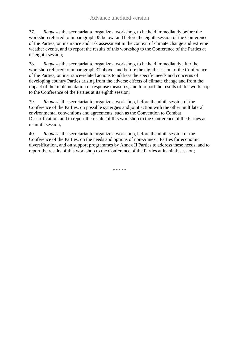37. *Requests* the secretariat to organize a workshop, to be held immediately before the workshop referred to in paragraph 38 below, and before the eighth session of the Conference of the Parties, on insurance and risk assessment in the context of climate change and extreme weather events, and to report the results of this workshop to the Conference of the Parties at its eighth session;

38. *Requests* the secretariat to organize a workshop, to be held immediately after the workshop referred to in paragraph 37 above, and before the eighth session of the Conference of the Parties, on insurance-related actions to address the specific needs and concerns of developing country Parties arising from the adverse effects of climate change and from the impact of the implementation of response measures, and to report the results of this workshop to the Conference of the Parties at its eighth session;

39. *Requests* the secretariat to organize a workshop, before the ninth session of the Conference of the Parties, on possible synergies and joint action with the other multilateral environmental conventions and agreements, such as the Convention to Combat Desertification, and to report the results of this workshop to the Conference of the Parties at its ninth session;

40. *Requests* the secretariat to organize a workshop, before the ninth session of the Conference of the Parties, on the needs and options of non-Annex I Parties for economic diversification, and on support programmes by Annex II Parties to address these needs, and to report the results of this workshop to the Conference of the Parties at its ninth session;

- - - - -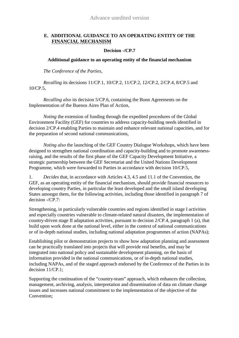# **E. ADDITIONAL GUIDANCE TO AN OPERATING ENTITY OF THE FINANCIAL MECHANISM**

### **Decision -/CP.7**

#### **Additional guidance to an operating entity of the financial mechanism**

*The Conference of the Parties,*

*Recalling* its decisions 11/CP.1, 10/CP.2, 11/CP.2, 12/CP.2, 2/CP.4, 8/CP.5 and 10/CP.5,

*Recalling also* its decision 5/CP.6, containing the Bonn Agreements on the Implementation of the Buenos Aires Plan of Action,

*Noting* the extension of funding through the expedited procedures of the Global Environment Facility (GEF) for countries to address capacity-building needs identified in decision 2/CP.4 enabling Parties to maintain and enhance relevant national capacities, and for the preparation of second national communications,

*Noting also* the launching of the GEF Country Dialogue Workshops, which have been designed to strengthen national coordination and capacity-building and to promote awarenessraising, and the results of the first phase of the GEF Capacity Development Initiative, a strategic partnership between the GEF Secretariat and the United Nations Development Programme, which were forwarded to Parties in accordance with decision 10/CP.5,

1. *Decides* that, in accordance with Articles 4.3, 4.5 and 11.1 of the Convention, the GEF, as an operating entity of the financial mechanism, should provide financial resources to developing country Parties, in particular the least developed and the small island developing States amongst them, for the following activities, including those identified in paragraph 7 of decision -/CP.7:

Strengthening, in particularly vulnerable countries and regions identified in stage I activities and especially countries vulnerable to climate-related natural disasters, the implementation of country-driven stage II adaptation activities, pursuant to decision 2/CP.4, paragraph 1 (a), that build upon work done at the national level, either in the context of national communications or of in-depth national studies, including national adaptation programmes of action (NAPAs);

Establishing pilot or demonstration projects to show how adaptation planning and assessment can be practically translated into projects that will provide real benefits, and may be integrated into national policy and sustainable development planning, on the basis of information provided in the national communications, or of in-depth national studies, including NAPAs, and of the staged approach endorsed by the Conference of the Parties in its decision 11/CP.1;

Supporting the continuation of the "country-team" approach, which enhances the collection, management, archiving, analysis, interpretation and dissemination of data on climate change issues and increases national commitment to the implementation of the objective of the Convention;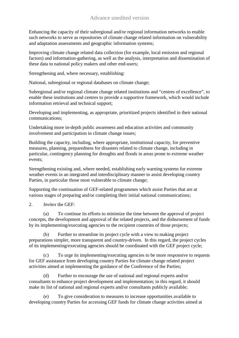Enhancing the capacity of their subregional and/or regional information networks to enable such networks to serve as repositories of climate change related information on vulnerability and adaptation assessments and geographic information systems;

Improving climate change related data collection (for example, local emission and regional factors) and information-gathering, as well as the analysis, interpretation and dissemination of these data to national policy makers and other end-users;

Strengthening and, where necessary, establishing:

National, subregional or regional databases on climate change;

Subregional and/or regional climate change related institutions and "centres of excellence", to enable these institutions and centres to provide a supportive framework, which would include information retrieval and technical support;

Developing and implementing, as appropriate, prioritized projects identified in their national communications;

Undertaking more in-depth public awareness and education activities and community involvement and participation in climate change issues;

Building the capacity, including, where appropriate, institutional capacity, for preventive measures, planning, preparedness for disasters related to climate change, including in particular, contingency planning for droughts and floods in areas prone to extreme weather events;

Strengthening existing and, where needed, establishing early warning systems for extreme weather events in an integrated and interdisciplinary manner to assist developing country Parties, in particular those most vulnerable to climate change;

Supporting the continuation of GEF-related programmes which assist Parties that are at various stages of preparing and/or completing their initial national communications;

2. *Invites* the GEF:

(a) To continue its efforts to minimize the time between the approval of project concepts, the development and approval of the related projects, and the disbursement of funds by its implementing/executing agencies to the recipient countries of those projects;

(b) Further to streamline its project cycle with a view to making project preparations simpler, more transparent and country-driven. In this regard, the project cycles of its implementing/executing agencies should be coordinated with the GEF project cycle;

(c) To urge its implementing/executing agencies to be more responsive to requests for GEF assistance from developing country Parties for climate change related project activities aimed at implementing the guidance of the Conference of the Parties;

(d) Further to encourage the use of national and regional experts and/or consultants to enhance project development and implementation; in this regard, it should make its list of national and regional experts and/or consultants publicly available;

(e) To give consideration to measures to increase opportunities available to developing country Parties for accessing GEF funds for climate change activities aimed at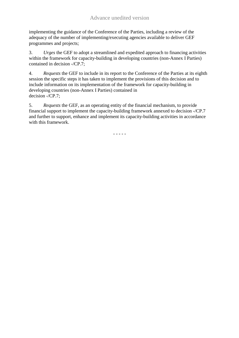implementing the guidance of the Conference of the Parties, including a review of the adequacy of the number of implementing/executing agencies available to deliver GEF programmes and projects;

3. *Urges* the GEF to adopt a streamlined and expedited approach to financing activities within the framework for capacity-building in developing countries (non-Annex I Parties) contained in decision -/CP.7;

4. *Requests* the GEF to include in its report to the Conference of the Parties at its eighth session the specific steps it has taken to implement the provisions of this decision and to include information on its implementation of the framework for capacity-building in developing countries (non-Annex I Parties) contained in decision -/CP.7;

5. *Requests* the GEF, as an operating entity of the financial mechanism, to provide financial support to implement the capacity-building framework annexed to decision -/CP.7 and further to support, enhance and implement its capacity-building activities in accordance with this framework.

- - - - -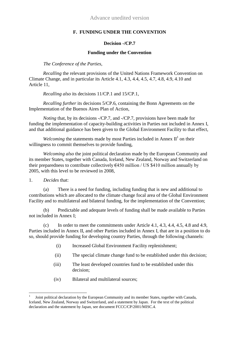## **F. FUNDING UNDER THE CONVENTION**

### **Decision -/CP.7**

#### **Funding under the Convention**

*The Conference of the Parties,*

*Recalling* the relevant provisions of the United Nations Framework Convention on Climate Change, and in particular its Article 4.1, 4.3, 4.4, 4.5, 4.7, 4.8, 4.9, 4.10 and Article 11,

*Recalling also* its decisions 11/CP.1 and 15/CP.1,

*Recalling further* its decisions 5/CP.6, containing the Bonn Agreements on the Implementation of the Buenos Aires Plan of Action,

*Noting that, by its decisions -/CP.7, and -/CP.7, provisions have been made for* funding the implementation of capacity-building activities in Parties not included in Annex I, and that additional guidance has been given to the Global Environment Facility to that effect,

*Welcoming* the statements made by most Parties included in Annex  $II<sup>1</sup>$  on their willingness to commit themselves to provide funding,

*Welcoming also* the joint political declaration made by the European Community and its member States, together with Canada, Iceland, New Zealand, Norway and Switzerland on their preparedness to contribute collectively  $6450$  million / US \$410 million annually by 2005, with this level to be reviewed in 2008,

#### 1. *Decides* that:

 $\overline{a}$ 

(a) There is a need for funding, including funding that is new and additional to contributions which are allocated to the climate change focal area of the Global Environment Facility and to multilateral and bilateral funding, for the implementation of the Convention;

(b) Predictable and adequate levels of funding shall be made available to Parties not included in Annex I;

(c) In order to meet the commitments under Article  $4.1, 4.3, 4.4, 4.5, 4.8$  and  $4.9$ , Parties included in Annex II, and other Parties included in Annex I, that are in a position to do so, should provide funding for developing country Parties, through the following channels:

- (i) Increased Global Environment Facility replenishment;
- (ii) The special climate change fund to be established under this decision;
- (iii) The least developed countries fund to be established under this decision;
- (iv) Bilateral and multilateral sources;

<sup>1</sup> Joint political declaration by the European Community and its member States, together with Canada, Iceland, New Zealand, Norway and Switzerland, and a statement by Japan. For the text of the political declaration and the statement by Japan, see document FCCC/CP/2001/MISC.4.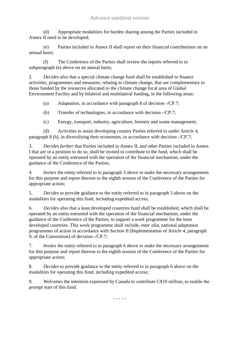(d) Appropriate modalities for burden sharing among the Parties included in Annex II need to be developed;

(e) Parties included in Annex II shall report on their financial contributions on an annual basis;

(f) The Conference of the Parties shall review the reports referred to in subparagraph (e) above on an annual basis;

2. *Decides also* that a special climate change fund shall be established to finance activities, programmes and measures, relating to climate change, that are complementary to those funded by the resources allocated to the climate change focal area of Global Environment Facility and by bilateral and multilateral funding, in the following areas:

(a) Adaptation, in accordance with paragraph 8 of decision -/CP.7;

(b) Transfer of technologies, in accordance with decision -/CP.7;

(c) Energy, transport, industry, agriculture, forestry and waste management;

(d) Activities to assist developing country Parties referred to under Article 4, paragraph 8 (h), in diversifying their economies, in accordance with decision -/CP.7;

3. *Decides further* that Parties included in Annex II, and other Parties included in Annex I that are in a position to do so, shall be invited to contribute to the fund, which shall be operated by an entity entrusted with the operation of the financial mechanism, under the guidance of the Conference of the Parties;

4. *Invites* the entity referred to in paragraph 3 above to make the necessary arrangements for this purpose and report thereon to the eighth session of the Conference of the Parties for appropriate action;

5. *Decides* to provide guidance to the entity referred to in paragraph 3 above on the modalities for operating this fund, including expedited access;

6. *Decides also* that a least developed countries fund shall be established, which shall be operated by an entity entrusted with the operation of the financial mechanism, under the guidance of the Conference of the Parties, to support a work programme for the least developed countries. This work programme shall include, *inter alia,* national adaptation programmes of action in accordance with Section II (Implementation of Article 4, paragraph 9, of the Convention) of decision -/CP.7;

7. *Invites* the entity referred to in paragraph 6 above to make the necessary arrangements for this purpose and report thereon to the eighth session of the Conference of the Parties for appropriate action;

8. *Decides* to provide guidance to the entity referred to in paragraph 6 above on the modalities for operating this fund, including expedited access;

9. *Welcomes* the intention expressed by Canada to contribute C\$10 million, to enable the prompt start of this fund.

- - - - -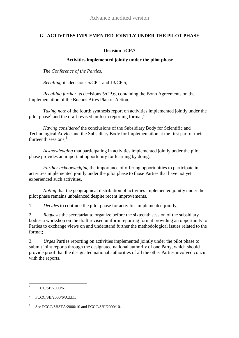# **G. ACTIVITIES IMPLEMENTED JOINTLY UNDER THE PILOT PHASE**

# **Decision -/CP.7**

# **Activities implemented jointly under the pilot phase**

*The Conference of the Parties,*

*Recalling* its decisions 5/CP.1 and 13/CP.5,

*Recalling further* its decisions 5/CP.6, containing the Bonn Agreements on the Implementation of the Buenos Aires Plan of Action,

*Taking note* of the fourth synthesis report on activities implemented jointly under the pilot phase<sup>1</sup> and the draft revised uniform reporting format,<sup>2</sup>

*Having considered* the conclusions of the Subsidiary Body for Scientific and Technological Advice and the Subsidiary Body for Implementation at the first part of their thirteenth sessions.<sup>3</sup>

*Acknowledging* that participating in activities implemented jointly under the pilot phase provides an important opportunity for learning by doing,

*Further acknowledging* the importance of offering opportunities to participate in activities implemented jointly under the pilot phase to those Parties that have not yet experienced such activities,

*Noting* that the geographical distribution of activities implemented jointly under the pilot phase remains unbalanced despite recent improvements,

1. *Decides* to continue the pilot phase for activities implemented jointly;

2. *Requests* the secretariat to organize before the sixteenth session of the subsidiary bodies a workshop on the draft revised uniform reporting format providing an opportunity to Parties to exchange views on and understand further the methodological issues related to the format;

3. *Urges* Parties reporting on activities implemented jointly under the pilot phase to submit joint reports through the designated national authority of one Party, which should provide proof that the designated national authorities of all the other Parties involved concur with the reports.

- - - - -

<sup>|&</sup>lt;br>|<br>| FCCC/SB/2000/6.

<sup>2</sup> FCCC/SB/2000/6/Add.1.

<sup>3</sup> See FCCC/SBSTA/2000/10 and FCCC/SBI/2000/10.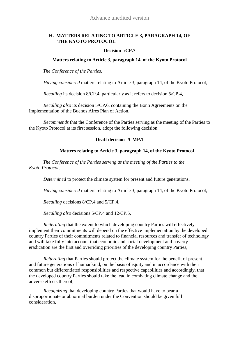# **H. MATTERS RELATING TO ARTICLE 3, PARAGRAPH 14, OF THE KYOTO PROTOCOL**

## **Decision -/CP.7**

### **Matters relating to Article 3, paragraph 14, of the Kyoto Protocol**

*The Conference of the Parties,*

*Having considered* matters relating to Article 3, paragraph 14, of the Kyoto Protocol,

*Recalling* its decision 8/CP.4, particularly as it refers to decision 5/CP.4,

*Recalling also* its decision 5/CP.6, containing the Bonn Agreements on the Implementation of the Buenos Aires Plan of Action,

*Recommends* that the Conference of the Parties serving as the meeting of the Parties to the Kyoto Protocol at its first session, adopt the following decision.

# **Draft decision -/CMP.1**

## **Matters relating to Article 3, paragraph 14, of the Kyoto Protocol**

*The Conference of the Parties serving as the meeting of the Parties to the Kyoto Protocol*,

*Determined* to protect the climate system for present and future generations,

*Having considered* matters relating to Article 3, paragraph 14, of the Kyoto Protocol,

*Recalling* decisions 8/CP.4 and 5/CP.4,

*Recalling also* decisions 5/CP.4 and 12/CP.5,

*Reiterating* that the extent to which developing country Parties will effectively implement their commitments will depend on the effective implementation by the developed country Parties of their commitments related to financial resources and transfer of technology and will take fully into account that economic and social development and poverty eradication are the first and overriding priorities of the developing country Parties,

*Reiterating* that Parties should protect the climate system for the benefit of present and future generations of humankind, on the basis of equity and in accordance with their common but differentiated responsibilities and respective capabilities and accordingly, that the developed country Parties should take the lead in combating climate change and the adverse effects thereof,

*Recognizing* that developing country Parties that would have to bear a disproportionate or abnormal burden under the Convention should be given full consideration,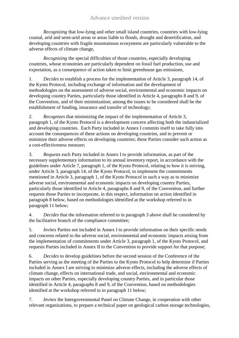*Recognizing* that low-lying and other small island countries, countries with low-lying coastal, arid and semi-arid areas or areas liable to floods, drought and desertification, and developing countries with fragile mountainous ecosystems are particularly vulnerable to the adverse effects of climate change,

*Recognizing* the special difficulties of those countries, especially developing countries, whose economies are particularly dependent on fossil fuel production, use and exportation, as a consequence of action taken to limit greenhouse gas emissions,

1. *Decides* to establish a process for the implementation of Article 3, paragraph 14, of the Kyoto Protocol, including exchange of information and the development of methodologies on the assessment of adverse social, environmental and economic impacts on developing country Parties, particularly those identified in Article 4, paragraphs 8 and 9, of the Convention, and of their minimization; among the issues to be considered shall be the establishment of funding, insurance and transfer of technology;

2. *Recognizes* that minimizing the impact of the implementation of Article 3, paragraph 1, of the Kyoto Protocol is a development concern affecting both the industrialized and developing countries. Each Party included in Annex I commits itself to take fully into account the consequences of these actions on developing countries, and to prevent or minimize their adverse effects on developing countries; these Parties consider such action as a cost-effectiveness measure;

3. *Requests* each Party included in Annex I to provide information, as part of the necessary supplementary information to its annual inventory report, in accordance with the guidelines under Article 7, paragraph 1, of the Kyoto Protocol, relating to how it is striving, under Article 3, paragraph 14, of the Kyoto Protocol, to implement the commitments mentioned in Article 3, paragraph 1, of the Kyoto Protocol in such a way as to minimize adverse social, environmental and economic impacts on developing country Parties, particularly those identified in Article 4, paragraphs 8 and 9, of the Convention, and further requests those Parties to incorporate, in this respect, information on action identified in paragraph 8 below, based on methodologies identified at the workshop referred to in paragraph 11 below;

4. *Decides* that the information referred to in paragraph 3 above shall be considered by the facilitative branch of the compliance committee;

5. *Invites* Parties not included in Annex I to provide information on their specific needs and concerns related to the adverse social, environmental and economic impacts arising from the implementation of commitments under Article 3, paragraph 1, of the Kyoto Protocol, and requests Parties included in Annex II to the Convention to provide support for that purpose;

6. *Decides* to develop guidelines before the second session of the Conference of the Parties serving as the meeting of the Parties to the Kyoto Protocol to help determine if Parties included in Annex I are striving to minimize adverse effects, including the adverse effects of climate change, effects on international trade, and social, environmental and economic impacts on other Parties, especially developing country Parties, and in particular those identified in Article 4, paragraphs 8 and 9, of the Convention, based on methodologies identified at the workshop referred to in paragraph 11 below;

7. *Invites* the Intergovernmental Panel on Climate Change, in cooperation with other relevant organizations, to prepare a technical paper on geological carbon storage technologies,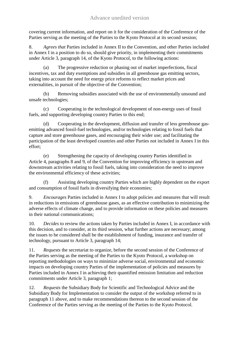covering current information, and report on it for the consideration of the Conference of the Parties serving as the meeting of the Parties to the Kyoto Protocol at its second session;

8. *Agrees that* Parties included in Annex II to the Convention, and other Parties included in Annex I in a position to do so, should give priority, in implementing their commitments under Article 3, paragraph 14, of the Kyoto Protocol, to the following actions:

(a) The progressive reduction or phasing out of market imperfections, fiscal incentives, tax and duty exemptions and subsidies in all greenhouse gas emitting sectors, taking into account the need for energy price reforms to reflect market prices and externalities, in pursuit of the objective of the Convention;

(b) Removing subsidies associated with the use of environmentally unsound and unsafe technologies;

(c) Cooperating in the technological development of non-energy uses of fossil fuels, and supporting developing country Parties to this end;

Cooperating in the development, diffusion and transfer of less greenhouse gasemitting advanced fossil-fuel technologies, and/or technologies relating to fossil fuels that capture and store greenhouse gases, and encouraging their wider use; and facilitating the participation of the least developed countries and other Parties not included in Annex I in this effort;

(e) Strengthening the capacity of developing country Parties identified in Article 4, paragraphs 8 and 9, of the Convention for improving efficiency in upstream and downstream activities relating to fossil fuels, taking into consideration the need to improve the environmental efficiency of these activities;

(f) Assisting developing country Parties which are highly dependent on the export and consumption of fossil fuels in diversifying their economies;

9. *Encourages* Parties included in Annex I to adopt policies and measures that will result in reductions in emissions of greenhouse gases, as an effective contribution to minimizing the adverse effects of climate change, and to provide information on these policies and measures in their national communications;

10. *Decides* to review the actions taken by Parties included in Annex I, in accordance with this decision, and to consider, at its third session, what further actions are necessary; among the issues to be considered shall be the establishment of funding, insurance and transfer of technology, pursuant to Article 3, paragraph 14;

11. *Requests* the secretariat to organize, before the second session of the Conference of the Parties serving as the meeting of the Parties to the Kyoto Protocol, a workshop on reporting methodologies on ways to minimize adverse social, environmental and economic impacts on developing country Parties of the implementation of policies and measures by Parties included in Annex I in achieving their quantified emission limitation and reduction commitments under Article 3, paragraph 1;

12. *Requests* the Subsidiary Body for Scientific and Technological Advice and the Subsidiary Body for Implementation to consider the output of the workshop referred to in paragraph 11 above, and to make recommendations thereon to the second session of the Conference of the Parties serving as the meeting of the Parties to the Kyoto Protocol.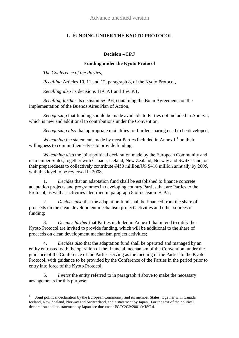# **I. FUNDING UNDER THE KYOTO PROTOCOL**

## **Decision -/CP.7**

## **Funding under the Kyoto Protocol**

*The Conference of the Parties,*

*Recalling* Articles 10, 11 and 12, paragraph 8, of the Kyoto Protocol,

*Recalling also* its decisions 11/CP.1 and 15/CP.1,

*Recalling further* its decision 5/CP.6, containing the Bonn Agreements on the Implementation of the Buenos Aires Plan of Action,

*Recognizing* that funding should be made available to Parties not included in Annex I, which is new and additional to contributions under the Convention,

*Recognizing also* that appropriate modalities for burden sharing need to be developed,

*Welcoming* the statements made by most Parties included in Annex  $II<sup>1</sup>$  on their willingness to commit themselves to provide funding,

*Welcoming also* the joint political declaration made by the European Community and its member States, together with Canada, Iceland, New Zealand, Norway and Switzerland, on their preparedness to collectively contribute  $E$ 450 million/US \$410 million annually by 2005, with this level to be reviewed in 2008.

1. *Decides* that an adaptation fund shall be established to finance concrete adaptation projects and programmes in developing country Parties that are Parties to the Protocol, as well as activities identified in paragraph 8 of decision -/CP.7;

2. *Decides also* that the adaptation fund shall be financed from the share of proceeds on the clean development mechanism project activities and other sources of funding;

3. *Decides further* that Parties included in Annex I that intend to ratify the Kyoto Protocol are invited to provide funding, which will be additional to the share of proceeds on clean development mechanism project activities;

4. *Decides also* that the adaptation fund shall be operated and managed by an entity entrusted with the operation of the financial mechanism of the Convention, under the guidance of the Conference of the Parties serving as the meeting of the Parties to the Kyoto Protocol, with guidance to be provided by the Conference of the Parties in the period prior to entry into force of the Kyoto Protocol;

5. *Invites* the entity referred to in paragraph 4 above to make the necessary arrangements for this purpose;

 $\overline{a}$ 

<sup>1</sup> Joint political declaration by the European Community and its member States, together with Canada, Iceland, New Zealand, Norway and Switzerland, and a statement by Japan. For the text of the political declaration and the statement by Japan see document FCCC/CP/2001/MISC.4.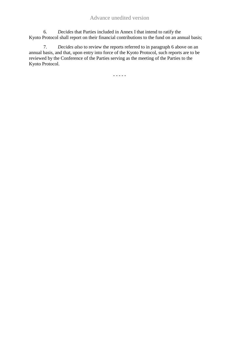6. *Decides* that Parties included in Annex I that intend to ratify the Kyoto Protocol shall report on their financial contributions to the fund on an annual basis;

7. *Decides also* to review the reports referred to in paragraph 6 above on an annual basis, and that, upon entry into force of the Kyoto Protocol, such reports are to be reviewed by the Conference of the Parties serving as the meeting of the Parties to the Kyoto Protocol.

- - - - -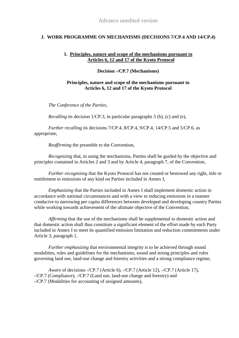### **J. WORK PROGRAMME ON MECHANISMS (DECISIONS 7/CP.4 AND 14/CP.4)**

#### **1. Principles, nature and scope of the mechanisms pursuant to Articles 6, 12 and 17 of the Kyoto Protocol**

**Decision -/CP.7 (Mechanisms)**

#### **Principles, nature and scope of the mechanisms pursuant to Articles 6, 12 and 17 of the Kyoto Protocol**

*The Conference of the Parties,*

*Recalling* its decision 1/CP.3, in particular paragraphs 5 (b), (c) and (e),

*Further recalling* its decisions 7/CP.4, 8/CP.4, 9/CP.4, 14/CP.5 and 5/CP.6, as appropriate,

*Reaffirming* the preamble to the Convention,

*Recognizing* that, in using the mechanisms, Parties shall be guided by the objective and principles contained in Articles 2 and 3 and by Article 4, paragraph 7, of the Convention,

*Further recognizing* that the Kyoto Protocol has not created or bestowed any right, title or entitlement to emissions of any kind on Parties included in Annex I,

*Emphasizing* that the Parties included in Annex I shall implement domestic action in accordance with national circumstances and with a view to reducing emissions in a manner conducive to narrowing per capita differences between developed and developing country Parties while working towards achievement of the ultimate objective of the Convention,

*Affirming* that the use of the mechanisms shall be supplemental to domestic action and that domestic action shall thus constitute a significant element of the effort made by each Party included in Annex I to meet its quantified emission limitation and reduction commitments under Article 3, paragraph 1,

*Further emphasizing* that environmental integrity is to be achieved through sound modalities, rules and guidelines for the mechanisms, sound and strong principles and rules governing land use, land-use change and forestry activities and a strong compliance regime,

*Aware* of decisions -/CP.7 (Article 6), -/CP.7 (Article 12), -/CP.7 (Article 17), -/CP.7 (Compliance), -/CP.7 (Land use, land-use change and forestry) and -/CP.7 (Modalities for accounting of assigned amounts),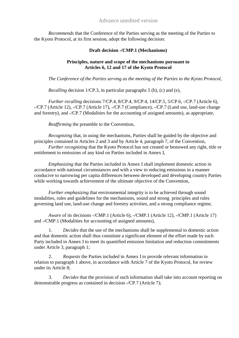*Recommends* that the Conference of the Parties serving as the meeting of the Parties to the Kyoto Protocol, at its first session, adopt the following decision:

### **Draft decision -/CMP.1 (Mechanisms)**

## **Principles, nature and scope of the mechanisms pursuant to Articles 6, 12 and 17 of the Kyoto Protocol**

*The Conference of the Parties serving as the meeting of the Parties to the Kyoto Protocol,*

*Recalling* decision 1/CP.3, in particular paragraphs 5 (b), (c) and (e),

*Further recalling* decisions 7/CP.4, 8/CP.4, 9/CP.4, 14/CP.5, 5/CP.6, -/CP.7 (Article 6), -/CP.7 (Article 12), -/CP.7 (Article 17), -/CP.7 (Compliance), -/CP.7 (Land use, land-use change and forestry), and -/CP.7 (Modalities for the accounting of assigned amounts), as appropriate,

*Reaffirming* the preamble to the Convention,

*Recognizing* that, in using the mechanisms, Parties shall be guided by the objective and principles contained in Articles 2 and 3 and by Article 4, paragraph 7, of the Convention, *Further recognizing* that the Kyoto Protocol has not created or bestowed any right, title or entitlement to emissions of any kind on Parties included in Annex I,

*Emphasizing* that the Parties included in Annex I shall implement domestic action in accordance with national circumstances and with a view to reducing emissions in a manner conducive to narrowing per capita differences between developed and developing country Parties while working towards achievement of the ultimate objective of the Convention,

*Further emphasizing* that environmental integrity is to be achieved through sound modalities, rules and guidelines for the mechanisms, sound and strong principles and rules governing land use, land-use change and forestry activities, and a strong compliance regime,

*Aware* of its decisions -/CMP.1 (Article 6), -/CMP.1 (Article 12), -/CMP.1 (Article 17) and -/CMP.1 (Modalities for accounting of assigned amounts),

1. *Decides* that the use of the mechanisms shall be supplemental to domestic action and that domestic action shall thus constitute a significant element of the effort made by each Party included in Annex I to meet its quantified emission limitation and reduction commitments under Article 3, paragraph 1;

2. *Requests* the Parties included in Annex I to provide relevant information in relation to paragraph 1 above, in accordance with Article 7 of the Kyoto Protocol, for review under its Article 8;

3. *Decides* that the provision of such information shall take into account reporting on demonstrable progress as contained in decision -/CP.7 (Article 7);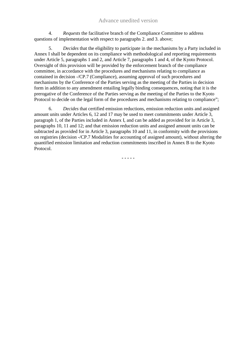4. *Requests* the facilitative branch of the Compliance Committee to address questions of implementation with respect to paragraphs 2. and 3. above;

5. *Decides* that the eligibility to participate in the mechanisms by a Party included in Annex I shall be dependent on its compliance with methodological and reporting requirements under Article 5, paragraphs 1 and 2, and Article 7, paragraphs 1 and 4, of the Kyoto Protocol. Oversight of this provision will be provided by the enforcement branch of the compliance committee, in accordance with the procedures and mechanisms relating to compliance as contained in decision -/CP.7 (Compliance), assuming approval of such procedures and mechanisms by the Conference of the Parties serving as the meeting of the Parties in decision form in addition to any amendment entailing legally binding consequences, noting that it is the prerogative of the Conference of the Parties serving as the meeting of the Parties to the Kyoto Protocol to decide on the legal form of the procedures and mechanisms relating to compliance";

6. *Decides* that certified emission reductions, emission reduction units and assigned amount units under Articles 6, 12 and 17 may be used to meet commitments under Article 3, paragraph 1, of the Parties included in Annex I, and can be added as provided for in Article 3, paragraphs 10, 11 and 12; and that emission reduction units and assigned amount units can be subtracted as provided for in Article 3, paragraphs 10 and 11, in conformity with the provisions on registries (decision -/CP.7 Modalities for accounting of assigned amount), without altering the quantified emission limitation and reduction commitments inscribed in Annex B to the Kyoto Protocol.

**- - - - -**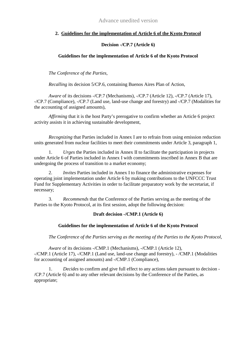## **2. Guidelines for the implementation of Article 6 of the Kyoto Protocol**

### **Decision -/CP.7 (Article 6)**

### **Guidelines for the implementation of Article 6 of the Kyoto Protocol**

*The Conference of the Parties,*

*Recalling* its decision 5/CP.6, containing Buenos Aires Plan of Action,

*Aware* of its decisions -/CP.7 (Mechanisms), -/CP.7 (Article 12), -/CP.7 (Article 17), -/CP.7 (Compliance), -/CP.7 (Land use, land-use change and forestry) and -/CP.7 (Modalities for the accounting of assigned amounts),

*Affirming* that it is the host Party's prerogative to confirm whether an Article 6 project activity assists it in achieving sustainable development,

*Recognizing* that Parties included in Annex I are to refrain from using emission reduction units generated from nuclear facilities to meet their commitments under Article 3, paragraph 1,

1. *Urges* the Parties included in Annex II to facilitate the participation in projects under Article 6 of Parties included in Annex I with commitments inscribed in Annex B that are undergoing the process of transition to a market economy;

2. *Invites* Parties included in Annex I to finance the administrative expenses for operating joint implementation under Article 6 by making contributions to the UNFCCC Trust Fund for Supplementary Activities in order to facilitate preparatory work by the secretariat, if necessary;

3. *Recommends* that the Conference of the Parties serving as the meeting of the Parties to the Kyoto Protocol, at its first session, adopt the following decision:

# **Draft decision -/CMP.1 (Article 6)**

# **Guidelines for the implementation of Article 6 of the Kyoto Protocol**

*The Conference of the Parties serving as the meeting of the Parties to the Kyoto Protocol,*

*Aware* of its decisions -/CMP.1 (Mechanisms), -/CMP.1 (Article 12), -/CMP.1 (Article 17), -/CMP.1 (Land use, land-use change and forestry), - /CMP.1 (Modalities for accounting of assigned amounts) and -/CMP.1 (Compliance),

1. *Decides* to confirm and give full effect to any actions taken pursuant to decision - /CP.7 (Article 6) and to any other relevant decisions by the Conference of the Parties, as appropriate;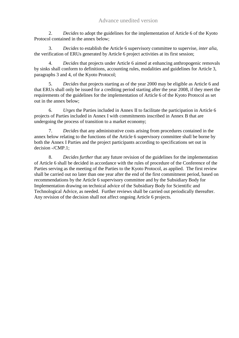2. *Decides* to adopt the guidelines for the implementation of Article 6 of the Kyoto Protocol contained in the annex below;

3. *Decides* to establish the Article 6 supervisory committee to supervise, *inter alia*, the verification of ERUs generated by Article 6 project activities at its first session;

4. *Decides* that projects under Article 6 aimed at enhancing anthropogenic removals by sinks shall conform to definitions, accounting rules, modalities and guidelines for Article 3, paragraphs 3 and 4, of the Kyoto Protocol;

5. *Decides* that projects starting as of the year 2000 may be eligible as Article 6 and that ERUs shall only be issued for a crediting period starting after the year 2008, if they meet the requirements of the guidelines for the implementation of Article 6 of the Kyoto Protocol as set out in the annex below;

6. *Urges* the Parties included in Annex II to facilitate the participation in Article 6 projects of Parties included in Annex I with commitments inscribed in Annex B that are undergoing the process of transition to a market economy;

7. *Decides* that any administrative costs arising from procedures contained in the annex below relating to the functions of the Article 6 supervisory committee shall be borne by both the Annex I Parties and the project participants according to specifications set out in decision -/CMP.1;

8. *Decides further* that any future revision of the guidelines for the implementation of Article 6 shall be decided in accordance with the rules of procedure of the Conference of the Parties serving as the meeting of the Parties to the Kyoto Protocol, as applied. The first review shall be carried out no later than one year after the end of the first commitment period, based on recommendations by the Article 6 supervisory committee and by the Subsidiary Body for Implementation drawing on technical advice of the Subsidiary Body for Scientific and Technological Advice, as needed. Further reviews shall be carried out periodically thereafter. Any revision of the decision shall not affect ongoing Article 6 projects.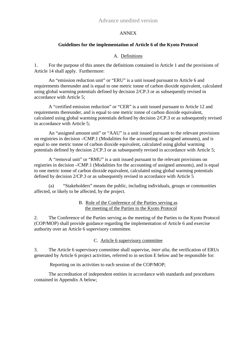## ANNEX

### **Guidelines for the implementation of Article 6 of the Kyoto Protocol**

### A. Definitions

1. For the purpose of this annex the definitions contained in Article 1 and the provisions of Article 14 shall apply. Furthermore:

An "emission reduction unit" or "ERU" is a unit issued pursuant to Article 6 and requirements thereunder and is equal to one metric tonne of carbon dioxide equivalent, calculated using global warming potentials defined by decision 2/CP.3 or as subsequently revised in accordance with Article 5;

A "certified emission reduction" or "CER" is a unit issued pursuant to Article 12 and requirements thereunder, and is equal to one metric tonne of carbon dioxide equivalent. calculated using global warming potentials defined by decision 2/CP.3 or as subsequently revised in accordance with Article 5;

An "assigned amount unit" or "AAU" is a unit issued pursuant to the relevant provisions on registries in decision -/CMP.1 (Modalities for the accounting of assigned amounts), and is equal to one metric tonne of carbon dioxide equivalent, calculated using global warming potentials defined by decision 2/CP.3 or as subsequently revised in accordance with Article 5;

A "removal unit" or "RMU" is a unit issued pursuant to the relevant provisions on registries in decision -/CMP.1 (Modalities for the accounting of assigned amounts), and is equal to one metric tonne of carbon dioxide equivalent, calculated using global warming potentials defined by decision 2/CP.3 or as subsequently revised in accordance with Article 5

(a) "Stakeholders" means the public, including individuals, groups or communities affected, or likely to be affected, by the project.

## B. Role of the Conference of the Parties serving as the meeting of the Parties to the Kyoto Protocol

2. The Conference of the Parties serving as the meeting of the Parties to the Kyoto Protocol (COP/MOP) shall provide guidance regarding the implementation of Article 6 and exercise authority over an Article 6 supervisory committee.

# C. Article 6 supervisory committee

3. The Article 6 supervisory committee shall supervise, *inter alia*, the verification of ERUs generated by Article 6 project activities, referred to in section E below and be responsible for:

Reporting on its activities to each session of the COP/MOP;

The accreditation of independent entities in accordance with standards and procedures contained in Appendix A below;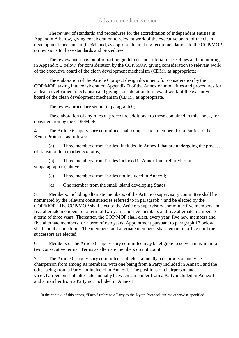The review of standards and procedures for the accreditation of independent entities in Appendix A below, giving consideration to relevant work of the executive board of the clean development mechanism (CDM) and, as appropriate, making recommendations to the COP/MOP on revisions to these standards and procedures;

The review and revision of reporting guidelines and criteria for baselines and monitoring in Appendix B below, for consideration by the COP/MOP, giving consideration to relevant work of the executive board of the clean development mechanism (CDM), as appropriate;

The elaboration of the Article 6 project design document, for consideration by the COP/MOP, taking into consideration Appendix B of the Annex on modalities and procedures for a clean development mechanism and giving consideration to relevant work of the executive board of the clean development mechanism (CDM), as appropriate.

The review procedure set out in paragraph 0;

The elaboration of any rules of procedure additional to those contained in this annex, for consideration by the COP/MOP.

4. The Article 6 supervisory committee shall comprise ten members from Parties to the Kyoto Protocol, as follows:

(a) Three members from Parties<sup>1</sup> included in Annex I that are undergoing the process of transition to a market economy;

(b) Three members from Parties included in Annex I not referred to in subparagraph (a) above;

(c) Three members from Parties not included in Annex I;

(d) One member from the small island developing States.

5. Members, including alternate members, of the Article 6 supervisory committee shall be nominated by the relevant constituencies referred to in paragraph 4 and be elected by the COP/MOP. The COP/MOP shall elect to the Article 6 supervisory committee five members and five alternate members for a term of two years and five members and five alternate members for a term of three years. Thereafter, the COP/MOP shall elect, every year, five new members and five alternate members for a term of two years. Appointment pursuant to paragraph 12 below shall count as one term. The members, and alternate members, shall remain in office until their successors are elected;

6. Members of the Article 6 supervisory committee may be eligible to serve a maximum of two consecutive terms. Terms as alternate members do not count.

7. The Article 6 supervisory committee shall elect annually a chairperson and vicechairperson from among its members, with one being from a Party included in Annex I and the other being from a Party not included in Annex I. The positions of chairperson and vice-chairperson shall alternate annually between a member from a Party included in Annex I and a member from a Party not included in Annex I.

<sup>|&</sup>lt;br>|<br>| In the context of this annex, "Party" refers to a Party to the Kyoto Protocol, unless otherwise specified.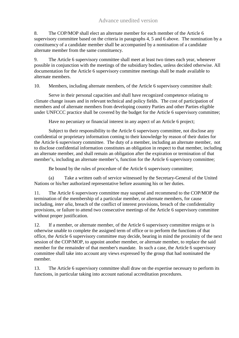8. The COP/MOP shall elect an alternate member for each member of the Article 6 supervisory committee based on the criteria in paragraphs 4, 5 and 6 above. The nomination by a constituency of a candidate member shall be accompanied by a nomination of a candidate alternate member from the same constituency.

9. The Article 6 supervisory committee shall meet at least two times each year, whenever possible in conjunction with the meetings of the subsidiary bodies, unless decided otherwise. All documentation for the Article 6 supervisory committee meetings shall be made available to alternate members.

10. Members, including alternate members, of the Article 6 supervisory committee shall:

Serve in their personal capacities and shall have recognized competence relating to climate change issues and in relevant technical and policy fields. The cost of participation of members and of alternate members from developing country Parties and other Parties eligible under UNFCCC practice shall be covered by the budget for the Article 6 supervisory committee;

Have no pecuniary or financial interest in any aspect of an Article 6 project;

Subject to their responsibility to the Article 6 supervisory committee, not disclose any confidential or proprietary information coming to their knowledge by reason of their duties for the Article 6 supervisory committee. The duty of a member, including an alternate member, not to disclose confidential information constitutes an obligation in respect to that member, including an alternate member, and shall remain an obligation after the expiration or termination of that member's, including an alternate member's, function for the Article 6 supervisory committee;

Be bound by the rules of procedure of the Article 6 supervisory committee;

(a) Take a written oath of service witnessed by the Secretary-General of the United Nations or his/her authorized representative before assuming his or her duties.

11. The Article 6 supervisory committee may suspend and recommend to the COP/MOP the termination of the membership of a particular member, or alternate members, for cause including, *inter alia*, breach of the conflict of interest provisions, breach of the confidentiality provisions, or failure to attend two consecutive meetings of the Article 6 supervisory committee without proper justification.

12. If a member, or alternate member, of the Article 6 supervisory committee resigns or is otherwise unable to complete the assigned term of office or to perform the functions of that office, the Article 6 supervisory committee may decide, bearing in mind the proximity of the next session of the COP/MOP, to appoint another member, or alternate member, to replace the said member for the remainder of that member's mandate. In such a case, the Article 6 supervisory committee shall take into account any views expressed by the group that had nominated the member.

13. The Article 6 supervisory committee shall draw on the expertise necessary to perform its functions, in particular taking into account national accreditation procedures.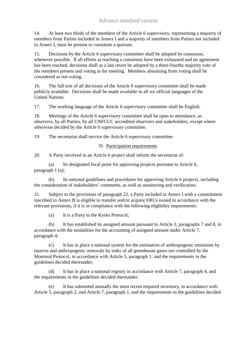14. At least two thirds of the members of the Article 6 supervisory, representing a majority of members from Parties included in Annex I and a majority of members from Parties not included in Annex I, must be present to constitute a quorum.

15. Decisions by the Article 6 supervisory committee shall be adopted by consensus, whenever possible. If all efforts at reaching a consensus have been exhausted and no agreement has been reached, decisions shall as a last resort be adopted by a three-fourths majority vote of the members present and voting at the meeting. Members abstaining from voting shall be considered as not voting.

16. The full text of all decisions of the Article 6 supervisory committee shall be made publicly available. Decisions shall be made available in all six official languages of the United Nations.

17. The working language of the Article 6 supervisory committee shall be English.

18. Meetings of the Article 6 supervisory committee shall be open to attendance, as observers, by all Parties, by all UNFCCC accredited observers and stakeholders, except where otherwise decided by the Article 6 supervisory committee.

19. The secretariat shall service the Article 6 supervisory committee.

# D. Participation requirements

20. A Party involved in an Article 6 project shall inform the secretariat of:

(a) Its designated focal point for approving projects pursuant to Article 6, paragraph 1 (a);

(b) Its national guidelines and procedures for approving Article 6 projects, including the consideration of stakeholders' comments, as well as monitoring and verification.

21. Subject to the provisions of paragraph 22, a Party included in Annex I with a commitment inscribed in Annex B is eligible to transfer and/or acquire ERUs issued in accordance with the relevant provisions, if it is in compliance with the following eligibility requirements:

(a) It is a Party to the Kyoto Protocol;

(b) It has established its assigned amount pursuant to Article 3, paragraphs 7 and 8, in accordance with the modalities for the accounting of assigned amount under Article 7, paragraph 4;

(c) It has in place a national system for the estimation of anthropogenic emissions by sources and anthropogenic removals by sinks of all greenhouse gases not controlled by the Montreal Protocol, in accordance with Article 5, paragraph 1, and the requirements in the guidelines decided thereunder;

(d) It has in place a national registry in accordance with Article 7, paragraph 4, and the requirements in the guidelines decided thereunder;

(e) It has submitted annually the most recent required inventory, in accordance with Article 5, paragraph 2, and Article 7, paragraph 1, and the requirements in the guidelines decided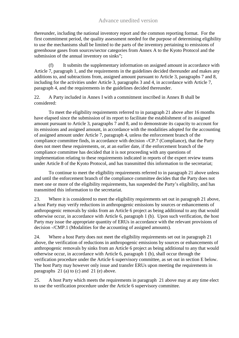thereunder, including the national inventory report and the common reporting format. For the first commitment period, the quality assessment needed for the purpose of determining eligibility to use the mechanisms shall be limited to the parts of the inventory pertaining to emissions of greenhouse gases from sources/sector categories from Annex A to the Kyoto Protocol and the submission of the annual inventory on sinks":

(f) It submits the supplementary information on assigned amount in accordance with Article 7, paragraph 1, and the requirements in the guidelines decided thereunder and makes any additions to, and subtractions from, assigned amount pursuant to Article 3, paragraphs 7 and 8, including for the activities under Article 3, paragraphs 3 and 4, in accordance with Article 7, paragraph 4, and the requirements in the guidelines decided thereunder.

22. A Party included in Annex I with a commitment inscribed in Annex B shall be considered:

To meet the eligibility requirements referred to in paragraph 21 above after 16 months have elapsed since the submission of its report to facilitate the establishment of its assigned amount pursuant to Article 3, paragraphs 7 and 8, and to demonstrate its capacity to account for its emissions and assigned amount, in accordance with the modalities adopted for the accounting of assigned amount under Article 7, paragraph 4, unless the enforcement branch of the compliance committee finds, in accordance with decision -/CP.7 (Compliance), that the Party does not meet these requirements, or, at an earlier date, if the enforcement branch of the compliance committee has decided that it is not proceeding with any questions of implementation relating to these requirements indicated in reports of the expert review teams under Article 8 of the Kyoto Protocol, and has transmitted this information to the secretariat;

To continue to meet the eligibility requirements referred to in paragraph 21 above unless and until the enforcement branch of the compliance committee decides that the Party does not meet one or more of the eligibility requirements, has suspended the Party's eligibility, and has transmitted this information to the secretariat.

23. Where it is considered to meet the eligibility requirements set out in paragraph 21 above, a host Party may verify reductions in anthropogenic emissions by sources or enhancements of anthropogenic removals by sinks from an Article 6 project as being additional to any that would otherwise occur, in accordance with Article 6, paragraph 1 (b). Upon such verification, the host Party may issue the appropriate quantity of ERUs in accordance with the relevant provisions of decision -/CMP.1 (Modalities for the accounting of assigned amounts).

24. Where a host Party does not meet the eligibility requirements set out in paragraph 21 above, the verification of reductions in anthropogenic emissions by sources or enhancements of anthropogenic removals by sinks from an Article 6 project as being additional to any that would otherwise occur, in accordance with Article 6, paragraph 1 (b), shall occur through the verification procedure under the Article 6 supervisory committee, as set out in section E below. The host Party may however only issue and transfer ERUs upon meeting the requirements in paragraphs 21 (a) to (c) and 21 (e) above.

25. A host Party which meets the requirements in paragraph 21 above may at any time elect to use the verification procedure under the Article 6 supervisory committee.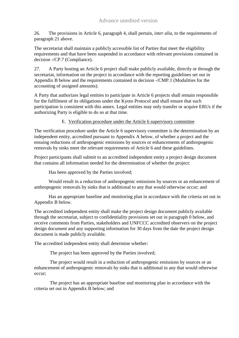26. The provisions in Article 6, paragraph 4, shall pertain, *inter alia*, to the requirements of paragraph 21 above.

The secretariat shall maintain a publicly accessible list of Parties that meet the eligibility requirements and that have been suspended in accordance with relevant provisions contained in decision -/CP.7 (Compliance).

27. A Party hosting an Article 6 project shall make publicly available, directly or through the secretariat, information on the project in accordance with the reporting guidelines set out in Appendix B below and the requirements contained in decision -/CMP.1 (Modalities for the accounting of assigned amounts).

A Party that authorizes legal entities to participate in Article 6 projects shall remain responsible for the fulfilment of its obligations under the Kyoto Protocol and shall ensure that such participation is consistent with this annex. Legal entities may only transfer or acquire ERUs if the authorizing Party is eligible to do so at that time.

# E. Verification procedure under the Article 6 supervisory committee

The verification procedure under the Article 6 supervisory committee is the determination by an independent entity, accredited pursuant to Appendix A below, of whether a project and the ensuing reductions of anthropogenic emissions by sources or enhancements of anthropogenic removals by sinks meet the relevant requirements of Article 6 and these guidelines.

Project participants shall submit to an accredited independent entity a project design document that contains all information needed for the determination of whether the project:

Has been approved by the Parties involved;

Would result in a reduction of anthropogenic emissions by sources or an enhancement of anthropogenic removals by sinks that is additional to any that would otherwise occur; and

Has an appropriate baseline and monitoring plan in accordance with the criteria set out in Appendix B below.

The accredited independent entity shall make the project design document publicly available through the secretariat, subject to confidentiality provisions set out in paragraph 0 below, and receive comments from Parties, stakeholders and UNFCCC accredited observers on the project design document and any supporting information for 30 days from the date the project design document is made publicly available.

The accredited independent entity shall determine whether:

The project has been approved by the Parties involved;

 The project would result in a reduction of anthropogenic emissions by sources or an enhancement of anthropogenic removals by sinks that is additional to any that would otherwise occur;

 The project has an appropriate baseline and monitoring plan in accordance with the criteria set out in Appendix B below; and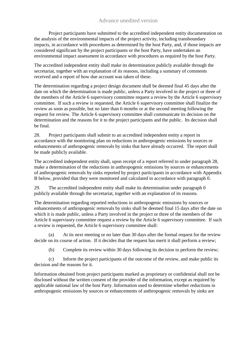Project participants have submitted to the accredited independent entity documentation on the analysis of the environmental impacts of the project activity, including transboundary impacts, in accordance with procedures as determined by the host Party, and, if those impacts are considered significant by the project participants or the host Party, have undertaken an environmental impact assessment in accordance with procedures as required by the host Party.

The accredited independent entity shall make its determination publicly available through the secretariat, together with an explanation of its reasons, including a summary of comments received and a report of how due account was taken of these.

The determination regarding a project design document shall be deemed final 45 days after the date on which the determination is made public, unless a Party involved in the project or three of the members of the Article 6 supervisory committee request a review by the Article 6 supervisory committee. If such a review is requested, the Article 6 supervisory committee shall finalize the review as soon as possible, but no later than 6 months or at the second meeting following the request for review. The Article 6 supervisory committee shall communicate its decision on the determination and the reasons for it to the project participants and the public. Its decision shall be final.

28. Project participants shall submit to an accredited independent entity a report in accordance with the monitoring plan on reductions in anthropogenic emissions by sources or enhancements of anthropogenic removals by sinks that have already occurred. The report shall be made publicly available.

The accredited independent entity shall, upon receipt of a report referred to under paragraph 28, make a determination of the reductions in anthropogenic emissions by sources or enhancements of anthropogenic removals by sinks reported by project participants in accordance with Appendix B below, provided that they were monitored and calculated in accordance with paragraph 0.

29. The accredited independent entity shall make its determination under paragraph 0 publicly available through the secretariat, together with an explanation of its reasons.

The determination regarding reported reductions in anthropogenic emissions by sources or enhancements of anthropogenic removals by sinks shall be deemed final 15 days after the date on which it is made public, unless a Party involved in the project or three of the members of the Article 6 supervisory committee request a review by the Article 6 supervisory committee. If such a review is requested, the Article 6 supervisory committee shall:

(a) At its next meeting or no later than 30 days after the formal request for the review decide on its course of action. If it decides that the request has merit it shall perform a review;

(b) Complete its review within 30 days following its decision to perform the review;

(c) Inform the project participants of the outcome of the review, and make public its decision and the reasons for it.

Information obtained from project participants marked as proprietary or confidential shall not be disclosed without the written consent of the provider of the information, except as required by applicable national law of the host Party. Information used to determine whether reductions in anthropogenic emissions by sources or enhancements of anthropogenic removals by sinks are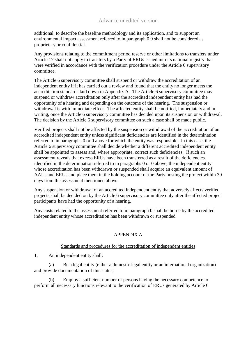additional, to describe the baseline methodology and its application, and to support an environmental impact assessment referred to in paragraph 0 0 shall not be considered as proprietary or confidential.

Any provisions relating to the commitment period reserve or other limitations to transfers under Article 17 shall not apply to transfers by a Party of ERUs issued into its national registry that were verified in accordance with the verification procedure under the Article 6 supervisory committee.

The Article 6 supervisory committee shall suspend or withdraw the accreditation of an independent entity if it has carried out a review and found that the entity no longer meets the accreditation standards laid down in Appendix A. The Article 6 supervisory committee may suspend or withdraw accreditation only after the accredited independent entity has had the opportunity of a hearing and depending on the outcome of the hearing. The suspension or withdrawal is with immediate effect. The affected entity shall be notified, immediately and in writing, once the Article 6 supervisory committee has decided upon its suspension or withdrawal. The decision by the Article 6 supervisory committee on such a case shall be made public.

Verified projects shall not be affected by the suspension or withdrawal of the accreditation of an accredited independent entity unless significant deficiencies are identified in the determination referred to in paragraphs 0 or 0 above for which the entity was responsible. In this case, the Article 6 supervisory committee shall decide whether a different accredited independent entity shall be appointed to assess and, where appropriate, correct such deficiencies. If such an assessment reveals that excess ERUs have been transferred as a result of the deficiencies identified in the determination referred to in paragraphs 0 or 0 above, the independent entity whose accreditation has been withdrawn or suspended shall acquire an equivalent amount of AAUs and ERUs and place them in the holding account of the Party hosting the project within 30 days from the assessment mentioned above.

Any suspension or withdrawal of an accredited independent entity that adversely affects verified projects shall be decided on by the Article 6 supervisory committee only after the affected project participants have had the opportunity of a hearing.

Any costs related to the assessment referred to in paragraph 0 shall be borne by the accredited independent entity whose accreditation has been withdrawn or suspended.

# APPENDIX A

# Standards and procedures for the accreditation of independent entities

1. An independent entity shall:

(a) Be a legal entity (either a domestic legal entity or an international organization) and provide documentation of this status;

(b) Employ a sufficient number of persons having the necessary competence to perform all necessary functions relevant to the verification of ERUs generated by Article 6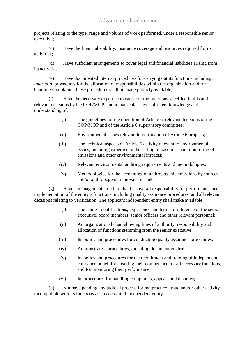projects relating to the type, range and volume of work performed, under a responsible senior executive;

(c) Have the financial stability, insurance coverage and resources required for its activities;

(d) Have sufficient arrangements to cover legal and financial liabilities arising from its activities;

(e) Have documented internal procedures for carrying out its functions including, *inter alia*, procedures for the allocation of responsibilities within the organization and for handling complaints; these procedures shall be made publicly available;

(f) Have the necessary expertise to carry out the functions specified in this and relevant decisions by the COP/MOP, and in particular have sufficient knowledge and understanding of:

- (i) The guidelines for the operation of Article 6, relevant decisions of the COP/MOP and of the Article 6 supervisory committee;
- (ii) Environmental issues relevant to verification of Article 6 projects;
- (iii) The technical aspects of Article 6 activity relevant to environmental issues, including expertise in the setting of baselines and monitoring of emissions and other environmental impacts;
- (iv) Relevant environmental auditing requirements and methodologies;
- (v) Methodologies for the accounting of anthropogenic emissions by sources and/or anthropogenic removals by sinks;

(g) Have a management structure that has overall responsibility for performance and implementation of the entity's functions, including quality assurance procedures, and all relevant decisions relating to verification. The applicant independent entity shall make available:

- (i) The names, qualifications, experience and terms of reference of the senior executive, board members, senior officers and other relevant personnel;
- (ii) An organizational chart showing lines of authority, responsibility and allocation of functions stemming from the senior executive;
- (iii) Its policy and procedures for conducting quality assurance procedures;
- (iv) Administrative procedures, including document control;
- (v) Its policy and procedures for the recruitment and training of independent entity personnel, for ensuring their competence for all necessary functions, and for monitoring their performance;
- (vi) Its procedures for handling complaints, appeals and disputes;

(h) Not have pending any judicial process for malpractice, fraud and/or other activity incompatible with its functions as an accredited independent entity.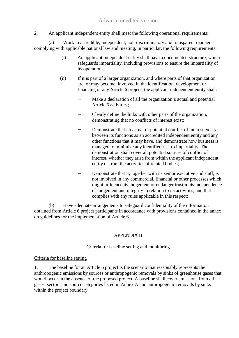2. An applicant independent entity shall meet the following operational requirements:

(a) Work in a credible, independent, non-discriminatory and transparent manner, complying with applicable national law and meeting, in particular, the following requirements:

- (i) An applicant independent entity shall have a documented structure, which safeguards impartiality, including provisions to ensure the impartiality of its operations;
- (ii) If it is part of a larger organization, and where parts of that organization are, or may become, involved in the identification, development or financing of any Article 6 project, the applicant independent entity shall:
	- Make a declaration of all the organization's actual and potential Article 6 activities;
	- − Clearly define the links with other parts of the organization, demonstrating that no conflicts of interest exist;
	- Demonstrate that no actual or potential conflict of interest exists between its functions as an accredited independent entity and any other functions that it may have, and demonstrate how business is managed to minimize any identified risk to impartiality. The demonstration shall cover all potential sources of conflict of interest, whether they arise from within the applicant independent entity or from the activities of related bodies;
	- Demonstrate that it, together with its senior executive and staff, is not involved in any commercial, financial or other processes which might influence its judgement or endanger trust in its independence of judgement and integrity in relation to its activities, and that it complies with any rules applicable in this respect;

(b) Have adequate arrangements to safeguard confidentiality of the information obtained from Article 6 project participants in accordance with provisions contained in the annex on guidelines for the implementation of Article 6.

### APPENDIX B

### Criteria for baseline setting and monitoring

### Criteria for baseline setting

1. The baseline for an Article 6 project is the scenario that reasonably represents the anthropogenic emissions by sources or anthropogenic removals by sinks of greenhouse gases that would occur in the absence of the proposed project. A baseline shall cover emissions from all gases, sectors and source categories listed in Annex A and anthropogenic removals by sinks within the project boundary.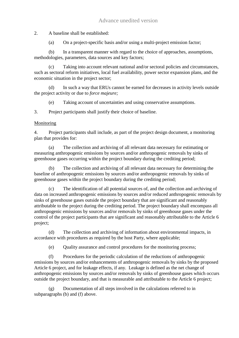2. A baseline shall be established:

(a) On a project-specific basis and/or using a multi-project emission factor;

(b) In a transparent manner with regard to the choice of approaches, assumptions, methodologies, parameters, data sources and key factors;

(c) Taking into account relevant national and/or sectoral policies and circumstances, such as sectoral reform initiatives, local fuel availability, power sector expansion plans, and the economic situation in the project sector;

(d) In such a way that ERUs cannot be earned for decreases in activity levels outside the project activity or due to *force majeure;*

(e) Taking account of uncertainties and using conservative assumptions.

3. Project participants shall justify their choice of baseline.

# Monitoring

4. Project participants shall include, as part of the project design document, a monitoring plan that provides for:

(a) The collection and archiving of all relevant data necessary for estimating or measuring anthropogenic emissions by sources and/or anthropogenic removals by sinks of greenhouse gases occurring within the project boundary during the crediting period;

(b) The collection and archiving of all relevant data necessary for determining the baseline of anthropogenic emissions by sources and/or anthropogenic removals by sinks of greenhouse gases within the project boundary during the crediting period;

(c) The identification of all potential sources of, and the collection and archiving of data on increased anthropogenic emissions by sources and/or reduced anthropogenic removals by sinks of greenhouse gases outside the project boundary that are significant and reasonably attributable to the project during the crediting period. The project boundary shall encompass all anthropogenic emissions by sources and/or removals by sinks of greenhouse gases under the control of the project participants that are significant and reasonably attributable to the Article 6 project;

(d) The collection and archiving of information about environmental impacts, in accordance with procedures as required by the host Party, where applicable;

(e) Quality assurance and control procedures for the monitoring process;

(f) Procedures for the periodic calculation of the reductions of anthropogenic emissions by sources and/or enhancements of anthropogenic removals by sinks by the proposed Article 6 project, and for leakage effects, if any. Leakage is defined as the net change of anthropogenic emissions by sources and/or removals by sinks of greenhouse gases which occurs outside the project boundary, and that is measurable and attributable to the Article 6 project;

(g) Documentation of all steps involved in the calculations referred to in subparagraphs (b) and (f) above.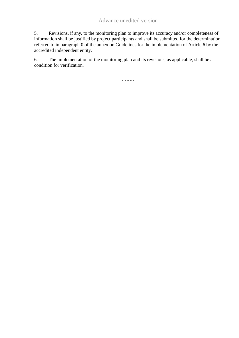5. Revisions, if any, to the monitoring plan to improve its accuracy and/or completeness of information shall be justified by project participants and shall be submitted for the determination referred to in paragraph 0 of the annex on Guidelines for the implementation of Article 6 by the accredited independent entity.

6. The implementation of the monitoring plan and its revisions, as applicable, shall be a condition for verification.

- - - - -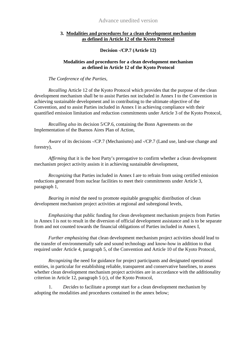#### **3. Modalities and procedures for a clean development mechanism as defined in Article 12 of the Kyoto Protocol**

**Decision -/CP.7 (Article 12)**

### **Modalities and procedures for a clean development mechanism as defined in Article 12 of the Kyoto Protocol**

*The Conference of the Parties,*

*Recalling* Article 12 of the Kyoto Protocol which provides that the purpose of the clean development mechanism shall be to assist Parties not included in Annex I to the Convention in achieving sustainable development and in contributing to the ultimate objective of the Convention, and to assist Parties included in Annex I in achieving compliance with their quantified emission limitation and reduction commitments under Article 3 of the Kyoto Protocol,

*Recalling also* its decision 5/CP.6, containing the Bonn Agreements on the Implementation of the Buenos Aires Plan of Action,

*Aware* of its decisions -/CP.7 (Mechanisms) and -/CP.7 (Land use, land-use change and forestry),

*Affirming* that it is the host Party's prerogative to confirm whether a clean development mechanism project activity assists it in achieving sustainable development,

*Recognizing* that Parties included in Annex I are to refrain from using certified emission reductions generated from nuclear facilities to meet their commitments under Article 3, paragraph 1,

*Bearing in mind* the need to promote equitable geographic distribution of clean development mechanism project activities at regional and subregional levels,

*Emphasizing* that public funding for clean development mechanism projects from Parties in Annex I is not to result in the diversion of official development assistance and is to be separate from and not counted towards the financial obligations of Parties included in Annex I,

*Further emphasizing* that clean development mechanism project activities should lead to the transfer of environmentally safe and sound technology and know-how in addition to that required under Article 4, paragraph 5, of the Convention and Article 10 of the Kyoto Protocol,

*Recognizing* the need for guidance for project participants and designated operational entities, in particular for establishing reliable, transparent and conservative baselines, to assess whether clean development mechanism project activities are in accordance with the additionality criterion in Article 12, paragraph 5 (c), of the Kyoto Protocol,

1. *Decides* to facilitate a prompt start for a clean development mechanism by adopting the modalities and procedures contained in the annex below;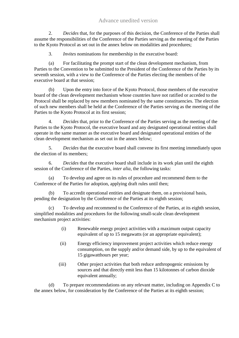2. *Decides* that, for the purposes of this decision, the Conference of the Parties shall assume the responsibilities of the Conference of the Parties serving as the meeting of the Parties to the Kyoto Protocol as set out in the annex below on modalities and procedures;

3. *Invites* nominations for membership in the executive board:

(a) For facilitating the prompt start of the clean development mechanism, from Parties to the Convention to be submitted to the President of the Conference of the Parties by its seventh session, with a view to the Conference of the Parties electing the members of the executive board at that session;

(b) Upon the entry into force of the Kyoto Protocol, those members of the executive board of the clean development mechanism whose countries have not ratified or acceded to the Protocol shall be replaced by new members nominated by the same constituencies. The election of such new members shall be held at the Conference of the Parties serving as the meeting of the Parties to the Kyoto Protocol at its first session;

4. *Decides* that, prior to the Conference of the Parties serving as the meeting of the Parties to the Kyoto Protocol, the executive board and any designated operational entities shall operate in the same manner as the executive board and designated operational entities of the clean development mechanism as set out in the annex below;

5. *Decides* that the executive board shall convene its first meeting immediately upon the election of its members;

6. *Decides* that the executive board shall include in its work plan until the eighth session of the Conference of the Parties, *inter alia*, the following tasks:

(a) To develop and agree on its rules of procedure and recommend them to the Conference of the Parties for adoption, applying draft rules until then;

(b) To accredit operational entities and designate them, on a provisional basis, pending the designation by the Conference of the Parties at its eighth session;

(c) To develop and recommend to the Conference of the Parties, at its eighth session, simplified modalities and procedures for the following small-scale clean development mechanism project activities:

- (i) Renewable energy project activities with a maximum output capacity equivalent of up to 15 megawatts (or an appropriate equivalent);
- (ii) Energy efficiency improvement project activities which reduce energy consumption, on the supply and/or demand side, by up to the equivalent of 15 gigawatthours per year;
- (iii) Other project activities that both reduce anthropogenic emissions by sources and that directly emit less than 15 kilotonnes of carbon dioxide equivalent annually;

(d) To prepare recommendations on any relevant matter, including on Appendix C to the annex below, for consideration by the Conference of the Parties at its eighth session;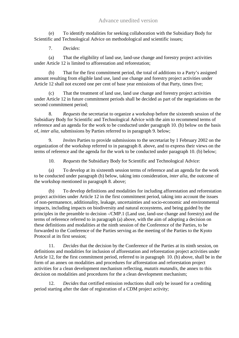(e) To identify modalities for seeking collaboration with the Subsidiary Body for Scientific and Technological Advice on methodological and scientific issues;

# 7. *Decides*:

(a) That the eligibility of land use, land-use change and forestry project activities under Article 12 is limited to afforestation and reforestation;

(b) That for the first commitment period, the total of additions to a Party's assigned amount resulting from eligible land use, land use change and forestry project activities under Article 12 shall not exceed one per cent of base year emissions of that Party, times five;

(c) That the treatment of land use, land use change and forestry project activities under Article 12 in future commitment periods shall be decided as part of the negotiations on the second commitment period;

8. *Requests* the secretariat to organize a workshop before the sixteenth session of the Subsidiary Body for Scientific and Technological Advice with the aim to recommend terms of reference and an agenda for the work to be conducted under paragraph 10. (b) below on the basis of, *inter alia*, submissions by Parties referred to in paragraph 9. below;

9. *Invites* Parties to provide submissions to the secretariat by 1 February 2002 on the organization of the workshop referred to in paragraph 8. above, and to express their views on the terms of reference and the agenda for the work to be conducted under paragraph 10. (b) below;

10. *Requests* the Subsidiary Body for Scientific and Technological Advice:

(a) To develop at its sixteenth session terms of reference and an agenda for the work to be conducted under paragraph (b) below, taking into consideration, *inter alia*, the outcome of the workshop mentioned in paragraph 8. above;

(b) To develop definitions and modalities for including afforestation and reforestation project activities under Article 12 in the first commitment period, taking into account the issues of non-permanence, additionality, leakage, uncertainties and socio-economic and environmental impacts, including impacts on biodiversity and natural ecosystems, and being guided by the principles in the preamble to decision -/CMP.1 (Land use, land-use change and forestry) and the terms of reference referred to in paragraph (a) above, with the aim of adopting a decision on these definitions and modalities at the ninth session of the Conference of the Parties, to be forwarded to the Conference of the Parties serving as the meeting of the Parties to the Kyoto Protocol at its first session;

11. *Decides* that the decision by the Conference of the Parties at its ninth session, on definitions and modalities for inclusion of afforestation and reforestation project activities under Article 12, for the first commitment period, referred to in paragraph 10. (b) above, shall be in the form of an annex on modalities and procedures for afforestation and reforestation project activities for a clean development mechanism reflecting, *mutatis mutandis,* the annex to this decision on modalities and procedures for the a clean development mechanism;

12. *Decides* that certified emission reductions shall only be issued for a crediting period starting after the date of registration of a CDM project activity;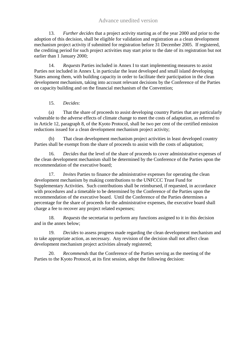13. *Further decides* that a project activity starting as of the year 2000 and prior to the adoption of this decision, shall be eligible for validation and registration as a clean development mechanism project activity if submitted for registration before 31 December 2005. If registered, the crediting period for such project activities may start prior to the date of its registration but not earlier than 1 January 2000;

14. *Requests* Parties included in Annex I to start implementing measures to assist Parties not included in Annex I, in particular the least developed and small island developing States among them, with building capacity in order to facilitate their participation in the clean development mechanism, taking into account relevant decisions by the Conference of the Parties on capacity building and on the financial mechanism of the Convention;

### 15. *Decides*:

(a) That the share of proceeds to assist developing country Parties that are particularly vulnerable to the adverse effects of climate change to meet the costs of adaptation, as referred to in Article 12, paragraph 8, of the Kyoto Protocol, shall be two per cent of the certified emission reductions issued for a clean development mechanism project activity;

(b) That clean development mechanism project activities in least developed country Parties shall be exempt from the share of proceeds to assist with the costs of adaptation;

16. *Decides* that the level of the share of proceeds to cover administrative expenses of the clean development mechanism shall be determined by the Conference of the Parties upon the recommendation of the executive board;

17. *Invites* Parties to finance the administrative expenses for operating the clean development mechanism by making contributions to the UNFCCC Trust Fund for Supplementary Activities. Such contributions shall be reimbursed, if requested, in accordance with procedures and a timetable to be determined by the Conference of the Parties upon the recommendation of the executive board. Until the Conference of the Parties determines a percentage for the share of proceeds for the administrative expenses, the executive board shall charge a fee to recover any project related expenses;

18. *Requests* the secretariat to perform any functions assigned to it in this decision and in the annex below;

19. *Decides* to assess progress made regarding the clean development mechanism and to take appropriate action, as necessary. Any revision of the decision shall not affect clean development mechanism project activities already registered;

20. *Recommends* that the Conference of the Parties serving as the meeting of the Parties to the Kyoto Protocol, at its first session, adopt the following decision: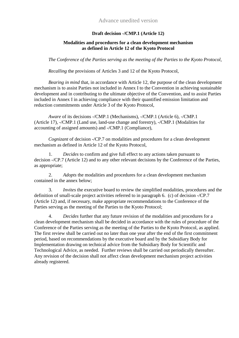# **Draft decision -/CMP.1 (Article 12)**

### **Modalities and procedures for a clean development mechanism as defined in Article 12 of the Kyoto Protocol**

*The Conference of the Parties serving as the meeting of the Parties to the Kyoto Protocol,*

*Recalling* the provisions of Articles 3 and 12 of the Kyoto Protocol,

*Bearing in mind* that, in accordance with Article 12, the purpose of the clean development mechanism is to assist Parties not included in Annex I to the Convention in achieving sustainable development and in contributing to the ultimate objective of the Convention, and to assist Parties included in Annex I in achieving compliance with their quantified emission limitation and reduction commitments under Article 3 of the Kyoto Protocol,

*Aware* of its decisions -/CMP.1 (Mechanisms), -/CMP.1 (Article 6), -/CMP.1 (Article 17), -/CMP.1 (Land use, land-use change and forestry), -/CMP.1 (Modalities for accounting of assigned amounts) and -/CMP.1 (Compliance),

*Cognizant* of decision -/CP.7 on modalities and procedures for a clean development mechanism as defined in Article 12 of the Kyoto Protocol,

1. *Decides* to confirm and give full effect to any actions taken pursuant to decision -/CP.7 (Article 12) and to any other relevant decisions by the Conference of the Parties, as appropriate;

2. *Adopts* the modalities and procedures for a clean development mechanism contained in the annex below;

3. *Invites* the executive board to review the simplified modalities, procedures and the definition of small-scale project activities referred to in paragraph 6. (c) of decision -/CP.7 (Article 12) and, if necessary, make appropriate recommendations to the Conference of the Parties serving as the meeting of the Parties to the Kyoto Protocol;

4. *Decides* further that any future revision of the modalities and procedures for a clean development mechanism shall be decided in accordance with the rules of procedure of the Conference of the Parties serving as the meeting of the Parties to the Kyoto Protocol, as applied. The first review shall be carried out no later than one year after the end of the first commitment period, based on recommendations by the executive board and by the Subsidiary Body for Implementation drawing on technical advice from the Subsidiary Body for Scientific and Technological Advice, as needed. Further reviews shall be carried out periodically thereafter. Any revision of the decision shall not affect clean development mechanism project activities already registered.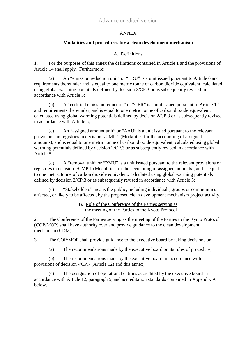#### ANNEX

#### **Modalities and procedures for a clean development mechanism**

### A. Definitions

1. For the purposes of this annex the definitions contained in Article 1 and the provisions of Article 14 shall apply. Furthermore:

(a) An "emission reduction unit" or "ERU" is a unit issued pursuant to Article 6 and requirements thereunder and is equal to one metric tonne of carbon dioxide equivalent, calculated using global warming potentials defined by decision 2/CP.3 or as subsequently revised in accordance with Article 5;

(b) A "certified emission reduction" or "CER" is a unit issued pursuant to Article 12 and requirements thereunder, and is equal to one metric tonne of carbon dioxide equivalent, calculated using global warming potentials defined by decision 2/CP.3 or as subsequently revised in accordance with Article 5;

(c) An "assigned amount unit" or "AAU" is a unit issued pursuant to the relevant provisions on registries in decision -/CMP.1 (Modalities for the accounting of assigned amounts), and is equal to one metric tonne of carbon dioxide equivalent, calculated using global warming potentials defined by decision 2/CP.3 or as subsequently revised in accordance with Article 5;

(d) A "removal unit" or "RMU" is a unit issued pursuant to the relevant provisions on registries in decision -/CMP.1 (Modalities for the accounting of assigned amounts), and is equal to one metric tonne of carbon dioxide equivalent, calculated using global warming potentials defined by decision 2/CP.3 or as subsequently revised in accordance with Article 5;

(e) "Stakeholders" means the public, including individuals, groups or communities affected, or likely to be affected, by the proposed clean development mechanism project activity.

#### B. Role of the Conference of the Parties serving as the meeting of the Parties to the Kyoto Protocol

2. The Conference of the Parties serving as the meeting of the Parties to the Kyoto Protocol (COP/MOP) shall have authority over and provide guidance to the clean development mechanism (CDM).

3. The COP/MOP shall provide guidance to the executive board by taking decisions on:

(a) The recommendations made by the executive board on its rules of procedure;

(b) The recommendations made by the executive board, in accordance with provisions of decision -/CP.7 (Article 12) and this annex;

(c) The designation of operational entities accredited by the executive board in accordance with Article 12, paragraph 5, and accreditation standards contained in Appendix A below.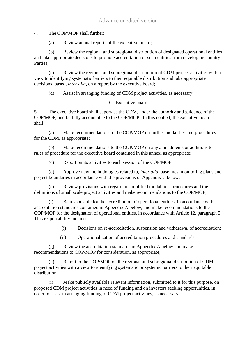4. The COP/MOP shall further:

(a) Review annual reports of the executive board;

(b) Review the regional and subregional distribution of designated operational entities and take appropriate decisions to promote accreditation of such entities from developing country Parties;

(c) Review the regional and subregional distribution of CDM project activities with a view to identifying systematic barriers to their equitable distribution and take appropriate decisions, based, *inter alia*, on a report by the executive board;

(d) Assist in arranging funding of CDM project activities, as necessary.

### C. Executive board

5. The executive board shall supervise the CDM, under the authority and guidance of the COP/MOP, and be fully accountable to the COP/MOP. In this context, the executive board shall:

(a) Make recommendations to the COP/MOP on further modalities and procedures for the CDM, as appropriate;

(b) Make recommendations to the COP/MOP on any amendments or additions to rules of procedure for the executive board contained in this annex, as appropriate;

(c) Report on its activities to each session of the COP/MOP;

(d) Approve new methodologies related to, *inter alia*, baselines, monitoring plans and project boundaries in accordance with the provisions of Appendix C below;

Review provisions with regard to simplified modalities, procedures and the definitions of small scale project activities and make recommendations to the COP/MOP;

(f) Be responsible for the accreditation of operational entities, in accordance with accreditation standards contained in Appendix A below, and make recommendations to the COP/MOP for the designation of operational entities, in accordance with Article 12, paragraph 5. This responsibility includes:

- (i) Decisions on re-accreditation, suspension and withdrawal of accreditation;
- (ii) Operationalization of accreditation procedures and standards;

(g) Review the accreditation standards in Appendix A below and make recommendations to COP/MOP for consideration, as appropriate;

(h) Report to the COP/MOP on the regional and subregional distribution of CDM project activities with a view to identifying systematic or systemic barriers to their equitable distribution;

(i) Make publicly available relevant information, submitted to it for this purpose, on proposed CDM project activities in need of funding and on investors seeking opportunities, in order to assist in arranging funding of CDM project activities, as necessary;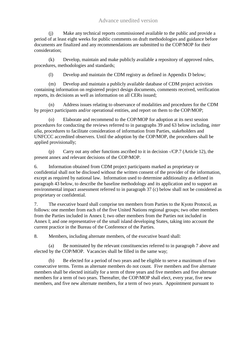(j) Make any technical reports commissioned available to the public and provide a period of at least eight weeks for public comments on draft methodologies and guidance before documents are finalized and any recommendations are submitted to the COP/MOP for their consideration;

(k) Develop, maintain and make publicly available a repository of approved rules, procedures, methodologies and standards;

(l) Develop and maintain the CDM registry as defined in Appendix D below;

(m) Develop and maintain a publicly available database of CDM project activities containing information on registered project design documents, comments received, verification reports, its decisions as well as information on all CERs issued;

(n) Address issues relating to observance of modalities and procedures for the CDM by project participants and/or operational entities, and report on them to the COP/MOP;

(o) Elaborate and recommend to the COP/MOP for adoption at its next session procedures for conducting the reviews referred to in paragraphs 39 and 63 below including, *inter alia*, procedures to facilitate consideration of information from Parties, stakeholders and UNFCCC accredited observers. Until the adoption by the COP/MOP, the procedures shall be applied provisionally;

(p) Carry out any other functions ascribed to it in decision -/CP.7 (Article 12), the present annex and relevant decisions of the COP/MOP.

6. Information obtained from CDM project participants marked as proprietary or confidential shall not be disclosed without the written consent of the provider of the information, except as required by national law. Information used to determine additionality as defined in paragraph 43 below, to describe the baseline methodology and its application and to support an environmental impact assessment referred to in paragraph 37 (c) below shall not be considered as proprietary or confidential.

7. The executive board shall comprise ten members from Parties to the Kyoto Protocol, as follows: one member from each of the five United Nations regional groups; two other members from the Parties included in Annex I; two other members from the Parties not included in Annex I; and one representative of the small island developing States, taking into account the current practice in the Bureau of the Conference of the Parties.

8. Members, including alternate members, of the executive board shall:

(a) Be nominated by the relevant constituencies referred to in paragraph 7 above and elected by the COP/MOP. Vacancies shall be filled in the same way;

(b) Be elected for a period of two years and be eligible to serve a maximum of two consecutive terms. Terms as alternate members do not count. Five members and five alternate members shall be elected initially for a term of three years and five members and five alternate members for a term of two years. Thereafter, the COP/MOP shall elect, every year, five new members, and five new alternate members, for a term of two years. Appointment pursuant to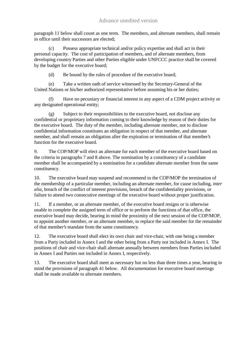paragraph 11 below shall count as one term. The members, and alternate members, shall remain in office until their successors are elected;

(c) Possess appropriate technical and/or policy expertise and shall act in their personal capacity. The cost of participation of members, and of alternate members, from developing country Parties and other Parties eligible under UNFCCC practice shall be covered by the budget for the executive board;

(d) Be bound by the rules of procedure of the executive board;

(e) Take a written oath of service witnessed by the Secretary-General of the United Nations or his/her authorized representative before assuming his or her duties;

(f) Have no pecuniary or financial interest in any aspect of a CDM project activity or any designated operational entity;

(g) Subject to their responsibilities to the executive board, not disclose any confidential or proprietary information coming to their knowledge by reason of their duties for the executive board. The duty of the member, including alternate member, not to disclose confidential information constitutes an obligation in respect of that member, and alternate member, and shall remain an obligation after the expiration or termination of that member's function for the executive board.

9. The COP/MOP will elect an alternate for each member of the executive board based on the criteria in paragraphs 7 and 8 above. The nomination by a constituency of a candidate member shall be accompanied by a nomination for a candidate alternate member from the same constituency.

10. The executive board may suspend and recommend to the COP/MOP the termination of the membership of a particular member, including an alternate member, for cause including, *inter alia*, breach of the conflict of interest provisions, breach of the confidentiality provisions, or failure to attend two consecutive meetings of the executive board without proper justification.

11. If a member, or an alternate member, of the executive board resigns or is otherwise unable to complete the assigned term of office or to perform the functions of that office, the executive board may decide, bearing in mind the proximity of the next session of the COP/MOP, to appoint another member, or an alternate member, to replace the said member for the remainder of that member's mandate from the same constituency.

12. The executive board shall elect its own chair and vice-chair, with one being a member from a Party included in Annex I and the other being from a Party not included in Annex I. The positions of chair and vice-chair shall alternate annually between members from Parties included in Annex I and Parties not included in Annex I, respectively.

13. The executive board shall meet as necessary but no less than three times a year, bearing in mind the provisions of paragraph 41 below. All documentation for executive board meetings shall be made available to alternate members.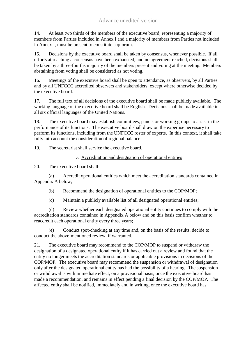14. At least two thirds of the members of the executive board, representing a majority of members from Parties included in Annex I and a majority of members from Parties not included in Annex I, must be present to constitute a quorum.

15. Decisions by the executive board shall be taken by consensus, whenever possible. If all efforts at reaching a consensus have been exhausted, and no agreement reached, decisions shall be taken by a three-fourths majority of the members present and voting at the meeting. Members abstaining from voting shall be considered as not voting.

16. Meetings of the executive board shall be open to attendance, as observers, by all Parties and by all UNFCCC accredited observers and stakeholders, except where otherwise decided by the executive board.

17. The full text of all decisions of the executive board shall be made publicly available. The working language of the executive board shall be English. Decisions shall be made available in all six official languages of the United Nations.

18. The executive board may establish committees, panels or working groups to assist in the performance of its functions. The executive board shall draw on the expertise necessary to perform its functions, including from the UNFCCC roster of experts. In this context, it shall take fully into account the consideration of regional balance.

19. The secretariat shall service the executive board.

# D. Accreditation and designation of operational entities

20. The executive board shall:

(a) Accredit operational entities which meet the accreditation standards contained in Appendix A below;

(b) Recommend the designation of operational entities to the COP/MOP;

(c) Maintain a publicly available list of all designated operational entities;

(d) Review whether each designated operational entity continues to comply with the accreditation standards contained in Appendix A below and on this basis confirm whether to reaccredit each operational entity every three years;

(e) Conduct spot-checking at any time and, on the basis of the results, decide to conduct the above-mentioned review, if warranted.

21. The executive board may recommend to the COP/MOP to suspend or withdraw the designation of a designated operational entity if it has carried out a review and found that the entity no longer meets the accreditation standards or applicable provisions in decisions of the COP/MOP. The executive board may recommend the suspension or withdrawal of designation only after the designated operational entity has had the possibility of a hearing. The suspension or withdrawal is with immediate effect, on a provisional basis, once the executive board has made a recommendation, and remains in effect pending a final decision by the COP/MOP. The affected entity shall be notified, immediately and in writing, once the executive board has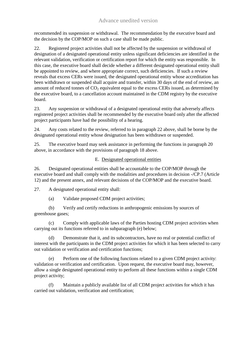recommended its suspension or withdrawal. The recommendation by the executive board and the decision by the COP/MOP on such a case shall be made public.

22. Registered project activities shall not be affected by the suspension or withdrawal of designation of a designated operational entity unless significant deficiencies are identified in the relevant validation, verification or certification report for which the entity was responsible. In this case, the executive board shall decide whether a different designated operational entity shall be appointed to review, and where appropriate correct, such deficiencies. If such a review reveals that excess CERs were issued, the designated operational entity whose accreditation has been withdrawn or suspended shall acquire and transfer, within 30 days of the end of review, an amount of reduced tonnes of  $CO<sub>2</sub>$  equivalent equal to the excess CERs issued, as determined by the executive board, to a cancellation account maintained in the CDM registry by the executive board.

23. Any suspension or withdrawal of a designated operational entity that adversely affects registered project activities shall be recommended by the executive board only after the affected project participants have had the possibility of a hearing.

24. Any costs related to the review, referred to in paragraph 22 above, shall be borne by the designated operational entity whose designation has been withdrawn or suspended.

25. The executive board may seek assistance in performing the functions in paragraph 20 above, in accordance with the provisions of paragraph 18 above.

# E. Designated operational entities

26. Designated operational entities shall be accountable to the COP/MOP through the executive board and shall comply with the modalities and procedures in decision -/CP.7 (Article 12) and the present annex, and relevant decisions of the COP/MOP and the executive board.

27. A designated operational entity shall:

(a) Validate proposed CDM project activities;

(b) Verify and certify reductions in anthropogenic emissions by sources of greenhouse gases;

(c) Comply with applicable laws of the Parties hosting CDM project activities when carrying out its functions referred to in subparagraph (e) below;

(d) Demonstrate that it, and its subcontractors, have no real or potential conflict of interest with the participants in the CDM project activities for which it has been selected to carry out validation or verification and certification functions;

(e) Perform one of the following functions related to a given CDM project activity: validation or verification and certification. Upon request, the executive board may, however, allow a single designated operational entity to perform all these functions within a single CDM project activity;

(f) Maintain a publicly available list of all CDM project activities for which it has carried out validation, verification and certification;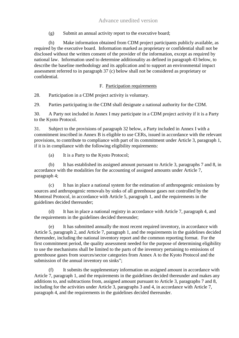(g) Submit an annual activity report to the executive board;

(h) Make information obtained from CDM project participants publicly available, as required by the executive board. Information marked as proprietary or confidential shall not be disclosed without the written consent of the provider of the information, except as required by national law. Information used to determine additionality as defined in paragraph 43 below, to describe the baseline methodology and its application and to support an environmental impact assessment referred to in paragraph 37 (c) below shall not be considered as proprietary or confidential.

### F. Participation requirements

28. Participation in a CDM project activity is voluntary.

29. Parties participating in the CDM shall designate a national authority for the CDM.

30. A Party not included in Annex I may participate in a CDM project activity if it is a Party to the Kyoto Protocol.

31. Subject to the provisions of paragraph 32 below, a Party included in Annex I with a commitment inscribed in Annex B is eligible to use CERs, issued in accordance with the relevant provisions, to contribute to compliance with part of its commitment under Article 3, paragraph 1, if it is in compliance with the following eligibility requirements:

(a) It is a Party to the Kyoto Protocol;

(b) It has established its assigned amount pursuant to Article 3, paragraphs 7 and 8, in accordance with the modalities for the accounting of assigned amounts under Article 7, paragraph 4;

(c) It has in place a national system for the estimation of anthropogenic emissions by sources and anthropogenic removals by sinks of all greenhouse gases not controlled by the Montreal Protocol, in accordance with Article 5, paragraph 1, and the requirements in the guidelines decided thereunder;

(d) It has in place a national registry in accordance with Article 7, paragraph 4, and the requirements in the guidelines decided thereunder;

(e) It has submitted annually the most recent required inventory, in accordance with Article 5, paragraph 2, and Article 7, paragraph 1, and the requirements in the guidelines decided thereunder, including the national inventory report and the common reporting format. For the first commitment period, the quality assessment needed for the purpose of determining eligibility to use the mechanisms shall be limited to the parts of the inventory pertaining to emissions of greenhouse gases from sources/sector categories from Annex A to the Kyoto Protocol and the submission of the annual inventory on sinks";

(f) It submits the supplementary information on assigned amount in accordance with Article 7, paragraph 1, and the requirements in the guidelines decided thereunder and makes any additions to, and subtractions from, assigned amount pursuant to Article 3, paragraphs 7 and 8, including for the activities under Article 3, paragraphs 3 and 4, in accordance with Article 7, paragraph 4, and the requirements in the guidelines decided thereunder.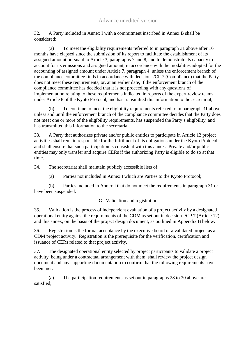32. A Party included in Annex I with a commitment inscribed in Annex B shall be considered:

(a) To meet the eligibility requirements referred to in paragraph 31 above after 16 months have elapsed since the submission of its report to facilitate the establishment of its assigned amount pursuant to Article 3, paragraphs 7 and 8, and to demonstrate its capacity to account for its emissions and assigned amount, in accordance with the modalities adopted for the accounting of assigned amount under Article 7, paragraph 4, unless the enforcement branch of the compliance committee finds in accordance with decision -/CP.7 (Compliance) that the Party does not meet these requirements, or, at an earlier date, if the enforcement branch of the compliance committee has decided that it is not proceeding with any questions of implementation relating to these requirements indicated in reports of the expert review teams under Article 8 of the Kyoto Protocol, and has transmitted this information to the secretariat;

(b) To continue to meet the eligibility requirements referred to in paragraph 31 above unless and until the enforcement branch of the compliance committee decides that the Party does not meet one or more of the eligibility requirements, has suspended the Party's eligibility, and has transmitted this information to the secretariat.

33. A Party that authorizes private and/or public entities to participate in Article 12 project activities shall remain responsible for the fulfilment of its obligations under the Kyoto Protocol and shall ensure that such participation is consistent with this annex. Private and/or public entities may only transfer and acquire CERs if the authorizing Party is eligible to do so at that time.

34. The secretariat shall maintain publicly accessible lists of:

(a) Parties not included in Annex I which are Parties to the Kyoto Protocol;

(b) Parties included in Annex I that do not meet the requirements in paragraph 31 or have been suspended.

### G. Validation and registration

35. Validation is the process of independent evaluation of a project activity by a designated operational entity against the requirements of the CDM as set out in decision -/CP.7 (Article 12) and this annex, on the basis of the project design document, as outlined in Appendix B below.

36. Registration is the formal acceptance by the executive board of a validated project as a CDM project activity. Registration is the prerequisite for the verification, certification and issuance of CERs related to that project activity.

37. The designated operational entity selected by project participants to validate a project activity, being under a contractual arrangement with them, shall review the project design document and any supporting documentation to confirm that the following requirements have been met:

(a) The participation requirements as set out in paragraphs 28 to 30 above are satisfied;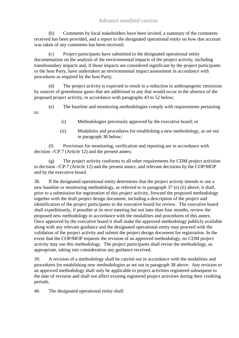(b) Comments by local stakeholders have been invited, a summary of the comments received has been provided, and a report to the designated operational entity on how due account was taken of any comments has been received;

(c) Project participants have submitted to the designated operational entity documentation on the analysis of the environmental impacts of the project activity, including transboundary impacts and, if those impacts are considered significant by the project participants or the host Party, have undertaken an environmental impact assessment in accordance with procedures as required by the host Party;

(d) The project activity is expected to result in a reduction in anthropogenic emissions by sources of greenhouse gases that are additional to any that would occur in the absence of the proposed project activity, in accordance with paragraphs 43 to 52 below;

(e) The baseline and monitoring methodologies comply with requirements pertaining to:

- (i) Methodologies previously approved by the executive board; or
- (ii) Modalities and procedures for establishing a new methodology, as set out in paragraph 38 below;

(f) Provisions for monitoring, verification and reporting are in accordance with decision -/CP.7 (Article 12) and the present annex;

(g) The project activity conforms to all other requirements for CDM project activities in decision -/CP.7 (Article 12) and the present annex, and relevant decisions by the COP/MOP and by the executive board.

38. If the designated operational entity determines that the project activity intends to use a new baseline or monitoring methodology, as referred to in paragraph 37 (e) (ii) above, it shall, prior to a submission for registration of this project activity, forward the proposed methodology together with the draft project design document, including a description of the project and identification of the project participants to the executive board for review. The executive board shall expeditiously, if possible at its next meeting but not later than four months, review the proposed new methodology in accordance with the modalities and procedures of this annex. Once approved by the executive board it shall make the approved methodology publicly available along with any relevant guidance and the designated operational entity may proceed with the validation of the project activity and submit the project design document for registration. In the event that the COP/MOP requests the revision of an approved methodology, no CDM project activity may use this methodology. The project participants shall revise the methodology, as appropriate, taking into consideration any guidance received.

39. A revision of a methodology shall be carried out in accordance with the modalities and procedures for establishing new methodologies as set out in paragraph 38 above. Any revision to an approved methodology shall only be applicable to project activities registered subsequent to the date of revision and shall not affect existing registered project activities during their crediting periods.

40. The designated operational entity shall: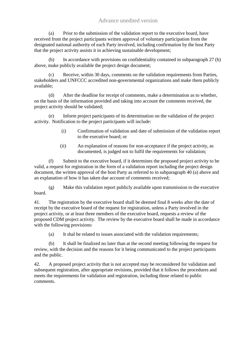(a) Prior to the submission of the validation report to the executive board, have received from the project participants written approval of voluntary participation from the designated national authority of each Party involved, including confirmation by the host Party that the project activity assists it in achieving sustainable development;

(b) In accordance with provisions on confidentiality contained in subparagraph 27 (h) above, make publicly available the project design document;

(c) Receive, within 30 days, comments on the validation requirements from Parties, stakeholders and UNFCCC accredited non-governmental organizations and make them publicly available;

(d) After the deadline for receipt of comments, make a determination as to whether, on the basis of the information provided and taking into account the comments received, the project activity should be validated;

(e) Inform project participants of its determination on the validation of the project activity. Notification to the project participants will include:

- (i) Confirmation of validation and date of submission of the validation report to the executive board; or
- (ii) An explanation of reasons for non-acceptance if the project activity, as documented, is judged not to fulfil the requirements for validation;

(f) Submit to the executive board, if it determines the proposed project activity to be valid, a request for registration in the form of a validation report including the project design document, the written approval of the host Party as referred to in subparagraph 40 (a) above and an explanation of how it has taken due account of comments received;

(g) Make this validation report publicly available upon transmission to the executive board.

41. The registration by the executive board shall be deemed final 8 weeks after the date of receipt by the executive board of the request for registration, unless a Party involved in the project activity, or at least three members of the executive board, requests a review of the proposed CDM project activity. The review by the executive board shall be made in accordance with the following provisions:

(a) It shal be related to issues associated with the validation requirements;

(b) It shall be finalized no later than at the second meeting following the request for review, with the decision and the reasons for it being communicated to the project participants and the public.

42. A proposed project activity that is not accepted may be reconsidered for validation and subsequent registration, after appropriate revisions, provided that it follows the procedures and meets the requirements for validation and registration, including those related to public comments.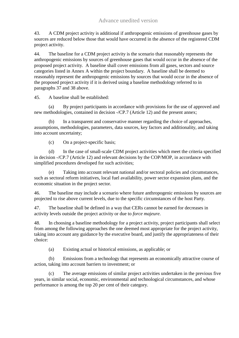43. A CDM project activity is additional if anthropogenic emissions of greenhouse gases by sources are reduced below those that would have occurred in the absence of the registered CDM project activity.

44. The baseline for a CDM project activity is the scenario that reasonably represents the anthropogenic emissions by sources of greenhouse gases that would occur in the absence of the proposed project activity. A baseline shall cover emissions from all gases, sectors and source categories listed in Annex A within the project boundary. A baseline shall be deemed to reasonably represent the anthropogenic emissions by sources that would occur in the absence of the proposed project activity if it is derived using a baseline methodology referred to in paragraphs 37 and 38 above.

45. A baseline shall be established:

(a) By project participants in accordance with provisions for the use of approved and new methodologies, contained in decision -/CP.7 (Article 12) and the present annex;

(b) In a transparent and conservative manner regarding the choice of approaches, assumptions, methodologies, parameters, data sources, key factors and additionality, and taking into account uncertainty;

(c) On a project-specific basis;

(d) In the case of small-scale CDM project activities which meet the criteria specified in decision -/CP.7 (Article 12) and relevant decisions by the COP/MOP, in accordance with simplified procedures developed for such activities;

(e) Taking into account relevant national and/or sectoral policies and circumstances, such as sectoral reform initiatives, local fuel availability, power sector expansion plans, and the economic situation in the project sector.

46. The baseline may include a scenario where future anthropogenic emissions by sources are projected to rise above current levels, due to the specific circumstances of the host Party.

47. The baseline shall be defined in a way that CERs cannot be earned for decreases in activity levels outside the project activity or due to *force majeure*.

48. In choosing a baseline methodology for a project activity, project participants shall select from among the following approaches the one deemed most appropriate for the project activity, taking into account any guidance by the executive board, and justify the appropriateness of their choice:

(a) Existing actual or historical emissions, as applicable; or

(b) Emissions from a technology that represents an economically attractive course of action, taking into account barriers to investment; or

(c) The average emissions of similar project activities undertaken in the previous five years, in similar social, economic, environmental and technological circumstances, and whose performance is among the top 20 per cent of their category.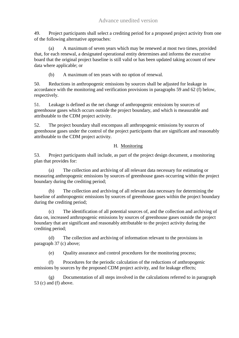49. Project participants shall select a crediting period for a proposed project activity from one of the following alternative approaches:

(a) A maximum of seven years which may be renewed at most two times, provided that, for each renewal, a designated operational entity determines and informs the executive board that the original project baseline is still valid or has been updated taking account of new data where applicable; or

(b) A maximum of ten years with no option of renewal.

50. Reductions in anthropogenic emissions by sources shall be adjusted for leakage in accordance with the monitoring and verification provisions in paragraphs 59 and 62 (f) below, respectively.

51. Leakage is defined as the net change of anthropogenic emissions by sources of greenhouse gases which occurs outside the project boundary, and which is measurable and attributable to the CDM project activity.

52. The project boundary shall encompass all anthropogenic emissions by sources of greenhouse gases under the control of the project participants that are significant and reasonably attributable to the CDM project activity.

# H. Monitoring

53. Project participants shall include, as part of the project design document, a monitoring plan that provides for:

(a) The collection and archiving of all relevant data necessary for estimating or measuring anthropogenic emissions by sources of greenhouse gases occurring within the project boundary during the crediting period;

(b) The collection and archiving of all relevant data necessary for determining the baseline of anthropogenic emissions by sources of greenhouse gases within the project boundary during the crediting period;

(c) The identification of all potential sources of, and the collection and archiving of data on, increased anthropogenic emissions by sources of greenhouse gases outside the project boundary that are significant and reasonably attributable to the project activity during the crediting period;

(d) The collection and archiving of information relevant to the provisions in paragraph 37 (c) above;

(e) Quality assurance and control procedures for the monitoring process;

(f) Procedures for the periodic calculation of the reductions of anthropogenic emissions by sources by the proposed CDM project activity, and for leakage effects;

(g) Documentation of all steps involved in the calculations referred to in paragraph 53 (c) and (f) above.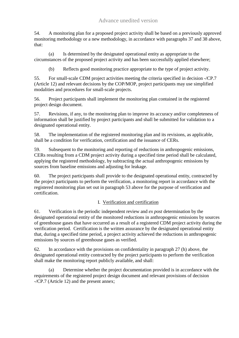54. A monitoring plan for a proposed project activity shall be based on a previously approved monitoring methodology or a new methodology, in accordance with paragraphs 37 and 38 above, that:

(a) Is determined by the designated operational entity as appropriate to the circumstances of the proposed project activity and has been successfully applied elsewhere;

(b) Reflects good monitoring practice appropriate to the type of project activity.

55. For small-scale CDM project activities meeting the criteria specified in decision -/CP.7 (Article 12) and relevant decisions by the COP/MOP, project participants may use simplified modalities and procedures for small-scale projects.

56. Project participants shall implement the monitoring plan contained in the registered project design document.

57. Revisions, if any, to the monitoring plan to improve its accuracy and/or completeness of information shall be justified by project participants and shall be submitted for validation to a designated operational entity.

58. The implementation of the registered monitoring plan and its revisions, as applicable, shall be a condition for verification, certification and the issuance of CERs.

59. Subsequent to the monitoring and reporting of reductions in anthropogenic emissions, CERs resulting from a CDM project activity during a specified time period shall be calculated, applying the registered methodology, by subtracting the actual anthropogenic emissions by sources from baseline emissions and adjusting for leakage.

60. The project participants shall provide to the designated operational entity, contracted by the project participants to perform the verification, a monitoring report in accordance with the registered monitoring plan set out in paragraph 53 above for the purpose of verification and certification.

# I. Verification and certification

61. Verification is the periodic independent review and *ex post* determination by the designated operational entity of the monitored reductions in anthropogenic emissions by sources of greenhouse gases that have occurred as a result of a registered CDM project activity during the verification period. Certification is the written assurance by the designated operational entity that, during a specified time period, a project activity achieved the reductions in anthropogenic emissions by sources of greenhouse gases as verified.

62. In accordance with the provisions on confidentiality in paragraph 27 (h) above, the designated operational entity contracted by the project participants to perform the verification shall make the monitoring report publicly available, and shall:

(a) Determine whether the project documentation provided is in accordance with the requirements of the registered project design document and relevant provisions of decision -/CP.7 (Article 12) and the present annex;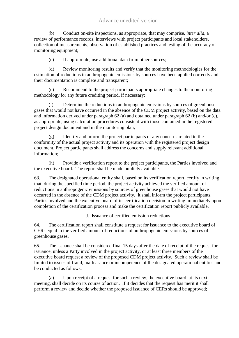(b) Conduct on-site inspections, as appropriate, that may comprise, *inter alia*, a review of performance records, interviews with project participants and local stakeholders, collection of measurements, observation of established practices and testing of the accuracy of monitoring equipment;

(c) If appropriate, use additional data from other sources;

(d) Review monitoring results and verify that the monitoring methodologies for the estimation of reductions in anthropogenic emissions by sources have been applied correctly and their documentation is complete and transparent;

(e) Recommend to the project participants appropriate changes to the monitoring methodology for any future crediting period, if necessary;

(f) Determine the reductions in anthropogenic emissions by sources of greenhouse gases that would not have occurred in the absence of the CDM project activity, based on the data and information derived under paragraph 62 (a) and obtained under paragraph 62 (b) and/or (c), as appropriate, using calculation procedures consistent with those contained in the registered project design document and in the monitoring plan;

(g) Identify and inform the project participants of any concerns related to the conformity of the actual project activity and its operation with the registered project design document. Project participants shall address the concerns and supply relevant additional information;

(h) Provide a verification report to the project participants, the Parties involved and the executive board. The report shall be made publicly available.

63. The designated operational entity shall, based on its verification report, certify in writing that, during the specified time period, the project activity achieved the verified amount of reductions in anthropogenic emissions by sources of greenhouse gases that would not have occurred in the absence of the CDM project activity. It shall inform the project participants, Parties involved and the executive board of its certification decision in writing immediately upon completion of the certification process and make the certification report publicly available.

### J. Issuance of certified emission reductions

64. The certification report shall constitute a request for issuance to the executive board of CERs equal to the verified amount of reductions of anthropogenic emissions by sources of greenhouse gases.

65. The issuance shall be considered final 15 days after the date of receipt of the request for issuance, unless a Party involved in the project activity, or at least three members of the executive board request a review of the proposed CDM project activity. Such a review shall be limited to issues of fraud, malfeasance or incompetence of the designated operational entities and be conducted as follows:

(a) Upon receipt of a request for such a review, the executive board, at its next meeting, shall decide on its course of action. If it decides that the request has merit it shall perform a review and decide whether the proposed issuance of CERs should be approved;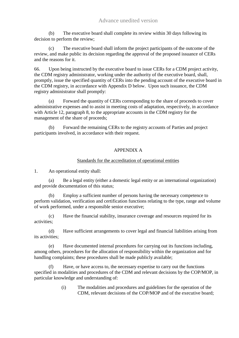(b) The executive board shall complete its review within 30 days following its decision to perform the review;

(c) The executive board shall inform the project participants of the outcome of the review, and make public its decision regarding the approval of the proposed issuance of CERs and the reasons for it.

66. Upon being instructed by the executive board to issue CERs for a CDM project activity, the CDM registry administrator, working under the authority of the executive board, shall, promptly, issue the specified quantity of CERs into the pending account of the executive board in the CDM registry, in accordance with Appendix D below. Upon such issuance, the CDM registry administrator shall promptly:

(a) Forward the quantity of CERs corresponding to the share of proceeds to cover administrative expenses and to assist in meeting costs of adaptation, respectively, in accordance with Article 12, paragraph 8, to the appropriate accounts in the CDM registry for the management of the share of proceeds;

(b) Forward the remaining CERs to the registry accounts of Parties and project participants involved, in accordance with their request.

#### APPENDIX A

#### Standards for the accreditation of operational entities

1. An operational entity shall:

(a) Be a legal entity (either a domestic legal entity or an international organization) and provide documentation of this status;

(b) Employ a sufficient number of persons having the necessary competence to perform validation, verification and certification functions relating to the type, range and volume of work performed, under a responsible senior executive;

(c) Have the financial stability, insurance coverage and resources required for its activities;

(d) Have sufficient arrangements to cover legal and financial liabilities arising from its activities;

(e) Have documented internal procedures for carrying out its functions including, among others, procedures for the allocation of responsibility within the organization and for handling complaints; these procedures shall be made publicly available;

(f) Have, or have access to, the necessary expertise to carry out the functions specified in modalities and procedures of the CDM and relevant decisions by the COP/MOP, in particular knowledge and understanding of:

> (i) The modalities and procedures and guidelines for the operation of the CDM, relevant decisions of the COP/MOP and of the executive board;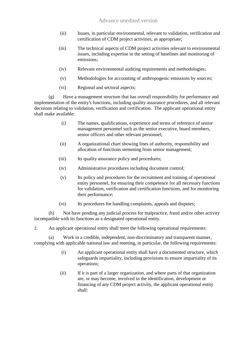- (ii) Issues, in particular environmental, relevant to validation, verification and certification of CDM project activities, as appropriate;
- (iii) The technical aspects of CDM project activities relevant to environmental issues, including expertise in the setting of baselines and monitoring of emissions;
- (iv) Relevant environmental auditing requirements and methodologies;
- (v) Methodologies for accounting of anthropogenic emissions by sources;
- (vi) Regional and sectoral aspects;

(g) Have a management structure that has overall responsibility for performance and implementation of the entity's functions, including quality assurance procedures, and all relevant decisions relating to validation, verification and certification. The applicant operational entity shall make available:

- (i) The names, qualifications, experience and terms of reference of senior management personnel such as the senior executive, board members, senior officers and other relevant personnel;
- (ii) A organizational chart showing lines of authority, responsibility and allocation of functions stemming from senior management;
- (iii) Its quality assurance policy and procedures;
- (iv) Administrative procedures including document control;
- (v) Its policy and procedures for the recruitment and training of operational entity personnel, for ensuring their competence for all necessary functions for validation, verification and certification functions, and for monitoring their performance;
- (vi) Its procedures for handling complaints, appeals and disputes;

(h) Not have pending any judicial process for malpractice, fraud and/or other activity incompatible with its functions as a designated operational entity.

2. An applicant operational entity shall meet the following operational requirements:

(a) Work in a credible, independent, non-discriminatory and transparent manner, complying with applicable national law and meeting, in particular, the following requirements:

- (i) An applicant operational entity shall have a documented structure, which safeguards impartiality, including provisions to ensure impartiality of its operations;
- (ii) If it is part of a larger organization, and where parts of that organization are, or may become, involved in the identification, development or financing of any CDM project activity, the applicant operational entity shall: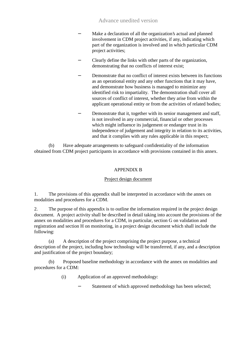- Make a declaration of all the organization's actual and planned involvement in CDM project activities, if any, indicating which part of the organization is involved and in which particular CDM project activities;
- − Clearly define the links with other parts of the organization, demonstrating that no conflicts of interest exist;
- Demonstrate that no conflict of interest exists between its functions as an operational entity and any other functions that it may have, and demonstrate how business is managed to minimize any identified risk to impartiality. The demonstration shall cover all sources of conflict of interest, whether they arise from within the applicant operational entity or from the activities of related bodies;
- Demonstrate that it, together with its senior management and staff. is not involved in any commercial, financial or other processes which might influence its judgement or endanger trust in its independence of judgement and integrity in relation to its activities, and that it complies with any rules applicable in this respect;

(b) Have adequate arrangements to safeguard confidentiality of the information obtained from CDM project participants in accordance with provisions contained in this annex.

#### APPENDIX B

#### Project design document

1. The provisions of this appendix shall be interpreted in accordance with the annex on modalities and procedures for a CDM.

2. The purpose of this appendix is to outline the information required in the project design document. A project activity shall be described in detail taking into account the provisions of the annex on modalities and procedures for a CDM, in particular, section G on validation and registration and section H on monitoring, in a project design document which shall include the following:

(a) A description of the project comprising the project purpose, a technical description of the project, including how technology will be transferred, if any, and a description and justification of the project boundary;

(b) Proposed baseline methodology in accordance with the annex on modalities and procedures for a CDM:

- (i) Application of an approved methodology:
	- Statement of which approved methodology has been selected;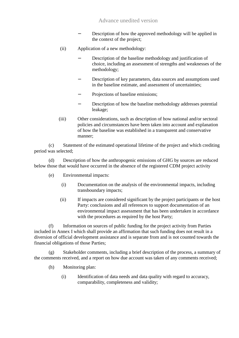- Description of how the approved methodology will be applied in the context of the project;
- (ii) Application of a new methodology:
	- Description of the baseline methodology and justification of choice, including an assessment of strengths and weaknesses of the methodology;
	- Description of key parameters, data sources and assumptions used in the baseline estimate, and assessment of uncertainties;
	- Projections of baseline emissions;
	- Description of how the baseline methodology addresses potential leakage;
- (iii) Other considerations, such as description of how national and/or sectoral policies and circumstances have been taken into account and explanation of how the baseline was established in a transparent and conservative manner;

(c) Statement of the estimated operational lifetime of the project and which crediting period was selected;

(d) Description of how the anthropogenic emissions of GHG by sources are reduced below those that would have occurred in the absence of the registered CDM project activity

- (e) Environmental impacts:
	- (i) Documentation on the analysis of the environmental impacts, including transboundary impacts;
	- (ii) If impacts are considered significant by the project participants or the host Party: conclusions and all references to support documentation of an environmental impact assessment that has been undertaken in accordance with the procedures as required by the host Party;

(f) Information on sources of public funding for the project activity from Parties included in Annex I which shall provide an affirmation that such funding does not result in a diversion of official development assistance and is separate from and is not counted towards the financial obligations of those Parties;

(g) Stakeholder comments, including a brief description of the process, a summary of the comments received, and a report on how due account was taken of any comments received;

- (h) Monitoring plan:
	- (i) Identification of data needs and data quality with regard to accuracy, comparability, completeness and validity;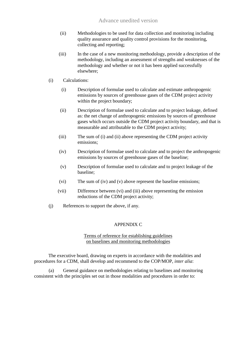- (ii) Methodologies to be used for data collection and monitoring including quality assurance and quality control provisions for the monitoring, collecting and reporting;
- (iii) In the case of a new monitoring methodology, provide a description of the methodology, including an assessment of strengths and weaknesses of the methodology and whether or not it has been applied successfully elsewhere;
- (i) Calculations:
	- (i) Description of formulae used to calculate and estimate anthropogenic emissions by sources of greenhouse gases of the CDM project activity within the project boundary;
	- (ii) Description of formulae used to calculate and to project leakage, defined as: the net change of anthropogenic emissions by sources of greenhouse gases which occurs outside the CDM project activity boundary, and that is measurable and attributable to the CDM project activity;
	- (iii) The sum of (i) and (ii) above representing the CDM project activity emissions;
	- (iv) Description of formulae used to calculate and to project the anthropogenic emissions by sources of greenhouse gases of the baseline;
	- (v) Description of formulae used to calculate and to project leakage of the baseline;
	- (vi) The sum of (iv) and (v) above represent the baseline emissions;
	- (vii) Difference between (vi) and (iii) above representing the emission reductions of the CDM project activity;
- (j) References to support the above, if any.

### APPENDIX C

#### Terms of reference for establishing guidelines on baselines and monitoring methodologies

The executive board, drawing on experts in accordance with the modalities and procedures for a CDM, shall develop and recommend to the COP/MOP, *inter alia*:

(a) General guidance on methodologies relating to baselines and monitoring consistent with the principles set out in those modalities and procedures in order to: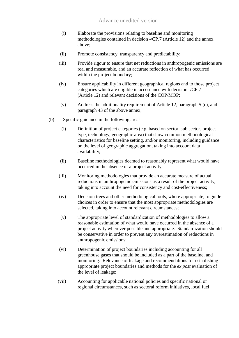- (i) Elaborate the provisions relating to baseline and monitoring methodologies contained in decision -/CP.7 (Article 12) and the annex above;
- (ii) Promote consistency, transparency and predictability;
- (iii) Provide rigour to ensure that net reductions in anthropogenic emissions are real and measurable, and an accurate reflection of what has occurred within the project boundary;
- (iv) Ensure applicability in different geographical regions and to those project categories which are eligible in accordance with decision -/CP.7 (Article 12) and relevant decisions of the COP/MOP;
- (v) Address the additionality requirement of Article 12, paragraph 5 (c), and paragraph 43 of the above annex;
- (b) Specific guidance in the following areas:
	- (i) Definition of project categories (e.g. based on sector, sub sector, project type, technology, geographic area) that show common methodological characteristics for baseline setting, and/or monitoring, including guidance on the level of geographic aggregation, taking into account data availability;
	- (ii) Baseline methodologies deemed to reasonably represent what would have occurred in the absence of a project activity;
	- (iii) Monitoring methodologies that provide an accurate measure of actual reductions in anthropogenic emissions as a result of the project activity, taking into account the need for consistency and cost-effectiveness;
	- (iv) Decision trees and other methodological tools, where appropriate, to guide choices in order to ensure that the most appropriate methodologies are selected, taking into account relevant circumstances;
	- (v) The appropriate level of standardization of methodologies to allow a reasonable estimation of what would have occurred in the absence of a project activity wherever possible and appropriate. Standardization should be conservative in order to prevent any overestimation of reductions in anthropogenic emissions;
	- (vi) Determination of project boundaries including accounting for all greenhouse gases that should be included as a part of the baseline, and monitoring. Relevance of leakage and recommendations for establishing appropriate project boundaries and methods for the *ex post* evaluation of the level of leakage;
	- (vii) Accounting for applicable national policies and specific national or regional circumstances, such as sectoral reform initiatives, local fuel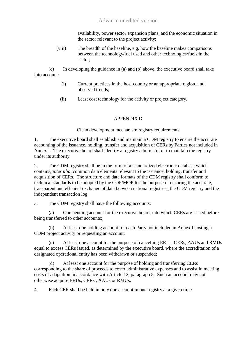availability, power sector expansion plans, and the economic situation in the sector relevant to the project activity;

(viii) The breadth of the baseline, e.g. how the baseline makes comparisons between the technology/fuel used and other technologies/fuels in the sector;

(c) In developing the guidance in (a) and (b) above, the executive board shall take into account:

- (i) Current practices in the host country or an appropriate region, and observed trends;
- (ii) Least cost technology for the activity or project category.

### APPENDIX D

#### Clean development mechanism registry requirements

1. The executive board shall establish and maintain a CDM registry to ensure the accurate accounting of the issuance, holding, transfer and acquisition of CERs by Parties not included in Annex I. The executive board shall identify a registry administrator to maintain the registry under its authority.

2. The CDM registry shall be in the form of a standardized electronic database which contains, *inter alia*, common data elements relevant to the issuance, holding, transfer and acquisition of CERs. The structure and data formats of the CDM registry shall conform to technical standards to be adopted by the COP/MOP for the purpose of ensuring the accurate, transparent and efficient exchange of data between national registries, the CDM registry and the independent transaction log.

3. The CDM registry shall have the following accounts:

(a) One pending account for the executive board, into which CERs are issued before being transferred to other accounts;

(b) At least one holding account for each Party not included in Annex I hosting a CDM project activity or requesting an account;

(c) At least one account for the purpose of cancelling ERUs, CERs, AAUs and RMUs equal to excess CERs issued, as determined by the executive board, where the accreditation of a designated operational entity has been withdrawn or suspended;

(d) At least one account for the purpose of holding and transferring CERs corresponding to the share of proceeds to cover administrative expenses and to assist in meeting costs of adaptation in accordance with Article 12, paragraph 8. Such an account may not otherwise acquire ERUs, CERs , AAUs or RMUs.

4. Each CER shall be held in only one account in one registry at a given time.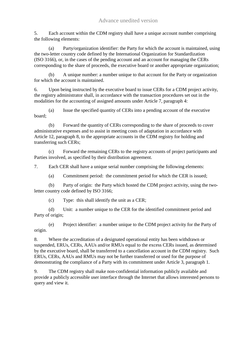5. Each account within the CDM registry shall have a unique account number comprising the following elements:

(a) Party/organization identifier: the Party for which the account is maintained, using the two-letter country code defined by the International Organization for Standardization (ISO 3166), or, in the cases of the pending account and an account for managing the CERs corresponding to the share of proceeds, the executive board or another appropriate organization;

(b) A unique number: a number unique to that account for the Party or organization for which the account is maintained.

6. Upon being instructed by the executive board to issue CERs for a CDM project activity, the registry administrator shall, in accordance with the transaction procedures set out in the modalities for the accounting of assigned amounts under Article 7, paragraph 4:

(a) Issue the specified quantity of CERs into a pending account of the executive board;

(b) Forward the quantity of CERs corresponding to the share of proceeds to cover administrative expenses and to assist in meeting costs of adaptation in accordance with Article 12, paragraph 8, to the appropriate accounts in the CDM registry for holding and transferring such CERs;

(c) Forward the remaining CERs to the registry accounts of project participants and Parties involved, as specified by their distribution agreement.

7. Each CER shall have a unique serial number comprising the following elements:

(a) Commitment period: the commitment period for which the CER is issued;

(b) Party of origin: the Party which hosted the CDM project activity, using the twoletter country code defined by ISO 3166;

(c) Type: this shall identify the unit as a CER;

(d) Unit: a number unique to the CER for the identified commitment period and Party of origin;

(e) Project identifier: a number unique to the CDM project activity for the Party of origin.

8. Where the accreditation of a designated operational entity has been withdrawn or suspended, ERUs, CERs, AAUs and/or RMUs equal to the excess CERs issued, as determined by the executive board, shall be transferred to a cancellation account in the CDM registry. Such ERUs, CERs, AAUs and RMUs may not be further transferred or used for the purpose of demonstrating the compliance of a Party with its commitment under Article 3, paragraph 1.

9. The CDM registry shall make non-confidential information publicly available and provide a publicly accessible user interface through the Internet that allows interested persons to query and view it.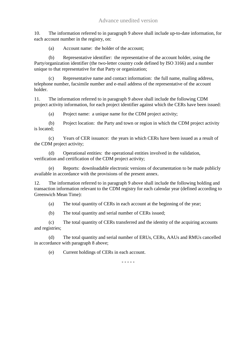10. The information referred to in paragraph 9 above shall include up-to-date information, for each account number in the registry, on:

(a) Account name: the holder of the account;

(b) Representative identifier: the representative of the account holder, using the Party/organization identifier (the two-letter country code defined by ISO 3166) and a number unique to that representative for that Party or organization;

(c) Representative name and contact information: the full name, mailing address, telephone number, facsimile number and e-mail address of the representative of the account holder.

11. The information referred to in paragraph 9 above shall include the following CDM project activity information, for each project identifier against which the CERs have been issued:

(a) Project name: a unique name for the CDM project activity;

(b) Project location: the Party and town or region in which the CDM project activity is located;

(c) Years of CER issuance: the years in which CERs have been issued as a result of the CDM project activity;

(d) Operational entities: the operational entities involved in the validation, verification and certification of the CDM project activity;

(e) Reports: downloadable electronic versions of documentation to be made publicly available in accordance with the provisions of the present annex.

12. The information referred to in paragraph 9 above shall include the following holding and transaction information relevant to the CDM registry for each calendar year (defined according to Greenwich Mean Time):

(a) The total quantity of CERs in each account at the beginning of the year;

(b) The total quantity and serial number of CERs issued;

(c) The total quantity of CERs transferred and the identity of the acquiring accounts and registries;

(d) The total quantity and serial number of ERUs, CERs, AAUs and RMUs cancelled in accordance with paragraph 8 above;

(e) Current holdings of CERs in each account.

**- - - - -**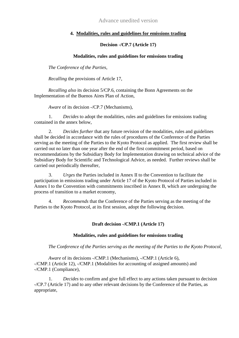#### **4. Modalities, rules and guidelines for emissions trading**

#### **Decision -/CP.7 (Article 17)**

#### **Modalities, rules and guidelines for emissions trading**

*The Conference of the Parties*,

*Recalling* the provisions of Article 17,

*Recalling also* its decision 5/CP.6, containing the Bonn Agreements on the Implementation of the Buenos Aires Plan of Action,

*Aware* of its decision -/CP.7 (Mechanisms),

1. *Decides* to adopt the modalities, rules and guidelines for emissions trading contained in the annex below,

2. *Decides further* that any future revision of the modalities, rules and guidelines shall be decided in accordance with the rules of procedures of the Conference of the Parties serving as the meeting of the Parties to the Kyoto Protocol as applied. The first review shall be carried out no later than one year after the end of the first commitment period, based on recommendations by the Subsidiary Body for Implementation drawing on technical advice of the Subsidiary Body for Scientific and Technological Advice, as needed. Further reviews shall be carried out periodically thereafter,

3. *Urges* the Parties included in Annex II to the Convention to facilitate the participation in emissions trading under Article 17 of the Kyoto Protocol of Parties included in Annex I to the Convention with commitments inscribed in Annex B, which are undergoing the process of transition to a market economy,

4. *Recommends* that the Conference of the Parties serving as the meeting of the Parties to the Kyoto Protocol, at its first session, adopt the following decision.

#### **Draft decision -/CMP.1 (Article 17)**

#### **Modalities, rules and guidelines for emissions trading**

*The Conference of the Parties serving as the meeting of the Parties to the Kyoto Protocol,*

*Aware* of its decisions -/CMP.1 (Mechanisms), -/CMP.1 (Article 6), -/CMP.1 (Article 12), -/CMP.1 (Modalities for accounting of assigned amounts) and -/CMP.1 (Compliance),

1. *Decides* to confirm and give full effect to any actions taken pursuant to decision -/CP.7 (Article 17) and to any other relevant decisions by the Conference of the Parties, as appropriate,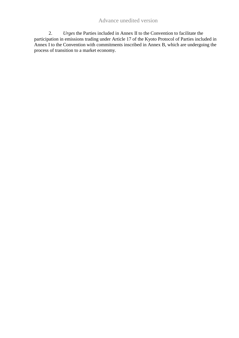2. *Urges* the Parties included in Annex II to the Convention to facilitate the participation in emissions trading under Article 17 of the Kyoto Protocol of Parties included in Annex I to the Convention with commitments inscribed in Annex B, which are undergoing the process of transition to a market economy.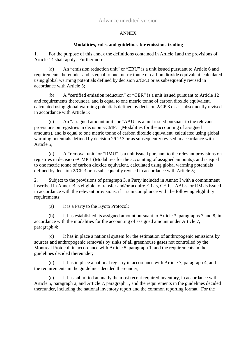### ANNEX

#### **Modalities, rules and guidelines for emissions trading**

1. For the purpose of this annex the definitions contained in Article 1and the provisions of Article 14 shall apply. Furthermore:

(a) An "emission reduction unit" or "ERU" is a unit issued pursuant to Article 6 and requirements thereunder and is equal to one metric tonne of carbon dioxide equivalent, calculated using global warming potentials defined by decision 2/CP.3 or as subsequently revised in accordance with Article 5;

(b) A "certified emission reduction" or "CER" is a unit issued pursuant to Article 12 and requirements thereunder, and is equal to one metric tonne of carbon dioxide equivalent, calculated using global warming potentials defined by decision 2/CP.3 or as subsequently revised in accordance with Article 5;

(c) An "assigned amount unit" or "AAU" is a unit issued pursuant to the relevant provisions on registries in decision -/CMP.1 (Modalities for the accounting of assigned amounts), and is equal to one metric tonne of carbon dioxide equivalent, calculated using global warming potentials defined by decision 2/CP.3 or as subsequently revised in accordance with Article 5;

(d) A "removal unit" or "RMU" is a unit issued pursuant to the relevant provisions on registries in decision -/CMP.1 (Modalities for the accounting of assigned amounts), and is equal to one metric tonne of carbon dioxide equivalent, calculated using global warming potentials defined by decision 2/CP.3 or as subsequently revised in accordance with Article 5;

2. Subject to the provisions of paragraph 3, a Party included in Annex I with a commitment inscribed in Annex B is eligible to transfer and/or acquire ERUs, CERs, AAUs, or RMUs issued in accordance with the relevant provisions, if it is in compliance with the following eligibility requirements:

(a) It is a Party to the Kyoto Protocol;

(b) It has established its assigned amount pursuant to Article 3, paragraphs 7 and 8, in accordance with the modalities for the accounting of assigned amount under Article 7, paragraph 4;

(c) It has in place a national system for the estimation of anthropogenic emissions by sources and anthropogenic removals by sinks of all greenhouse gases not controlled by the Montreal Protocol, in accordance with Article 5, paragraph 1, and the requirements in the guidelines decided thereunder;

(d) It has in place a national registry in accordance with Article 7, paragraph 4, and the requirements in the guidelines decided thereunder;

(e) It has submitted annually the most recent required inventory, in accordance with Article 5, paragraph 2, and Article 7, paragraph 1, and the requirements in the guidelines decided thereunder, including the national inventory report and the common reporting format. For the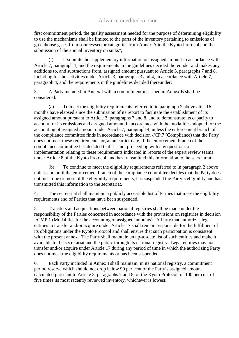first commitment period, the quality assessment needed for the purpose of determining eligibility to use the mechanisms shall be limited to the parts of the inventory pertaining to emissions of greenhouse gases from sources/sector categories from Annex A to the Kyoto Protocol and the submission of the annual inventory on sinks";

(f) It submits the supplementary information on assigned amount in accordance with Article 7, paragraph 1, and the requirements in the guidelines decided thereunder and makes any additions to, and subtractions from, assigned amount pursuant to Article 3, paragraphs 7 and 8, including for the activities under Article 3, paragraphs 3 and 4, in accordance with Article 7, paragraph 4, and the requirements in the guidelines decided thereunder;

3. A Party included in Annex I with a commitment inscribed in Annex B shall be considered:

(a) To meet the eligibility requirements referred to in paragraph 2 above after 16 months have elapsed since the submission of its report to facilitate the establishment of its assigned amount pursuant to Article 3, paragraphs 7 and 8, and to demonstrate its capacity to account for its emissions and assigned amount, in accordance with the modalities adopted for the accounting of assigned amount under Article 7, paragraph 4, unless the enforcement branch of the compliance committee finds in accordance with decision -/CP.7 (Compliance) that the Party does not meet these requirements, or, at an earlier date, if the enforcement branch of the compliance committee has decided that it is not proceeding with any questions of implementation relating to these requirements indicated in reports of the expert review teams under Article 8 of the Kyoto Protocol, and has transmitted this information to the secretariat;

(b) To continue to meet the eligibility requirements referred to in paragraph 2 above unless and until the enforcement branch of the compliance committee decides that the Party does not meet one or more of the eligibility requirements, has suspended the Party's eligibility and has transmitted this information to the secretariat.

4. The secretariat shall maintain a publicly accessible list of Parties that meet the eligibility requirements and of Parties that have been suspended.

5. Transfers and acquisitions between national registries shall be made under the responsibility of the Parties concerned in accordance with the provisions on registries in decision -/CMP.1 (Modalities for the accounting of assigned amounts). A Party that authorizes legal entities to transfer and/or acquire under Article 17 shall remain responsible for the fulfilment of its obligations under the Kyoto Protocol and shall ensure that such participation is consistent with the present annex. The Party shall maintain an up-to-date list of such entities and make it available to the secretariat and the public through its national registry. Legal entities may not transfer and/or acquire under Article 17 during any period of time in which the authorizing Party does not meet the eligibility requirements or has been suspended.

6. Each Party included in Annex I shall maintain, in its national registry, a commitment period reserve which should not drop below 90 per cent of the Party's assigned amount calculated pursuant to Article 3, paragraphs 7 and 8, of the Kyoto Protocol, or 100 per cent of five times its most recently reviewed inventory, whichever is lowest.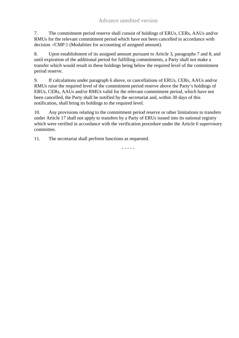7. The commitment period reserve shall consist of holdings of ERUs, CERs, AAUs and/or RMUs for the relevant commitment period which have not been cancelled in accordance with decision -/CMP.1 (Modalities for accounting of assigned amount).

8. Upon establishment of its assigned amount pursuant to Article 3, paragraphs 7 and 8, and until expiration of the additional period for fulfilling commitments, a Party shall not make a transfer which would result in these holdings being below the required level of the commitment period reserve.

9. If calculations under paragraph 6 above, or cancellations of ERUs, CERs, AAUs and/or RMUs raise the required level of the commitment period reserve above the Party's holdings of ERUs, CERs, AAUs and/or RMUs valid for the relevant commitment period, which have not been cancelled, the Party shall be notified by the secretariat and, within 30 days of this notification, shall bring its holdings to the required level.

10. Any provisions relating to the commitment period reserve or other limitations to transfers under Article 17 shall not apply to transfers by a Party of ERUs issued into its national registry which were verified in accordance with the verification procedure under the Article 6 supervisory committee.

11. The secretariat shall perform functions as requested.

- - - - -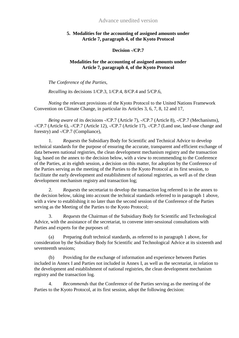#### **5. Modalities for the accounting of assigned amounts under Article 7, paragraph 4, of the Kyoto Protocol**

#### **Decision -/CP.7**

#### **Modalities for the accounting of assigned amounts under Article 7, paragraph 4, of the Kyoto Protocol**

*The Conference of the Parties,*

*Recalling* its decisions 1/CP.3, 1/CP.4, 8/CP.4 and 5/CP.6,

*Noting* the relevant provisions of the Kyoto Protocol to the United Nations Framework Convention on Climate Change, in particular its Articles 3, 6, 7, 8, 12 and 17,

*Being aware* of its decisions -/CP.7 (Article 7), -/CP.7 (Article 8), -/CP.7 (Mechanisms), -/CP.7 (Article 6), -/CP.7 (Article 12), -/CP.7 (Article 17), -/CP.7 (Land use, land-use change and forestry) and -/CP.7 (Compliance),

1. *Requests* the Subsidiary Body for Scientific and Technical Advice to develop technical standards for the purpose of ensuring the accurate, transparent and efficient exchange of data between national registries, the clean development mechanism registry and the transaction log, based on the annex to the decision below, with a view to recommending to the Conference of the Parties, at its eighth session, a decision on this matter, for adoption by the Conference of the Parties serving as the meeting of the Parties to the Kyoto Protocol at its first session, to facilitate the early development and establishment of national registries, as well as of the clean development mechanism registry and transaction log;

2. *Requests* the secretariat to develop the transaction log referred to in the annex to the decision below, taking into account the technical standards referred to in paragraph 1 above, with a view to establishing it no later than the second session of the Conference of the Parties serving as the Meeting of the Parties to the Kyoto Protocol;

3. *Requests* the Chairman of the Subsidiary Body for Scientific and Technological Advice, with the assistance of the secretariat, to convene inter-sessional consultations with Parties and experts for the purposes of:

(a) Preparing draft technical standards, as referred to in paragraph 1 above, for consideration by the Subsidiary Body for Scientific and Technological Advice at its sixteenth and seventeenth sessions;

(b) Providing for the exchange of information and experience between Parties included in Annex I and Parties not included in Annex I, as well as the secretariat, in relation to the development and establishment of national registries, the clean development mechanism registry and the transaction log.

4. *Recommends* that the Conference of the Parties serving as the meeting of the Parties to the Kyoto Protocol, at its first session, adopt the following decision: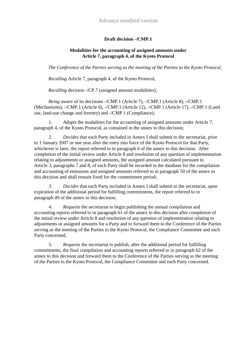# **Draft decision -/CMP.1**

#### **Modalities for the accounting of assigned amounts under Article 7, paragraph 4, of the Kyoto Protocol**

*The Conference of the Parties serving as the meeting of the Parties to the Kyoto Protocol,*

*Recalling* Article 7, paragraph 4, of the Kyoto Protocol,

*Recalling* decision -/CP.7 (assigned amount modalities),

*Being aware* of its decisions -/CMP.1 (Article 7), -/CMP.1 (Article 8), -/CMP.1 (Mechanisms), -/CMP.1 (Article 6), -/CMP.1 (Article 12), -/CMP.1 (Article 17), -/CMP.1 (Land use, land-use change and forestry) and -/CMP.1 (Compliance),

1. *Adopts* the modalities for the accounting of assigned amounts under Article 7, paragraph 4, of the Kyoto Protocol, as contained in the annex to this decision;

2. *Decides* that each Party included in Annex I shall submit to the secretariat, prior to 1 January 2007 or one year after the entry into force of the Kyoto Protocol for that Party, whichever is later, the report referred to in paragraph 6 of the annex to this decision. After completion of the initial review under Article 8 and resolution of any question of implementation relating to adjustments or assigned amounts, the assigned amount calculated pursuant to Article 3, paragraphs 7 and 8, of each Party shall be recorded in the database for the compilation and accounting of emissions and assigned amounts referred to in paragraph 50 of the annex to this decision and shall remain fixed for the commitment period;

3. *Decides* that each Party included in Annex I shall submit to the secretariat, upon expiration of the additional period for fulfilling commitments, the report referred to in paragraph 49 of the annex to this decision;

4. *Requests* the secretariat to begin publishing the annual compilation and accounting reports referred to in paragraph 61 of the annex to this decision after completion of the initial review under Article 8 and resolution of any question of implementation relating to adjustments or assigned amounts for a Party and to forward them to the Conference of the Parties serving as the meeting of the Parties to the Kyoto Protocol, the Compliance Committee and each Party concerned;

5. *Requests* the secretariat to publish, after the additional period for fulfilling commitments, the final compilation and accounting reports referred to in paragraph 62 of the annex to this decision and forward them to the Conference of the Parties serving as the meeting of the Parties to the Kyoto Protocol, the Compliance Committee and each Party concerned.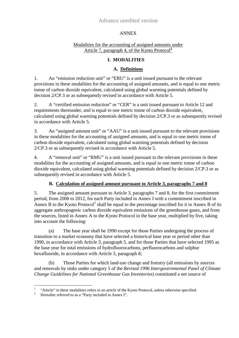#### ANNEX

#### Modalities for the accounting of assigned amounts under Article 7, paragraph 4, of the Kyoto Protocol**<sup>1</sup>**

### **I. MODALITIES**

#### **A. Definitions**

1. An "emission reduction unit" or "ERU" is a unit issued pursuant to the relevant provisions in these modalities for the accounting of assigned amounts, and is equal to one metric tonne of carbon dioxide equivalent, calculated using global warming potentials defined by decision 2/CP.3 or as subsequently revised in accordance with Article 5.

2. A "certified emission reduction" or "CER" is a unit issued pursuant to Article 12 and requirements thereunder, and is equal to one metric tonne of carbon dioxide equivalent, calculated using global warming potentials defined by decision 2/CP.3 or as subsequently revised in accordance with Article 5.

3. An "assigned amount unit" or "AAU" is a unit issued pursuant to the relevant provisions in these modalities for the accounting of assigned amounts, and is equal to one metric tonne of carbon dioxide equivalent, calculated using global warming potentials defined by decision 2/CP.3 or as subsequently revised in accordance with Article 5.

4. A "removal unit" or "RMU" is a unit issued pursuant to the relevant provisions in these modalities for the accounting of assigned amounts, and is equal to one metric tonne of carbon dioxide equivalent, calculated using global warming potentials defined by decision 2/CP.3 or as subsequently revised in accordance with Article 5.

### **B. Calculation of assigned amount pursuant to Article 3, paragraphs 7 and 8**

5. The assigned amount pursuant to Article 3, paragraphs 7 and 8, for the first commitment period, from 2008 to 2012, for each Party included in Annex I with a commitment inscribed in Annex B to the Kyoto Protocol<sup>2</sup> shall be equal to the percentage inscribed for it in Annex B of its aggregate anthropogenic carbon dioxide equivalent emissions of the greenhouse gases, and from the sources, listed in Annex A to the Kyoto Protocol in the base year, multiplied by five, taking into account the following:

(a) The base year shall be 1990 except for those Parties undergoing the process of transition to a market economy that have selected a historical base year or period other than 1990, in accordance with Article 3, paragraph 5, and for those Parties that have selected 1995 as the base year for total emissions of hydrofluorocarbons, perfluorocarbons and sulphur hexafluoride, in accordance with Article 3, paragraph 8;

(b) Those Parties for which land-use change and forestry (all emissions by sources and removals by sinks under category 5 of the *Revised 1996 Intergovernmental Panel of Climate Change Guidelines for National Greenhouse Gas Inventories*) constituted a net source of

 $\overline{a}$ 1 "Article" in these modalities refers to an article of the Kyoto Protocol, unless otherwise specified.

Hereafter referred to as a "Party included in Annex I".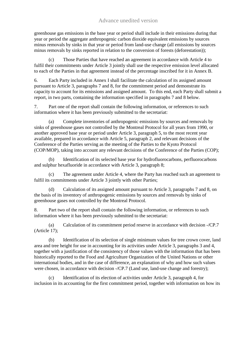greenhouse gas emissions in the base year or period shall include in their emissions during that year or period the aggregate anthropogenic carbon dioxide equivalent emissions by sources minus removals by sinks in that year or period from land-use change (all emissions by sources minus removals by sinks reported in relation to the conversion of forests (deforestation));

(c) Those Parties that have reached an agreement in accordance with Article 4 to fulfil their commitments under Article 3 jointly shall use the respective emission level allocated to each of the Parties in that agreement instead of the percentage inscribed for it in Annex B.

6. Each Party included in Annex I shall facilitate the calculation of its assigned amount pursuant to Article 3, paragraphs 7 and 8, for the commitment period and demonstrate its capacity to account for its emissions and assigned amount. To this end, each Party shall submit a report, in two parts, containing the information specified in paragraphs 7 and 8 below.

7. Part one of the report shall contain the following information, or references to such information where it has been previously submitted to the secretariat:

(a) Complete inventories of anthropogenic emissions by sources and removals by sinks of greenhouse gases not controlled by the Montreal Protocol for all years from 1990, or another approved base year or period under Article 3, paragraph 5, to the most recent year available, prepared in accordance with Article 5, paragraph 2, and relevant decisions of the Conference of the Parties serving as the meeting of the Parties to the Kyoto Protocol (COP/MOP), taking into account any relevant decisions of the Conference of the Parties (COP);

(b) Identification of its selected base year for hydrofluorocarbons, perfluorocarbons and sulphur hexafluoride in accordance with Article 3, paragraph 8;

(c) The agreement under Article 4, where the Party has reached such an agreement to fulfil its commitments under Article 3 jointly with other Parties;

(d) Calculation of its assigned amount pursuant to Article 3, paragraphs 7 and 8, on the basis of its inventory of anthropogenic emissions by sources and removals by sinks of greenhouse gases not controlled by the Montreal Protocol.

8. Part two of the report shall contain the following information, or references to such information where it has been previously submitted to the secretariat:

(a) Calculation of its commitment period reserve in accordance with decision -/CP.7 (Article 17);

(b) Identification of its selection of single minimum values for tree crown cover, land area and tree height for use in accounting for its activities under Article 3, paragraphs 3 and 4, together with a justification of the consistency of those values with the information that has been historically reported to the Food and Agriculture Organization of the United Nations or other international bodies, and in the case of difference, an explanation of why and how such values were chosen, in accordance with decision -/CP.7 (Land use, land-use change and forestry);

(c) Identification of its election of activities under Article 3, paragraph 4, for inclusion in its accounting for the first commitment period, together with information on how its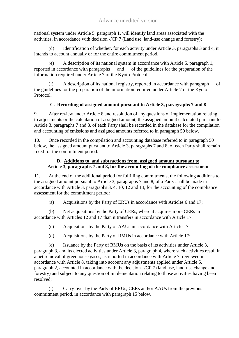national system under Article 5, paragraph 1, will identify land areas associated with the activities, in accordance with decision -/CP.7 (Land use, land-use change and forestry);

(d) Identification of whether, for each activity under Article 3, paragraphs 3 and 4, it intends to account annually or for the entire commitment period.

(e) A description of its national system in accordance with Article 5, paragraph 1, reported in accordance with paragraphs and of the guidelines for the preparation of the information required under Article 7 of the Kyoto Protocol;

(f) A description of its national registry, reported in accordance with paragraph \_\_ of the guidelines for the preparation of the information required under Article 7 of the Kyoto Protocol.

# **C. Recording of assigned amount pursuant to Article 3, paragraphs 7 and 8**

9. After review under Article 8 and resolution of any questions of implementation relating to adjustments or the calculation of assigned amount, the assigned amount calculated pursuant to Article 3, paragraphs 7 and 8, of each Party shall be recorded in the database for the compilation and accounting of emissions and assigned amounts referred to in paragraph 50 below.

10. Once recorded in the compilation and accounting database referred to in paragraph 50 below, the assigned amount pursuant to Article 3, paragraphs 7 and 8, of each Party shall remain fixed for the commitment period.

### **D. Additions to, and subtractions from, assigned amount pursuant to Article 3, paragraphs 7 and 8, for the accounting of the compliance assessment**

11. At the end of the additional period for fulfilling commitments, the following additions to the assigned amount pursuant to Article 3, paragraphs 7 and 8, of a Party shall be made in accordance with Article 3, paragraphs 3, 4, 10, 12 and 13, for the accounting of the compliance assessment for the commitment period:

(a) Acquisitions by the Party of ERUs in accordance with Articles 6 and 17;

(b) Net acquisitions by the Party of CERs, where it acquires more CERs in accordance with Articles 12 and 17 than it transfers in accordance with Article 17;

(c) Acquisitions by the Party of AAUs in accordance with Article 17;

(d) Acquisitions by the Party of RMUs in accordance with Article 17;

(e) Issuance by the Party of RMUs on the basis of its activities under Article 3, paragraph 3, and its elected activities under Article 3, paragraph 4, where such activities result in a net removal of greenhouse gases, as reported in accordance with Article 7, reviewed in accordance with Article 8, taking into account any adjustments applied under Article 5, paragraph 2, accounted in accordance with the decision –/CP.7 (land use, land-use change and forestry) and subject to any question of implementation relating to those activities having been resolved;

(f) Carry-over by the Party of ERUs, CERs and/or AAUs from the previous commitment period, in accordance with paragraph 15 below.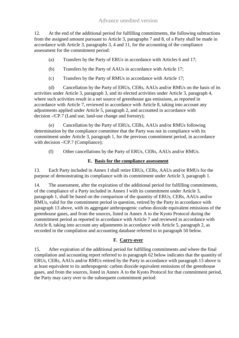12. At the end of the additional period for fulfilling commitments, the following subtractions from the assigned amount pursuant to Article 3, paragraphs 7 and 8, of a Party shall be made in accordance with Article 3, paragraphs 3, 4 and 11, for the accounting of the compliance assessment for the commitment period:

- (a) Transfers by the Party of ERUs in accordance with Articles 6 and 17;
- (b) Transfers by the Party of AAUs in accordance with Article 17;
- (c) Transfers by the Party of RMUs in accordance with Article 17;

(d) Cancellation by the Party of ERUs, CERs, AAUs and/or RMUs on the basis of its activities under Article 3, paragraph 3, and its elected activities under Article 3, paragraph 4, where such activities result in a net source of greenhouse gas emissions, as reported in accordance with Article 7, reviewed in accordance with Article 8, taking into account any adjustments applied under Article 5, paragraph 2, and accounted in accordance with decision -/CP.7 (Land use, land-use change and forestry);

(e) Cancellation by the Party of ERUs, CERs, AAUs and/or RMUs following determination by the compliance committee that the Party was not in compliance with its commitment under Article 3, paragraph 1, for the previous commitment period, in accordance with decision -/CP.7 (Compliance);

(f) Other cancellations by the Party of ERUs, CERs, AAUs and/or RMUs.

### **E. Basis for the compliance assessment**

13. Each Party included in Annex I shall retire ERUs, CERs, AAUs and/or RMUs for the purpose of demonstrating its compliance with its commitment under Article 3, paragraph 1.

14. The assessment, after the expiration of the additional period for fulfilling commitments, of the compliance of a Party included in Annex I with its commitment under Article 3, paragraph 1, shall be based on the comparison of the quantity of ERUs, CERs, AAUs and/or RMUs, valid for the commitment period in question, retired by the Party in accordance with paragraph 13 above, with its aggregate anthropogenic carbon dioxide equivalent emissions of the greenhouse gases, and from the sources, listed in Annex A to the Kyoto Protocol during the commitment period as reported in accordance with Article 7 and reviewed in accordance with Article 8, taking into account any adjustments in accordance with Article 5, paragraph 2, as recorded in the compilation and accounting database referred to in paragraph 50 below.

### **F. Carry-over**

15. After expiration of the additional period for fulfilling commitments and where the final compilation and accounting report referred to in paragraph 62 below indicates that the quantity of ERUs, CERs, AAUs and/or RMUs retired by the Party in accordance with paragraph 13 above is at least equivalent to its anthropogenic carbon dioxide equivalent emissions of the greenhouse gases, and from the sources, listed in Annex A to the Kyoto Protocol for that commitment period, the Party may carry over to the subsequent commitment period: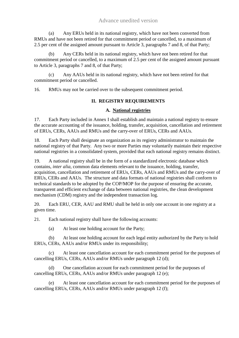(a) Any ERUs held in its national registry, which have not been converted from RMUs and have not been retired for that commitment period or cancelled, to a maximum of 2.5 per cent of the assigned amount pursuant to Article 3, paragraphs 7 and 8, of that Party;

(b) Any CERs held in its national registry, which have not been retired for that commitment period or cancelled, to a maximum of 2.5 per cent of the assigned amount pursuant to Article 3, paragraphs 7 and 8, of that Party;

(c) Any AAUs held in its national registry, which have not been retired for that commitment period or cancelled.

16. RMUs may not be carried over to the subsequent commitment period.

# **II. REGISTRY REQUIREMENTS**

### **A. National registries**

17. Each Party included in Annex I shall establish and maintain a national registry to ensure the accurate accounting of the issuance, holding, transfer, acquisition, cancellation and retirement of ERUs, CERs, AAUs and RMUs and the carry-over of ERUs, CERs and AAUs.

18. Each Party shall designate an organization as its registry administrator to maintain the national registry of that Party. Any two or more Parties may voluntarily maintain their respective national registries in a consolidated system, provided that each national registry remains distinct.

19. A national registry shall be in the form of a standardized electronic database which contains, *inter alia*, common data elements relevant to the issuance, holding, transfer, acquisition, cancellation and retirement of ERUs, CERs, AAUs and RMUs and the carry-over of ERUs, CERs and AAUs. The structure and data formats of national registries shall conform to technical standards to be adopted by the COP/MOP for the purpose of ensuring the accurate, transparent and efficient exchange of data between national registries, the clean development mechanism (CDM) registry and the independent transaction log.

20. Each ERU, CER, AAU and RMU shall be held in only one account in one registry at a given time.

21. Each national registry shall have the following accounts:

(a) At least one holding account for the Party;

(b) At least one holding account for each legal entity authorized by the Party to hold ERUs, CERs, AAUs and/or RMUs under its responsibility;

(c) At least one cancellation account for each commitment period for the purposes of cancelling ERUs, CERs, AAUs and/or RMUs under paragraph 12 (d);

(d) One cancellation account for each commitment period for the purposes of cancelling ERUs, CERs, AAUs and/or RMUs under paragraph 12 (e);

(e) At least one cancellation account for each commitment period for the purposes of cancelling ERUs, CERs, AAUs and/or RMUs under paragraph 12 (f);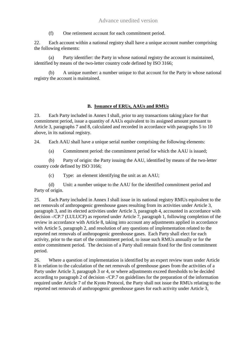(f) One retirement account for each commitment period.

22. Each account within a national registry shall have a unique account number comprising the following elements:

(a) Party identifier: the Party in whose national registry the account is maintained, identified by means of the two-letter country code defined by ISO 3166;

(b) A unique number: a number unique to that account for the Party in whose national registry the account is maintained.

#### **B. Issuance of ERUs, AAUs and RMUs**

23. Each Party included in Annex I shall, prior to any transactions taking place for that commitment period, issue a quantity of AAUs equivalent to its assigned amount pursuant to Article 3, paragraphs 7 and 8, calculated and recorded in accordance with paragraphs 5 to 10 above, in its national registry.

24. Each AAU shall have a unique serial number comprising the following elements:

(a) Commitment period: the commitment period for which the AAU is issued;

(b) Party of origin: the Party issuing the AAU, identified by means of the two-letter country code defined by ISO 3166;

(c) Type: an element identifying the unit as an AAU;

(d) Unit: a number unique to the AAU for the identified commitment period and Party of origin.

25. Each Party included in Annex I shall issue in its national registry RMUs equivalent to the net removals of anthropogenic greenhouse gases resulting from its activities under Article 3, paragraph 3, and its elected activities under Article 3, paragraph 4, accounted in accordance with decision -/CP.7 (LULUCF) as reported under Article 7, paragraph 1, following completion of the review in accordance with Article 8, taking into account any adjustments applied in accordance with Article 5, paragraph 2, and resolution of any questions of implementation related to the reported net removals of anthropogenic greenhouse gases. Each Party shall elect for each activity, prior to the start of the commitment period, to issue such RMUs annually or for the entire commitment period. The decision of a Party shall remain fixed for the first commitment period.

26. Where a question of implementation is identified by an expert review team under Article 8 in relation to the calculation of the net removals of greenhouse gases from the activities of a Party under Article 3, paragraph 3 or 4, or where adjustments exceed thresholds to be decided according to paragraph 2 of decision -/CP.7 on guidelines for the preparation of the information required under Article 7 of the Kyoto Protocol, the Party shall not issue the RMUs relating to the reported net removals of anthropogenic greenhouse gases for each activity under Article 3,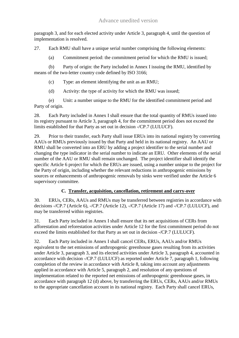paragraph 3, and for each elected activity under Article 3, paragraph 4, until the question of implementation is resolved.

27. Each RMU shall have a unique serial number comprising the following elements:

(a) Commitment period: the commitment period for which the RMU is issued;

(b) Party of origin: the Party included in Annex I issuing the RMU, identified by means of the two-letter country code defined by ISO 3166;

(c) Type: an element identifying the unit as an RMU;

(d) Activity: the type of activity for which the RMU was issued;

(e) Unit: a number unique to the RMU for the identified commitment period and Party of origin.

28. Each Party included in Annex I shall ensure that the total quantity of RMUs issued into its registry pursuant to Article 3, paragraph 4, for the commitment period does not exceed the limits established for that Party as set out in decision -/CP.7 (LULUCF).

29. Prior to their transfer, each Party shall issue ERUs into its national registry by converting AAUs or RMUs previously issued by that Party and held in its national registry. An AAU or RMU shall be converted into an ERU by adding a project identifier to the serial number and changing the type indicator in the serial number to indicate an ERU. Other elements of the serial number of the AAU or RMU shall remain unchanged. The project identifier shall identify the specific Article 6 project for which the ERUs are issued, using a number unique to the project for the Party of origin, including whether the relevant reductions in anthropogenic emissions by sources or enhancements of anthropogenic removals by sinks were verified under the Article 6 supervisory committee.

# **C. Transfer, acquisition, cancellation, retirement and carry-over**

30. ERUs, CERs, AAUs and RMUs may be transferred between registries in accordance with decisions -/CP.7 (Article 6), -/CP.7 (Article 12), -/CP.7 (Article 17) and -/CP.7 (LULUCF), and may be transferred within registries.

31. Each Party included in Annex I shall ensure that its net acquisitions of CERs from afforestation and reforestation activities under Article 12 for the first commitment period do not exceed the limits established for that Party as set out in decision -/CP.7 (LULUCF).

32. Each Party included in Annex I shall cancel CERs, ERUs, AAUs and/or RMUs equivalent to the net emissions of anthropogenic greenhouse gases resulting from its activities under Article 3, paragraph 3, and its elected activities under Article 3, paragraph 4, accounted in accordance with decision -/CP.7 (LULUCF) as reported under Article 7, paragraph 1, following completion of the review in accordance with Article 8, taking into account any adjustments applied in accordance with Article 5, paragraph 2, and resolution of any questions of implementation related to the reported net emissions of anthropogenic greenhouse gases, in accordance with paragraph 12 (d) above, by transferring the ERUs, CERs, AAUs and/or RMUs to the appropriate cancellation account in its national registry. Each Party shall cancel ERUs,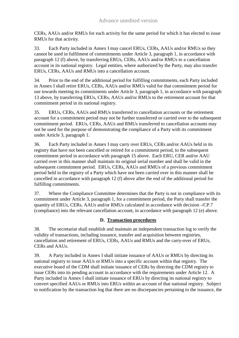CERs, AAUs and/or RMUs for each activity for the same period for which it has elected to issue RMUs for that activity.

33. Each Party included in Annex I may cancel ERUs, CERs, AAUs and/or RMUs so they cannot be used in fulfilment of commitments under Article 3, paragraph 1, in accordance with paragraph 12 (f) above, by transferring ERUs, CERs, AAUs and/or RMUs to a cancellation account in its national registry. Legal entities, where authorized by the Party, may also transfer ERUs, CERs, AAUs and RMUs into a cancellation account.

34. Prior to the end of the additional period for fulfilling commitments, each Party included in Annex I shall retire ERUs, CERs, AAUs and/or RMUs valid for that commitment period for use towards meeting its commitments under Article 3, paragraph 1, in accordance with paragraph 13 above, by transferring ERUs, CERs, AAUs and/or RMUs to the retirement account for that commitment period in its national registry.

35. ERUs, CERs, AAUs and RMUs transferred to cancellation accounts or the retirement account for a commitment period may not be further transferred or carried over to the subsequent commitment period. ERUs, CERs, AAUs and RMUs transferred to cancellation accounts may not be used for the purpose of demonstrating the compliance of a Party with its commitment under Article 3, paragraph 1.

36. Each Party included in Annex I may carry over ERUs, CERs and/or AAUs held in its registry that have not been cancelled or retired for a commitment period, to the subsequent commitment period in accordance with paragraph 15 above. Each ERU, CER and/or AAU carried over in this manner shall maintain its original serial number and shall be valid in the subsequent commitment period. ERUs, CERs, AAUs and RMUs of a previous commitment period held in the registry of a Party which have not been carried over in this manner shall be cancelled in accordance with paragraph 12 (f) above after the end of the additional period for fulfilling commitments.

37. Where the Compliance Committee determines that the Party is not in compliance with its commitment under Article 3, paragraph 1, for a commitment period, the Party shall transfer the quantity of ERUs, CERs, AAUs and/or RMUs calculated in accordance with decision -/CP.7 (compliance) into the relevant cancellation account, in accordance with paragraph 12 (e) above.

### **D. Transaction procedures**

38. The secretariat shall establish and maintain an independent transaction log to verify the validity of transactions, including issuance, transfer and acquisition between registries, cancellation and retirement of ERUs, CERs, AAUs and RMUs and the carry-over of ERUs, CERs and AAUs.

39. A Party included in Annex I shall initiate issuance of AAUs or RMUs by directing its national registry to issue AAUs or RMUs into a specific account within that registry. The executive board of the CDM shall initiate issuance of CERs by directing the CDM registry to issue CERs into its pending account in accordance with the requirements under Article 12. A Party included in Annex I shall initiate issuance of ERUs by directing its national registry to convert specified AAUs or RMUs into ERUs within an account of that national registry. Subject to notification by the transaction log that there are no discrepancies pertaining to the issuance, the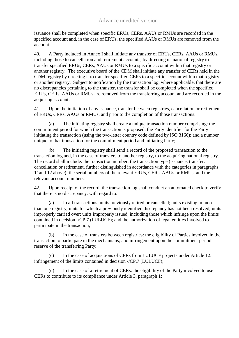issuance shall be completed when specific ERUs, CERs, AAUs or RMUs are recorded in the specified account and, in the case of ERUs, the specified AAUs or RMUs are removed from the account.

40. A Party included in Annex I shall initiate any transfer of ERUs, CERs, AAUs or RMUs, including those to cancellation and retirement accounts, by directing its national registry to transfer specified ERUs, CERs, AAUs or RMUs to a specific account within that registry or another registry. The executive board of the CDM shall initiate any transfer of CERs held in the CDM registry by directing it to transfer specified CERs to a specific account within that registry or another registry. Subject to notification by the transaction log, where applicable, that there are no discrepancies pertaining to the transfer, the transfer shall be completed when the specified ERUs, CERs, AAUs or RMUs are removed from the transferring account and are recorded in the acquiring account.

41. Upon the initiation of any issuance, transfer between registries, cancellation or retirement of ERUs, CERs, AAUs or RMUs, and prior to the completion of those transactions:

(a) The initiating registry shall create a unique transaction number comprising: the commitment period for which the transaction is proposed; the Party identifier for the Party initiating the transaction (using the two-letter country code defined by ISO 3166); and a number unique to that transaction for the commitment period and initiating Party;

(b) The initiating registry shall send a record of the proposed transaction to the transaction log and, in the case of transfers to another registry, to the acquiring national registry. The record shall include: the transaction number; the transaction type (issuance, transfer, cancellation or retirement, further distinguished in accordance with the categories in paragraphs 11and 12 above); the serial numbers of the relevant ERUs, CERs, AAUs or RMUs; and the relevant account numbers.

42. Upon receipt of the record, the transaction log shall conduct an automated check to verify that there is no discrepancy, with regard to:

(a) In all transactions: units previously retired or cancelled; units existing in more than one registry; units for which a previously identified discrepancy has not been resolved; units improperly carried over; units improperly issued, including those which infringe upon the limits contained in decision -/CP.7 (LULUCF); and the authorization of legal entities involved to participate in the transaction;

(b) In the case of transfers between registries: the eligibility of Parties involved in the transaction to participate in the mechanisms; and infringement upon the commitment period reserve of the transferring Party;

(c) In the case of acquisitions of CERs from LULUCF projects under Article 12: infringement of the limits contained in decision -/CP.7 (LULUCF);

(d) In the case of a retirement of CERs: the eligibility of the Party involved to use CERs to contribute to its compliance under Article 3, paragraph 1;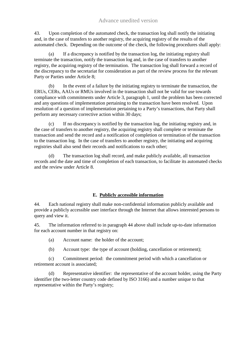43. Upon completion of the automated check, the transaction log shall notify the initiating and, in the case of transfers to another registry, the acquiring registry of the results of the automated check. Depending on the outcome of the check, the following procedures shall apply:

(a) If a discrepancy is notified by the transaction log, the initiating registry shall terminate the transaction, notify the transaction log and, in the case of transfers to another registry, the acquiring registry of the termination. The transaction log shall forward a record of the discrepancy to the secretariat for consideration as part of the review process for the relevant Party or Parties under Article 8;

(b) In the event of a failure by the initiating registry to terminate the transaction, the ERUs, CERs, AAUs or RMUs involved in the transaction shall not be valid for use towards compliance with commitments under Article 3, paragraph 1, until the problem has been corrected and any questions of implementation pertaining to the transaction have been resolved. Upon resolution of a question of implementation pertaining to a Party's transactions, that Party shall perform any necessary corrective action within 30 days;

(c) If no discrepancy is notified by the transaction log, the initiating registry and, in the case of transfers to another registry, the acquiring registry shall complete or terminate the transaction and send the record and a notification of completion or termination of the transaction to the transaction log. In the case of transfers to another registry, the initiating and acquiring registries shall also send their records and notifications to each other;

(d) The transaction log shall record, and make publicly available, all transaction records and the date and time of completion of each transaction, to facilitate its automated checks and the review under Article 8.

### **E. Publicly accessible information**

44. Each national registry shall make non-confidential information publicly available and provide a publicly accessible user interface through the Internet that allows interested persons to query and view it.

45. The information referred to in paragraph 44 above shall include up-to-date information for each account number in that registry on:

(a) Account name: the holder of the account;

(b) Account type: the type of account (holding, cancellation or retirement);

(c) Commitment period: the commitment period with which a cancellation or retirement account is associated;

(d) Representative identifier: the representative of the account holder, using the Party identifier (the two-letter country code defined by ISO 3166) and a number unique to that representative within the Party's registry;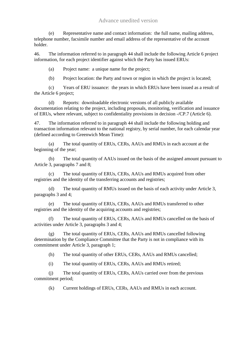(e) Representative name and contact information: the full name, mailing address, telephone number, facsimile number and email address of the representative of the account holder.

46. The information referred to in paragraph 44 shall include the following Article 6 project information, for each project identifier against which the Party has issued ERUs:

(a) Project name: a unique name for the project;

(b) Project location: the Party and town or region in which the project is located;

(c) Years of ERU issuance: the years in which ERUs have been issued as a result of the Article 6 project;

(d) Reports: downloadable electronic versions of all publicly available documentation relating to the project, including proposals, monitoring, verification and issuance of ERUs, where relevant, subject to confidentiality provisions in decision -/CP.7 (Article 6).

47. The information referred to in paragraph 44 shall include the following holding and transaction information relevant to the national registry, by serial number, for each calendar year (defined according to Greenwich Mean Time):

(a) The total quantity of ERUs, CERs, AAUs and RMUs in each account at the beginning of the year;

(b) The total quantity of AAUs issued on the basis of the assigned amount pursuant to Article 3, paragraphs 7 and 8;

(c) The total quantity of ERUs, CERs, AAUs and RMUs acquired from other registries and the identity of the transferring accounts and registries;

(d) The total quantity of RMUs issued on the basis of each activity under Article 3, paragraphs 3 and 4;

(e) The total quantity of ERUs, CERs, AAUs and RMUs transferred to other registries and the identity of the acquiring accounts and registries;

(f) The total quantity of ERUs, CERs, AAUs and RMUs cancelled on the basis of activities under Article 3, paragraphs 3 and 4;

(g) The total quantity of ERUs, CERs, AAUs and RMUs cancelled following determination by the Compliance Committee that the Party is not in compliance with its commitment under Article 3, paragraph 1;

(h) The total quantity of other ERUs, CERs, AAUs and RMUs cancelled;

(i) The total quantity of ERUs, CERs, AAUs and RMUs retired;

(j) The total quantity of ERUs, CERs, AAUs carried over from the previous commitment period;

(k) Current holdings of ERUs, CERs, AAUs and RMUs in each account.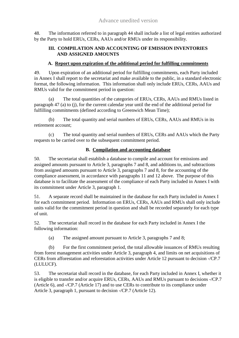48. The information referred to in paragraph 44 shall include a list of legal entities authorized by the Party to hold ERUs, CERs, AAUs and/or RMUs under its responsibility.

## **III. COMPILATION AND ACCOUNTING OF EMISSION INVENTORIES AND ASSIGNED AMOUNTS**

## **A. Report upon expiration of the additional period for fulfilling commitments**

49. Upon expiration of an additional period for fulfilling commitments, each Party included in Annex I shall report to the secretariat and make available to the public, in a standard electronic format, the following information. This information shall only include ERUs, CERs, AAUs and RMUs valid for the commitment period in question:

(a) The total quantities of the categories of ERUs, CERs, AAUs and RMUs listed in paragraph 47 (a) to (j), for the current calendar year until the end of the additional period for fulfilling commitments (defined according to Greenwich Mean Time);

(b) The total quantity and serial numbers of ERUs, CERs, AAUs and RMUs in its retirement account;

(c) The total quantity and serial numbers of ERUs, CERs and AAUs which the Party requests to be carried over to the subsequent commitment period.

## **B. Compilation and accounting database**

50. The secretariat shall establish a database to compile and account for emissions and assigned amounts pursuant to Article 3, paragraphs 7 and 8, and additions to, and subtractions from assigned amounts pursuant to Article 3, paragraphs 7 and 8, for the accounting of the compliance assessment, in accordance with paragraphs 11 and 12 above. The purpose of this database is to facilitate the assessment of the compliance of each Party included in Annex I with its commitment under Article 3, paragraph 1.

51. A separate record shall be maintained in the database for each Party included in Annex I for each commitment period. Information on ERUs, CERs, AAUs and RMUs shall only include units valid for the commitment period in question and shall be recorded separately for each type of unit.

52. The secretariat shall record in the database for each Party included in Annex I the following information:

(a) The assigned amount pursuant to Article 3, paragraphs 7 and 8;

(b) For the first commitment period, the total allowable issuances of RMUs resulting from forest management activities under Article 3, paragraph 4, and limits on net acquisitions of CERs from afforestation and reforestation activities under Article 12 pursuant to decision -/CP.7 (LULUCF).

53. The secretariat shall record in the database, for each Party included in Annex I, whether it is eligible to transfer and/or acquire ERUs, CERs, AAUs and RMUs pursuant to decisions -/CP.7 (Article 6), and -/CP.7 (Article 17) and to use CERs to contribute to its compliance under Article 3, paragraph 1, pursuant to decision -/CP.7 (Article 12).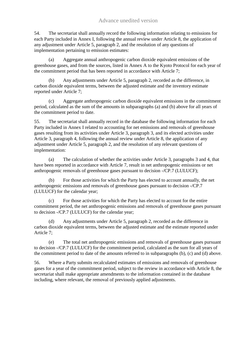54. The secretariat shall annually record the following information relating to emissions for each Party included in Annex I, following the annual review under Article 8, the application of any adjustment under Article 5, paragraph 2, and the resolution of any questions of implementation pertaining to emission estimates:

(a) Aggregate annual anthropogenic carbon dioxide equivalent emissions of the greenhouse gases, and from the sources, listed in Annex A to the Kyoto Protocol for each year of the commitment period that has been reported in accordance with Article 7;

(b) Any adjustments under Article 5, paragraph 2, recorded as the difference, in carbon dioxide equivalent terms, between the adjusted estimate and the inventory estimate reported under Article 7;

(c) Aggregate anthropogenic carbon dioxide equivalent emissions in the commitment period, calculated as the sum of the amounts in subparagraphs (a) and (b) above for all years of the commitment period to date.

55. The secretariat shall annually record in the database the following information for each Party included in Annex I related to accounting for net emissions and removals of greenhouse gases resulting from its activities under Article 3, paragraph 3, and its elected activities under Article 3, paragraph 4, following the annual review under Article 8, the application of any adjustment under Article 5, paragraph 2, and the resolution of any relevant questions of implementation:

(a) The calculation of whether the activities under Article 3, paragraphs 3 and 4, that have been reported in accordance with Article 7, result in net anthropogenic emissions or net anthropogenic removals of greenhouse gases pursuant to decision -/CP.7 (LULUCF);

(b) For those activities for which the Party has elected to account annually, the net anthropogenic emissions and removals of greenhouse gases pursuant to decision -/CP.7 (LULUCF) for the calendar year;

(c) For those activities for which the Party has elected to account for the entire commitment period, the net anthropogenic emissions and removals of greenhouse gases pursuant to decision -/CP.7 (LULUCF) for the calendar year;

(d) Any adjustments under Article 5, paragraph 2, recorded as the difference in carbon dioxide equivalent terms, between the adjusted estimate and the estimate reported under Article 7;

(e) The total net anthropogenic emissions and removals of greenhouse gases pursuant to decision -/CP.7 (LULUCF) for the commitment period, calculated as the sum for all years of the commitment period to date of the amounts referred to in subparagraphs (b), (c) and (d) above.

56. Where a Party submits recalculated estimates of emissions and removals of greenhouse gases for a year of the commitment period, subject to the review in accordance with Article 8, the secretariat shall make appropriate amendments to the information contained in the database including, where relevant, the removal of previously applied adjustments.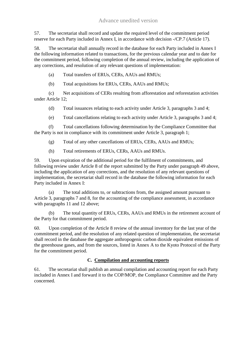57. The secretariat shall record and update the required level of the commitment period reserve for each Party included in Annex I, in accordance with decision -/CP.7 (Article 17).

58. The secretariat shall annually record in the database for each Party included in Annex I the following information related to transactions, for the previous calendar year and to date for the commitment period, following completion of the annual review, including the application of any corrections, and resolution of any relevant questions of implementation:

(a) Total transfers of ERUs, CERs, AAUs and RMUs;

(b) Total acquisitions for ERUs, CERs, AAUs and RMUs;

(c) Net acquisitions of CERs resulting from afforestation and reforestation activities under Article 12;

(d) Total issuances relating to each activity under Article 3, paragraphs 3 and 4;

(e) Total cancellations relating to each activity under Article 3, paragraphs 3 and 4;

(f) Total cancellations following determination by the Compliance Committee that the Party is not in compliance with its commitment under Article 3, paragraph 1;

- (g) Total of any other cancellations of ERUs, CERs, AAUs and RMUs;
- (h) Total retirements of ERUs, CERs, AAUs and RMUs.

59. Upon expiration of the additional period for the fulfilment of commitments, and following review under Article 8 of the report submitted by the Party under paragraph 49 above, including the application of any corrections, and the resolution of any relevant questions of implementation, the secretariat shall record in the database the following information for each Party included in Annex I:

(a) The total additions to, or subtractions from, the assigned amount pursuant to Article 3, paragraphs 7 and 8, for the accounting of the compliance assessment, in accordance with paragraphs 11 and 12 above;

(b) The total quantity of ERUs, CERs, AAUs and RMUs in the retirement account of the Party for that commitment period.

60. Upon completion of the Article 8 review of the annual inventory for the last year of the commitment period, and the resolution of any related question of implementation, the secretariat shall record in the database the aggregate anthropogenic carbon dioxide equivalent emissions of the greenhouse gases, and from the sources, listed in Annex A to the Kyoto Protocol of the Party for the commitment period.

### **C. Compilation and accounting reports**

61. The secretariat shall publish an annual compilation and accounting report for each Party included in Annex I and forward it to the COP/MOP, the Compliance Committee and the Party concerned.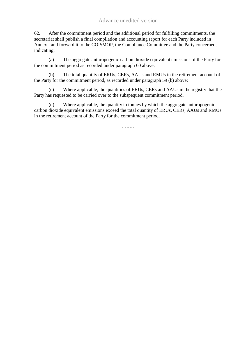## Advance unedited version

62. After the commitment period and the additional period for fulfilling commitments, the secretariat shall publish a final compilation and accounting report for each Party included in Annex I and forward it to the COP/MOP, the Compliance Committee and the Party concerned, indicating:

(a) The aggregate anthropogenic carbon dioxide equivalent emissions of the Party for the commitment period as recorded under paragraph 60 above;

(b) The total quantity of ERUs, CERs, AAUs and RMUs in the retirement account of the Party for the commitment period, as recorded under paragraph 59 (b) above;

(c) Where applicable, the quantities of ERUs, CERs and AAUs in the registry that the Party has requested to be carried over to the subspequent commitment period.

(d) Where applicable, the quantity in tonnes by which the aggregate anthropogenic carbon dioxide equivalent emissions exceed the total quantity of ERUs, CERs, AAUs and RMUs in the retirement account of the Party for the commitment period.

- - - - -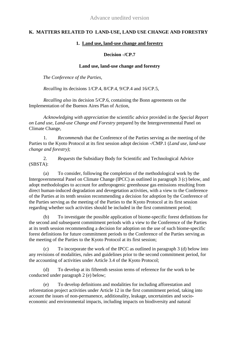## **K. MATTERS RELATED TO LAND-USE, LAND USE CHANGE AND FORESTRY**

#### **1. Land use, land-use change and forestry**

#### **Decision -/CP.7**

#### **Land use, land-use change and forestry**

*The Conference of the Parties,*

*Recalling* its decisions 1/CP.4, 8/CP.4, 9/CP.4 and 16/CP.5,

*Recalling also* its decision 5/CP.6, containing the Bonn agreements on the Implementation of the Buenos Aires Plan of Action,

*Acknowledging with appreciation* the scientific advice provided in the *Special Report on Land use, Land-use Change and Forestry* prepared by the Intergovernmental Panel on Climate Change,

1. *Recommends* that the Conference of the Parties serving as the meeting of the Parties to the Kyoto Protocol at its first session adopt decision -/CMP.1 (*Land use, land-use change and forestry)*;

2. *Requests* the Subsidiary Body for Scientific and Technological Advice (SBSTA):

(a) To consider, following the completion of the methodological work by the Intergovernmental Panel on Climate Change (IPCC) as outlined in paragraph 3 (c) below, and adopt methodologies to account for anthropogenic greenhouse gas emissions resulting from direct human-induced degradation and devegetation activities, with a view to the Conference of the Parties at its tenth session recommending a decision for adoption by the Conference of the Parties serving as the meeting of the Parties to the Kyoto Protocol at its first session regarding whether such activities should be included in the first commitment period;

(b) To investigate the possible application of biome-specific forest definitions for the second and subsequent commitment periods with a view to the Conference of the Parties at its tenth session recommending a decision for adoption on the use of such biome-specific forest definitions for future commitment periods to the Conference of the Parties serving as the meeting of the Parties to the Kyoto Protocol at its first session;

(c) To incorporate the work of the IPCC as outlined in paragraph 3 (d) below into any revisions of modalities, rules and guidelines prior to the second commitment period, for the accounting of activities under Article 3.4 of the Kyoto Protocol;

(d) To develop at its fifteenth session terms of reference for the work to be conducted under paragraph 2 (e) below;

(e) To develop definitions and modalities for including afforestation and reforestation project activities under Article 12 in the first commitment period, taking into account the issues of non-permanence, additionality, leakage, uncertainties and socioeconomic and environmental impacts, including impacts on biodiversity and natural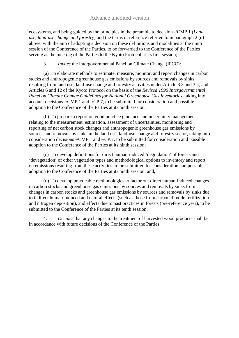## Advance unedited version

ecosystems, and being guided by the principles in the preamble to decision -/CMP.1 (*Land use, land-use change and forestry*) and the terms of reference referred to in paragraph 2 (d) above, with the aim of adopting a decision on these definitions and modalities at the ninth session of the Conference of the Parties, to be forwarded to the Conference of the Parties serving as the meeting of the Parties to the Kyoto Protocol at its first session;

3. *Invites* the Intergovernmental Panel on Climate Change (IPCC):

(a) To elaborate methods to estimate, measure, monitor, and report changes in carbon stocks and anthropogenic greenhouse gas emissions by sources and removals by sinks resulting from land use, land-use change and forestry activities under Article 3.3 and 3.4, and Articles 6 and 12 of the Kyoto Protocol on the basis of the *Revised 1996 Intergovernmental Panel on Climate Change Guidelines for National Greenhouse Gas Inventories*, taking into account decisions -/CMP.1 and -/CP.7, to be submitted for consideration and possible adoption to the Conference of the Parties at its ninth session;

(b) To prepare a report on good practice guidance and uncertainty management relating to the measurement, estimation, assessment of uncertainties, monitoring and reporting of net carbon stock changes and anthropogenic greenhouse gas emissions by sources and removals by sinks in the land use, land-use change and forestry sector, taking into consideration decisions -/CMP.1 and -/CP.7, to be submitted for consideration and possible adoption to the Conference of the Parties at its ninth session;

(c) To develop definitions for direct human-induced 'degradation' of forests and 'devegetation' of other vegetation types and methodological options to inventory and report on emissions resulting from these activities, to be submitted for consideration and possible adoption to the Conference of the Parties at its ninth session; and,

(d) To develop practicable methodologies to factor out direct human-induced changes in carbon stocks and greenhouse gas emissions by sources and removals by sinks from changes in carbon stocks and greenhouse gas emissions by sources and removals by sinks due to indirect human-induced and natural effects (such as those from carbon dioxide fertilization and nitrogen deposition), and effects due to past practices in forests (pre-reference year), to be submitted to the Conference of the Parties at its tenth session;

4. *Decides* that any changes to the treatment of harvested wood products shall be in accordance with future decisions of the Conference of the Parties.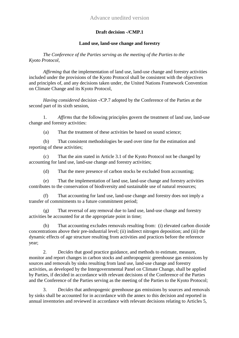# **Draft decision -/CMP.1**

### **Land use, land-use change and forestry**

*The Conference of the Parties serving as the meeting of the Parties to the Kyoto Protocol,*

*Affirming* that the implementation of land use, land-use change and forestry activities included under the provisions of the Kyoto Protocol shall be consistent with the objectives and principles of, and any decisions taken under, the United Nations Framework Convention on Climate Change and its Kyoto Protocol,

*Having considered* decision -/CP.7 adopted by the Conference of the Parties at the second part of its sixth session,

1. *Affirms* that the following principles govern the treatment of land use, land-use change and forestry activities:

(a) That the treatment of these activities be based on sound science;

(b) That consistent methodologies be used over time for the estimation and reporting of these activities;

(c) That the aim stated in Article 3.1 of the Kyoto Protocol not be changed by accounting for land use, land-use change and forestry activities;

(d) That the mere presence of carbon stocks be excluded from accounting;

(e) That the implementation of land use, land-use change and forestry activities contributes to the conservation of biodiversity and sustainable use of natural resources;

That accounting for land use, land-use change and forestry does not imply a transfer of commitments to a future commitment period;

(g) That reversal of any removal due to land use, land-use change and forestry activities be accounted for at the appropriate point in time;

(h) That accounting excludes removals resulting from: (i) elevated carbon dioxide concentrations above their pre-industrial level; (ii) indirect nitrogen deposition; and (iii) the dynamic effects of age structure resulting from activities and practices before the reference year;

2*. Decides* that good practice guidance, and methods to estimate, measure, monitor and report changes in carbon stocks and anthropogenic greenhouse gas emissions by sources and removals by sinks resulting from land use, land-use change and forestry activities, as developed by the Intergovernmental Panel on Climate Change, shall be applied by Parties, if decided in accordance with relevant decisions of the Conference of the Parties and the Conference of the Parties serving as the meeting of the Parties to the Kyoto Protocol;

3. *Decides* that anthropogenic greenhouse gas emissions by sources and removals by sinks shall be accounted for in accordance with the annex to this decision and reported in annual inventories and reviewed in accordance with relevant decisions relating to Articles 5,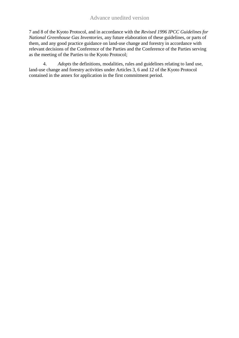7 and 8 of the Kyoto Protocol, and in accordance with the *Revised 1996 IPCC Guidelines for National Greenhouse Gas Inventories*, any future elaboration of these guidelines, or parts of them, and any good practice guidance on land-use change and forestry in accordance with relevant decisions of the Conference of the Parties and the Conference of the Parties serving as the meeting of the Parties to the Kyoto Protocol;

4. *Adopts* the definitions, modalities, rules and guidelines relating to land use, land-use change and forestry activities under Articles 3, 6 and 12 of the Kyoto Protocol contained in the annex for application in the first commitment period.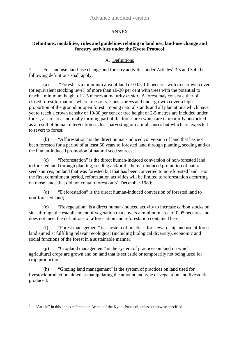### ANNEX

### **Definitions, modalities, rules and guidelines relating to land use, land-use change and forestry activities under the Kyoto Protocol**

### A. Definitions

1. For land use, land-use change and forestry activities under  $Articles<sup>1</sup> 3.3$  and 3.4, the following definitions shall apply:

(a) "Forest" is a minimum area of land of 0.05-1.0 hectares with tree crown cover (or equivalent stocking level) of more than 10-30 per cent with trees with the potential to reach a minimum height of 2-5 metres at maturity *in situ*. A forest may consist either of closed forest formations where trees of various storeys and undergrowth cover a high proportion of the ground or open forest. Young natural stands and all plantations which have yet to reach a crown density of 10-30 per cent or tree height of 2-5 metres are included under forest, as are areas normally forming part of the forest area which are temporarily unstocked as a result of human intervention such as harvesting or natural causes but which are expected to revert to forest;

(b) "Afforestation" is the direct human-induced conversion of land that has not been forested for a period of at least 50 years to forested land through planting, seeding and/or the human-induced promotion of natural seed sources;

(c) "Reforestation" is the direct human-induced conversion of non-forested land to forested land through planting, seeding and/or the human-induced promotion of natural seed sources, on land that was forested but that has been converted to non-forested land. For the first commitment period, reforestation activities will be limited to reforestation occurring on those lands that did not contain forest on 31 December 1989;

(d) "Deforestation" is the direct human-induced conversion of forested land to non-forested land;

(e) "Revegetation" is a direct human-induced activity to increase carbon stocks on sites through the establishment of vegetation that covers a minimum area of 0.05 hectares and does not meet the definitions of afforestation and reforestation contained here;

(f) "Forest management" is a system of practices for stewardship and use of forest land aimed at fulfilling relevant ecological (including biological diversity), economic and social functions of the forest in a sustainable manner;

(g) "Cropland management" is the system of practices on land on which agricultural crops are grown and on land that is set aside or temporarily not being used for crop production;

(h) "Grazing land management" is the system of practices on land used for livestock production aimed at manipulating the amount and type of vegetation and livestock produced.

 $\overline{a}$ 1 "Article" in this annex refers to an Article of the Kyoto Protocol, unless otherwise specified.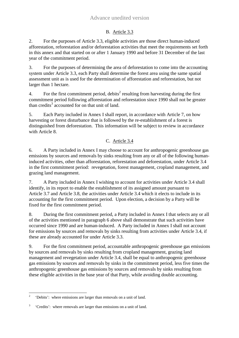# B. Article 3.3

2. For the purposes of Article 3.3, eligible activities are those direct human-induced afforestation, reforestation and/or deforestation activities that meet the requirements set forth in this annex and that started on or after 1 January 1990 and before 31 December of the last year of the commitment period.

3. For the purposes of determining the area of deforestation to come into the accounting system under Article 3.3, each Party shall determine the forest area using the same spatial assessment unit as is used for the determination of afforestation and reforestation, but not larger than 1 hectare.

4. For the first commitment period, debits<sup>2</sup> resulting from harvesting during the first commitment period following afforestation and reforestation since 1990 shall not be greater than credits<sup>3</sup> accounted for on that unit of land.

5. Each Party included in Annex I shall report, in accordance with Article 7, on how harvesting or forest disturbance that is followed by the re-establishment of a forest is distinguished from deforestation. This information will be subject to review in accordance with Article 8.

# C. Article 3.4

6. A Party included in Annex I may choose to account for anthropogenic greenhouse gas emissions by sources and removals by sinks resulting from any or all of the following humaninduced activities, other than afforestation, reforestation and deforestation, under Article 3.4 in the first commitment period: revegetation, forest management, cropland management, and grazing land management.

7. A Party included in Annex I wishing to account for activities under Article 3.4 shall identify, in its report to enable the establishment of its assigned amount pursuant to Article 3.7 and Article 3.8, the activities under Article 3.4 which it elects to include in its accounting for the first commitment period. Upon election, a decision by a Party will be fixed for the first commitment period.

8. During the first commitment period, a Party included in Annex I that selects any or all of the activities mentioned in paragraph 6 above shall demonstrate that such activities have occurred since 1990 and are human-induced. A Party included in Annex I shall not account for emissions by sources and removals by sinks resulting from activities under Article 3.4, if these are already accounted for under Article 3.3.

9. For the first commitment period, accountable anthropogenic greenhouse gas emissions by sources and removals by sinks resulting from cropland management, grazing land management and revegetation under Article 3.4, shall be equal to anthropogenic greenhouse gas emissions by sources and removals by sinks in the commitment period, less five times the anthropogenic greenhouse gas emissions by sources and removals by sinks resulting from these eligible activities in the base year of that Party, while avoiding double accounting.

 $\frac{1}{2}$ 'Debits': where emissions are larger than removals on a unit of land.

<sup>3</sup> 'Credits': where removals are larger than emissions on a unit of land.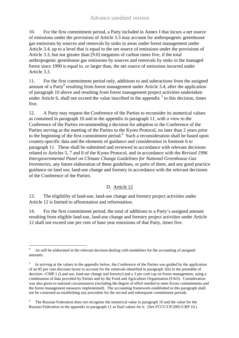10. For the first commitment period, a Party included in Annex I that incurs a net source of emissions under the provisions of Article 3.3 may account for anthropogenic greenhouse gas emissions by sources and removals by sinks in areas under forest management under Article 3.4, up to a level that is equal to the net source of emissions under the provisions of Article 3.3, but not greater than [9.0] megatons of carbon times five, if the total anthropogenic greenhouse gas emissions by sources and removals by sinks in the managed forest since 1990 is equal to, or larger than, the net source of emissions incurred under Article 3.3.

11. For the first commitment period only, additions to and subtractions from the assigned amount of a Party<sup>4</sup> resulting from forest management under Article 3.4, after the application of paragraph 10 above and resulting from forest management project activities undertaken under Article 6, shall not exceed the value inscribed in the appendix  $5$  to this decision, times five.

12. A Party may request the Conference of the Parties to reconsider its numerical values as contained in paragraph 10 and in the appendix to paragraph 11, with a view to the Conference of the Parties recommending a decision for adoption to the Conference of the Parties serving as the meeting of the Parties to the Kyoto Protocol, no later than 2 years prior to the beginning of the first commitment period.<sup>6</sup> Such a reconsideration shall be based upon country-specific data and the elements of guidance and consideration in footnote 6 to paragraph 11. These shall be submitted and reviewed in accordance with relevant decisions related to Articles 5, 7 and 8 of the Kyoto Protocol, and in accordance with the *Revised 1996 Intergovernmental Panel on Climate Change Guidelines for National Greenhouse Gas Inventories*, any future elaboration of these guidelines, or parts of them, and any good practice guidance on land use, land-use change and forestry in accordance with the relevant decisions of the Conference of the Parties.

# D. Article 12

13. The eligibility of land-use, land-use change and forestry project activities under Article 12 is limited to afforestation and reforestation.

14. For the first commitment period, the total of additions to a Party's assigned amount resulting from eligible land-use, land-use change and forestry project activities under Article 12 shall not exceed one per cent of base year emissions of that Party, times five.

 $\frac{1}{4}$  As will be elaborated in the relevant decision dealing with modalities for the accounting of assigned amounts.

<sup>5</sup> In arriving at the values in the appendix below, the Conference of the Parties was guided by the application of an 85 per cent discount factor to account for the removals identified in paragraph 1(h) in the preamble of decision -/CMP.1 (Land use, land-use change and forestry) and a 3 per cent cap on forest management, using a combination of data provided by Parties and by the Food and Agriculture Organization (FAO). Consideration was also given to national circumstances (including the degree of effort needed to meet Kyoto commitments and the forest management measures implemented). The accounting framework established in this paragraph shall not be construed as establishing any precedent for the second and subsequent commitment periods.

<sup>6</sup> The Russian Federation does not recognize the numerical value in paragraph 10 and the value for the Russian Federation in the appendix to paragraph 11 as final values for it. (See FCCC/CP/2001/CRP.10.)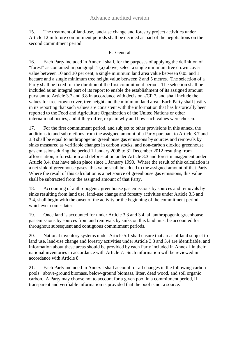15. The treatment of land-use, land-use change and forestry project activities under Article 12 in future commitment periods shall be decided as part of the negotiations on the second commitment period.

## E. General

16. Each Party included in Annex I shall, for the purposes of applying the definition of "forest" as contained in paragraph 1 (a) above, select a single minimum tree crown cover value between 10 and 30 per cent, a single minimum land area value between 0.05 and 1 hectare and a single minimum tree height value between 2 and 5 metres. The selection of a Party shall be fixed for the duration of the first commitment period. The selection shall be included as an integral part of its report to enable the establishment of its assigned amount pursuant to Article 3.7 and 3.8 in accordance with decision -/CP.7, and shall include the values for tree crown cover, tree height and the minimum land area. Each Party shall justify in its reporting that such values are consistent with the information that has historically been reported to the Food and Agriculture Organization of the United Nations or other international bodies, and if they differ, explain why and how such values were chosen.

17. For the first commitment period, and subject to other provisions in this annex, the additions to and subtractions from the assigned amount of a Party pursuant to Article 3.7 and 3.8 shall be equal to anthropogenic greenhouse gas emissions by sources and removals by sinks measured as verifiable changes in carbon stocks, and non-carbon dioxide greenhouse gas emissions during the period 1 January 2008 to 31 December 2012 resulting from afforestation, reforestation and deforestation under Article 3.3 and forest management under Article 3.4, that have taken place since 1 January 1990. Where the result of this calculation is a net sink of greenhouse gases, this value shall be added to the assigned amount of that Party. Where the result of this calculation is a net source of greenhouse gas emissions, this value shall be subtracted from the assigned amount of that Party.

18. Accounting of anthropogenic greenhouse gas emissions by sources and removals by sinks resulting from land use, land-use change and forestry activities under Article 3.3 and 3.4, shall begin with the onset of the activity or the beginning of the commitment period, whichever comes later.

19. Once land is accounted for under Article 3.3 and 3.4, all anthropogenic greenhouse gas emissions by sources from and removals by sinks on this land must be accounted for throughout subsequent and contiguous commitment periods.

20. National inventory systems under Article 5.1 shall ensure that areas of land subject to land use, land-use change and forestry activities under Article 3.3 and 3.4 are identifiable, and information about these areas should be provided by each Party included in Annex I in their national inventories in accordance with Article 7. Such information will be reviewed in accordance with Article 8.

21. Each Party included in Annex I shall account for all changes in the following carbon pools: above-ground biomass, below-ground biomass, litter, dead wood, and soil organic carbon. A Party may choose not to account for a given pool in a commitment period, if transparent and verifiable information is provided that the pool is not a source.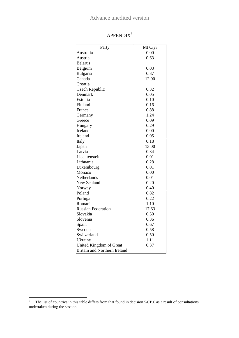| Party                        | Mt C/yr |
|------------------------------|---------|
| Australia                    | 0.00    |
| Austria                      | 0.63    |
| <b>Belarus</b>               |         |
| Belgium                      | 0.03    |
| Bulgaria                     | 0.37    |
| Canada                       | 12.00   |
| Croatia                      |         |
| <b>Czech Republic</b>        | 0.32    |
| Denmark                      | 0.05    |
| Estonia                      | 0.10    |
| Finland                      | 0.16    |
| France                       | 0.88    |
| Germany                      | 1.24    |
| Greece                       | 0.09    |
| Hungary                      | 0.29    |
| Iceland                      | 0.00    |
| Ireland                      | 0.05    |
| Italy                        | 0.18    |
| Japan                        | 13.00   |
| Latvia                       | 0.34    |
| Liechtenstein                | 0.01    |
| Lithuania                    | 0.28    |
| Luxembourg                   | 0.01    |
| Monaco                       | 0.00    |
| Netherlands                  | 0.01    |
| New Zealand                  | 0.20    |
| Norway                       | 0.40    |
| Poland                       | 0.82    |
| Portugal                     | 0.22    |
| Romania                      | 1.10    |
| <b>Russian Federation</b>    | 17.63   |
| Slovakia                     | 0.50    |
| Slovenia                     | 0.36    |
| Spain                        | 0.67    |
| Sweden                       | 0.58    |
| Switzerland                  | 0.50    |
| Ukraine                      | 1.11    |
| United Kingdom of Great      | 0.37    |
| Britain and Northern Ireland |         |

# $APPENDIX^7$

<sup>&</sup>lt;del>ַ</del><br>ד The list of countries in this table differs from that found in decision 5/CP.6 as a result of consultations undertaken during the session.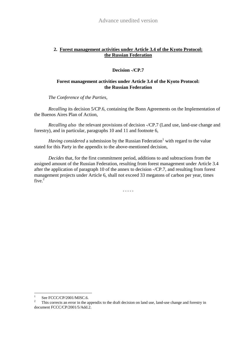Advance unedited version

#### **2. Forest management activities under Article 3.4 of the Kyoto Protocol: the Russian Federation**

#### **Decision -/CP.7**

#### **Forest management activities under Article 3.4 of the Kyoto Protocol: the Russian Federation**

*The Conference of the Parties,*

*Recalling* its decision 5/CP.6, containing the Bonn Agreements on the Implementation of the Buenos Aires Plan of Action,

*Recalling also* the relevant provisions of decision -/CP.7 (Land use, land-use change and forestry), and in particular, paragraphs 10 and 11 and footnote 6,

Having considered a submission by the Russian Federation<sup>1</sup> with regard to the value stated for this Party in the appendix to the above-mentioned decision,

*Decides* that, for the first commitment period, additions to and subtractions from the assigned amount of the Russian Federation, resulting from forest management under Article 3.4 after the application of paragraph 10 of the annex to decision -/CP.7, and resulting from forest management projects under Article 6, shall not exceed 33 megatons of carbon per year, times five. $2$ 

- - - - -

 $\frac{1}{1}$ See FCCC/CP/2001/MISC.6.

<sup>2</sup> This corrects an error in the appendix to the draft decision on land use, land-use change and forestry in document FCCC/CP/2001/5/Add.2.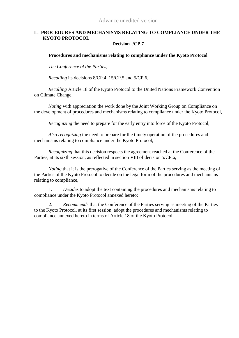#### **L. PROCEDURES AND MECHANISMS RELATING TO COMPLIANCE UNDER THE KYOTO PROTOCOL**

#### **Decision -/CP.7**

#### **Procedures and mechanisms relating to compliance under the Kyoto Protocol**

*The Conference of the Parties,*

*Recalling* its decisions 8/CP.4, 15/CP.5 and 5/CP.6,

*Recalling* Article 18 of the Kyoto Protocol to the United Nations Framework Convention on Climate Change,

*Noting* with appreciation the work done by the Joint Working Group on Compliance on the development of procedures and mechanisms relating to compliance under the Kyoto Protocol,

*Recognizing* the need to prepare for the early entry into force of the Kyoto Protocol,

*Also recognizing* the need to prepare for the timely operation of the procedures and mechanisms relating to compliance under the Kyoto Protocol,

*Recognizing* that this decision respects the agreement reached at the Conference of the Parties, at its sixth session, as reflected in section VIII of decision 5/CP.6,

*Noting* that it is the prerogative of the Conference of the Parties serving as the meeting of the Parties of the Kyoto Protocol to decide on the legal form of the procedures and mechanisms relating to compliance,

1. *Decides* to adopt the text containing the procedures and mechanisms relating to compliance under the Kyoto Protocol annexed hereto;

2. *Recommend*s that the Conference of the Parties serving as meeting of the Parties to the Kyoto Protocol, at its first session, adopt the procedures and mechanisms relating to compliance annexed hereto in terms of Article 18 of the Kyoto Protocol.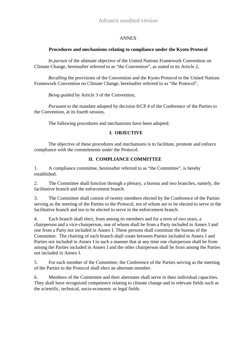### ANNEX

#### **Procedures and mechanisms relating to compliance under the Kyoto Protocol**

*In pursuit* of the ultimate objective of the United Nations Framework Convention on Climate Change, hereinafter referred to as "the Convention", as stated in its Article 2,

*Recalling* the provisions of the Convention and the Kyoto Protocol to the United Nations Framework Convention on Climate Change, hereinafter referred to as "the Protocol",

*Being guided* by Article 3 of the Convention,

*Pursuant* to the mandate adopted by decision 8/CP.4 of the Conference of the Parties to the Convention, at its fourth session,

The following procedures and mechanisms have been adopted:

### **I. OBJECTIVE**

The objective of these procedures and mechanisms is to facilitate, promote and enforce compliance with the commitments under the Protocol.

#### **II. COMPLIANCE COMMITTEE**

1. A compliance committee, hereinafter referred to as "the Committee", is hereby established.

2. The Committee shall function through a plenary, a bureau and two branches, namely, the facilitative branch and the enforcement branch.

3. The Committee shall consist of twenty members elected by the Conference of the Parties serving as the meeting of the Parties to the Protocol, ten of whom are to be elected to serve in the facilitative branch and ten to be elected to serve in the enforcement branch.

4. Each branch shall elect, from among its members and for a term of two years, a chairperson and a vice-chairperson, one of whom shall be from a Party included in Annex I and one from a Party not included in Annex I. These persons shall constitute the bureau of the Committee. The chairing of each branch shall rotate between Parties included in Annex I and Parties not included in Annex I in such a manner that at any time one chairperson shall be from among the Parties included in Annex I and the other chairperson shall be from among the Parties not included in Annex I.

5. For each member of the Committee, the Conference of the Parties serving as the meeting of the Parties to the Protocol shall elect an alternate member.

6. Members of the Committee and their alternates shall serve in their individual capacities. They shall have recognized competence relating to climate change and in relevant fields such as the scientific, technical, socio-economic or legal fields.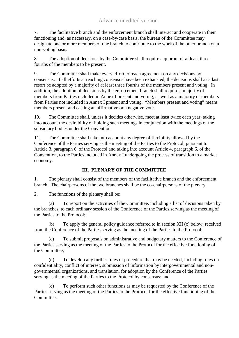7. The facilitative branch and the enforcement branch shall interact and cooperate in their functioning and, as necessary, on a case-by-case basis, the bureau of the Committee may designate one or more members of one branch to contribute to the work of the other branch on a non-voting basis.

8. The adoption of decisions by the Committee shall require a quorum of at least three fourths of the members to be present.

9. The Committee shall make every effort to reach agreement on any decisions by consensus. If all efforts at reaching consensus have been exhausted, the decisions shall as a last resort be adopted by a majority of at least three fourths of the members present and voting. In addition, the adoption of decisions by the enforcement branch shall require a majority of members from Parties included in Annex I present and voting, as well as a majority of members from Parties not included in Annex I present and voting. "Members present and voting" means members present and casting an affirmative or a negative vote.

10. The Committee shall, unless it decides otherwise, meet at least twice each year, taking into account the desirability of holding such meetings in conjunction with the meetings of the subsidiary bodies under the Convention.

11. The Committee shall take into account any degree of flexibility allowed by the Conference of the Parties serving as the meeting of the Parties to the Protocol, pursuant to Article 3, paragraph 6, of the Protocol and taking into account Article 4, paragraph 6, of the Convention, to the Parties included in Annex I undergoing the process of transition to a market economy.

# **III. PLENARY OF THE COMMITTEE**

1. The plenary shall consist of the members of the facilitative branch and the enforcement branch. The chairpersons of the two branches shall be the co-chairpersons of the plenary.

2. The functions of the plenary shall be:

(a) To report on the activities of the Committee, including a list of decisions taken by the branches, to each ordinary session of the Conference of the Parties serving as the meeting of the Parties to the Protocol;

(b) To apply the general policy guidance referred to in section XII (c) below, received from the Conference of the Parties serving as the meeting of the Parties to the Protocol;

(c) To submit proposals on administrative and budgetary matters to the Conference of the Parties serving as the meeting of the Parties to the Protocol for the effective functioning of the Committee;

(d) To develop any further rules of procedure that may be needed, including rules on confidentiality, conflict of interest, submission of information by intergovernmental and nongovernmental organizations, and translation, for adoption by the Conference of the Parties serving as the meeting of the Parties to the Protocol by consensus; and

(e) To perform such other functions as may be requested by the Conference of the Parties serving as the meeting of the Parties to the Protocol for the effective functioning of the **Committee**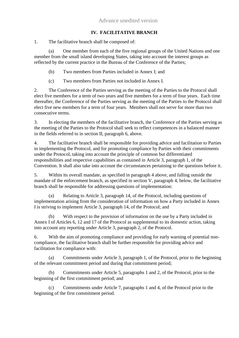## **IV. FACILITATIVE BRANCH**

1. The facilitative branch shall be composed of:

(a) One member from each of the five regional groups of the United Nations and one member from the small island developing States, taking into account the interest groups as reflected by the current practice in the Bureau of the Conference of the Parties;

(b) Two members from Parties included in Annex I; and

(c) Two members from Parties not included in Annex I.

2. The Conference of the Parties serving as the meeting of the Parties to the Protocol shall elect five members for a term of two years and five members for a term of four years. Each time thereafter, the Conference of the Parties serving as the meeting of the Parties to the Protocol shall elect five new members for a term of four years. Members shall not serve for more than two consecutive terms.

3. In electing the members of the facilitative branch, the Conference of the Parties serving as the meeting of the Parties to the Protocol shall seek to reflect competences in a balanced manner in the fields referred to in section II, paragraph 6, above.

4. The facilitative branch shall be responsible for providing advice and facilitation to Parties in implementing the Protocol, and for promoting compliance by Parties with their commitments under the Protocol, taking into account the principle of common but differentiated responsibilities and respective capabilities as contained in Article 3, paragraph 1, of the Convention. It shall also take into account the circumstances pertaining to the questions before it.

5. Within its overall mandate, as specified in paragraph 4 above, and falling outside the mandate of the enforcement branch, as specified in section V, paragraph 4, below, the facilitative branch shall be responsible for addressing questions of implementation:

(a) Relating to Article 3, paragraph 14, of the Protocol, including questions of implementation arising from the consideration of information on how a Party included in Annex I is striving to implement Article 3, paragraph 14, of the Protocol; and

(b) With respect to the provision of information on the use by a Party included in Annex I of Articles 6, 12 and 17 of the Protocol as supplemental to its domestic action, taking into account any reporting under Article 3, paragraph 2, of the Protocol.

6. With the aim of promoting compliance and providing for early warning of potential noncompliance, the facilitative branch shall be further responsible for providing advice and facilitation for compliance with:

(a) Commitments under Article 3, paragraph 1, of the Protocol, prior to the beginning of the relevant commitment period and during that commitment period;

(b) Commitments under Article 5, paragraphs 1 and 2, of the Protocol, prior to the beginning of the first commitment period; and

(c) Commitments under Article 7, paragraphs 1 and 4, of the Protocol prior to the beginning of the first commitment period.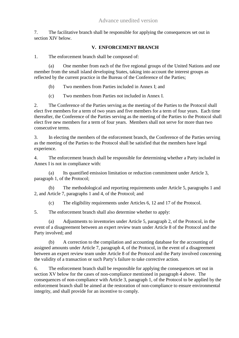7. The facilitative branch shall be responsible for applying the consequences set out in section XIV below.

#### **V. ENFORCEMENT BRANCH**

1. The enforcement branch shall be composed of:

(a) One member from each of the five regional groups of the United Nations and one member from the small island developing States, taking into account the interest groups as reflected by the current practice in the Bureau of the Conference of the Parties;

(b) Two members from Parties included in Annex I; and

(c) Two members from Parties not included in Annex I.

2. The Conference of the Parties serving as the meeting of the Parties to the Protocol shall elect five members for a term of two years and five members for a term of four years. Each time thereafter, the Conference of the Parties serving as the meeting of the Parties to the Protocol shall elect five new members for a term of four years. Members shall not serve for more than two consecutive terms.

3. In electing the members of the enforcement branch, the Conference of the Parties serving as the meeting of the Parties to the Protocol shall be satisfied that the members have legal experience.

4. The enforcement branch shall be responsible for determining whether a Party included in Annex I is not in compliance with:

(a) Its quantified emission limitation or reduction commitment under Article 3, paragraph 1, of the Protocol;

(b) The methodological and reporting requirements under Article 5, paragraphs 1 and 2, and Article 7, paragraphs 1 and 4, of the Protocol; and

(c) The eligibility requirements under Articles 6, 12 and 17 of the Protocol.

5. The enforcement branch shall also determine whether to apply:

(a) Adjustments to inventories under Article 5, paragraph 2, of the Protocol, in the event of a disagreement between an expert review team under Article 8 of the Protocol and the Party involved; and

(b) A correction to the compilation and accounting database for the accounting of assigned amounts under Article 7, paragraph 4, of the Protocol, in the event of a disagreement between an expert review team under Article 8 of the Protocol and the Party involved concerning the validity of a transaction or such Party's failure to take corrective action.

6. The enforcement branch shall be responsible for applying the consequences set out in section XV below for the cases of non-compliance mentioned in paragraph 4 above. The consequences of non-compliance with Article 3, paragraph 1, of the Protocol to be applied by the enforcement branch shall be aimed at the restoration of non-compliance to ensure environmental integrity, and shall provide for an incentive to comply.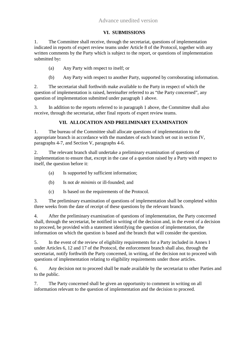#### **VI. SUBMISSIONS**

1. The Committee shall receive, through the secretariat, questions of implementation indicated in reports of expert review teams under Article 8 of the Protocol, together with any written comments by the Party which is subject to the report, or questions of implementation submitted by**:**

- (a) Any Party with respect to itself; or
- (b) Any Party with respect to another Party, supported by corroborating information.

2. The secretariat shall forthwith make available to the Party in respect of which the question of implementation is raised, hereinafter referred to as "the Party concerned", any question of implementation submitted under paragraph 1 above.

3. In addition to the reports referred to in paragraph 1 above, the Committee shall also receive, through the secretariat, other final reports of expert review teams.

## **VII. ALLOCATION AND PRELIMINARY EXAMINATION**

1. The bureau of the Committee shall allocate questions of implementation to the appropriate branch in accordance with the mandates of each branch set out in section IV, paragraphs 4-7, and Section V, paragraphs 4-6.

2. The relevant branch shall undertake a preliminary examination of questions of implementation to ensure that, except in the case of a question raised by a Party with respect to itself, the question before it:

- (a) Is supported by sufficient information;
- (b) Is not *de minimis* or ill-founded; and
- (c) Is based on the requirements of the Protocol.

3. The preliminary examination of questions of implementation shall be completed within three weeks from the date of receipt of these questions by the relevant branch.

4. After the preliminary examination of questions of implementation, the Party concerned shall, through the secretariat, be notified in writing of the decision and, in the event of a decision to proceed, be provided with a statement identifying the question of implementation, the information on which the question is based and the branch that will consider the question.

5. In the event of the review of eligibility requirements for a Party included in Annex I under Articles 6, 12 and 17 of the Protocol, the enforcement branch shall also, through the secretariat, notify forthwith the Party concerned, in writing, of the decision not to proceed with questions of implementation relating to eligibility requirements under those articles.

6. Any decision not to proceed shall be made available by the secretariat to other Parties and to the public.

7. The Party concerned shall be given an opportunity to comment in writing on all information relevant to the question of implementation and the decision to proceed.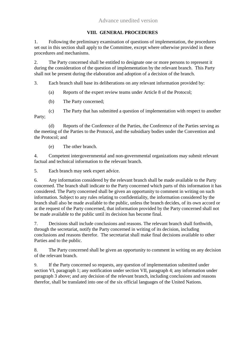### **VIII. GENERAL PROCEDURES**

1. Following the preliminary examination of questions of implementation, the procedures set out in this section shall apply to the Committee, except where otherwise provided in these procedures and mechanisms.

2. The Party concerned shall be entitled to designate one or more persons to represent it during the consideration of the question of implementation by the relevant branch. This Party shall not be present during the elaboration and adoption of a decision of the branch.

3. Each branch shall base its deliberations on any relevant information provided by:

- (a) Reports of the expert review teams under Article 8 of the Protocol;
- (b) The Party concerned;
- (c) The Party that has submitted a question of implementation with respect to another Party;

(d) Reports of the Conference of the Parties, the Conference of the Parties serving as the meeting of the Parties to the Protocol, and the subsidiary bodies under the Convention and the Protocol; and

(e) The other branch.

4. Competent intergovernmental and non-governmental organizations may submit relevant factual and technical information to the relevant branch.

5. Each branch may seek expert advice.

6. Any information considered by the relevant branch shall be made available to the Party concerned. The branch shall indicate to the Party concerned which parts of this information it has considered. The Party concerned shall be given an opportunity to comment in writing on such information. Subject to any rules relating to confidentiality, the information considered by the branch shall also be made available to the public, unless the branch decides, of its own accord or at the request of the Party concerned, that information provided by the Party concerned shall not be made available to the public until its decision has become final.

7. Decisions shall include conclusions and reasons. The relevant branch shall forthwith, through the secretariat, notify the Party concerned in writing of its decision, including conclusions and reasons therefor. The secretariat shall make final decisions available to other Parties and to the public.

8. The Party concerned shall be given an opportunity to comment in writing on any decision of the relevant branch.

9. If the Party concerned so requests, any question of implementation submitted under section VI, paragraph 1; any notification under section VII, paragraph 4; any information under paragraph 3 above; and any decision of the relevant branch, including conclusions and reasons therefor, shall be translated into one of the six official languages of the United Nations.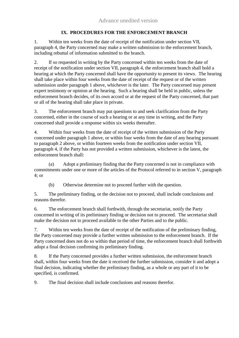### **IX. PROCEDURES FOR THE ENFORCEMENT BRANCH**

1. Within ten weeks from the date of receipt of the notification under section VII, paragraph 4, the Party concerned may make a written submission to the enforcement branch, including rebuttal of information submitted to the branch.

2. If so requested in writing by the Party concerned within ten weeks from the date of receipt of the notification under section VII, paragraph 4, the enforcement branch shall hold a hearing at which the Party concerned shall have the opportunity to present its views. The hearing shall take place within four weeks from the date of receipt of the request or of the written submission under paragraph 1 above, whichever is the later. The Party concerned may present expert testimony or opinion at the hearing. Such a hearing shall be held in public, unless the enforcement branch decides, of its own accord or at the request of the Party concerned, that part or all of the hearing shall take place in private.

3. The enforcement branch may put questions to and seek clarification from the Party concerned, either in the course of such a hearing or at any time in writing, and the Party concerned shall provide a response within six weeks thereafter.

4. Within four weeks from the date of receipt of the written submission of the Party concerned under paragraph 1 above, or within four weeks from the date of any hearing pursuant to paragraph 2 above, or within fourteen weeks from the notification under section VII, paragraph 4, if the Party has not provided a written submission, whichever is the latest, the enforcement branch shall:

(a) Adopt a preliminary finding that the Party concerned is not in compliance with commitments under one or more of the articles of the Protocol referred to in section V, paragraph 4; or

(b) Otherwise determine not to proceed further with the question.

5. The preliminary finding, or the decision not to proceed, shall include conclusions and reasons therefor.

6. The enforcement branch shall forthwith, through the secretariat, notify the Party concerned in writing of its preliminary finding or decision not to proceed. The secretariat shall make the decision not to proceed available to the other Parties and to the public.

7. Within ten weeks from the date of receipt of the notification of the preliminary finding, the Party concerned may provide a further written submission to the enforcement branch. If the Party concerned does not do so within that period of time, the enforcement branch shall forthwith adopt a final decision confirming its preliminary finding.

8. If the Party concerned provides a further written submission, the enforcement branch shall, within four weeks from the date it received the further submission, consider it and adopt a final decision, indicating whether the preliminary finding, as a whole or any part of it to be specified, is confirmed.

9. The final decision shall include conclusions and reasons therefor.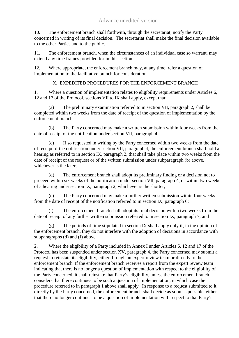10. The enforcement branch shall forthwith, through the secretariat, notify the Party concerned in writing of its final decision. The secretariat shall make the final decision available to the other Parties and to the public.

11. The enforcement branch, when the circumstances of an individual case so warrant, may extend any time frames provided for in this section.

12. Where appropriate, the enforcement branch may, at any time, refer a question of implementation to the facilitative branch for consideration.

X. EXPEDITED PROCEDURES FOR THE ENFORCEMENT BRANCH

1. Where a question of implementation relates to eligibility requirements under Articles 6, 12 and 17 of the Protocol, sections VII to IX shall apply, except that:

(a) The preliminary examination referred to in section VII, paragraph 2, shall be completed within two weeks from the date of receipt of the question of implementation by the enforcement branch;

(b) The Party concerned may make a written submission within four weeks from the date of receipt of the notification under section VII, paragraph 4;

(c) If so requested in writing by the Party concerned within two weeks from the date of receipt of the notification under section VII, paragraph 4, the enforcement branch shall hold a hearing as referred to in section IX, paragraph 2, that shall take place within two weeks from the date of receipt of the request or of the written submission under subparagraph (b) above, whichever is the later;

(d) The enforcement branch shall adopt its preliminary finding or a decision not to proceed within six weeks of the notification under section VII, paragraph 4, or within two weeks of a hearing under section IX, paragraph 2, whichever is the shorter;

(e) The Party concerned may make a further written submission within four weeks from the date of receipt of the notification referred to in section IX, paragraph 6;

(f) The enforcement branch shall adopt its final decision within two weeks from the date of receipt of any further written submission referred to in section IX, paragraph 7; and

(g) The periods of time stipulated in section IX shall apply only if, in the opinion of the enforcement branch, they do not interfere with the adoption of decisions in accordance with subparagraphs (d) and (f) above.

2. Where the eligibility of a Party included in Annex I under Articles 6, 12 and 17 of the Protocol has been suspended under section XV, paragraph 4, the Party concerned may submit a request to reinstate its eligibility, either through an expert review team or directly to the enforcement branch. If the enforcement branch receives a report from the expert review team indicating that there is no longer a question of implementation with respect to the eligibility of the Party concerned, it shall reinstate that Party's eligibility, unless the enforcement branch considers that there continues to be such a question of implementation, in which case the procedure referred to in paragraph 1 above shall apply. In response to a request submitted to it directly by the Party concerned, the enforcement branch shall decide as soon as possible, either that there no longer continues to be a question of implementation with respect to that Party's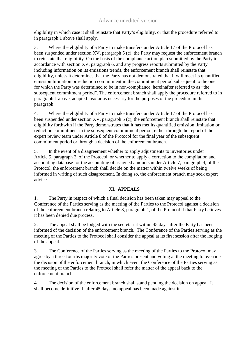eligibility in which case it shall reinstate that Party's eligibility, or that the procedure referred to in paragraph 1 above shall apply.

3. Where the eligibility of a Party to make transfers under Article 17 of the Protocol has been suspended under section XV, paragraph 5 (c), the Party may request the enforcement branch to reinstate that eligibility. On the basis of the compliance action plan submitted by the Party in accordance with section XV, paragraph 6, and any progress reports submitted by the Party including information on its emissions trends, the enforcement branch shall reinstate that eligibility, unless it determines that the Party has not demonstrated that it will meet its quantified emission limitation or reduction commitment in the commitment period subsequent to the one for which the Party was determined to be in non-compliance, hereinafter referred to as "the subsequent commitment period". The enforcement branch shall apply the procedure referred to in paragraph 1 above, adapted insofar as necessary for the purposes of the procedure in this paragraph.

4. Where the eligibility of a Party to make transfers under Article 17 of the Protocol has been suspended under section XV, paragraph 5 (c), the enforcement branch shall reinstate that eligibility forthwith if the Party demonstrates that it has met its quantified emission limitation or reduction commitment in the subsequent commitment period, either through the report of the expert review team under Article 8 of the Protocol for the final year of the subsequent commitment period or through a decision of the enforcement branch.

5. In the event of a disagreement whether to apply adjustments to inventories under Article 5, paragraph 2, of the Protocol, or whether to apply a correction to the compilation and accounting database for the accounting of assigned amounts under Article 7, paragraph 4, of the Protocol, the enforcement branch shall decide on the matter within twelve weeks of being informed in writing of such disagreement. In doing so, the enforcement branch may seek expert advice.

### **XI. APPEALS**

1. The Party in respect of which a final decision has been taken may appeal to the Conference of the Parties serving as the meeting of the Parties to the Protocol against a decision of the enforcement branch relating to Article 3, paragraph 1, of the Protocol if that Party believes it has been denied due process.

2. The appeal shall be lodged with the secretariat within 45 days after the Party has been informed of the decision of the enforcement branch. The Conference of the Parties serving as the meeting of the Parties to the Protocol shall consider the appeal at its first session after the lodging of the appeal.

3. The Conference of the Parties serving as the meeting of the Parties to the Protocol may agree by a three-fourths majority vote of the Parties present and voting at the meeting to override the decision of the enforcement branch, in which event the Conference of the Parties serving as the meeting of the Parties to the Protocol shall refer the matter of the appeal back to the enforcement branch.

4. The decision of the enforcement branch shall stand pending the decision on appeal. It shall become definitive if, after 45 days, no appeal has been made against it.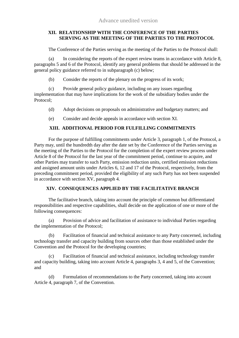#### **XII. RELATIONSHIP WITH THE CONFERENCE OF THE PARTIES SERVING AS THE MEETING OF THE PARTIES TO THE PROTOCOL**

The Conference of the Parties serving as the meeting of the Parties to the Protocol shall:

(a) In considering the reports of the expert review teams in accordance with Article 8, paragraphs 5 and 6 of the Protocol, identify any general problems that should be addressed in the general policy guidance referred to in subparagraph (c) below;

(b) Consider the reports of the plenary on the progress of its work;

(c) Provide general policy guidance, including on any issues regarding implementation that may have implications for the work of the subsidiary bodies under the Protocol;

- (d) Adopt decisions on proposals on administrative and budgetary matters; and
- (e) Consider and decide appeals in accordance with section XI.

### **XIII. ADDITIONAL PERIOD FOR FULFILLING COMMITMENTS**

For the purpose of fulfilling commitments under Article 3, paragraph 1, of the Protocol, a Party may, until the hundredth day after the date set by the Conference of the Parties serving as the meeting of the Parties to the Protocol for the completion of the expert review process under Article 8 of the Protocol for the last year of the commitment period, continue to acquire, and other Parties may transfer to such Party, emission reduction units, certified emission reductions and assigned amount units under Articles 6, 12 and 17 of the Protocol, respectively, from the preceding commitment period, provided the eligibility of any such Party has not been suspended in accordance with section XV, paragraph 4.

### **XIV. CONSEQUENCES APPLIED BY THE FACILITATIVE BRANCH**

The facilitative branch, taking into account the principle of common but differentiated responsibilities and respective capabilities, shall decide on the application of one or more of the following consequences:

(a) Provision of advice and facilitation of assistance to individual Parties regarding the implementation of the Protocol;

(b) Facilitation of financial and technical assistance to any Party concerned, including technology transfer and capacity building from sources other than those established under the Convention and the Protocol for the developing countries;

(c) Facilitation of financial and technical assistance, including technology transfer and capacity building, taking into account Article 4, paragraphs 3, 4 and 5, of the Convention; and

(d) Formulation of recommendations to the Party concerned, taking into account Article 4, paragraph 7, of the Convention.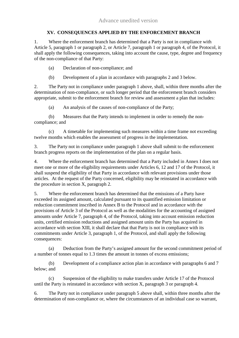### **XV. CONSEQUENCES APPLIED BY THE ENFORCEMENT BRANCH**

1. Where the enforcement branch has determined that a Party is not in compliance with Article 5, paragraph 1 or paragraph 2, or Article 7, paragraph 1 or paragraph 4, of the Protocol, it shall apply the following consequences, taking into account the cause, type, degree and frequency of the non-compliance of that Party:

(a) Declaration of non-compliance; and

(b) Development of a plan in accordance with paragraphs 2 and 3 below.

2. The Party not in compliance under paragraph 1 above, shall, within three months after the determination of non-compliance, or such longer period that the enforcement branch considers appropriate, submit to the enforcement branch for review and assessment a plan that includes:

(a) An analysis of the causes of non-compliance of the Party;

(b) Measures that the Party intends to implement in order to remedy the noncompliance; and

(c) A timetable for implementing such measures within a time frame not exceeding twelve months which enables the assessment of progress in the implementation.

3. The Party not in compliance under paragraph 1 above shall submit to the enforcement branch progress reports on the implementation of the plan on a regular basis.

4. Where the enforcement branch has determined that a Party included in Annex I does not meet one or more of the eligibility requirements under Articles 6, 12 and 17 of the Protocol, it shall suspend the eligibility of that Party in accordance with relevant provisions under those articles. At the request of the Party concerned, eligibility may be reinstated in accordance with the procedure in section X, paragraph 2.

5. Where the enforcement branch has determined that the emissions of a Party have exceeded its assigned amount, calculated pursuant to its quantified emission limitation or reduction commitment inscribed in Annex B to the Protocol and in accordance with the provisions of Article 3 of the Protocol as well as the modalities for the accounting of assigned amounts under Article 7, paragraph 4, of the Protocol, taking into account emission reduction units, certified emission reductions and assigned amount units the Party has acquired in accordance with section XIII, it shall declare that that Party is not in compliance with its commitments under Article 3, paragraph 1, of the Protocol, and shall apply the following consequences:

(a) Deduction from the Party's assigned amount for the second commitment period of a number of tonnes equal to 1.3 times the amount in tonnes of excess emissions;

(b) Development of a compliance action plan in accordance with paragraphs 6 and 7 below; and

(c) Suspension of the eligibility to make transfers under Article 17 of the Protocol until the Party is reinstated in accordance with section X, paragraph 3 or paragraph 4.

6. The Party not in compliance under paragraph 5 above shall, within three months after the determination of non-compliance or, where the circumstances of an individual case so warrant,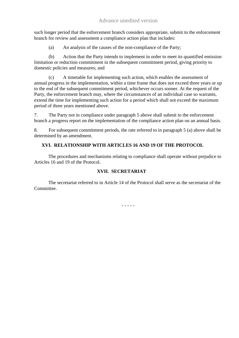such longer period that the enforcement branch considers appropriate, submit to the enforcement branch for review and assessment a compliance action plan that includes:

(a) An analysis of the causes of the non-compliance of the Party;

(b) Action that the Party intends to implement in order to meet its quantified emission limitation or reduction commitment in the subsequent commitment period, giving priority to domestic policies and measures; and

(c) A timetable for implementing such action, which enables the assessment of annual progress in the implementation, within a time frame that does not exceed three years or up to the end of the subsequent commitment period, whichever occurs sooner. At the request of the Party, the enforcement branch may, where the circumstances of an individual case so warrants, extend the time for implementing such action for a period which shall not exceed the maximum period of three years mentioned above.

7. The Party not in compliance under paragraph 5 above shall submit to the enforcement branch a progress report on the implementation of the compliance action plan on an annual basis.

8. For subsequent commitment periods, the rate referred to in paragraph 5 (a) above shall be determined by an amendment.

## **XVI. RELATIONSHIP WITH ARTICLES 16 AND 19 OF THE PROTOCOL**

The procedures and mechanisms relating to compliance shall operate without prejudice to Articles 16 and 19 of the Protocol.

### **XVII. SECRETARIAT**

The secretariat referred to in Article 14 of the Protocol shall serve as the secretariat of the Committee.

- - - - -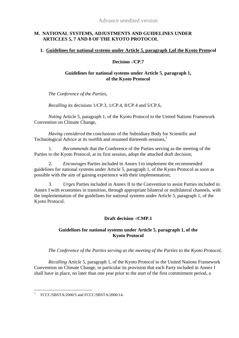Advance unedited version

#### **M. NATIONAL SYSTEMS, ADJUSTMENTS AND GUIDELINES UNDER ARTICLES 5, 7 AND 8 OF THE KYOTO PROTOCOL**

#### **1. Guidelines for national systems under Article 5, paragraph 1,of the Kyoto Protocol**

#### **Decision -/CP.7**

#### **Guidelines for national systems under Article 5**, **paragraph 1, of the Kyoto Protocol**

*The Conference of the Parties,*

*Recalling* its decisions 1/CP.3, 1/CP.4, 8/CP.4 and 5/CP.6,

*Noting* Article 5, paragraph 1, of the Kyoto Protocol to the United Nations Framework Convention on Climate Change,

*Having considered* the conclusions of the Subsidiary Body for Scientific and Technological Advice at its twelfth and resumed thirteenth sessions,<sup>1</sup>

1. *Recommends* that the Conference of the Parties serving as the meeting of the Parties to the Kyoto Protocol, at its first session, adopt the attached draft decision;

2. *Encourages* Parties included in Annex I to implement the recommended guidelines for national systems under Article 5, paragraph 1, of the Kyoto Protocol as soon as possible with the aim of gaining experience with their implementation;

3. *Urges* Parties included in Annex II to the Convention to assist Parties included in Annex I with economies in transition, through appropriate bilateral or multilateral channels, with the implementation of the guidelines for national systems under Article 5, paragraph 1, of the Kyoto Protocol.

### **Draft decision -/CMP.1**

### **Guidelines for national systems under Article 5**, **paragraph 1, of the Kyoto Protocol**

*The Conference of the Parties serving as the meeting of the Parties to the Kyoto Protocol,*

*Recalling* Article 5, paragraph 1, of the Kyoto Protocol to the United Nations Framework Convention on Climate Change, in particular its provision that each Party included in Annex I shall have in place, no later than one year prior to the start of the first commitment period, a

<sup>|&</sup>lt;br>|<br>| FCCC/SBSTA/2000/5 and FCCC/SBSTA/2000/14.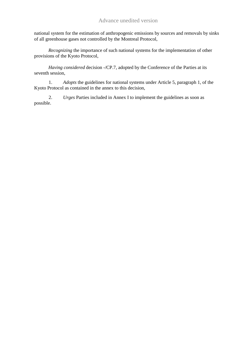# Advance unedited version

national system for the estimation of anthropogenic emissions by sources and removals by sinks of all greenhouse gases not controlled by the Montreal Protocol,

*Recognizing* the importance of such national systems for the implementation of other provisions of the Kyoto Protocol,

*Having considered* decision -/CP.7, adopted by the Conference of the Parties at its seventh session,

1. *Adopts* the guidelines for national systems under Article 5, paragraph 1, of the Kyoto Protocol as contained in the annex to this decision,

2. *Urges* Parties included in Annex I to implement the guidelines as soon as possible.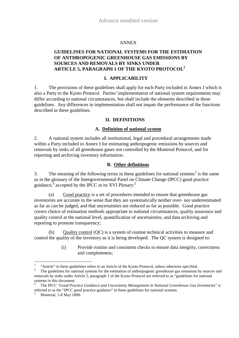#### ANNEX

#### **GUIDELINES FOR NATIONAL SYSTEMS FOR THE ESTIMATION OF ANTHROPOGENIC GREENHOUSE GAS EMISSIONS BY SOURCES AND REMOVALS BY SINKS UNDER ARTICLE 5, PARAGRAPH 1 OF THE KYOTO PROTOCOL<sup>2</sup>**

#### **I. APPLICABILITY**

1. The provisions of these guidelines shall apply for each Party included in Annex I which is also a Party to the Kyoto Protocol. Parties' implementation of national system requirements may differ according to national circumstances, but shall include the elements described in these guidelines. Any differences in implementation shall not impair the performance of the functions described in these guidelines.

#### **II. DEFINITIONS**

#### **A. Definition of national system**

2. A national system includes all institutional, legal and procedural arrangements made within a Party included in Annex I for estimating anthropogenic emissions by sources and removals by sinks of all greenhouse gases not controlled by the Montreal Protocol, and for reporting and archiving inventory information.

#### **B. Other definitions**

3. The meaning of the following terms in these guidelines for national systems<sup>3</sup> is the same as in the glossary of the Intergovernmental Panel on Climate Change (IPCC) good practice guidance,<sup>4</sup> accepted by the IPCC at its XVI Plenary:<sup>5</sup>

(a) Good practice is a set of procedures intended to ensure that greenhouse gas inventories are accurate in the sense that they are systematically neither over- nor underestimated as far as can be judged, and that uncertainties are reduced as far as possible. Good practice covers choice of estimation methods appropriate to national circumstances, quality assurance and quality control at the national level, quantification of uncertainties, and data archiving and reporting to promote transparency;

(b) Quality control (QC) is a system of routine technical activities to measure and control the quality of the inventory as it is being developed. The QC system is designed to:

> (i) Provide routine and consistent checks to ensure data integrity, correctness and completeness;

 $\overline{a}$ 

<sup>2</sup> "Article" in these guidelines refers to an Article of the Kyoto Protocol, unless otherwise specified. <sup>3</sup>

The guidelines for national systems for the estimation of anthropogenic greenhouse gas emissions by sources and removals by sinks under Article 5, paragraph 1 of the Kyoto Protocol are referred to as "guidelines for national systems in this document.

<sup>4</sup> The IPCC "*Good Practice Guidance and Uncertainty Management in National Greenhouse Gas Inventories*" is referred to as the "IPCC good practice guidance" in these guidelines for national systems.

Montreal, 1-8 May 2000.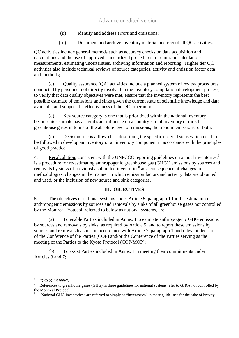# Advance unedited version

- (ii) Identify and address errors and omissions;
- (iii) Document and archive inventory material and record all QC activities.

QC activities include general methods such as accuracy checks on data acquisition and calculations and the use of approved standardized procedures for emission calculations, measurements, estimating uncertainties, archiving information and reporting. Higher tier QC activities also include technical reviews of source categories, activity and emission factor data and methods:

(c) Quality assurance (QA) activities include a planned system of review procedures conducted by personnel not directly involved in the inventory compilation development process, to verify that data quality objectives were met, ensure that the inventory represents the best possible estimate of emissions and sinks given the current state of scientific knowledge and data available, and support the effectiveness of the QC programme;

(d) Key source category is one that is prioritized within the national inventory because its estimate has a significant influence on a country's total inventory of direct greenhouse gases in terms of the absolute level of emissions, the trend in emissions, or both;

(e) Decision tree is a flow-chart describing the specific ordered steps which need to be followed to develop an inventory or an inventory component in accordance with the principles of good practice.

4. Recalculation, consistent with the UNFCCC reporting guidelines on annual inventories,<sup>6</sup> is a procedure for re-estimating anthropogenic greenhouse gas  $(GHG)^7$  emissions by sources and removals by sinks of previously submitted inventories<sup>8</sup> as a consequence of changes in methodologies, changes in the manner in which emission factors and activity data are obtained and used, or the inclusion of new source and sink categories.

#### **III. OBJECTIVES**

5. The objectives of national systems under Article 5, paragraph 1 for the estimation of anthropogenic emissions by sources and removals by sinks of all greenhouse gases not controlled by the Montreal Protocol, referred to below as national systems, are:

(a) To enable Parties included in Annex I to estimate anthropogenic GHG emissions by sources and removals by sinks, as required by Article 5, and to report these emissions by sources and removals by sinks in accordance with Article 7, paragraph 1 and relevant decisions of the Conference of the Parties (COP) and/or the Conference of the Parties serving as the meeting of the Parties to the Kyoto Protocol (COP/MOP);

(b) To assist Parties included in Annex I in meeting their commitments under Articles 3 and 7;

 $\overline{a}$ 

<sup>6</sup> FCCC/CP/1999/7.

<sup>7</sup> References to greenhouse gases (GHG) in these guidelines for national systems refer to GHGs not controlled by the Montreal Protocol.

<sup>&</sup>lt;sup>8</sup> "National GHG inventories" are referred to simply as "inventories" in these guidelines for the sake of brevity.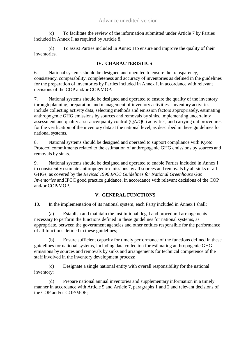(c) To facilitate the review of the information submitted under Article 7 by Parties included in Annex I, as required by Article 8;

(d) To assist Parties included in Annex I to ensure and improve the quality of their inventories.

# **IV. CHARACTERISTICS**

6. National systems should be designed and operated to ensure the transparency, consistency, comparability, completeness and accuracy of inventories as defined in the guidelines for the preparation of inventories by Parties included in Annex I, in accordance with relevant decisions of the COP and/or COP/MOP.

7. National systems should be designed and operated to ensure the quality of the inventory through planning, preparation and management of inventory activities. Inventory activities include collecting activity data, selecting methods and emission factors appropriately, estimating anthropogenic GHG emissions by sources and removals by sinks, implementing uncertainty assessment and quality assurance/quality control (QA/QC) activities, and carrying out procedures for the verification of the inventory data at the national level, as described in these guidelines for national systems.

8. National systems should be designed and operated to support compliance with Kyoto Protocol commitments related to the estimation of anthropogenic GHG emissions by sources and removals by sinks.

9. National systems should be designed and operated to enable Parties included in Annex I to consistently estimate anthropogenic emissions by all sources and removals by all sinks of all GHGs, as covered by the *Revised 1996 IPCC Guidelines for National Greenhouse Gas Inventories* and IPCC good practice guidance, in accordance with relevant decisions of the COP and/or COP/MOP.

# **V. GENERAL FUNCTIONS**

10. In the implementation of its national system, each Party included in Annex I shall:

(a) Establish and maintain the institutional, legal and procedural arrangements necessary to perform the functions defined in these guidelines for national systems, as appropriate, between the government agencies and other entities responsible for the performance of all functions defined in these guidelines;

(b) Ensure sufficient capacity for timely performance of the functions defined in these guidelines for national systems, including data collection for estimating anthropogenic GHG emissions by sources and removals by sinks and arrangements for technical competence of the staff involved in the inventory development process;

(c) Designate a single national entity with overall responsibility for the national inventory;

(d) Prepare national annual inventories and supplementary information in a timely manner in accordance with Article 5 and Article 7, paragraphs 1 and 2 and relevant decisions of the COP and/or COP/MOP;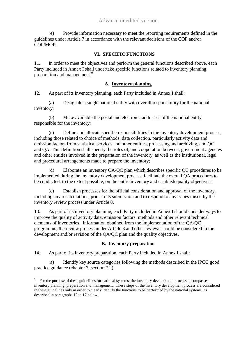(e) Provide information necessary to meet the reporting requirements defined in the guidelines under Article 7 in accordance with the relevant decisions of the COP and/or COP/MOP.

### **VI. SPECIFIC FUNCTIONS**

11. In order to meet the objectives and perform the general functions described above, each Party included in Annex I shall undertake specific functions related to inventory planning, preparation and management.<sup>9</sup>

### **A. Inventory planning**

12. As part of its inventory planning, each Party included in Annex I shall:

(a) Designate a single national entity with overall responsibility for the national inventory;

(b) Make available the postal and electronic addresses of the national entity responsible for the inventory;

(c) Define and allocate specific responsibilities in the inventory development process, including those related to choice of methods, data collection, particularly activity data and emission factors from statistical services and other entities, processing and archiving, and QC and QA. This definition shall specify the roles of, and cooperation between, government agencies and other entities involved in the preparation of the inventory, as well as the institutional, legal and procedural arrangements made to prepare the inventory;

(d) Elaborate an inventory QA/QC plan which describes specific QC procedures to be implemented during the inventory development process, facilitate the overall QA procedures to be conducted, to the extent possible, on the entire inventory and establish quality objectives;

(e) Establish processes for the official consideration and approval of the inventory, including any recalculations, prior to its submission and to respond to any issues raised by the inventory review process under Article 8.

13. As part of its inventory planning, each Party included in Annex I should consider ways to improve the quality of activity data, emission factors, methods and other relevant technical elements of inventories. Information obtained from the implementation of the QA/QC programme, the review process under Article 8 and other reviews should be considered in the development and/or revision of the QA/QC plan and the quality objectives.

#### **B. Inventory preparation**

14. As part of its inventory preparation, each Party included in Annex I shall:

 $\overline{a}$ 

(a) Identify key source categories following the methods described in the IPCC good practice guidance (chapter 7, section 7.2);

<sup>9</sup> For the purpose of these guidelines for national systems, the inventory development process encompasses inventory planning, preparation and management. These steps of the inventory development process are considered in these guidelines only in order to clearly identify the functions to be performed by the national systems, as described in paragraphs 12 to 17 below.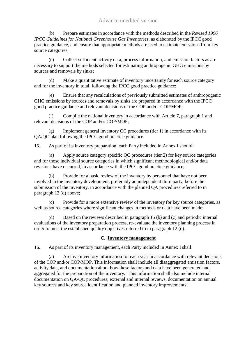(b) Prepare estimates in accordance with the methods described in the *Revised 1996 IPCC Guidelines for National Greenhouse Gas Inventories*, as elaborated by the IPCC good practice guidance, and ensure that appropriate methods are used to estimate emissions from key source categories;

(c) Collect sufficient activity data, process information, and emission factors as are necessary to support the methods selected for estimating anthropogenic GHG emissions by sources and removals by sinks;

(d) Make a quantitative estimate of inventory uncertainty for each source category and for the inventory in total, following the IPCC good practice guidance;

(e) Ensure that any recalculations of previously submitted estimates of anthropogenic GHG emissions by sources and removals by sinks are prepared in accordance with the IPCC good practice guidance and relevant decisions of the COP and/or COP/MOP;

Compile the national inventory in accordance with Article 7, paragraph 1 and relevant decisions of the COP and/or COP/MOP;

(g) Implement general inventory QC procedures (tier 1) in accordance with its QA/QC plan following the IPCC good practice guidance.

15. As part of its inventory preparation, each Party included in Annex I should:

(a) Apply source category specific QC procedures (tier 2) for key source categories and for those individual source categories in which significant methodological and/or data revisions have occurred, in accordance with the IPCC good practice guidance;

(b) Provide for a basic review of the inventory by personnel that have not been involved in the inventory development, preferably an independent third party, before the submission of the inventory, in accordance with the planned QA procedures referred to in paragraph 12 (d) above;

(c) Provide for a more extensive review of the inventory for key source categories, as well as source categories where significant changes in methods or data have been made;

(d) Based on the reviews described in paragraph 15 (b) and (c) and periodic internal evaluations of the inventory preparation process, re-evaluate the inventory planning process in order to meet the established quality objectives referred to in paragraph 12 (d).

### **C. Inventory management**

16. As part of its inventory management, each Party included in Annex I shall:

(a) Archive inventory information for each year in accordance with relevant decisions of the COP and/or COP/MOP. This information shall include all disaggregated emission factors, activity data, and documentation about how these factors and data have been generated and aggregated for the preparation of the inventory. This information shall also include internal documentation on QA/QC procedures, external and internal reviews, documentation on annual key sources and key source identification and planned inventory improvements;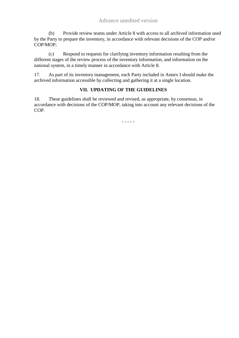(b) Provide review teams under Article 8 with access to all archived information used by the Party to prepare the inventory, in accordance with relevant decisions of the COP and/or COP/MOP;

(c) Respond to requests for clarifying inventory information resulting from the different stages of the review process of the inventory information, and information on the national system, in a timely manner in accordance with Article 8.

17. As part of its inventory management, each Party included in Annex I should make the archived information accessible by collecting and gathering it at a single location.

### **VII. UPDATING OF THE GUIDELINES**

18. These guidelines shall be reviewed and revised, as appropriate, by consensus, in accordance with decisions of the COP/MOP, taking into account any relevant decisions of the COP.

- - - - -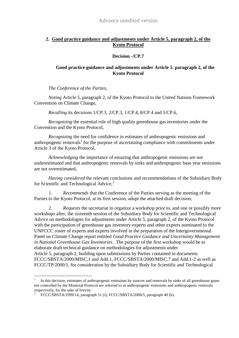#### **2. Good practice guidance and adjustments under Article 5, paragraph 2, of the Kyoto Protocol**

#### **Decision -/CP.7**

#### **Good practice guidance and adjustments under Article 5**, **paragraph 2, of the Kyoto Protocol**

*The Conference of the Parties,*

*Noting* Article 5, paragraph 2, of the Kyoto Protocol to the United Nations Framework Convention on Climate Change,

*Recalling* its decisions 1/CP.3, 2/CP.3, 1/CP.4, 8/CP.4 and 5/CP.6,

*Recognizing* the essential role of high quality greenhouse gas inventories under the Convention and the Kyoto Protocol,

*Recognizing* the need for confidence in estimates of anthropogenic emissions and anthropogenic removals<sup>1</sup> for the purpose of ascertaining compliance with commitments under Article 3 of the Kyoto Protocol,

*Acknowledging* the importance of ensuring that anthropogenic emissions are not underestimated and that anthropogenic removals by sinks and anthropogenic base year emissions are not overestimated,

*Having considered* the relevant conclusions and recommendations of the Subsidiary Body for Scientific and Technological Advice, $2$ 

1. *Recommends* that the Conference of the Parties serving as the meeting of the Parties to the Kyoto Protocol, at its first session, adopt the attached draft decision;

2. *Requests* the secretariat to organize a workshop prior to, and one or possibly more workshops after, the sixteenth session of the Subsidiary Body for Scientific and Technological Advice on methodologies for adjustments under Article 5, paragraph 2, of the Kyoto Protocol with the participation of greenhouse gas inventory experts and other experts nominated to the UNFCCC roster of experts and experts involved in the preparation of the Intergovernmental Panel on Climate Change report entitled *Good Practice Guidance and Uncertainty Management in National Greenhouse Gas Inventories*. The purpose of the first workshop would be to elaborate draft technical guidance on methodologies for adjustments under Article 5, paragraph 2, building upon submissions by Parties contained in documents FCCC/SBSTA/2000/MISC.1 and Add.1, FCCC/SBSTA/2000/MISC.7 and Add.1-2 as well as FCCC/TP/2000/1, for consideration by the Subsidiary Body for Scientific and Technological

 $\overline{a}$ 

<sup>1</sup> In this decision, estimates of anthropogenic emissions by sources and removals by sinks of all greenhouse gases not controlled by the Montreal Protocol are referred to as anthropogenic emissions and anthropogenic removals respectively, for the sake of brevity. 2

FCCC/SBSTA/1999/14, paragraph 51 (i); FCCC/SBSTA/2000/5, paragraph 40 (b).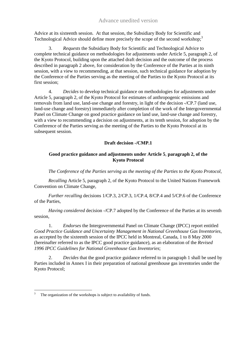Advice at its sixteenth session. At that session, the Subsidiary Body for Scientific and Technological Advice should define more precisely the scope of the second workshop;<sup>3</sup>

3. *Requests* the Subsidiary Body for Scientific and Technological Advice to complete technical guidance on methodologies for adjustments under Article 5, paragraph 2, of the Kyoto Protocol, building upon the attached draft decision and the outcome of the process described in paragraph 2 above, for consideration by the Conference of the Parties at its ninth session, with a view to recommending, at that session, such technical guidance for adoption by the Conference of the Parties serving as the meeting of the Parties to the Kyoto Protocol at its first session:

4. *Decides* to develop technical guidance on methodologies for adjustments under Article 5, paragraph 2, of the Kyoto Protocol for estimates of anthropogenic emissions and removals from land use, land-use change and forestry, in light of the decision -/CP.7 (land use, land-use change and forestry) immediately after completion of the work of the Intergovernmental Panel on Climate Change on good practice guidance on land use, land-use change and forestry, with a view to recommending a decision on adjustments, at its tenth session, for adoption by the Conference of the Parties serving as the meeting of the Parties to the Kyoto Protocol at its subsequent session.

## **Draft decision -/CMP.1**

#### **Good practice guidance and adjustments under Article 5**, **paragraph 2, of the Kyoto Protocol**

*The Conference of the Parties serving as the meeting of the Parties to the Kyoto Protocol,*

*Recalling* Article 5, paragraph 2, of the Kyoto Protocol to the United Nations Framework Convention on Climate Change,

*Further recalling* decisions 1/CP.3, 2/CP.3, 1/CP.4, 8/CP.4 and 5/CP.6 of the Conference of the Parties,

*Having considered* decision -/CP.7 adopted by the Conference of the Parties at its seventh session,

1. *Endorses* the Intergovernmental Panel on Climate Change (IPCC) report entitled *Good Practice Guidance and Uncertainty Management in National Greenhouse Gas Inventories*, as accepted by the sixteenth session of the IPCC held in Montreal, Canada, 1 to 8 May 2000 (hereinafter referred to as the IPCC good practice guidance), as an elaboration of the *Revised 1996 IPCC Guidelines for National Greenhouse Gas Inventories*;

2. *Decides* that the good practice guidance referred to in paragraph 1 shall be used by Parties included in Annex I in their preparation of national greenhouse gas inventories under the Kyoto Protocol;

<sup>&</sup>lt;sup>2</sup><br>3 The organization of the workshops is subject to availability of funds.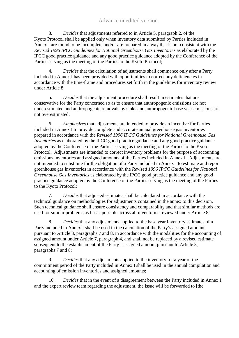3. *Decides* that adjustments referred to in Article 5, paragraph 2, of the Kyoto Protocol shall be applied only when inventory data submitted by Parties included in Annex I are found to be incomplete and/or are prepared in a way that is not consistent with the *Revised 1996 IPCC Guidelines for National Greenhouse Gas Inventories* as elaborated by the IPCC good practice guidance and any good practice guidance adopted by the Conference of the Parties serving as the meeting of the Parties to the Kyoto Protocol;

4. *Decides* that the calculation of adjustments shall commence only after a Party included in Annex I has been provided with opportunities to correct any deficiencies in accordance with the time-frame and procedures set forth in the guidelines for inventory review under Article 8;

5. *Decides* that the adjustment procedure shall result in estimates that are conservative for the Party concerned so as to ensure that anthropogenic emissions are not underestimated and anthropogenic removals by sinks and anthropogenic base year emissions are not overestimated;

6. *Emphasizes* that adjustments are intended to provide an incentive for Parties included in Annex I to provide complete and accurate annual greenhouse gas inventories prepared in accordance with the *Revised 1996 IPCC Guidelines for National Greenhouse Gas Inventories* as elaborated by the IPCC good practice guidance and any good practice guidance adopted by the Conference of the Parties serving as the meeting of the Parties to the Kyoto Protocol. Adjustments are intended to correct inventory problems for the purpose of accounting emissions inventories and assigned amounts of the Parties included in Annex I. Adjustments are not intended to substitute for the obligation of a Party included in Annex I to estimate and report greenhouse gas inventories in accordance with the *Revised 1996 IPCC Guidelines for National Greenhouse Gas Inventories* as elaborated by the IPCC good practice guidance and any good practice guidance adopted by the Conference of the Parties serving as the meeting of the Parties to the Kyoto Protocol;

7. *Decides* that adjusted estimates shall be calculated in accordance with the technical guidance on methodologies for adjustments contained in the annex to this decision. Such technical guidance shall ensure consistency and comparability and that similar methods are used for similar problems as far as possible across all inventories reviewed under Article 8;

8. *Decides* that any adjustments applied to the base year inventory estimates of a Party included in Annex I shall be used in the calculation of the Party's assigned amount pursuant to Article 3, paragraphs 7 and 8, in accordance with the modalities for the accounting of assigned amount under Article 7, paragraph 4, and shall not be replaced by a revised estimate subsequent to the establishment of the Party's assigned amount pursuant to Article 3, paragraphs 7 and 8;

9. *Decides* that any adjustments applied to the inventory for a year of the commitment period of the Party included in Annex I shall be used in the annual compilation and accounting of emission inventories and assigned amounts;

10. *Decides* that in the event of a disagreement between the Party included in Annex I and the expert review team regarding the adjustment, the issue will be forwarded to [the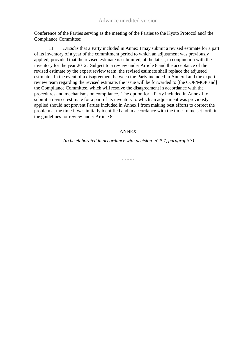Conference of the Parties serving as the meeting of the Parties to the Kyoto Protocol and] the Compliance Committee;

11. *Decides* that a Party included in Annex I may submit a revised estimate for a part of its inventory of a year of the commitment period to which an adjustment was previously applied, provided that the revised estimate is submitted, at the latest, in conjunction with the inventory for the year 2012. Subject to a review under Article 8 and the acceptance of the revised estimate by the expert review team, the revised estimate shall replace the adjusted estimate. In the event of a disagreement between the Party included in Annex I and the expert review team regarding the revised estimate, the issue will be forwarded to [the COP/MOP and] the Compliance Committee, which will resolve the disagreement in accordance with the procedures and mechanisms on compliance. The option for a Party included in Annex I to submit a revised estimate for a part of its inventory to which an adjustment was previously applied should not prevent Parties included in Annex I from making best efforts to correct the problem at the time it was initially identified and in accordance with the time-frame set forth in the guidelines for review under Article 8.

#### ANNEX

 *(to be elaborated in accordance with decision -/CP.7, paragraph 3)*

- - - - -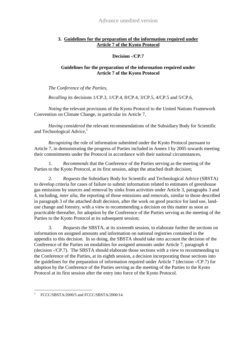#### **3. Guidelines for the preparation of the information required under Article 7 of the Kyoto Protocol**

#### **Decision -/CP.7**

#### **Guidelines for the preparation of the information required under Article 7 of the Kyoto Protocol**

*The Conference of the Parties,*

*Recalling* its decisions 1/CP.3, 1/CP.4, 8/CP.4, 3/CP.5, 4/CP.5 and 5/CP.6,

*Noting* the relevant provisions of the Kyoto Protocol to the United Nations Framework Convention on Climate Change, in particular its Article 7,

*Having considered* the relevant recommendations of the Subsidiary Body for Scientific and Technological Advice, $<sup>1</sup>$ </sup>

*Recognizing* the role of information submitted under the Kyoto Protocol pursuant to Article 7, in demonstrating the progress of Parties included in Annex I by 2005 towards meeting their commitments under the Protocol in accordance with their national circumstances,

1. *Recommends* that the Conference of the Parties serving as the meeting of the Parties to the Kyoto Protocol, at its first session, adopt the attached draft decision;

2. *Requests* the Subsidiary Body for Scientific and Technological Advice (SBSTA) to develop criteria for cases of failure to submit information related to estimates of greenhouse gas emissions by sources and removal by sinks from activities under Article 3, paragraphs 3 and 4, including, *inter alia*, the reporting of those emissions and removals, similar to those described in paragraph 3 of the attached draft decision, after the work on good practice for land use, landuse change and forestry, with a view to recommending a decision on this matter as soon as practicable thereafter, for adoption by the Conference of the Parties serving as the meeting of the Parties to the Kyoto Protocol at its subsequent session;

3. *Requests* the SBSTA, at its sixteenth session, to elaborate further the sections on information on assigned amounts and information on national registries contained in the appendix to this decision. In so doing, the SBSTA should take into account the decision of the Conference of the Parties on modalities for assigned amounts under Article 7, paragraph 4 (decision -/CP.7). The SBSTA should elaborate those sections with a view to recommending to the Conference of the Parties, at its eighth session, a decision incorporating those sections into the guidelines for the preparation of information required under Article 7 (decision -/CP.7) for adoption by the Conference of the Parties serving as the meeting of the Parties to the Kyoto Protocol at its first session after the entry into force of the Kyoto Protocol.

<sup>|&</sup>lt;br>|<br>| FCCC/SBSTA/2000/5 and FCCC/SBSTA/2000/14.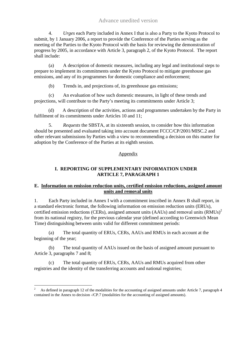4. *Urges* each Party included in Annex I that is also a Party to the Kyoto Protocol to submit, by 1 January 2006, a report to provide the Conference of the Parties serving as the meeting of the Parties to the Kyoto Protocol with the basis for reviewing the demonstration of progress by 2005, in accordance with Article 3, paragraph 2, of the Kyoto Protocol. The report shall include:

(a) A description of domestic measures, including any legal and institutional steps to prepare to implement its commitments under the Kyoto Protocol to mitigate greenhouse gas emissions, and any of its programmes for domestic compliance and enforcement;

(b) Trends in, and projections of, its greenhouse gas emissions;

(c) An evaluation of how such domestic measures, in light of these trends and projections, will contribute to the Party's meeting its commitments under Article 3;

(d) A description of the activities, actions and programmes undertaken by the Party in fulfilment of its commitments under Articles 10 and 11;

5. *Requests* the SBSTA, at its sixteenth session, to consider how this information should be presented and evaluated taking into account document FCCC/CP/2001/MISC.2 and other relevant submissions by Parties with a view to recommending a decision on this matter for adoption by the Conference of the Parties at its eighth session.

### Appendix

### **I. REPORTING OF SUPPLEMENTARY INFORMATION UNDER ARTICLE 7, PARAGRAPH 1**

#### **E. Information on emission reduction units, certified emission reductions, assigned amount units and removal units**

1. Each Party included in Annex I with a commitment inscribed in Annex B shall report, in a standard electronic format, the following information on emission reduction units (ERUs), certified emission reductions (CERs), assigned amount units (AAUs) and removal units  $(RMUs)^2$ from its national registry, for the previous calendar year (defined according to Greenwich Mean Time) distinguishing between units valid for different commitment periods:

(a) The total quantity of ERUs, CERs, AAUs and RMUs in each account at the beginning of the year;

(b) The total quantity of AAUs issued on the basis of assigned amount pursuant to Article 3, paragraphs 7 and 8;

(c) The total quantity of ERUs, CERs, AAUs and RMUs acquired from other registries and the identity of the transferring accounts and national registries;

 $\overline{a}$ 

<sup>2</sup> As defined in paragraph 12 of the modalities for the accounting of assigned amounts under Article 7, paragraph 4 contained in the Annex to decision -/CP.7 (modalities for the accounting of assigned amounts).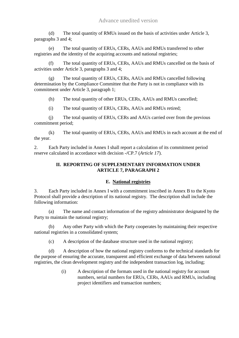(d) The total quantity of RMUs issued on the basis of activities under Article 3, paragraphs 3 and 4;

(e) The total quantity of ERUs, CERs, AAUs and RMUs transferred to other registries and the identity of the acquiring accounts and national registries;

(f) The total quantity of ERUs, CERs, AAUs and RMUs cancelled on the basis of activities under Article 3, paragraphs 3 and 4;

(g) The total quantity of ERUs, CERs, AAUs and RMUs cancelled following determination by the Compliance Committee that the Party is not in compliance with its commitment under Article 3, paragraph 1;

(h) The total quantity of other ERUs, CERs, AAUs and RMUs cancelled;

(i) The total quantity of ERUs, CERs, AAUs and RMUs retired;

(j) The total quantity of ERUs, CERs and AAUs carried over from the previous commitment period;

(k) The total quantity of ERUs, CERs, AAUs and RMUs in each account at the end of the year.

2. Each Party included in Annex I shall report a calculation of its commitment period reserve calculated in accordance with decision -/CP.7 (*Article 17*).

### **II. REPORTING OF SUPPLEMENTARY INFORMATION UNDER ARTICLE 7, PARAGRAPH 2**

# **E. National registries**

3. Each Party included in Annex I with a commitment inscribed in Annex B to the Kyoto Protocol shall provide a description of its national registry. The description shall include the following information:

(a) The name and contact information of the registry administrator designated by the Party to maintain the national registry;

(b) Any other Party with which the Party cooperates by maintaining their respective national registries in a consolidated system;

(c) A description of the database structure used in the national registry;

(d) A description of how the national registry conforms to the technical standards for the purpose of ensuring the accurate, transparent and efficient exchange of data between national registries, the clean development registry and the independent transaction log, including;

> (i) A description of the formats used in the national registry for account numbers, serial numbers for ERUs, CERs, AAUs and RMUs, including project identifiers and transaction numbers;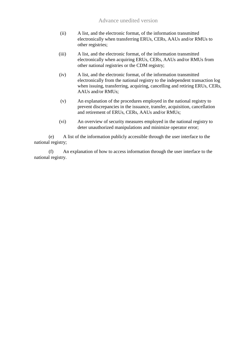- (ii) A list, and the electronic format, of the information transmitted electronically when transferring ERUs, CERs, AAUs and/or RMUs to other registries;
- (iii) A list, and the electronic format, of the information transmitted electronically when acquiring ERUs, CERs, AAUs and/or RMUs from other national registries or the CDM registry;
- (iv) A list, and the electronic format, of the information transmitted electronically from the national registry to the independent transaction log when issuing, transferring, acquiring, cancelling and retiring ERUs, CERs, AAUs and/or RMUs;
- (v) An explanation of the procedures employed in the national registry to prevent discrepancies in the issuance, transfer, acquisition, cancellation and retirement of ERUs, CERs, AAUs and/or RMUs;
- (vi) An overview of security measures employed in the national registry to deter unauthorized manipulations and minimize operator error;

(e) A list of the information publicly accessible through the user interface to the national registry;

(f) An explanation of how to access information through the user interface to the national registry.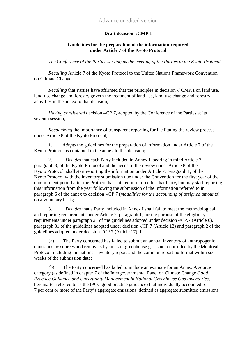#### **Draft decision -/CMP.1**

#### **Guidelines for the preparation of the information required under Article 7 of the Kyoto Protocol**

*The Conference of the Parties serving as the meeting of the Parties to the Kyoto Protocol,*

*Recalling* Article 7 of the Kyoto Protocol to the United Nations Framework Convention on Climate Change,

*Recalling* that Parties have affirmed that the principles in decision -/ CMP.1 on land use, land-use change and forestry govern the treatment of land use, land-use change and forestry activities in the annex to that decision,

*Having considered* decision -/CP.7, adopted by the Conference of the Parties at its seventh session,

*Recognizing* the importance of transparent reporting for facilitating the review process under Article 8 of the Kyoto Protocol,

1. *Adopts* the guidelines for the preparation of information under Article 7 of the Kyoto Protocol as contained in the annex to this decision;

2. *Decides* that each Party included in Annex I, bearing in mind Article 7, paragraph 3, of the Kyoto Protocol and the needs of the review under Article 8 of the Kyoto Protocol, shall start reporting the information under Article 7, paragraph 1, of the Kyoto Protocol with the inventory submission due under the Convention for the first year of the commitment period after the Protocol has entered into force for that Party, but may start reporting this information from the year following the submission of the information referred to in paragraph 6 of the annex to decision -/CP.7 (*modalities for the accounting of assigned amounts*) on a voluntary basis;

3. *Decides* that a Party included in Annex I shall fail to meet the methodological and reporting requirements under Article 7, paragraph 1, for the purpose of the eligibility requirements under paragraph 21 of the guidelines adopted under decision -/CP.7 (Article 6), paragraph 31 of the guidelines adopted under decision -/CP.7 (Article 12) and paragraph 2 of the guidelines adopted under decision -/CP.7 (Article 17) if:

(a) The Party concerned has failed to submit an annual inventory of anthropogenic emissions by sources and removals by sinks of greenhouse gases not controlled by the Montreal Protocol, including the national inventory report and the common reporting format within six weeks of the submission date;

(b) The Party concerned has failed to include an estimate for an Annex A source category (as defined in chapter 7 of the Intergovernmental Panel on Climate Change *Good Practice Guidance and Uncertainty Management in National Greenhouse Gas Inventories*, hereinafter referred to as the IPCC good practice guidance) that individually accounted for 7 per cent or more of the Party's aggregate emissions, defined as aggregate submitted emissions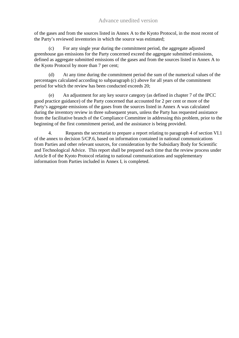of the gases and from the sources listed in Annex A to the Kyoto Protocol, in the most recent of the Party's reviewed inventories in which the source was estimated;

(c) For any single year during the commitment period, the aggregate adjusted greenhouse gas emissions for the Party concerned exceed the aggregate submitted emissions, defined as aggregate submitted emissions of the gases and from the sources listed in Annex A to the Kyoto Protocol by more than 7 per cent;

(d) At any time during the commitment period the sum of the numerical values of the percentages calculated according to subparagraph (c) above for all years of the commitment period for which the review has been conducted exceeds 20;

(e) An adjustment for any key source category (as defined in chapter 7 of the IPCC good practice guidance) of the Party concerned that accounted for 2 per cent or more of the Party's aggregate emissions of the gases from the sources listed in Annex A was calculated during the inventory review in three subsequent years, unless the Party has requested assistance from the facilitative branch of the Compliance Committee in addressing this problem, prior to the beginning of the first commitment period, and the assistance is being provided.

4. Requests the secretariat to prepare a report relating to paragraph 4 of section VI.1 of the annex to decision 5/CP.6, based on information contained in national communications from Parties and other relevant sources, for consideration by the Subsidiary Body for Scientific and Technological Advice. This report shall be prepared each time that the review process under Article 8 of the Kyoto Protocol relating to national communications and supplementary information from Parties included in Annex I, is completed.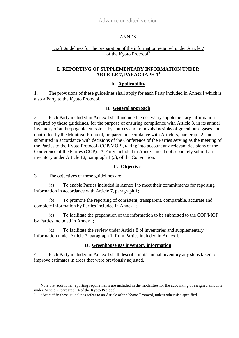#### ANNEX

#### Draft guidelines for the preparation of the information required under Article 7 of the Kyoto Protocol<sup>3</sup>

#### **I. REPORTING OF SUPPLEMENTARY INFORMATION UNDER ARTICLE 7, PARAGRAPH 14**

#### **A. Applicability**

1. The provisions of these guidelines shall apply for each Party included in Annex I which is also a Party to the Kyoto Protocol.

#### **B. General approach**

2. Each Party included in Annex I shall include the necessary supplementary information required by these guidelines, for the purpose of ensuring compliance with Article 3, in its annual inventory of anthropogenic emissions by sources and removals by sinks of greenhouse gases not controlled by the Montreal Protocol, prepared in accordance with Article 5, paragraph 2, and submitted in accordance with decisions of the Conference of the Parties serving as the meeting of the Parties to the Kyoto Protocol (COP/MOP), taking into account any relevant decisions of the Conference of the Parties (COP). A Party included in Annex I need not separately submit an inventory under Article 12, paragraph 1 (a), of the Convention.

#### **C. Objectives**

3. The objectives of these guidelines are:

 $\overline{a}$ 

(a) To enable Parties included in Annex I to meet their commitments for reporting information in accordance with Article 7, paragraph 1;

(b) To promote the reporting of consistent, transparent, comparable, accurate and complete information by Parties included in Annex I;

(c) To facilitate the preparation of the information to be submitted to the COP/MOP by Parties included in Annex I;

(d) To facilitate the review under Article 8 of inventories and supplementary information under Article 7, paragraph 1, from Parties included in Annex I.

#### **D. Greenhouse gas inventory information**

4. Each Party included in Annex I shall describe in its annual inventory any steps taken to improve estimates in areas that were previously adjusted.

<sup>3</sup> Note that additional reporting requirements are included in the modalities for the accounting of assigned amounts under Article 7, paragraph 4 of the Kyoto Protocol. 4

 <sup>&</sup>quot;Article" in these guidelines refers to an Article of the Kyoto Protocol, unless otherwise specified.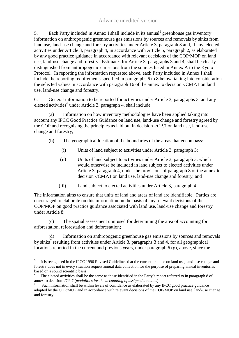5. Each Party included in Annex I shall include in its annual<sup>5</sup> greenhouse gas inventory information on anthropogenic greenhouse gas emissions by sources and removals by sinks from land use, land-use change and forestry activities under Article 3, paragraph 3 and, if any, elected activities under Article 3, paragraph 4, in accordance with Article 5, paragraph 2, as elaborated by any good practice guidance in accordance with relevant decisions of the COP/MOP on land use, land-use change and forestry. Estimates for Article 3, paragraphs 3 and 4, shall be clearly distinguished from anthropogenic emissions from the sources listed in Annex A to the Kyoto Protocol. In reporting the information requested above, each Party included in Annex I shall include the reporting requirements specified in paragraphs 6 to 8 below, taking into consideration the selected values in accordance with paragraph 16 of the annex to decision -/CMP.1 on land use, land-use change and forestry.

6. General information to be reported for activities under Article 3, paragraphs 3, and any elected activities<sup>6</sup> under Article 3, paragraph 4, shall include:

(a) Information on how inventory methodologies have been applied taking into account any IPCC Good Practice Guidance on land use, land-use change and forestry agreed by the COP and recognising the principles as laid out in decision -/CP.7 on land use, land-use change and forestry;

- (b) The geographical location of the boundaries of the areas that encompass:
	- (i) Units of land subject to activities under Article 3, paragraph 3;
	- (ii) Units of land subject to activities under Article 3, paragraph 3, which would otherwise be included in land subject to elected activities under Article 3, paragraph 4, under the provisions of paragraph 8 of the annex to decision -/CMP.1 on land use, land-use change and forestry; and
	- (iii) Land subject to elected activities under Article 3, paragraph 4.

The information aims to ensure that units of land and areas of land are identifiable. Parties are encouraged to elaborate on this information on the basis of any relevant decisions of the COP/MOP on good practice guidance associated with land use, land-use change and forestry under Article 8;

(c) The spatial assessment unit used for determining the area of accounting for afforestation, reforestation and deforestation;

(d) Information on anthropogenic greenhouse gas emissions by sources and removals by sinks<sup>7</sup> resulting from activities under Article 3, paragraphs 3 and 4, for all geographical locations reported in the current and previous years, under paragraph 6 (g), above, since the

 $\overline{a}$ 5 It is recognised in the IPCC 1996 Revised Guidelines that the current practice on land use, land-use change and forestry does not in every situation request annual data collection for the purpose of preparing annual inventories based on a sound scientific basis.

<sup>6</sup> The elected activities shall be the same as those identified in the Party's report referred to in paragraph 8 of annex to decision -/CP.7 (*modalities for the accounting of assigned amounts*). <sup>7</sup>

Such information shall be within levels of confidence as elaborated by any IPCC good practice guidance adopted by the COP/MOP and in accordance with relevant decisions of the COP/MOP on land use, land-use change and forestry.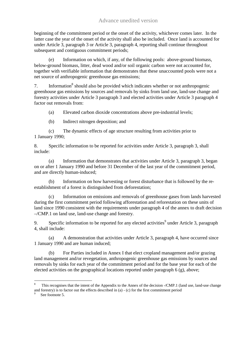beginning of the commitment period or the onset of the activity, whichever comes later. In the latter case the year of the onset of the activity shall also be included. Once land is accounted for under Article 3, paragraph 3 or Article 3, paragraph 4, reporting shall continue throughout subsequent and contiguous commitment periods;

(e) Information on which, if any, of the following pools: above-ground biomass, below-ground biomass, litter, dead wood and/or soil organic carbon were not accounted for, together with verifiable information that demonstrates that these unaccounted pools were not a net source of anthropogenic greenhouse gas emissions;

7. Information<sup>8</sup> should also be provided which indicates whether or not anthropogenic greenhouse gas emissions by sources and removals by sinks from land use, land-use change and forestry activities under Article 3 paragraph 3 and elected activities under Article 3 paragraph 4 factor out removals from:

(a) Elevated carbon dioxide concentrations above pre-industrial levels;

(b) Indirect nitrogen deposition; and

(c) The dynamic effects of age structure resulting from activities prior to 1 January 1990;

8. Specific information to be reported for activities under Article 3, paragraph 3, shall include:

(a) Information that demonstrates that activities under Article 3, paragraph 3, began on or after 1 January 1990 and before 31 December of the last year of the commitment period, and are directly human-induced;

(b) Information on how harvesting or forest disturbance that is followed by the reestablishment of a forest is distinguished from deforestation;

(c) Information on emissions and removals of greenhouse gases from lands harvested during the first commitment period following afforestation and reforestation on these units of land since 1990 consistent with the requirements under paragraph 4 of the annex to draft decision –/CMP.1 on land use, land-use change and forestry.

9. Specific information to be reported for any elected activities<sup>9</sup> under Article 3, paragraph 4, shall include:

(a) A demonstration that activities under Article 3, paragraph 4, have occurred since 1 January 1990 and are human induced;

(b) For Parties included in Annex I that elect cropland management and/or grazing land management and/or revegetation, anthropogenic greenhouse gas emissions by sources and removals by sinks for each year of the commitment period and for the base year for each of the elected activities on the geographical locations reported under paragraph 6 (g), above;

 $\overline{a}$ 

<sup>8</sup> This recognises that the intent of the Appendix to the Annex of the decision -/CMP.1 (land use, land-use change and forestry) is to factor out the effects described in (a) - (c) for the first commitment period

<sup>9</sup> See footnote 5.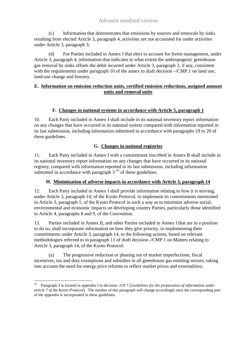(c) Information that demonstrates that emissions by sources and removals by sinks resulting from elected Article 3, paragraph 4, activities are not accounted for under activities under Article 3, paragraph 3;

(d) For Parties included in Annex I that elect to account for forest management, under Article 3, paragraph 4, information that indicates to what extent the anthropogenic greenhouse gas removal by sinks offsets the debit incurred under Article 3, paragraph 3, if any, consistent with the requirements under paragraph 10 of the annex to draft decision  $-\prime$ CMP.1 on land use, land-use change and forestry.

#### **E. Information on emission reduction units, certified emission reductions, assigned amount units and removal units**

### **F. Changes in national systems in accordance with Article 5, paragraph 1**

10. Each Party included in Annex I shall include in its national inventory report information on any changes that have occurred in its national system compared with information reported in its last submission, including information submitted in accordance with paragraphs 19 to 20 of these guidelines.

## **G. Changes in national registries**

11. Each Party included in Annex I with a commitment inscribed in Annex B shall include in its national inventory report information on any changes that have occurred in its national registry, compared with information reported in its last submission, including information submitted in accordance with paragraph  $3<sup>10</sup>$  of these guidelines.

### **H. Minimization of adverse impacts in accordance with Article 3, paragraph 14**

12. Each Party included in Annex I shall provide information relating to how it is striving, under Article 3, paragraph 14, of the Kyoto Protocol, to implement its commitments mentioned in Article 3, paragraph 1, of the Kyoto Protocol in such a way as to minimize adverse social, environmental and economic impacts on developing country Parties, particularly those identified in Article 4, paragraphs 8 and 9, of the Convention.

13. Parties included in Annex II, and other Parties included in Annex I that are in a position to do so, shall incorporate information on how they give priority, in implementing their commitments under Article 3, paragraph 14, to the following actions, based on relevant methodologies referred to in paragraph 11 of draft decision -/CMP.1 on Matters relating to Article 3, paragraph 14, of the Kyoto Protocol:

(a) The progressive reduction or phasing out of market imperfections, fiscal incentives, tax and duty exemptions and subsidies in all greenhouse gas emitting sectors, taking into account the need for energy price reforms to reflect market prices and externalities;

 $10\,$ Paragraph 3 is located in appendix I to decision -/CP.7 (*Guidelines for the preparation of information under article 7 of the Kyoto Protocol*). The number of this paragraph will change accordingly once the corresponding part of the appendix is incorporated in these guidelines.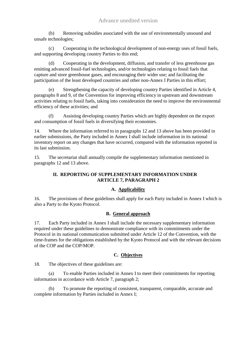(b) Removing subsidies associated with the use of environmentally unsound and unsafe technologies;

(c) Cooperating in the technological development of non-energy uses of fossil fuels, and supporting developing country Parties to this end;

(d) Cooperating in the development, diffusion, and transfer of less greenhouse gas emitting advanced fossil-fuel technologies, and/or technologies relating to fossil fuels that capture and store greenhouse gases, and encouraging their wider use; and facilitating the participation of the least developed countries and other non-Annex I Parties in this effort;

(e) Strengthening the capacity of developing country Parties identified in Article 4, paragraphs 8 and 9, of the Convention for improving efficiency in upstream and downstream activities relating to fossil fuels, taking into consideration the need to improve the environmental efficiency of these activities; and

(f) Assisting developing country Parties which are highly dependent on the export and consumption of fossil fuels in diversifying their economies.

14. Where the information referred to in paragraphs 12 and 13 above has been provided in earlier submissions, the Party included in Annex I shall include information in its national inventory report on any changes that have occurred, compared with the information reported in its last submission.

15. The secretariat shall annually compile the supplementary information mentioned in paragraphs 12 and 13 above.

## **II. REPORTING OF SUPPLEMENTARY INFORMATION UNDER ARTICLE 7, PARAGRAPH 2**

### **A. Applicability**

16. The provisions of these guidelines shall apply for each Party included in Annex I which is also a Party to the Kyoto Protocol.

### **B. General approach**

17. Each Party included in Annex I shall include the necessary supplementary information required under these guidelines to demonstrate compliance with its commitments under the Protocol in its national communication submitted under Article 12 of the Convention, with the time-frames for the obligations established by the Kyoto Protocol and with the relevant decisions of the COP and the COP/MOP.

### **C. Objectives**

18. The objectives of these guidelines are:

(a) To enable Parties included in Annex I to meet their commitments for reporting information in accordance with Article 7, paragraph 2;

(b) To promote the reporting of consistent, transparent, comparable, accurate and complete information by Parties included in Annex I;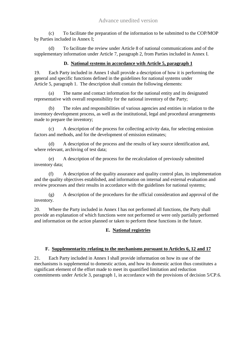(c) To facilitate the preparation of the information to be submitted to the COP/MOP by Parties included in Annex I;

(d) To facilitate the review under Article 8 of national communications and of the supplementary information under Article 7, paragraph 2, from Parties included in Annex I.

# **D. National systems in accordance with Article 5, paragraph 1**

19. Each Party included in Annex I shall provide a description of how it is performing the general and specific functions defined in the guidelines for national systems under Article 5, paragraph 1. The description shall contain the following elements:

(a) The name and contact information for the national entity and its designated representative with overall responsibility for the national inventory of the Party;

(b) The roles and responsibilities of various agencies and entities in relation to the inventory development process, as well as the institutional, legal and procedural arrangements made to prepare the inventory;

(c) A description of the process for collecting activity data, for selecting emission factors and methods, and for the development of emission estimates;

(d) A description of the process and the results of key source identification and, where relevant, archiving of test data;

(e) A description of the process for the recalculation of previously submitted inventory data;

(f) A description of the quality assurance and quality control plan, its implementation and the quality objectives established, and information on internal and external evaluation and review processes and their results in accordance with the guidelines for national systems;

(g) A description of the procedures for the official consideration and approval of the inventory.

20. Where the Party included in Annex I has not performed all functions, the Party shall provide an explanation of which functions were not performed or were only partially performed and information on the action planned or taken to perform these functions in the future.

# **E. National registries**

### **F. Supplementarity relating to the mechanisms pursuant to Articles 6, 12 and 17**

21. Each Party included in Annex I shall provide information on how its use of the mechanisms is supplemental to domestic action, and how its domestic action thus constitutes a significant element of the effort made to meet its quantified limitation and reduction commitments under Article 3, paragraph 1, in accordance with the provisions of decision 5/CP.6.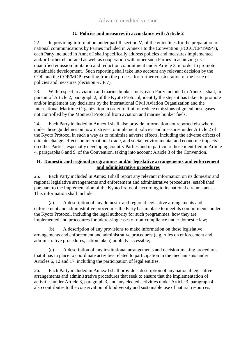# **G. Policies and measures in accordance with Article 2**

22. In providing information under part II, section V, of the guidelines for the preparation of national communications by Parties included in Annex I to the Convention (FCCC/CP/1999/7), each Party included in Annex I shall specifically address policies and measures implemented and/or further elaborated as well as cooperation with other such Parties in achieving its quantified emission limitation and reduction commitment under Article 3, in order to promote sustainable development. Such reporting shall take into account any relevant decision by the COP and the COP/MOP resulting from the process for further consideration of the issue of policies and measures (decision -/CP.7).

23. With respect to aviation and marine bunker fuels, each Party included in Annex I shall, in pursuit of Article 2, paragraph 2, of the Kyoto Protocol, identify the steps it has taken to promote and/or implement any decisions by the International Civil Aviation Organization and the International Maritime Organization in order to limit or reduce emissions of greenhouse gases not controlled by the Montreal Protocol from aviation and marine bunker fuels.

24. Each Party included in Annex I shall also provide information not reported elsewhere under these guidelines on how it strives to implement policies and measures under Article 2 of the Kyoto Protocol in such a way as to minimize adverse effects, including the adverse effects of climate change, effects on international trade, and social, environmental and economic impacts on other Parties, especially developing country Parties and in particular those identified in Article 4, paragraphs 8 and 9, of the Convention, taking into account Article 3 of the Convention.

# **H. Domestic and regional programmes and/or legislative arrangements and enforcement and administrative procedures**

25. Each Party included in Annex I shall report any relevant information on its domestic and regional legislative arrangements and enforcement and administrative procedures, established pursuant to the implementation of the Kyoto Protocol, according to its national circumstances. This information shall include:

(a) A description of any domestic and regional legislative arrangements and enforcement and administrative procedures the Party has in place to meet its commitments under the Kyoto Protocol, including the legal authority for such programmes, how they are implemented and procedures for addressing cases of non-compliance under domestic law;

(b) A description of any provisions to make information on these legislative arrangements and enforcement and administrative procedures (e.g. rules on enforcement and administrative procedures, action taken) publicly accessible;

(c) A description of any institutional arrangements and decision-making procedures that it has in place to coordinate activities related to participation in the mechanisms under Articles 6, 12 and 17, including the participation of legal entities.

26. Each Party included in Annex I shall provide a description of any national legislative arrangements and administrative procedures that seek to ensure that the implementation of activities under Article 3, paragraph 3, and any elected activities under Article 3, paragraph 4, also contributes to the conservation of biodiversity and sustainable use of natural resources.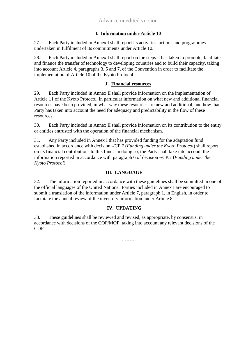### **I. Information under Article 10**

27. Each Party included in Annex I shall report its activities, actions and programmes undertaken in fulfilment of its commitments under Article 10.

28. Each Party included in Annex I shall report on the steps it has taken to promote, facilitate and finance the transfer of technology to developing countries and to build their capacity, taking into account Article 4, paragraphs 3, 5 and 7, of the Convention in order to facilitate the implementation of Article 10 of the Kyoto Protocol.

### **J. Financial resources**

29. Each Party included in Annex II shall provide information on the implementation of Article 11 of the Kyoto Protocol, in particular information on what new and additional financial resources have been provided, in what way these resources are new and additional, and how that Party has taken into account the need for adequacy and predictability in the flow of these resources.

30. Each Party included in Annex II shall provide information on its contribution to the entity or entities entrusted with the operation of the financial mechanism.

31. Any Party included in Annex I that has provided funding for the adaptation fund established in accordance with decision -/CP.7 (*Funding under the Kyoto Protocol*) shall report on its financial contributions to this fund. In doing so, the Party shall take into account the information reported in accordance with paragraph 6 of decision -/CP.7 (*Funding under the Kyoto Protocol*).

### **III. LANGUAGE**

32. The information reported in accordance with these guidelines shall be submitted in one of the official languages of the United Nations. Parties included in Annex I are encouraged to submit a translation of the information under Article 7, paragraph 1, in English, in order to facilitate the annual review of the inventory information under Article 8.

# **IV. UPDATING**

33. These guidelines shall be reviewed and revised, as appropriate, by consensus, in accordance with decisions of the COP/MOP, taking into account any relevant decisions of the COP.

- - - - -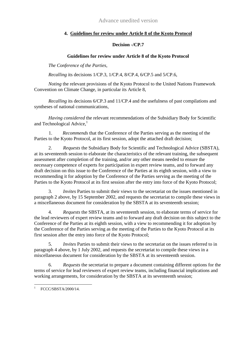#### **4. Guidelines for review under Article 8 of the Kyoto Protocol**

#### **Decision -/CP.7**

#### **Guidelines for review under Article 8 of the Kyoto Protocol**

*The Conference of the Parties,*

*Recalling* its decisions 1/CP.3, 1/CP.4, 8/CP.4, 6/CP.5 and 5/CP.6,

*Noting* the relevant provisions of the Kyoto Protocol to the United Nations Framework Convention on Climate Change, in particular its Article 8,

*Recalling* its decisions 6/CP.3 and 11/CP.4 and the usefulness of past compilations and syntheses of national communications,

*Having considered* the relevant recommendations of the Subsidiary Body for Scientific and Technological Advice, $<sup>1</sup>$ </sup>

1. *Recommends* that the Conference of the Parties serving as the meeting of the Parties to the Kyoto Protocol, at its first session, adopt the attached draft decision;

2. *Requests* the Subsidiary Body for Scientific and Technological Advice (SBSTA), at its seventeenth session to elaborate the characteristics of the relevant training, the subsequent assessment after completion of the training, and/or any other means needed to ensure the necessary competence of experts for participation in expert review teams, and to forward any draft decision on this issue to the Conference of the Parties at its eighth session, with a view to recommending it for adoption by the Conference of the Parties serving as the meeting of the Parties to the Kyoto Protocol at its first session after the entry into force of the Kyoto Protocol;

3. *Invites* Parties to submit their views to the secretariat on the issues mentioned in paragraph 2 above, by 15 September 2002, and requests the secretariat to compile these views in a miscellaneous document for consideration by the SBSTA at its seventeenth session;

4. *Requests* the SBSTA, at its seventeenth session, to elaborate terms of service for the lead reviewers of expert review teams and to forward any draft decision on this subject to the Conference of the Parties at its eighth session, with a view to recommending it for adoption by the Conference of the Parties serving as the meeting of the Parties to the Kyoto Protocol at its first session after the entry into force of the Kyoto Protocol;

5. *Invites* Parties to submit their views to the secretariat on the issues referred to in paragraph 4 above, by 1 July 2002, and requests the secretariat to compile these views in a miscellaneous document for consideration by the SBSTA at its seventeenth session.

6. *Requests* the secretariat to prepare a document containing different options for the terms of service for lead reviewers of expert review teams, including financial implications and working arrangements, for consideration by the SBSTA at its seventeenth session;

 $\overline{a}$ 1 FCCC/SBSTA/2000/14.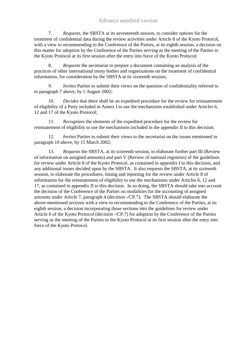7. *Requests,* the SBSTA at its seventeenth session, to consider options for the treatment of confidential data during the review activities under Article 8 of the Kyoto Protocol, with a view to recommending to the Conference of the Parties, at its eighth session, a decision on this matter for adoption by the Conference of the Parties serving as the meeting of the Parties to the Kyoto Protocol at its first session after the entry into force of the Kyoto Protocol;

8. *Requests* the secretariat to prepare a document containing an analysis of the practices of other international treaty bodies and organizations on the treatment of confidential information, for consideration by the SBSTA at its sixteenth session;

9. *Invites* Parties to submit their views on the question of confidentiality referred to in paragraph 7 above, by 1 August 2002;

10. *Decides* that there shall be an expedited procedure for the review for reinstatement of eligibility of a Party included in Annex I to use the mechanisms established under Articles 6, 12 and 17 of the Kyoto Protocol;

11. *Recognizes* the elements of the expedited procedure for the review for reinstatement of eligibility to use the mechanisms included in the appendix II to this decision;

12. *Invites* Parties to submit their views to the secretariat on the issues mentioned in paragraph 10 above, by 15 March 2002;

13. *Requests* the SBSTA, at its sixteenth session, to elaborate further part III (Review of information on assigned amounts) and part V (Review of national registries) of the guidelines for review under Article 8 of the Kyoto Protocol, as contained in appendix I to this decision, and any additional issues decided upon by the SBSTA. It also requests the SBSTA, at its sixteenth session, to elaborate the procedures, timing and reporting for the review under Article 8 of information for the reinstatement of eligibility to use the mechanisms under Articles 6, 12 and 17, as contained in appendix II to this decision. In so doing, the SBSTA should take into account the decision of the Conference of the Parties on modalities for the accounting of assigned amounts under Article 7, paragraph 4 (decision -/CP.7). The SBSTA should elaborate the above-mentioned sections with a view to recommending to the Conference of the Parties, at its eighth session, a decision incorporating those sections into the guidelines for review under Article 8 of the Kyoto Protocol (decision -/CP.7) for adoption by the Conference of the Parties serving as the meeting of the Parties to the Kyoto Protocol at its first session after the entry into force of the Kyoto Protocol.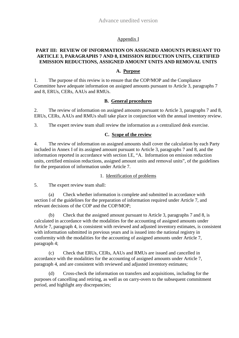#### Appendix I

#### **PART III: REVIEW OF INFORMATION ON ASSIGNED AMOUNTS PURSUANT TO ARTICLE 3, PARAGRAPHS 7 AND 8, EMISSION REDUCTION UNITS, CERTIFIED EMISSION REDUCTIONS, ASSIGNED AMOUNT UNITS AND REMOVAL UNITS**

#### **A. Purpose**

1. The purpose of this review is to ensure that the COP/MOP and the Compliance Committee have adequate information on assigned amounts pursuant to Article 3, paragraphs 7 and 8, ERUs, CERs, AAUs and RMUs.

#### **B. General procedures**

2. The review of information on assigned amounts pursuant to Article 3, paragraphs 7 and 8, ERUs, CERs, AAUs and RMUs shall take place in conjunction with the annual inventory review.

3. The expert review team shall review the information as a centralized desk exercise.

#### **C. Scope of the review**

4. The review of information on assigned amounts shall cover the calculation by each Party included in Annex I of its assigned amount pursuant to Article 3, paragraphs 7 and 8, and the information reported in accordance with section I.E, "A. Information on emission reduction units, certified emission reductions, assigned amount units and removal units", of the guidelines for the preparation of information under Article 7.

#### 1. Identification of problems

5. The expert review team shall:

(a) Check whether information is complete and submitted in accordance with section I of the guidelines for the preparation of information required under Article 7, and relevant decisions of the COP and the COP/MOP;

(b) Check that the assigned amount pursuant to Article 3, paragraphs 7 and 8, is calculated in accordance with the modalities for the accounting of assigned amounts under Article 7, paragraph 4, is consistent with reviewed and adjusted inventory estimates, is consistent with information submitted in previous years and is issued into the national registry in conformity with the modalities for the accounting of assigned amounts under Article 7, paragraph 4;

(c) Check that ERUs, CERs, AAUs and RMUs are issued and cancelled in accordance with the modalities for the accounting of assigned amounts under Article 7, paragraph 4, and are consistent with reviewed and adjusted inventory estimates;

(d) Cross-check the information on transfers and acquisitions, including for the purposes of cancelling and retiring, as well as on carry-overs to the subsequent commitment period, and highlight any discrepancies;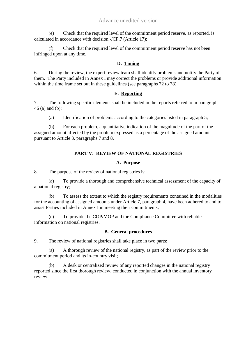(e) Check that the required level of the commitment period reserve, as reported, is calculated in accordance with decision -/CP.7 (Article 17);

(f) Check that the required level of the commitment period reserve has not been infringed upon at any time.

# **D. Timing**

6. During the review, the expert review team shall identify problems and notify the Party of them. The Party included in Annex I may correct the problems or provide additional information within the time frame set out in these guidelines (see paragraphs 72 to 78).

## **E. Reporting**

7. The following specific elements shall be included in the reports referred to in paragraph 46 (a) and (b):

(a) Identification of problems according to the categories listed in paragraph 5;

(b) For each problem, a quantitative indication of the magnitude of the part of the assigned amount affected by the problem expressed as a percentage of the assigned amount pursuant to Article 3, paragraphs 7 and 8.

# **PART V: REVIEW OF NATIONAL REGISTRIES**

# **A. Purpose**

8. The purpose of the review of national registries is:

(a) To provide a thorough and comprehensive technical assessment of the capacity of a national registry;

(b) To assess the extent to which the registry requirements contained in the modalities for the accounting of assigned amounts under Article 7, paragraph 4, have been adhered to and to assist Parties included in Annex I in meeting their commitments;

(c) To provide the COP/MOP and the Compliance Committee with reliable information on national registries.

# **B. General procedures**

9. The review of national registries shall take place in two parts:

(a) A thorough review of the national registry, as part of the review prior to the commitment period and its in-country visit;

(b) A desk or centralized review of any reported changes in the national registry reported since the first thorough review, conducted in conjunction with the annual inventory review.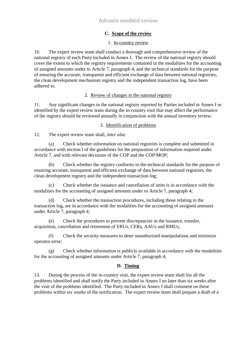## **C. Scope of the review**

#### 1. In-country review

10. The expert review team shall conduct a thorough and comprehensive review of the national registry of each Party included in Annex I. The review of the national registry should cover the extent to which the registry requirements contained in the modalities for the accounting of assigned amounts under to Article 7, paragraph 4, and the technical standards for the purpose of ensuring the accurate, transparent and efficient exchange of data between national registries, the clean development mechanism registry and the independent transaction log, have been adhered to.

#### 2. Review of changes in the national registry

11. Any significant changes in the national registry reported by Parties included in Annex I or identified by the expert review team during the in-country visit that may affect the performance of the registry should be reviewed annually in conjunction with the annual inventory review.

#### 3. Identification of problems

12. The expert review team shall, *inter alia*:

(a) Check whether information on national registries is complete and submitted in accordance with section I of the guidelines for the preparation of information required under Article 7, and with relevant decisions of the COP and the COP/MOP;

(b) Check whether the registry conforms to the technical standards for the purpose of ensuring accurate, transparent and efficient exchange of data between national registries, the clean development registry and the independent transaction log;

(c) Check whether the issuance and cancellation of units is in accordance with the modalities for the accounting of assigned amounts under to Article 7, paragraph 4;

(d) Check whether the transaction procedures, including those relating to the transaction log, are in accordance with the modalities for the accounting of assigned amounts under Article 7, paragraph 4;

(e) Check the procedures to prevent discrepancies in the issuance, transfer, acquisition, cancellation and retirement of ERUs, CERs, AAUs and RMUs;

(f) Check the security measures to deter unauthorized manipulations and minimize operator error;

(g) Check whether information is publicly available in accordance with the modalities for the accounting of assigned amounts under Article 7, paragraph 4;

### **D. Timing**

13. During the process of the in-country visit, the expert review team shall list all the problems identified and shall notify the Party included in Annex I no later than six weeks after the visit of the problems identified. The Party included in Annex I shall comment on these problems within six weeks of the notification. The expert review team shall prepare a draft of a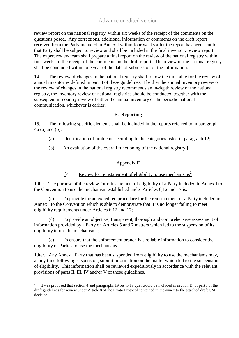review report on the national registry, within six weeks of the receipt of the comments on the questions posed. Any corrections, additional information or comments on the draft report received from the Party included in Annex I within four weeks after the report has been sent to that Party shall be subject to review and shall be included in the final inventory review report. The expert review team shall prepare a final report on the review of the national registry within four weeks of the receipt of the comments on the draft report. The review of the national registry shall be concluded within one year of the date of submission of the information.

14. The review of changes in the national registry shall follow the timetable for the review of annual inventories defined in part II of these guidelines. If either the annual inventory review or the review of changes in the national registry recommends an in-depth review of the national registry, the inventory review of national registries should be conducted together with the subsequent in-country review of either the annual inventory or the periodic national communication, whichever is earlier.

## **E. Reporting**

15. The following specific elements shall be included in the reports referred to in paragraph 46 (a) and (b):

- (a) Identification of problems according to the categories listed in paragraph 12;
- (b) An evaluation of the overall functioning of the national registry.]

## Appendix II

### $[4.$  Review for reinstatement of eligibility to use mechanisms<sup>2</sup>

19bis. The purpose of the review for reinstatement of eligibility of a Party included in Annex I to the Convention to use the mechanism established under Articles 6,12 and 17 is:

(c) To provide for an expedited procedure for the reinstatement of a Party included in Annex I to the Convention which is able to demonstrate that it is no longer failing to meet eligibility requirements under Articles 6,12 and 17;

(d) To provide an objective, transparent, thorough and comprehensive assessment of information provided by a Party on Articles 5 and 7 matters which led to the suspension of its eligibility to use the mechanisms;

(e) To ensure that the enforcement branch has reliable information to consider the eligibility of Parties to use the mechanisms.

19ter. Any Annex I Party that has been suspended from eligibility to use the mechanisms may, at any time following suspension, submit information on the matter which led to the suspension of eligibility. This information shall be reviewed expeditiously in accordance with the relevant provisions of parts II, III, IV and/or V of these guidelines.

 $\overline{a}$ 

<sup>2</sup> It was proposed that section 4 and paragraphs 19 bis to 19 quat would be included in section D. of part I of the draft guidelines for review under Article 8 of the Kyoto Protocol contained in the annex to the attached draft CMP decision.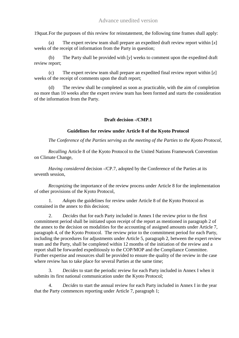19quat.For the purposes of this review for reinstatement, the following time frames shall apply:

The expert review team shall prepare an expedited draft review report within  $[x]$ weeks of the receipt of information from the Party in question;

(b) The Party shall be provided with [*y*] weeks to comment upon the expedited draft review report;

(c) The expert review team shall prepare an expedited final review report within [*z*] weeks of the receipt of comments upon the draft report;

(d) The review shall be completed as soon as practicable, with the aim of completion no more than 10 weeks after the expert review team has been formed and starts the consideration of the information from the Party.

# **Draft decision -/CMP.1**

### **Guidelines for review under Article 8 of the Kyoto Protocol**

*The Conference of the Parties serving as the meeting of the Parties to the Kyoto Protocol,*

*Recalling* Article 8 of the Kyoto Protocol to the United Nations Framework Convention on Climate Change,

*Having considered* decision -/CP.7, adopted by the Conference of the Parties at its seventh session,

*Recognizing* the importance of the review process under Article 8 for the implementation of other provisions of the Kyoto Protocol,

1. *Adopts* the guidelines for review under Article 8 of the Kyoto Protocol as contained in the annex to this decision;

2. *Decides* that for each Party included in Annex I the review prior to the first commitment period shall be initiated upon receipt of the report as mentioned in paragraph 2 of the annex to the decision on modalities for the accounting of assigned amounts under Article 7, paragraph 4, of the Kyoto Protocol. The review prior to the commitment period for each Party, including the procedures for adjustments under Article 5, paragraph 2, between the expert review team and the Party, shall be completed within 12 months of the initiation of the review and a report shall be forwarded expeditiously to the COP/MOP and the Compliance Committee. Further expertise and resources shall be provided to ensure the quality of the review in the case where review has to take place for several Parties at the same time;

3. *Decides* to start the periodic review for each Party included in Annex I when it submits its first national communication under the Kyoto Protocol;

4. *Decides* to start the annual review for each Party included in Annex I in the year that the Party commences reporting under Article 7, paragraph 1;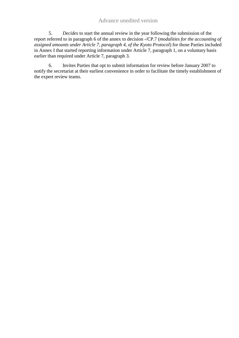5. *Decides* to start the annual review in the year following the submission of the report referred to in paragraph 6 of the annex to decision -/CP.7 (*modalities for the accounting of assigned amounts under Article 7, paragraph 4, of the Kyoto Protocol*) for those Parties included in Annex I that started reporting information under Article 7, paragraph 1, on a voluntary basis earlier than required under Article 7, paragraph 3.

6. Invites Parties that opt to submit information for review before January 2007 to notify the secretariat at their earliest convenience in order to facilitate the timely establishment of the expert review teams.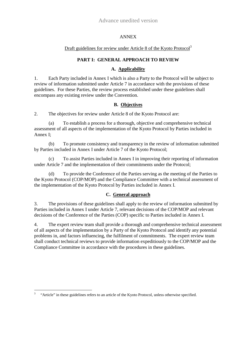## ANNEX

# Draft guidelines for review under Article 8 of the Kyoto Protocol<sup>3</sup>

# **PART I: GENERAL APPROACH TO REVIEW**

## **A. Applicability**

1. Each Party included in Annex I which is also a Party to the Protocol will be subject to review of information submitted under Article 7 in accordance with the provisions of these guidelines. For these Parties, the review process established under these guidelines shall encompass any existing review under the Convention.

# **B. Objectives**

2. The objectives for review under Article 8 of the Kyoto Protocol are:

(a) To establish a process for a thorough, objective and comprehensive technical assessment of all aspects of the implementation of the Kyoto Protocol by Parties included in Annex I;

(b) To promote consistency and transparency in the review of information submitted by Parties included in Annex I under Article 7 of the Kyoto Protocol;

(c) To assist Parties included in Annex I in improving their reporting of information under Article 7 and the implementation of their commitments under the Protocol;

(d) To provide the Conference of the Parties serving as the meeting of the Parties to the Kyoto Protocol (COP/MOP) and the Compliance Committee with a technical assessment of the implementation of the Kyoto Protocol by Parties included in Annex I.

# **C. General approach**

3. The provisions of these guidelines shall apply to the review of information submitted by Parties included in Annex I under Article 7, relevant decisions of the COP/MOP and relevant decisions of the Conference of the Parties (COP) specific to Parties included in Annex I.

4. The expert review team shall provide a thorough and comprehensive technical assessment of all aspects of the implementation by a Party of the Kyoto Protocol and identify any potential problems in, and factors influencing, the fulfilment of commitments. The expert review team shall conduct technical reviews to provide information expeditiously to the COP/MOP and the Compliance Committee in accordance with the procedures in these guidelines.

<sup>&</sup>lt;sup>2</sup><br>3 "Article" in these guidelines refers to an article of the Kyoto Protocol, unless otherwise specified.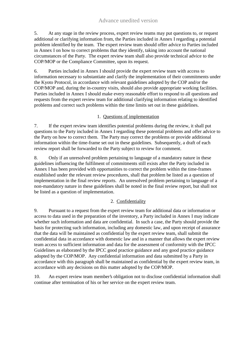5. At any stage in the review process, expert review teams may put questions to, or request additional or clarifying information from, the Parties included in Annex I regarding a potential problem identified by the team. The expert review team should offer advice to Parties included in Annex I on how to correct problems that they identify, taking into account the national circumstances of the Party. The expert review team shall also provide technical advice to the COP/MOP or the Compliance Committee, upon its request.

6. Parties included in Annex I should provide the expert review team with access to information necessary to substantiate and clarify the implementation of their commitments under the Kyoto Protocol, in accordance with relevant guidelines adopted by the COP and/or the COP/MOP and, during the in-country visits, should also provide appropriate working facilities. Parties included in Annex I should make every reasonable effort to respond to all questions and requests from the expert review team for additional clarifying information relating to identified problems and correct such problems within the time limits set out in these guidelines.

### 1. Questions of implementation

7. If the expert review team identifies potential problems during the review, it shall put questions to the Party included in Annex I regarding these potential problems and offer advice to the Party on how to correct them. The Party may correct the problems or provide additional information within the time-frame set out in these guidelines. Subsequently, a draft of each review report shall be forwarded to the Party subject to review for comment.

8. Only if an unresolved problem pertaining to language of a mandatory nature in these guidelines influencing the fulfilment of commitments still exists after the Party included in Annex I has been provided with opportunities to correct the problem within the time-frames established under the relevant review procedures, shall that problem be listed as a question of implementation in the final review reports. An unresolved problem pertaining to language of a non-mandatory nature in these guidelines shall be noted in the final review report, but shall not be listed as a question of implementation.

# 2. Confidentiality

9. Pursuant to a request from the expert review team for additional data or information or access to data used in the preparation of the inventory, a Party included in Annex I may indicate whether such information and data are confidential. In such a case, the Party should provide the basis for protecting such information, including any domestic law, and upon receipt of assurance that the data will be maintained as confidential by the expert review team, shall submit the confidential data in accordance with domestic law and in a manner that allows the expert review team access to sufficient information and data for the assessment of conformity with the IPCC Guidelines as elaborated by the IPCC good practice guidance and any good practice guidance adopted by the COP/MOP. Any confidential information and data submitted by a Party in accordance with this paragraph shall be maintained as confidential by the expert review team, in accordance with any decisions on this matter adopted by the COP/MOP.

10. An expert review team member's obligation not to disclose confidential information shall continue after termination of his or her service on the expert review team.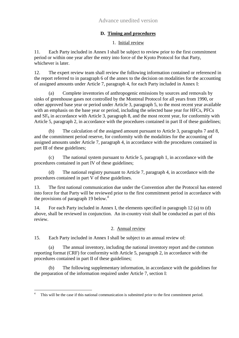## **D. Timing and procedures**

#### 1. Initial review

11. Each Party included in Annex I shall be subject to review prior to the first commitment period or within one year after the entry into force of the Kyoto Protocol for that Party, whichever is later.

12. The expert review team shall review the following information contained or referenced in the report referred to in paragraph 6 of the annex to the decision on modalities for the accounting of assigned amounts under Article 7, paragraph 4, for each Party included in Annex I:

(a) Complete inventories of anthropogenic emissions by sources and removals by sinks of greenhouse gases not controlled by the Montreal Protocol for all years from 1990, or other approved base year or period under Article 3, paragraph 5, to the most recent year available with an emphasis on the base year or period, including the selected base year for HFCs, PFCs and  $SF<sub>6</sub>$  in accordance with Article 3, paragraph 8, and the most recent year, for conformity with Article 5, paragraph 2, in accordance with the procedures contained in part II of these guidelines;

(b) The calculation of the assigned amount pursuant to Article 3, paragraphs 7 and 8, and the commitment period reserve, for conformity with the modalities for the accounting of assigned amounts under Article 7, paragraph 4, in accordance with the procedures contained in part III of these guidelines;

(c) The national system pursuant to Article 5, paragraph 1, in accordance with the procedures contained in part IV of these guidelines;

(d) The national registry pursuant to Article 7, paragraph 4, in accordance with the procedures contained in part V of these guidelines.

13. The first national communication due under the Convention after the Protocol has entered into force for that Party will be reviewed prior to the first commitment period in accordance with the provisions of paragraph 19 below.<sup>4</sup>

14. For each Party included in Annex I, the elements specified in paragraph 12 (a) to (d) above, shall be reviewed in conjunction. An in-country visit shall be conducted as part of this review.

### 2. Annual review

15. Each Party included in Annex I shall be subject to an annual review of:

(a) The annual inventory, including the national inventory report and the common reporting format (CRF) for conformity with Article 5, paragraph 2, in accordance with the procedures contained in part II of these guidelines;

(b) The following supplementary information, in accordance with the guidelines for the preparation of the information required under Article 7, section I:

 $\frac{1}{4}$ This will be the case if this national communication is submitted prior to the first commitment period.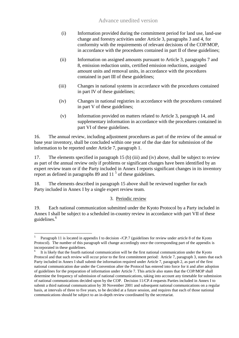- (i) Information provided during the commitment period for land use, land-use change and forestry activities under Article 3, paragraphs 3 and 4, for conformity with the requirements of relevant decisions of the COP/MOP, in accordance with the procedures contained in part II of these guidelines;
- (ii) Information on assigned amounts pursuant to Article 3, paragraphs 7 and 8, emission reduction units, certified emission reductions, assigned amount units and removal units, in accordance with the procedures contained in part III of these guidelines;
- (iii) Changes in national systems in accordance with the procedures contained in part IV of these guidelines;
- (iv) Changes in national registries in accordance with the procedures contained in part V of these guidelines;
- (v) Information provided on matters related to Article 3, paragraph 14, and supplementary information in accordance with the procedures contained in part VI of these guidelines.

16. The annual review, including adjustment procedures as part of the review of the annual or base year inventory, shall be concluded within one year of the due date for submission of the information to be reported under Article 7, paragraph 1.

17. The elements specified in paragraph 15 (b) (iii) and (iv) above, shall be subject to review as part of the annual review only if problems or significant changes have been identified by an expert review team or if the Party included in Annex I reports significant changes in its inventory report as defined in paragraphs  $89$  and  $11<sup>5</sup>$  of these guidelines.

18. The elements described in paragraph 15 above shall be reviewed together for each Party included in Annex I by a single expert review team.

#### 3. Periodic review

19. Each national communication submitted under the Kyoto Protocol by a Party included in Annex I shall be subject to a scheduled in-country review in accordance with part VII of these guidelines.<sup>6</sup>

 $\overline{a}$ 5 Paragraph 11 is located in appendix I to decision -/CP.7 (guidelines for review under article 8 of the Kyoto Protocol). The number of this paragraph will change accordingly once the corresponding part of the appendix is incorporated in these guidelines.

<sup>6</sup> It is likely that the fourth national communication will be the first national communication under the Kyoto Protocol and that such review will occur prior to the first commitment period: Article 7, paragraph 3, states that each Party included in Annex I shall submit the information required under Article 7, paragraph 2, as part of the first national communication due under the Convention after the Protocol has entered into force for it and after adoption of guidelines for the preparation of information under Article 7. This article also states that the COP/MOP shall determine the frequency of submission of national communications, taking into account any timetable for submission of national communications decided upon by the COP. Decision 11/CP.4 requests Parties included in Annex I to submit a third national communication by 30 November 2001 and subsequent national communications on a regular basis, at intervals of three to five years, to be decided at a future session, and requires that each of those national communications should be subject to an in-depth review coordinated by the secretariat.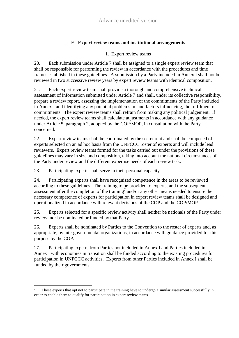# **E. Expert review teams and institutional arrangements**

#### 1. Expert review teams

20. Each submission under Article 7 shall be assigned to a single expert review team that shall be responsible for performing the review in accordance with the procedures and time frames established in these guidelines. A submission by a Party included in Annex I shall not be reviewed in two successive review years by expert review teams with identical composition.

21. Each expert review team shall provide a thorough and comprehensive technical assessment of information submitted under Article 7 and shall, under its collective responsibility, prepare a review report, assessing the implementation of the commitments of the Party included in Annex I and identifying any potential problems in, and factors influencing, the fulfilment of commitments. The expert review teams shall refrain from making any political judgement. If needed, the expert review teams shall calculate adjustments in accordance with any guidance under Article 5, paragraph 2, adopted by the COP/MOP, in consultation with the Party concerned.

22. Expert review teams shall be coordinated by the secretariat and shall be composed of experts selected on an ad hoc basis from the UNFCCC roster of experts and will include lead reviewers. Expert review teams formed for the tasks carried out under the provisions of these guidelines may vary in size and composition, taking into account the national circumstances of the Party under review and the different expertise needs of each review task.

23. Participating experts shall serve in their personal capacity.

 $\overline{a}$ 

24. Participating experts shall have recognized competence in the areas to be reviewed according to these guidelines. The training to be provided to experts, and the subsequent assessment after the completion of the training<sup>7</sup> and/or any other means needed to ensure the necessary competence of experts for participation in expert review teams shall be designed and operationalized in accordance with relevant decisions of the COP and the COP/MOP.

25. Experts selected for a specific review activity shall neither be nationals of the Party under review, nor be nominated or funded by that Party.

26. Experts shall be nominated by Parties to the Convention to the roster of experts and, as appropriate, by intergovernmental organizations, in accordance with guidance provided for this purpose by the COP.

27. Participating experts from Parties not included in Annex I and Parties included in Annex I with economies in transition shall be funded according to the existing procedures for participation in UNFCCC activities. Experts from other Parties included in Annex I shall be funded by their governments.

<sup>7</sup> Those experts that opt not to participate in the training have to undergo a similar assessment successfully in order to enable them to qualify for participation in expert review teams.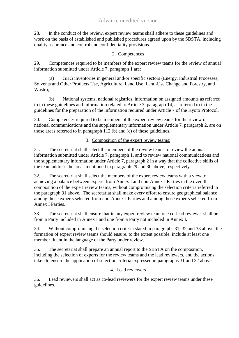28. In the conduct of the review, expert review teams shall adhere to these guidelines and work on the basis of established and published procedures agreed upon by the SBSTA, including quality assurance and control and confidentiality provisions.

### 2. Competences

29. Competences required to be members of the expert review teams for the review of annual information submitted under Article 7, paragraph 1 are:

(a) GHG inventories in general and/or specific sectors (Energy, Industrial Processes, Solvents and Other Products Use, Agriculture, Land Use, Land-Use Change and Forestry, and Waste);

(b) National systems, national registries, information on assigned amounts as referred to in these guidelines and information related to Article 3, paragraph 14, as referred to in the guidelines for the preparation of the information required under Article 7 of the Kyoto Protocol.

30. Competences required to be members of the expert review teams for the review of national communications and the supplementary information under Article 7, paragraph 2, are on those areas referred to in paragraph 112 (b) and (c) of these guidelines.

3. Composition of the expert review teams:

31. The secretariat shall select the members of the review teams to review the annual information submitted under Article 7, paragraph 1, and to review national communications and the supplementary information under Article 7, paragraph 2 in a way that the collective skills of the team address the areas mentioned in paragraph 29 and 30 above, respectively.

32. The secretariat shall select the members of the expert review teams with a view to achieving a balance between experts from Annex I and non-Annex I Parties in the overall composition of the expert review teams, without compromising the selection criteria referred in the paragraph 31 above. The secretariat shall make every effort to ensure geographical balance among those experts selected from non-Annex I Parties and among those experts selected from Annex I Parties.

33. The secretariat shall ensure that in any expert review team one co-lead reviewer shall be from a Party included in Annex I and one from a Party not included in Annex I.

34. Without compromising the selection criteria stated in paragraphs 31, 32 and 33 above, the formation of expert review teams should ensure, to the extent possible, include at least one member fluent in the language of the Party under review.

35. The secretariat shall prepare an annual report to the SBSTA on the composition, including the selection of experts for the review teams and the lead reviewers, and the actions taken to ensure the application of selection criteria expressed in paragraphs 31 and 32 above.

### 4. Lead reviewers

36. Lead reviewers shall act as co-lead reviewers for the expert review teams under these guidelines.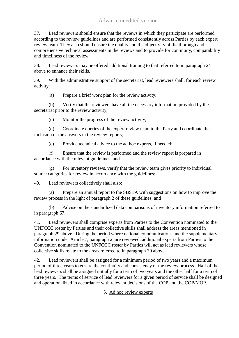37. Lead reviewers should ensure that the reviews in which they participate are performed according to the review guidelines and are performed consistently across Parties by each expert review team. They also should ensure the quality and the objectivity of the thorough and comprehensive technical assessments in the reviews and to provide for continuity, comparability and timeliness of the review.

38. Lead reviewers may be offered additional training to that referred to in paragraph 24 above to enhance their skills.

39. With the administrative support of the secretariat, lead reviewers shall, for each review activity:

(a) Prepare a brief work plan for the review activity;

(b) Verify that the reviewers have all the necessary information provided by the secretariat prior to the review activity;

(c) Monitor the progress of the review activity;

(d) Coordinate queries of the expert review team to the Party and coordinate the inclusion of the answers in the review reports;

(e) Provide technical advice to the ad hoc experts, if needed;

(f) Ensure that the review is performed and the review report is prepared in accordance with the relevant guidelines; and

(g) For inventory reviews, verify that the review team gives priority to individual source categories for review in accordance with the guidelines;

40. Lead reviewers collectively shall also:

(a) Prepare an annual report to the SBSTA with suggestions on how to improve the review process in the light of paragraph 2 of these guidelines; and

(b) Advise on the standardized data comparisons of inventory information referred to in paragraph 67.

41. Lead reviewers shall comprise experts from Parties to the Convention nominated to the UNFCCC roster by Parties and their collective skills shall address the areas mentioned in paragraph 29 above. During the period where national communications and the supplementary information under Article 7, paragraph 2, are reviewed, additional experts from Parties to the Convention nominated to the UNFCCC roster by Parties will act as lead reviewers whose collective skills relate to the areas referred to in paragraph 30 above.

42. Lead reviewers shall be assigned for a minimum period of two years and a maximum period of three years to ensure the continuity and consistency of the review process. Half of the lead reviewers shall be assigned initially for a term of two years and the other half for a term of three years. The terms of service of lead reviewers for a given period of service shall be designed and operationalized in accordance with relevant decisions of the COP and the COP/MOP.

5. Ad hoc review experts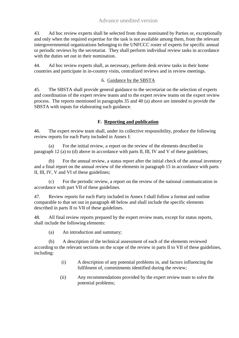43. Ad hoc review experts shall be selected from those nominated by Parties or, exceptionally and only when the required expertise for the task is not available among them, from the relevant intergovernmental organizations belonging to the UNFCCC roster of experts for specific annual or periodic reviews by the secretariat. They shall perform individual review tasks in accordance with the duties set out in their nomination.

44. Ad hoc review experts shall, as necessary, perform desk review tasks in their home countries and participate in in-country visits, centralized reviews and in review meetings.

# 6. Guidance by the SBSTA

45. The SBSTA shall provide general guidance to the secretariat on the selection of experts and coordination of the expert review teams and to the expert review teams on the expert review process. The reports mentioned in paragraphs 35 and 40 (a) above are intended to provide the SBSTA with inputs for elaborating such guidance.

# **F. Reporting and publication**

46. The expert review team shall, under its collective responsibility, produce the following review reports for each Party included in Annex I:

(a) For the initial review, a report on the review of the elements described in paragraph 12 (a) to (d) above in accordance with parts II, III, IV and V of these guidelines;

(b) For the annual review, a status report after the initial check of the annual inventory and a final report on the annual review of the elements in paragraph 15 in accordance with parts II, III, IV, V and VI of these guidelines;

(c) For the periodic review, a report on the review of the national communication in accordance with part VII of these guidelines.

47. Review reports for each Party included in Annex I shall follow a format and outline comparable to that set out in paragraph 48 below and shall include the specific elements described in parts II to VII of these guidelines.

48. All final review reports prepared by the expert review team, except for status reports, shall include the following elements:

(a) An introduction and summary;

(b) A description of the technical assessment of each of the elements reviewed according to the relevant sections on the scope of the review in parts II to VII of these guidelines, including:

- (i) A description of any potential problems in, and factors influencing the fulfilment of, commitments identified during the review;
- (ii) Any recommendations provided by the expert review team to solve the potential problems;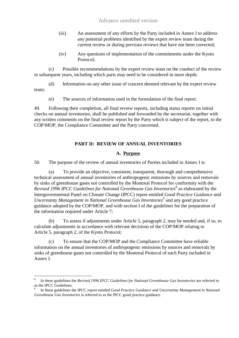- (iii) An assessment of any efforts by the Party included in Annex I to address any potential problems identified by the expert review team during the current review or during previous reviews that have not been corrected;
- (iv) Any questions of implementation of the commitments under the Kyoto Protocol;

(c) Possible recommendations by the expert review team on the conduct of the review in subsequent years, including which parts may need to be considered in more depth;

(d) Information on any other issue of concern deemed relevant by the expert review team;

(e) The sources of information used in the formulation of the final report.

49. Following their completion, all final review reports, including status reports on initial checks on annual inventories, shall be published and forwarded by the secretariat, together with any written comments on the final review report by the Party which is subject of the report, to the COP/MOP, the Compliance Committee and the Party concerned.

# **PART II: REVIEW OF ANNUAL INVENTORIES**

### **A. Purpose**

50. The purpose of the review of annual inventories of Parties included in Annex I is:

(a) To provide an objective, consistent, transparent, thorough and comprehensive technical assessment of annual inventories of anthropogenic emissions by sources and removals by sinks of greenhouse gases not controlled by the Montreal Protocol for conformity with the *Revised 1996 IPCC Guidelines for National Greenhouse Gas Inventories<sup>8</sup>* as elaborated by the Intergovernmental Panel on Climate Change (IPCC) report entitled *Good Practice Guidance and Uncertainty Management in National Greenhouse Gas Inventories<sup>9</sup>* and any good practice guidance adopted by the COP/MOP, and with section I of the guidelines for the preparation of the information required under Article 7;

(b) To assess if adjustments under Article 5, paragraph 2, may be needed and, if so, to calculate adjustments in accordance with relevant decisions of the COP/MOP relating to Article 5, paragraph 2, of the Kyoto Protocol;

(c) To ensure that the COP/MOP and the Compliance Committee have reliable information on the annual inventories of anthropogenic emissions by sources and removals by sinks of greenhouse gases not controlled by the Montreal Protocol of each Party included in Annex I.

 $\overline{a}$ 8 In these guidelines the *Revised 1996 IPCC Guidelines for National Greenhouse Gas Inventories* are referred to as the IPCC Guidelines.

<sup>9</sup> In these guidelines the IPCC report entitled *Good Practice Guidance and Uncertainty Management in National Greenhouse Gas Inventories* is referred to as the IPCC good practice guidance.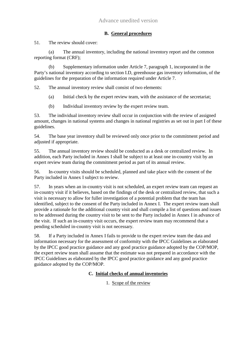# **B. General procedures**

51. The review should cover:

(a) The annual inventory, including the national inventory report and the common reporting format (CRF);

(b) Supplementary information under Article 7, paragraph 1, incorporated in the Party's national inventory according to section I.D, greenhouse gas inventory information, of the guidelines for the preparation of the information required under Article 7.

52. The annual inventory review shall consist of two elements:

- (a) Initial check by the expert review team, with the assistance of the secretariat;
- (b) Individual inventory review by the expert review team.

53. The individual inventory review shall occur in conjunction with the review of assigned amount, changes in national systems and changes in national registries as set out in part I of these guidelines.

54. The base year inventory shall be reviewed only once prior to the commitment period and adjusted if appropriate.

55. The annual inventory review should be conducted as a desk or centralized review. In addition, each Party included in Annex I shall be subject to at least one in-country visit by an expert review team during the commitment period as part of its annual review.

56. In-country visits should be scheduled, planned and take place with the consent of the Party included in Annex I subject to review.

57. In years when an in-country visit is not scheduled, an expert review team can request an in-country visit if it believes, based on the findings of the desk or centralized review, that such a visit is necessary to allow for fuller investigation of a potential problem that the team has identified, subject to the consent of the Party included in Annex I. The expert review team shall provide a rationale for the additional country visit and shall compile a list of questions and issues to be addressed during the country visit to be sent to the Party included in Annex I in advance of the visit. If such an in-country visit occurs, the expert review team may recommend that a pending scheduled in-country visit is not necessary.

58. If a Party included in Annex I fails to provide to the expert review team the data and information necessary for the assessment of conformity with the IPCC Guidelines as elaborated by the IPCC good practice guidance and any good practice guidance adopted by the COP/MOP, the expert review team shall assume that the estimate was not prepared in accordance with the IPCC Guidelines as elaborated by the IPCC good practice guidance and any good practice guidance adopted by the COP/MOP.

# **C. Initial checks of annual inventories**

1. Scope of the review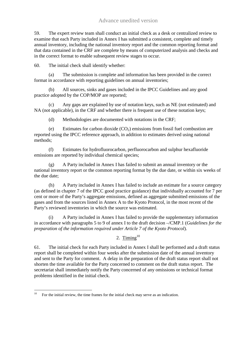59. The expert review team shall conduct an initial check as a desk or centralized review to examine that each Party included in Annex I has submitted a consistent, complete and timely annual inventory, including the national inventory report and the common reporting format and that data contained in the CRF are complete by means of computerized analysis and checks and in the correct format to enable subsequent review stages to occur.

60. The initial check shall identify whether:

(a) The submission is complete and information has been provided in the correct format in accordance with reporting guidelines on annual inventories;

(b) All sources, sinks and gases included in the IPCC Guidelines and any good practice adopted by the COP/MOP are reported;

(c) Any gaps are explained by use of notation keys, such as NE (not estimated) and NA (not applicable), in the CRF and whether there is frequent use of these notation keys;

(d) Methodologies are documented with notations in the CRF;

(e) Estimates for carbon dioxide  $(CO<sub>2</sub>)$  emissions from fossil fuel combustion are reported using the IPCC reference approach, in addition to estimates derived using national methods;

(f) Estimates for hydrofluorocarbon, perfluorocarbon and sulphur hexafluoride emissions are reported by individual chemical species;

(g) A Party included in Annex I has failed to submit an annual inventory or the national inventory report or the common reporting format by the due date, or within six weeks of the due date;

(h) A Party included in Annex I has failed to include an estimate for a source category (as defined in chapter 7 of the IPCC good practice guidance) that individually accounted for 7 per cent or more of the Party's aggregate emissions, defined as aggregate submitted emissions of the gases and from the sources listed in Annex A to the Kyoto Protocol, in the most recent of the Party's reviewed inventories in which the source was estimated.

(i) A Party included in Annex I has failed to provide the supplementary information in accordance with paragraphs 5 to 9 of annex I to the draft decision –/CMP.1 (*Guidelines for the preparation of the information required under Article 7 of the Kyoto Protocol*).

# 2. Timing $10$

61. The initial check for each Party included in Annex I shall be performed and a draft status report shall be completed within four weeks after the submission date of the annual inventory and sent to the Party for comment. A delay in the preparation of the draft status report shall not shorten the time available for the Party concerned to comment on the draft status report. The secretariat shall immediately notify the Party concerned of any omissions or technical format problems identified in the initial check.

 $10<sup>10</sup>$ 10 For the initial review, the time frames for the initial check may serve as an indication.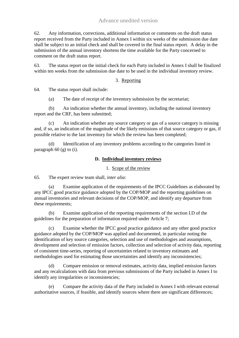62. Any information, corrections, additional information or comments on the draft status report received from the Party included in Annex I within six weeks of the submission due date shall be subject to an initial check and shall be covered in the final status report. A delay in the submission of the annual inventory shortens the time available for the Party concerned to comment on the draft status report.

63. The status report on the initial check for each Party included in Annex I shall be finalized within ten weeks from the submission due date to be used in the individual inventory review.

### 3. Reporting

64. The status report shall include:

(a) The date of receipt of the inventory submission by the secretariat;

(b) An indication whether the annual inventory, including the national inventory report and the CRF, has been submitted;

(c) An indication whether any source category or gas of a source category is missing and, if so, an indication of the magnitude of the likely emissions of that source category or gas, if possible relative to the last inventory for which the review has been completed;

(d) Identification of any inventory problems according to the categories listed in paragraph  $60$  (g) to (i).

### **D. Individual inventory reviews**

### 1. Scope of the review

65. The expert review team shall, *inter alia*:

(a) Examine application of the requirements of the IPCC Guidelines as elaborated by any IPCC good practice guidance adopted by the COP/MOP and the reporting guidelines on annual inventories and relevant decisions of the COP/MOP, and identify any departure from these requirements;

(b) Examine application of the reporting requirements of the section I.D of the guidelines for the preparation of information required under Article 7;

(c) Examine whether the IPCC good practice guidance and any other good practice guidance adopted by the COP/MOP was applied and documented, in particular noting the identification of key source categories, selection and use of methodologies and assumptions, development and selection of emission factors, collection and selection of activity data, reporting of consistent time-series, reporting of uncertainties related to inventory estimates and methodologies used for estimating those uncertainties and identify any inconsistencies;

(d) Compare emission or removal estimates, activity data, implied emission factors and any recalculations with data from previous submissions of the Party included in Annex I to identify any irregularities or inconsistencies;

(e) Compare the activity data of the Party included in Annex I with relevant external authoritative sources, if feasible, and identify sources where there are significant differences;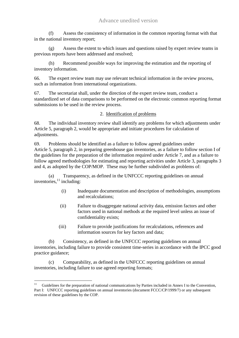(f) Assess the consistency of information in the common reporting format with that in the national inventory report;

(g) Assess the extent to which issues and questions raised by expert review teams in previous reports have been addressed and resolved;

(h) Recommend possible ways for improving the estimation and the reporting of inventory information.

66. The expert review team may use relevant technical information in the review process, such as information from international organizations.

67. The secretariat shall, under the direction of the expert review team, conduct a standardized set of data comparisons to be performed on the electronic common reporting format submissions to be used in the review process.

2. Identification of problems

68. The individual inventory review shall identify any problems for which adjustments under Article 5, paragraph 2, would be appropriate and initiate procedures for calculation of adiustments.

69. Problems should be identified as a failure to follow agreed guidelines under Article 5, paragraph 2, in preparing greenhouse gas inventories, as a failure to follow section I of the guidelines for the preparation of the information required under Article 7, and as a failure to follow agreed methodologies for estimating and reporting activities under Article 3, paragraphs 3 and 4, as adopted by the COP/MOP. These may be further subdivided as problems of:

(a) Transparency, as defined in the UNFCCC reporting guidelines on annual  $inventories$ , $^{11}$  including:

- (i) Inadequate documentation and description of methodologies, assumptions and recalculations;
- (ii) Failure to disaggregate national activity data, emission factors and other factors used in national methods at the required level unless an issue of confidentiality exists;
- (iii) Failure to provide justifications for recalculations, references and information sources for key factors and data;

(b) Consistency, as defined in the UNFCCC reporting guidelines on annual inventories, including failure to provide consistent time-series in accordance with the IPCC good practice guidance;

(c) Comparability, as defined in the UNFCCC reporting guidelines on annual inventories, including failure to use agreed reporting formats;

 $11\,$ Guidelines for the preparation of national communications by Parties included in Annex I to the Convention, Part I: UNFCCC reporting guidelines on annual inventories (document FCCC/CP/1999/7) or any subsequent revision of these guidelines by the COP.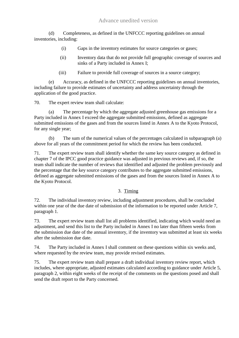(d) Completeness, as defined in the UNFCCC reporting guidelines on annual inventories, including:

- (i) Gaps in the inventory estimates for source categories or gases;
- (ii) Inventory data that do not provide full geographic coverage of sources and sinks of a Party included in Annex I;
- (iii) Failure to provide full coverage of sources in a source category;

(e) Accuracy, as defined in the UNFCCC reporting guidelines on annual inventories, including failure to provide estimates of uncertainty and address uncertainty through the application of the good practice.

70. The expert review team shall calculate:

(a) The percentage by which the aggregate adjusted greenhouse gas emissions for a Party included in Annex I exceed the aggregate submitted emissions, defined as aggregate submitted emissions of the gases and from the sources listed in Annex A to the Kyoto Protocol, for any single year;

(b) The sum of the numerical values of the percentages calculated in subparagraph (a) above for all years of the commitment period for which the review has been conducted.

71. The expert review team shall identify whether the same key source category as defined in chapter 7 of the IPCC good practice guidance was adjusted in previous reviews and, if so, the team shall indicate the number of reviews that identified and adjusted the problem previously and the percentage that the key source category contributes to the aggregate submitted emissions, defined as aggregate submitted emissions of the gases and from the sources listed in Annex A to the Kyoto Protocol.

# 3. Timing

72. The individual inventory review, including adjustment procedures, shall be concluded within one year of the due date of submission of the information to be reported under Article 7, paragraph 1.

73. The expert review team shall list all problems identified, indicating which would need an adjustment, and send this list to the Party included in Annex I no later than fifteen weeks from the submission due date of the annual inventory, if the inventory was submitted at least six weeks after the submission due date.

74. The Party included in Annex I shall comment on these questions within six weeks and, where requested by the review team, may provide revised estimates.

75. The expert review team shall prepare a draft individual inventory review report, which includes, where appropriate, adjusted estimates calculated according to guidance under Article 5, paragraph 2, within eight weeks of the receipt of the comments on the questions posed and shall send the draft report to the Party concerned.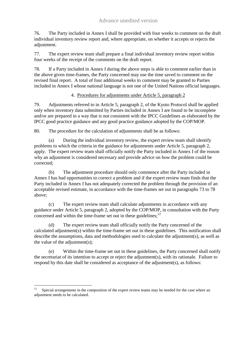76. The Party included in Annex I shall be provided with four weeks to comment on the draft individual inventory review report and, where appropriate, on whether it accepts or rejects the adjustment.

77. The expert review team shall prepare a final individual inventory review report within four weeks of the receipt of the comments on the draft report.

78. If a Party included in Annex I during the above steps is able to comment earlier than in the above given time-frames, the Party concerned may use the time saved to comment on the revised final report. A total of four additional weeks to comment may be granted to Parties included in Annex I whose national language is not one of the United Nations official languages.

### 4. Procedures for adjustments under Article 5, paragraph 2

79. Adjustments referred to in Article 5, paragraph 2, of the Kyoto Protocol shall be applied only when inventory data submitted by Parties included in Annex I are found to be incomplete and/or are prepared in a way that is not consistent with the IPCC Guidelines as elaborated by the IPCC good practice guidance and any good practice guidance adopted by the COP/MOP.

80. The procedure for the calculation of adjustments shall be as follows:

(a) During the individual inventory review, the expert review team shall identify problems to which the criteria in the guidance for adjustments under Article 5, paragraph 2, apply. The expert review team shall officially notify the Party included in Annex I of the reason why an adjustment is considered necessary and provide advice on how the problem could be corrected;

(b) The adjustment procedure should only commence after the Party included in Annex I has had opportunities to correct a problem and if the expert review team finds that the Party included in Annex I has not adequately corrected the problem through the provision of an acceptable revised estimate, in accordance with the time-frames set out in paragraphs 73 to 78 above;

(c) The expert review team shall calculate adjustments in accordance with any guidance under Article 5, paragraph 2, adopted by the COP/MOP, in consultation with the Party concerned and within the time-frame set out in these guidelines; $^{12}$ 

(d) The expert review team shall officially notify the Party concerned of the calculated adjustment(s) within the time-frame set out in these guidelines. This notification shall describe the assumptions, data and methodologies used to calculate the adjustment(s), as well as the value of the adjustment(s);

(e) Within the time-frame set out in these guidelines, the Party concerned shall notify the secretariat of its intention to accept or reject the adjustment(s), with its rationale. Failure to respond by this date shall be considered as acceptance of the adjustment(s), as follows:

 $12$ Special arrangements in the composition of the expert review teams may be needed for the case where an adjustment needs to be calculated.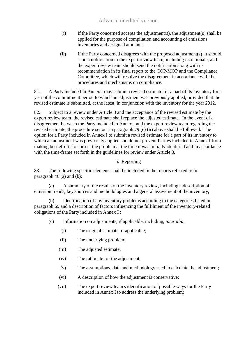- (i) If the Party concerned accepts the adjustment(s), the adjustment(s) shall be applied for the purpose of compilation and accounting of emissions inventories and assigned amounts;
- (ii) If the Party concerned disagrees with the proposed adjustment(s), it should send a notification to the expert review team, including its rationale, and the expert review team should send the notification along with its recommendation in its final report to the COP/MOP and the Compliance Committee, which will resolve the disagreement in accordance with the procedures and mechanisms on compliance.

81. A Party included in Annex I may submit a revised estimate for a part of its inventory for a year of the commitment period to which an adjustment was previously applied, provided that the revised estimate is submitted, at the latest, in conjunction with the inventory for the year 2012.

82. Subject to a review under Article 8 and the acceptance of the revised estimate by the expert review team, the revised estimate shall replace the adjusted estimate. In the event of a disagreement between the Party included in Annex I and the expert review team regarding the revised estimate, the procedure set out in paragraph 79 (e) (ii) above shall be followed. The option for a Party included in Annex I to submit a revised estimate for a part of its inventory to which an adjustment was previously applied should not prevent Parties included in Annex I from making best efforts to correct the problem at the time it was initially identified and in accordance with the time-frame set forth in the guidelines for review under Article 8.

# 5. Reporting

83. The following specific elements shall be included in the reports referred to in paragraph 46 (a) and (b):

(a) A summary of the results of the inventory review, including a description of emission trends, key sources and methodologies and a general assessment of the inventory;

(b) Identification of any inventory problems according to the categories listed in paragraph 69 and a description of factors influencing the fulfilment of the inventory-related obligations of the Party included in Annex I ;

- (c) Information on adjustments, if applicable, including, *inter alia*,
	- (i) The original estimate, if applicable;
	- (ii) The underlying problem;
	- (iii) The adjusted estimate;
	- (iv) The rationale for the adjustment;
	- (v) The assumptions, data and methodology used to calculate the adjustment;
	- (vi) A description of how the adjustment is conservative;
	- (vii) The expert review team's identification of possible ways for the Party included in Annex I to address the underlying problem;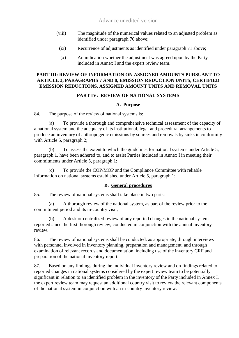- (viii) The magnitude of the numerical values related to an adjusted problem as identified under paragraph 70 above;
	- (ix) Recurrence of adjustments as identified under paragraph 71 above;
	- (x) An indication whether the adjustment was agreed upon by the Party included in Annex I and the expert review team.

#### **PART III: REVIEW OF INFORMATION ON ASSIGNED AMOUNTS PURSUANT TO ARTICLE 3, PARAGRAPHS 7 AND 8, EMISSION REDUCTION UNITS, CERTIFIED EMISSION REDUCTIONS, ASSIGNED AMOUNT UNITS AND REMOVAL UNITS**

### **PART IV: REVIEW OF NATIONAL SYSTEMS**

### **A. Purpose**

84. The purpose of the review of national systems is:

(a) To provide a thorough and comprehensive technical assessment of the capacity of a national system and the adequacy of its institutional, legal and procedural arrangements to produce an inventory of anthropogenic emissions by sources and removals by sinks in conformity with Article 5, paragraph 2;

(b) To assess the extent to which the guidelines for national systems under Article 5, paragraph 1, have been adhered to, and to assist Parties included in Annex I in meeting their commitments under Article 5, paragraph 1;

(c) To provide the COP/MOP and the Compliance Committee with reliable information on national systems established under Article 5, paragraph 1;

### **B. General procedures**

85. The review of national systems shall take place in two parts:

(a) A thorough review of the national system, as part of the review prior to the commitment period and its in-country visit;

(b) A desk or centralized review of any reported changes in the national system reported since the first thorough review, conducted in conjunction with the annual inventory review.

86. The review of national systems shall be conducted, as appropriate, through interviews with personnel involved in inventory planning, preparation and management, and through examination of relevant records and documentation, including use of the inventory CRF and preparation of the national inventory report.

87. Based on any findings during the individual inventory review and on findings related to reported changes in national systems considered by the expert review team to be potentially significant in relation to an identified problem in the inventory of the Party included in Annex I, the expert review team may request an additional country visit to review the relevant components of the national system in conjunction with an in-country inventory review.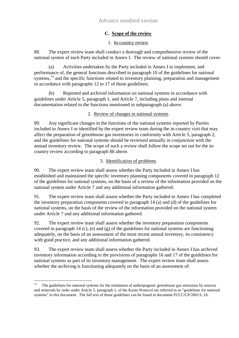# **C. Scope of the review**

# 1. In-country review

88. The expert review team shall conduct a thorough and comprehensive review of the national system of each Party included in Annex I. The review of national systems should cover:

(a) Activities undertaken by the Party included in Annex I to implement, and performance of, the general functions described in paragraph 10 of the guidelines for national systems,<sup>13</sup> and the specific functions related to inventory planning, preparation and management in accordance with paragraphs 12 to 17 of those guidelines;

(b) Reported and archived information on national systems in accordance with guidelines under Article 5, paragraph 1, and Article 7, including plans and internal documentation related to the functions mentioned in subparagraph (a) above.

2. Review of changes in national systems

89. Any significant changes in the functions of the national systems reported by Parties included in Annex I or identified by the expert review team during the in-country visit that may affect the preparation of greenhouse gas inventories in conformity with Article 5, paragraph 2, and the guidelines for national systems should be reviewed annually in conjunction with the annual inventory review. The scope of such a review shall follow the scope set out for the incountry review according to paragraph 88 above.

3. Identification of problems

90. The expert review team shall assess whether the Party included in Annex I has established and maintained the specific inventory planning components covered in paragraph 12 of the guidelines for national systems, on the basis of a review of the information provided on the national system under Article 7 and any additional information gathered.

91. The expert review team shall assess whether the Party included in Annex I has completed the inventory preparation components covered in paragraph 14 (a) and (d) of the guidelines for national systems, on the basis of the review of the information provided on the national system under Article 7 and any additional information gathered.

92. The expert review team shall assess whether the inventory preparation components covered in paragraph 14 (c), (e) and (g) of the guidelines for national systems are functioning adequately, on the basis of an assessment of the most recent annual inventory, its consistency with good practice, and any additional information gathered.

93. The expert review team shall assess whether the Party included in Annex I has archived inventory information according to the provisions of paragraphs 16 and 17 of the guidelines for national systems as part of its inventory management. The expert review team shall assess whether the archiving is functioning adequately on the basis of an assessment of:

<sup>13</sup> The guidelines for national systems for the estimation of anthropogenic greenhouse gas emissions by sources and removals by sinks under Article 5, paragraph 1, of the Kyoto Protocol are referred to as "guidelines for national systems" in this document. The full text of those guidelines can be found in document FCCC/CP/2001/L.18.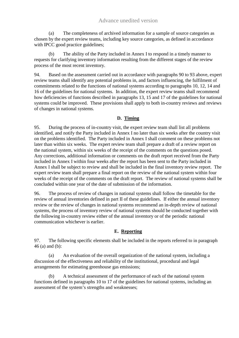(a) The completeness of archived information for a sample of source categories as chosen by the expert review teams, including key source categories, as defined in accordance with IPCC good practice guidelines;

(b) The ability of the Party included in Annex I to respond in a timely manner to requests for clarifying inventory information resulting from the different stages of the review process of the most recent inventory.

94. Based on the assessment carried out in accordance with paragraphs 90 to 93 above, expert review teams shall identify any potential problems in, and factors influencing, the fulfilment of commitments related to the functions of national systems according to paragraphs 10, 12, 14 and 16 of the guidelines for national systems. In addition, the expert review teams shall recommend how deficiencies of functions described in paragraphs 13, 15 and 17 of the guidelines for national systems could be improved. These provisions shall apply to both in-country reviews and reviews of changes in national systems.

### **D. Timing**

95. During the process of in-country visit, the expert review team shall list all problems identified, and notify the Party included in Annex I no later than six weeks after the country visit on the problems identified. The Party included in Annex I shall comment on these problems not later than within six weeks. The expert review team shall prepare a draft of a review report on the national system, within six weeks of the receipt of the comments on the questions posed. Any corrections, additional information or comments on the draft report received from the Party included in Annex I within four weeks after the report has been sent to the Party included in Annex I shall be subject to review and shall be included in the final inventory review report. The expert review team shall prepare a final report on the review of the national system within four weeks of the receipt of the comments on the draft report. The review of national systems shall be concluded within one year of the date of submission of the information.

96. The process of review of changes in national systems shall follow the timetable for the review of annual inventories defined in part II of these guidelines. If either the annual inventory review or the review of changes in national systems recommend an in-depth review of national systems, the process of inventory review of national systems should be conducted together with the following in-country review either of the annual inventory or of the periodic national communication whichever is earlier.

# **E. Reporting**

97. The following specific elements shall be included in the reports referred to in paragraph 46 (a) and (b):

(a) An evaluation of the overall organization of the national system, including a discussion of the effectiveness and reliability of the institutional, procedural and legal arrangements for estimating greenhouse gas emissions;

(b) A technical assessment of the performance of each of the national system functions defined in paragraphs 10 to 17 of the guidelines for national systems, including an assessment of the system's strengths and weaknesses;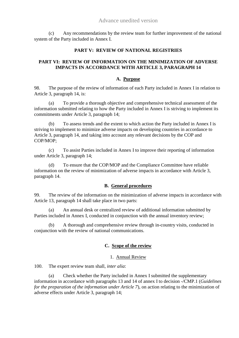(c) Any recommendations by the review team for further improvement of the national system of the Party included in Annex I.

### **PART V: REVIEW OF NATIONAL REGISTRIES**

### **PART VI: REVIEW OF INFORMATION ON THE MINIMIZATION OF ADVERSE IMPACTS IN ACCORDANCE WITH ARTICLE 3, PARAGRAPH 14**

### **A. Purpose**

98. The purpose of the review of information of each Party included in Annex I in relation to Article 3, paragraph 14, is:

(a) To provide a thorough objective and comprehensive technical assessment of the information submitted relating to how the Party included in Annex I is striving to implement its commitments under Article 3, paragraph 14;

(b) To assess trends and the extent to which action the Party included in Annex I is striving to implement to minimize adverse impacts on developing countries in accordance to Article 3, paragraph 14, and taking into account any relevant decisions by the COP and COP/MOP;

(c) To assist Parties included in Annex I to improve their reporting of information under Article 3, paragraph 14;

(d) To ensure that the COP/MOP and the Compliance Committee have reliable information on the review of minimization of adverse impacts in accordance with Article 3, paragraph 14.

### **B. General procedures**

99. The review of the information on the minimization of adverse impacts in accordance with Article 13, paragraph 14 shall take place in two parts:

(a) An annual desk or centralized review of additional information submitted by Parties included in Annex I, conducted in conjunction with the annual inventory review;

(b) A thorough and comprehensive review through in-country visits, conducted in conjunction with the review of national communications.

# **C. Scope of the review**

### 1. Annual Review

100. The expert review team shall, *inter alia*:

(a) Check whether the Party included in Annex I submitted the supplementary information in accordance with paragraphs 13 and 14 of annex I to decision -/CMP.1 (*Guidelines for the preparation of the information under Article 7*), on action relating to the minimization of adverse effects under Article 3, paragraph 14;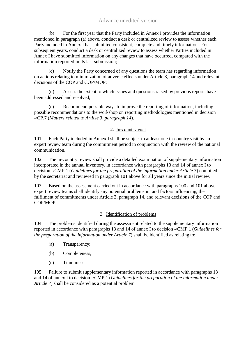(b) For the first year that the Party included in Annex I provides the information mentioned in paragraph (a) above, conduct a desk or centralized review to assess whether each Party included in Annex I has submitted consistent, complete and timely information. For subsequent years, conduct a desk or centralized review to assess whether Parties included in Annex I have submitted information on any changes that have occurred, compared with the information reported in its last submission;

(c) Notify the Party concerned of any questions the team has regarding information on actions relating to minimization of adverse effects under Article 3, paragraph 14 and relevant decisions of the COP and COP/MOP;

(d) Assess the extent to which issues and questions raised by previous reports have been addressed and resolved;

(e) Recommend possible ways to improve the reporting of information, including possible recommendations to the workshop on reporting methodologies mentioned in decision -/CP.7 (*Matters related to Article 3, paragraph 14*).

# 2. In-country visit

101. Each Party included in Annex I shall be subject to at least one in-country visit by an expert review team during the commitment period in conjunction with the review of the national communication.

102. The in-country review shall provide a detailed examination of supplementary information incorporated in the annual inventory, in accordance with paragraphs 13 and 14 of annex I to decision -/CMP.1 (*Guidelines for the preparation of the information under Article 7*) compiled by the secretariat and reviewed in paragraph 101 above for all years since the initial review.

103. Based on the assessment carried out in accordance with paragraphs 100 and 101 above, expert review teams shall identify any potential problems in, and factors influencing, the fulfilment of commitments under Article 3, paragraph 14, and relevant decisions of the COP and COP/MOP.

# 3. Identification of problems

104. The problems identified during the assessment related to the supplementary information reported in accordance with paragraphs 13 and 14 of annex I to decision -/CMP.1 (*Guidelines for the preparation of the information under Article 7*) shall be identified as relating to:

- (a) Transparency;
- (b) Completeness;
- (c) Timeliness.

105. Failure to submit supplementary information reported in accordance with paragraphs 13 and 14 of annex I to decision -/CMP.1 (*Guidelines for the preparation of the information under Article 7*) shall be considered as a potential problem.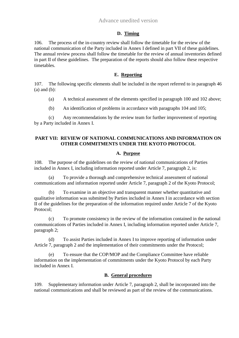### **D. Timing**

106. The process of the in-country review shall follow the timetable for the review of the national communication of the Party included in Annex I defined in part VII of these guidelines. The annual review process shall follow the timetable for the review of annual inventories defined in part II of these guidelines. The preparation of the reports should also follow these respective timetables.

### **E. Reporting**

107. The following specific elements shall be included in the report referred to in paragraph 46 (a) and (b):

(a) A technical assessment of the elements specified in paragraph 100 and 102 above;

(b) An identification of problems in accordance with paragraphs 104 and 105;

(c) Any recommendations by the review team for further improvement of reporting by a Party included in Annex I.

### **PART VII: REVIEW OF NATIONAL COMMUNICATIONS AND INFORMATION ON OTHER COMMITMENTS UNDER THE KYOTO PROTOCOL**

### **A. Purpose**

108. The purpose of the guidelines on the review of national communications of Parties included in Annex I, including information reported under Article 7, paragraph 2, is:

(a) To provide a thorough and comprehensive technical assessment of national communications and information reported under Article 7, paragraph 2 of the Kyoto Protocol;

(b) To examine in an objective and transparent manner whether quantitative and qualitative information was submitted by Parties included in Annex I in accordance with section II of the guidelines for the preparation of the information required under Article 7 of the Kyoto Protocol;

(c) To promote consistency in the review of the information contained in the national communications of Parties included in Annex I, including information reported under Article 7, paragraph 2;

(d) To assist Parties included in Annex I to improve reporting of information under Article 7, paragraph 2 and the implementation of their commitments under the Protocol;

(e) To ensure that the COP/MOP and the Compliance Committee have reliable information on the implementation of commitments under the Kyoto Protocol by each Party included in Annex I.

### **B. General procedures**

109. Supplementary information under Article 7, paragraph 2, shall be incorporated into the national communications and shall be reviewed as part of the review of the communications.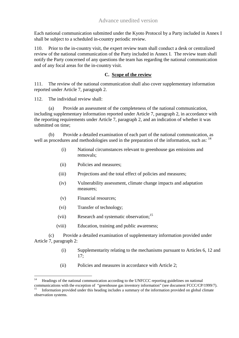Each national communication submitted under the Kyoto Protocol by a Party included in Annex I shall be subject to a scheduled in-country periodic review.

110. Prior to the in-country visit, the expert review team shall conduct a desk or centralized review of the national communication of the Party included in Annex I. The review team shall notify the Party concerned of any questions the team has regarding the national communication and of any focal areas for the in-country visit.

### **C. Scope of the review**

111. The review of the national communication shall also cover supplementary information reported under Article 7, paragraph 2.

112. The individual review shall:

(a) Provide an assessment of the completeness of the national communication, including supplementary information reported under Article 7, paragraph 2, in accordance with the reporting requirements under Article 7, paragraph 2, and an indication of whether it was submitted on time;

(b) Provide a detailed examination of each part of the national communication, as well as procedures and methodologies used in the preparation of the information, such as:  $14$ 

- (i) National circumstances relevant to greenhouse gas emissions and removals;
- (ii) Policies and measures;
- (iii) Projections and the total effect of policies and measures;
- (iv) Vulnerability assessment, climate change impacts and adaptation measures;
- (v) Financial resources;
- (vi) Transfer of technology;
- (vii) Research and systematic observation;<sup>15</sup>
- (viii) Education, training and public awareness;

(c) Provide a detailed examination of supplementary information provided under Article 7, paragraph 2:

- (i) Supplementarity relating to the mechanisms pursuant to Articles 6, 12 and 17;
- (ii) Policies and measures in accordance with Article 2;

 $\overline{a}$ 14 Headings of the national communication according to the UNFCCC reporting guidelines on national communications with the exception of "greenhouse gas inventory information" (see document FCCC/CP/1999/7).<br><sup>15</sup> Information provided under this heading includes a summary of the information provided on global climate

observation systems.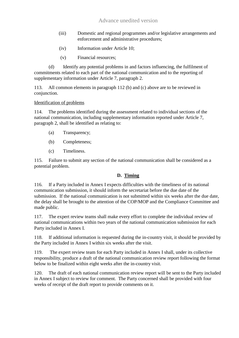- (iii) Domestic and regional programmes and/or legislative arrangements and enforcement and administrative procedures;
- (iv) Information under Article 10;
- (v) Financial resources;

(d) Identify any potential problems in and factors influencing, the fulfilment of commitments related to each part of the national communication and to the reporting of supplementary information under Article 7, paragraph 2.

113. All common elements in paragraph 112 (b) and (c) above are to be reviewed in conjunction.

### Identification of problems

114. The problems identified during the assessment related to individual sections of the national communication, including supplementary information reported under Article 7, paragraph 2, shall be identified as relating to:

- (a) Transparency;
- (b) Completeness;
- (c) Timeliness.

115. Failure to submit any section of the national communication shall be considered as a potential problem.

# **D. Timing**

116. If a Party included in Annex I expects difficulties with the timeliness of its national communication submission, it should inform the secretariat before the due date of the submission. If the national communication is not submitted within six weeks after the due date, the delay shall be brought to the attention of the COP/MOP and the Compliance Committee and made public.

117. The expert review teams shall make every effort to complete the individual review of national communications within two years of the national communication submission for each Party included in Annex I.

118. If additional information is requested during the in-country visit, it should be provided by the Party included in Annex I within six weeks after the visit.

119. The expert review team for each Party included in Annex I shall, under its collective responsibility, produce a draft of the national communication review report following the format below to be finalized within eight weeks after the in-country visit.

120. The draft of each national communication review report will be sent to the Party included in Annex I subject to review for comment. The Party concerned shall be provided with four weeks of receipt of the draft report to provide comments on it.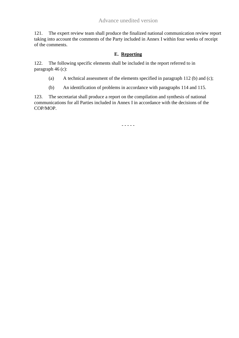121. The expert review team shall produce the finalized national communication review report taking into account the comments of the Party included in Annex I within four weeks of receipt of the comments.

# **E. Reporting**

122. The following specific elements shall be included in the report referred to in paragraph 46 (c):

- (a) A technical assessment of the elements specified in paragraph 112 (b) and (c);
- (b) An identification of problems in accordance with paragraphs 114 and 115.

123. The secretariat shall produce a report on the compilation and synthesis of national communications for all Parties included in Annex I in accordance with the decisions of the COP/MOP.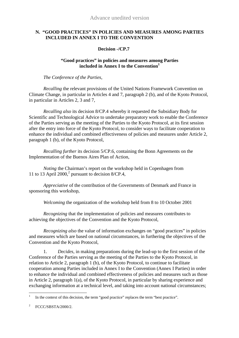### **N. "GOOD PRACTICES" IN POLICIES AND MEASURES AMONG PARTIES INCLUDED IN ANNEX I TO THE CONVENTION**

### **Decision -/CP.7**

### **"Good practices" in policies and measures among Parties included in Annex I to the Convention<sup>1</sup>**

*The Conference of the Parties*,

*Recalling* the relevant provisions of the United Nations Framework Convention on Climate Change, in particular in Articles 4 and 7, paragraph 2 (b), and of the Kyoto Protocol, in particular in Articles 2, 3 and 7,

*Recalling also* its decision 8/CP.4 whereby it requested the Subsidiary Body for Scientific and Technological Advice to undertake preparatory work to enable the Conference of the Parties serving as the meeting of the Parties to the Kyoto Protocol, at its first session after the entry into force of the Kyoto Protocol, to consider ways to facilitate cooperation to enhance the individual and combined effectiveness of policies and measures under Article 2, paragraph 1 (b), of the Kyoto Protocol,

*Recalling further* its decision 5/CP.6, containing the Bonn Agreements on the Implementation of the Buenos Aires Plan of Action,

*Noting* the Chairman's report on the workshop held in Copenhagen from 11 to 13 April 2000,<sup>2</sup> pursuant to decision 8/CP.4,

*Appreciative* of the contribution of the Governments of Denmark and France in sponsoring this workshop,

*Welcoming* the organization of the workshop held from 8 to 10 October 2001

*Recognizing* that the implementation of policies and measures contributes to achieving the objectives of the Convention and the Kyoto Protocol,

*Recognizing also* the value of information exchanges on "good practices" in policies and measures which are based on national circumstances, in furthering the objectives of the Convention and the Kyoto Protocol,

1. *Decides*, in making preparations during the lead-up to the first session of the Conference of the Parties serving as the meeting of the Parties to the Kyoto Protocol, in relation to Article 2, paragraph 1 (b), of the Kyoto Protocol, to continue to facilitate cooperation among Parties included in Annex I to the Convention (Annex I Parties) in order to enhance the individual and combined effectiveness of policies and measures such as those in Article 2, paragraph 1(a), of the Kyoto Protocol, in particular by sharing experience and exchanging information at a technical level, and taking into account national circumstances;

 $\overline{a}$ 

<sup>1</sup> In the context of this decision, the term "good practice" replaces the term "best practice".

<sup>2</sup> FCCC/SBSTA/2000/2.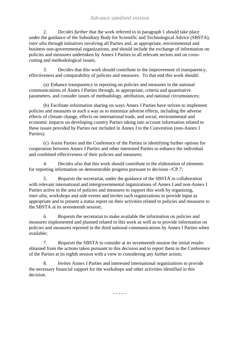2. *Decides further* that the work referred to in paragraph 1 should take place under the guidance of the Subsidiary Body for Scientific and Technological Advice (SBSTA), *inter alia* through initiatives involving all Parties and, as appropriate, environmental and business non-governmental organizations, and should include the exchange of information on policies and measures undertaken by Annex I Parties in all relevant sectors and on crosscutting and methodological issues;

3. *Decides* that this work should contribute to the improvement of transparency, effectiveness and comparability of policies and measures. To that end this work should:

(a) Enhance transparency in reporting on policies and measures in the national communications of Annex I Parties through, as appropriate, criteria and quantitative parameters, and consider issues of methodology, attribution, and national circumstances;

(b) Facilitate information sharing on ways Annex I Parties have striven to implement policies and measures in such a way as to minimize adverse effects, including the adverse effects of climate change, effects on international trade, and social, environmental and economic impacts on developing country Parties taking into account information related to these issues provided by Parties not included in Annex I to the Convention (non-Annex I Parties);

(c) Assist Parties and the Conference of the Parties in identifying further options for cooperation between Annex I Parties and other interested Parties to enhance the individual and combined effectiveness of their policies and measures;

4. *Decides also* that this work should contribute to the elaboration of elements for reporting information on demonstrable progress pursuant to decision -/CP.7;

5. *Requests* the secretariat, under the guidance of the SBSTA in collaboration with relevant international and intergovernmental organizations of Annex I and non-Annex I Parties active in the area of policies and measures to support this work by organizing, *inter alia*, workshops and side events and invites such organizations to provide input as appropriate and to present a status report on their activities related to policies and measures to the SBSTA at its seventeenth session;

6. *Requests* the secretariat to make available the information on policies and measures implemented and planned related to this work as well as to provide information on policies and measures reported in the third national communications by Annex I Parties when available;

7. *Requests* the SBSTA to consider at its seventeenth session the initial results obtained from the actions taken pursuant to this decision and to report them to the Conference of the Parties at its eighth session with a view to considering any further action;

8. *Invites* Annex I Parties and interested international organizations to provide the necessary financial support for the workshops and other activities identified in this decision.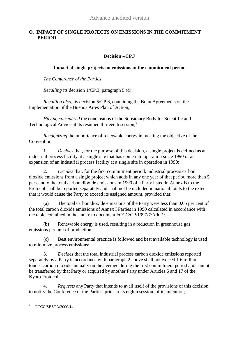# **O. IMPACT OF SINGLE PROJECTS ON EMISSIONS IN THE COMMITMENT PERIOD**

# **Decision -/CP.7**

# **Impact of single projects on emissions in the commitment period**

*The Conference of the Parties,*

*Recalling* its decision 1/CP.3, paragraph 5 (d),

*Recalling also*, its decision 5/CP.6, containing the Bonn Agreements on the Implementation of the Buenos Aires Plan of Action,

*Having considered* the conclusions of the Subsidiary Body for Scientific and Technological Advice at its resumed thirteenth session,<sup>1</sup>

*Recognizing* the importance of renewable energy in meeting the objective of the Convention,

1. *Decides* that, for the purpose of this decision, a single project is defined as an industrial process facility at a single site that has come into operation since 1990 or an expansion of an industrial process facility at a single site in operation in 1990;

2. *Decides* that, for the first commitment period, industrial process carbon dioxide emissions from a single project which adds in any one year of that period more than 5 per cent to the total carbon dioxide emissions in 1990 of a Party listed in Annex B to the Protocol shall be reported separately and shall not be included in national totals to the extent that it would cause the Party to exceed its assigned amount, provided that:

(a) The total carbon dioxide emissions of the Party were less than 0.05 per cent of the total carbon dioxide emissions of Annex I Parties in 1990 calculated in accordance with the table contained in the annex to document FCCC/CP/1997/7/Add.1;

Renewable energy is used, resulting in a reduction in greenhouse gas emissions per unit of production;

(c) Best environmental practice is followed and best available technology is used to minimize process emissions;

3. *Decides* that the total industrial process carbon dioxide emissions reported separately by a Party in accordance with paragraph 2 above shall not exceed 1.6 million tonnes carbon dioxide annually on the average during the first commitment period and cannot be transferred by that Party or acquired by another Party under Articles 6 and 17 of the Kyoto Protocol;

4. *Requests* any Party that intends to avail itself of the provisions of this decision to notify the Conference of the Parties, prior to its eighth session, of its intention;

 $\overline{a}$ 1 FCCC/SBSTA/2000/14.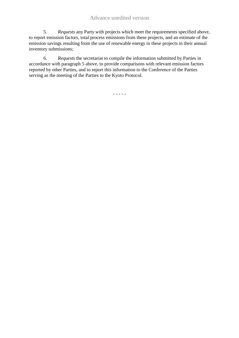5. *Requests* any Party with projects which meet the requirements specified above, to report emission factors, total process emissions from these projects, and an estimate of the emission savings resulting from the use of renewable energy in these projects in their annual inventory submissions;

6. *Requests* the secretariat to compile the information submitted by Parties in accordance with paragraph 5 above, to provide comparisons with relevant emission factors reported by other Parties, and to report this information to the Conference of the Parties serving as the meeting of the Parties to the Kyoto Protocol.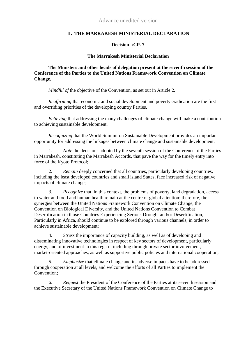#### **II. THE MARRAKESH MINISTERIAL DECLARATION**

#### **Decision -/CP. 7**

#### **The Marrakesh Ministerial Declaration**

**The Ministers and other heads of delegation present at the seventh session of the Conference of the Parties to the United Nations Framework Convention on Climate Change,**

*Mindful of* the objective of the Convention, as set out in Article 2,

*Reaffirming* that economic and social development and poverty eradication are the first and overriding priorities of the developing country Parties,

*Believing* that addressing the many challenges of climate change will make a contribution to achieving sustainable development,

*Recognizing* that the World Summit on Sustainable Development provides an important opportunity for addressing the linkages between climate change and sustainable development,

1. *Note* the decisions adopted by the seventh session of the Conference of the Parties in Marrakesh, constituting the Marrakesh Accords, that pave the way for the timely entry into force of the Kyoto Protocol;

2. *Remain* deeply concerned that all countries, particularly developing countries, including the least developed countries and small island States, face increased risk of negative impacts of climate change;

3. *Recognize* that, in this context, the problems of poverty, land degradation, access to water and food and human health remain at the centre of global attention; therefore, the synergies between the United Nations Framework Convention on Climate Change, the Convention on Biological Diversity, and the United Nations Convention to Combat Desertification in those Countries Experiencing Serious Drought and/or Desertification, Particularly in Africa, should continue to be explored through various channels, in order to achieve sustainable development;

4. *Stress* the importance of capacity building, as well as of developing and disseminating innovative technologies in respect of key sectors of development, particularly energy, and of investment in this regard, including through private sector involvement, market-oriented approaches, as well as supportive public policies and international cooperation;

5. *Emphasize* that climate change and its adverse impacts have to be addressed through cooperation at all levels, and welcome the efforts of all Parties to implement the Convention;

6. *Request* the President of the Conference of the Parties at its seventh session and the Executive Secretary of the United Nations Framework Convention on Climate Change to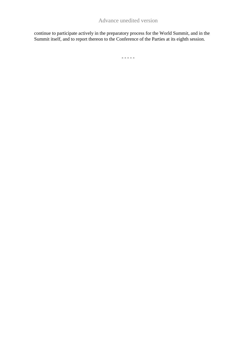continue to participate actively in the preparatory process for the World Summit, and in the Summit itself, and to report thereon to the Conference of the Parties at its eighth session.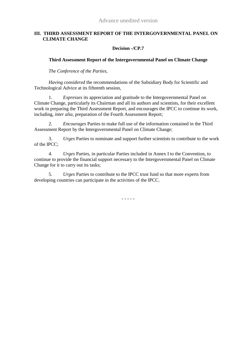#### **III. THIRD ASSESSMENT REPORT OF THE INTERGOVERNMENTAL PANEL ON CLIMATE CHANGE**

#### **Decision -/CP.7**

#### **Third Assessment Report of the Intergovernmental Panel on Climate Change**

*The Conference of the Parties,*

*Having considered* the recommendations of the Subsidiary Body for Scientific and Technological Advice at its fifteenth session,

1. *Expresses* its appreciation and gratitude to the Intergovernmental Panel on Climate Change, particularly its Chairman and all its authors and scientists, for their excellent work in preparing the Third Assessment Report, and encourages the IPCC to continue its work, including, *inter alia*, preparation of the Fourth Assessment Report;

2. *Encourages* Parties to make full use of the information contained in the Third Assessment Report by the Intergovernmental Panel on Climate Change;

3. *Urges* Parties to nominate and support further scientists to contribute to the work of the IPCC;

4. *Urges* Parties, in particular Parties included in Annex I to the Convention, to continue to provide the financial support necessary to the Intergovernmental Panel on Climate Change for it to carry out its tasks;

5. *Urges* Parties to contribute to the IPCC trust fund so that more experts from developing countries can participate in the activities of the IPCC.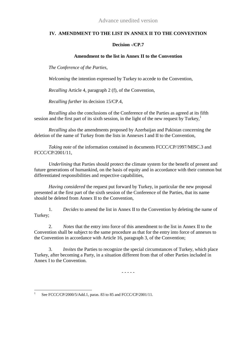### **IV. AMENDMENT TO THE LIST IN ANNEX II TO THE CONVENTION**

### **Decision -/CP.7**

#### **Amendment to the list in Annex II to the Convention**

*The Conference of the Parties,*

*Welcoming* the intention expressed by Turkey to accede to the Convention,

*Recalling* Article 4, paragraph 2 (f), of the Convention,

*Recalling further* its decision 15/CP.4,

*Recalling* also the conclusions of the Conference of the Parties as agreed at its fifth session and the first part of its sixth session, in the light of the new request by Turkey,<sup>1</sup>

*Recalling* also the amendments proposed by Azerbaijan and Pakistan concerning the deletion of the name of Turkey from the lists in Annexes I and II to the Convention,

*Taking note* of the information contained in documents FCCC/CP/1997/MISC.3 and FCCC/CP/2001/11,

*Underlining* that Parties should protect the climate system for the benefit of present and future generations of humankind, on the basis of equity and in accordance with their common but differentiated responsibilities and respective capabilities,

*Having considered* the request put forward by Turkey, in particular the new proposal presented at the first part of the sixth session of the Conference of the Parties, that its name should be deleted from Annex II to the Convention,

1. *Decides* to amend the list in Annex II to the Convention by deleting the name of Turkey;

2. *Notes* that the entry into force of this amendment to the list in Annex II to the Convention shall be subject to the same procedure as that for the entry into force of annexes to the Convention in accordance with Article 16, paragraph 3, of the Convention;

3. *Invites* the Parties to recognize the special circumstances of Turkey, which place Turkey, after becoming a Party, in a situation different from that of other Parties included in Annex I to the Convention.

 $\frac{1}{1}$ See FCCC/CP/2000/5/Add.1, paras. 83 to 85 and FCCC/CP/2001/11.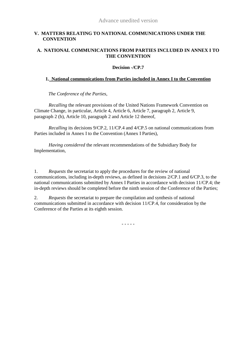### **V. MATTERS RELATING TO NATIONAL COMMUNICATIONS UNDER THE CONVENTION**

### **A. NATIONAL COMMUNICATIONS FROM PARTIES INCLUDED IN ANNEX I TO THE CONVENTION**

**Decision -/CP.7**

### **1. National communications from Parties included in Annex I to the Convention**

*The Conference of the Parties*,

*Recalling* the relevant provisions of the United Nations Framework Convention on Climate Change, in particular, Article 4, Article 6, Article 7, paragraph 2, Article 9, paragraph 2 (b), Article 10, paragraph 2 and Article 12 thereof,

*Recalling* its decisions 9/CP.2, 11/CP.4 and 4/CP.5 on national communications from Parties included in Annex I to the Convention (Annex I Parties),

*Having considered* the relevant recommendations of the Subsidiary Body for Implementation,

1. *Requests* the secretariat to apply the procedures for the review of national communications, including in-depth reviews, as defined in decisions 2/CP.1 and 6/CP.3, to the national communications submitted by Annex I Parties in accordance with decision 11/CP.4; the in-depth reviews should be completed before the ninth session of the Conference of the Parties;

2. *Requests* the secretariat to prepare the compilation and synthesis of national communications submitted in accordance with decision 11/CP.4, for consideration by the Conference of the Parties at its eighth session.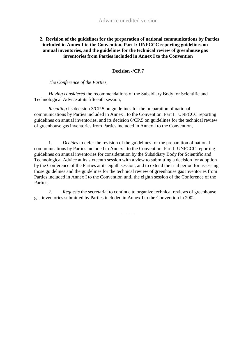### **2. Revision of the guidelines for the preparation of national communications by Parties included in Annex I to the Convention, Part I: UNFCCC reporting guidelines on annual inventories, and the guidelines for the technical review of greenhouse gas inventories from Parties included in Annex I to the Convention**

### **Decision -/CP.7**

*The Conference of the Parties,*

*Having considered* the recommendations of the Subsidiary Body for Scientific and Technological Advice at its fifteenth session,

*Recalling* its decision 3/CP.5 on guidelines for the preparation of national communications by Parties included in Annex I to the Convention, Part I: UNFCCC reporting guidelines on annual inventories, and its decision 6/CP.5 on guidelines for the technical review of greenhouse gas inventories from Parties included in Annex I to the Convention,

1. *Decides* to defer the revision of the guidelines for the preparation of national communications by Parties included in Annex I to the Convention, Part I: UNFCCC reporting guidelines on annual inventories for consideration by the Subsidiary Body for Scientific and Technological Advice at its sixteenth session with a view to submitting a decision for adoption by the Conference of the Parties at its eighth session, and to extend the trial period for assessing those guidelines and the guidelines for the technical review of greenhouse gas inventories from Parties included in Annex I to the Convention until the eighth session of the Conference of the Parties;

2. *Requests* the secretariat to continue to organize technical reviews of greenhouse gas inventories submitted by Parties included in Annex I to the Convention in 2002.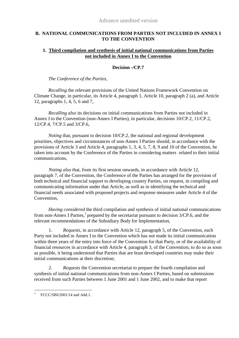### **B. NATIONAL COMMUNICATIONS FROM PARTIES NOT INCLUDED IN ANNEX I TO THE CONVENTION**

### **1. Third compilation and synthesis of initial national communications from Parties not included in Annex I to the Convention**

### **Decision -/CP.7**

*The Conference of the Parties*,

*Recalling* the relevant provisions of the United Nations Framework Convention on Climate Change, in particular, its Article 4, paragraph 1, Article 10, paragraph 2 (a), and Article 12, paragraphs 1, 4, 5, 6 and 7,

*Recalling also* its decisions on initial communications from Parties not included in Annex I to the Convention (non-Annex I Parties), in particular, decisions 10/CP.2, 11/CP.2, 12/CP.4, 7/CP.5 and 3/CP.6,

*Noting* that, pursuant to decision 10/CP.2, the national and regional development priorities, objectives and circumstances of non-Annex I Parties should, in accordance with the provisions of Article 3 and Article 4, paragraphs 1, 3, 4, 5, 7, 8, 9 and 10 of the Convention, be taken into account by the Conference of the Parties in considering matters related to their initial communications,

*Noting also* that, from its first session onwards, in accordance with Article 12, paragraph 7, of the Convention, the Conference of the Parties has arranged for the provision of both technical and financial support to developing country Parties, on request, in compiling and communicating information under that Article, as well as in identifying the technical and financial needs associated with proposed projects and response measures under Article 4 of the Convention,

*Having considered* the third compilation and synthesis of initial national communications from non-Annex I Parties,<sup>1</sup> prepared by the secretariat pursuant to decision  $3/CP.6$ , and the relevant recommendations of the Subsidiary Body for Implementation,

1. *Requests,* in accordance with Article 12, paragraph 5, of the Convention, each Party not included in Annex I to the Convention which has not made its initial communication within three years of the entry into force of the Convention for that Party, or of the availability of financial resources in accordance with Article 4, paragraph 3, of the Convention, to do so as soon as possible, it being understood that Parties that are least developed countries may make their initial communications at their discretion;

2. *Requests* the Convention secretariat to prepare the fourth compilation and synthesis of initial national communications from non-Annex I Parties, based on submissions received from such Parties between 1 June 2001 and 1 June 2002, and to make that report

<sup>|&</sup>lt;br>|<br>| FCCC/SBI/2001/14 and Add.1.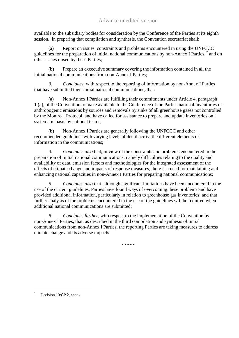available to the subsidiary bodies for consideration by the Conference of the Parties at its eighth session. In preparing that compilation and synthesis, the Convention secretariat shall:

(a) Report on issues, constraints and problems encountered in using the UNFCCC guidelines for the preparation of initial national communications by non-Annex I Parties,  $\frac{2}{3}$  and on other issues raised by these Parties;

(b) Prepare an excecutive summary covering the information contained in all the initial national communications from non-Annex I Parties;

3. *Concludes,* with respect to the reporting of information by non-Annex I Parties that have submitted their initial national communications, that:

(a) Non-Annex I Parties are fulfilling their commitments under Article 4, paragraph 1 (a), of the Convention to make available to the Conference of the Parties national inventories of anthropogenic emissions by sources and removals by sinks of all greenhouse gases not controlled by the Montreal Protocol, and have called for assistance to prepare and update inventories on a systematic basis by national teams;

(b) Non-Annex I Parties are generally following the UNFCCC and other recommended guidelines with varying levels of detail across the different elements of information in the communications;

4. *Concludes also* that, in view of the constraints and problems encountered in the preparation of initial national communications, namely difficulties relating to the quality and availability of data, emission factors and methodologies for the integrated assessment of the effects of climate change and impacts of response measures, there is a need for maintaining and enhancing national capacities in non-Annex I Parties for preparing national communications;

5. *Concludes also* that, although significant limitations have been encountered in the use of the current guidelines, Parties have found ways of overcoming these problems and have provided additional information, particularly in relation to greenhouse gas inventories; and that further analysis of the problems encountered in the use of the guidelines will be required when additional national communications are submitted;

6. *Concludes further,* with respect to the implementation of the Convention by non-Annex I Parties, that, as described in the third compilation and synthesis of initial communications from non-Annex I Parties, the reporting Parties are taking measures to address climate change and its adverse impacts.

 $\frac{1}{2}$ Decision 10/CP.2, annex.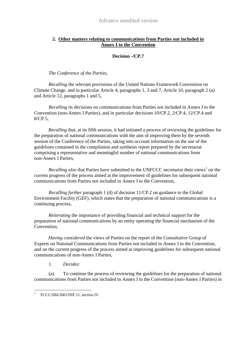# **2. Other matters relating to communications from Parties not included in Annex I to the Convention**

### **Decision -/CP.7**

*The Conference of the Parties*,

*Recalling* the relevant provisions of the United Nations Framework Convention on Climate Change, and in particular Article 4, paragraphs 1, 3 and 7, Article 10, paragraph 2 (a) and Article 12, paragraphs 1 and 5,

*Recalling* its decisions on communications from Parties not included in Annex I to the Convention (non-Annex I Parties), and in particular decisions 10/CP.2, 2/CP.4, 12/CP.4 and 8/CP.5,

*Recalling* that, at its fifth session, it had initiated a process of reviewing the guidelines for the preparation of national communications with the aim of improving them by the seventh session of the Conference of the Parties, taking into account information on the use of the guidelines contained in the compilation and synthesis report prepared by the secretariat comprising a representative and meaningful number of national communications from non-Annex I Parties,

Recalling also that Parties have submitted to the UNFCCC secretariat their views<sup>1</sup> on the current progress of the process aimed at the improvement of guidelines for subsequent national communications from Parties not included in Annex I to the Convention,

*Recalling further* paragraph 1 (d) of decision 11/CP.2 on guidance to the Global Environment Facility (GEF), which states that the preparation of national communications is a continuing process,

*Reiterating* the importance of providing financial and technical support for the preparation of national communications by an entity operating the financial mechanism of the Convention,

*Having considered* the views of Parties on the report of the Consultative Group of Experts on National Communications from Parties not included in Annex I to the Convention, and on the current progress of the process aimed at improving guidelines for subsequent national communications of non-Annex I Parties,

1. *Decides*:

(a) To continue the process of reviewing the guidelines for the preparation of national communications from Parties not included in Annex I to the Convention (non-Annex I Parties) in

<sup>&</sup>lt;sup>1</sup> FCCC/SBI/2001/INF.11, section IV.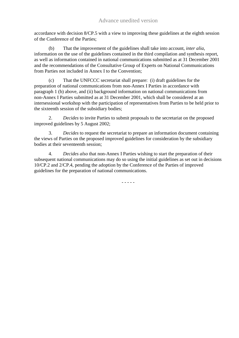accordance with decision 8/CP.5 with a view to improving these guidelines at the eighth session of the Conference of the Parties;

(b) That the improvement of the guidelines shall take into account, *inter alia*, information on the use of the guidelines contained in the third compilation and synthesis report, as well as information contained in national communications submitted as at 31 December 2001 and the recommendations of the Consultative Group of Experts on National Communications from Parties not included in Annex I to the Convention;

(c) That the UNFCCC secretariat shall prepare: (i) draft guidelines for the preparation of national communications from non-Annex I Parties in accordance with paragraph 1 (b) above, and (ii) background information on national communications from non-Annex I Parties submitted as at 31 December 2001, which shall be considered at an intersessional workshop with the participation of representatives from Parties to be held prior to the sixteenth session of the subsidiary bodies;

2. *Decides* to invite Parties to submit proposals to the secretariat on the proposed improved guidelines by 5 August 2002;

3. *Decides* to request the secretariat to prepare an information document containing the views of Parties on the proposed improved guidelines for consideration by the subsidiary bodies at their seventeenth session;

4. *Decides also* that non-Annex I Parties wishing to start the preparation of their subsequent national communications may do so using the initial guidelines as set out in decisions 10/CP.2 and 2/CP.4, pending the adoption by the Conference of the Parties of improved guidelines for the preparation of national communications.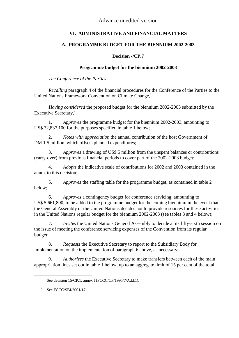# **VI. ADMINISTRATIVE AND FINANCIAL MATTERS**

# **A. PROGRAMME BUDGET FOR THE BIENNIUM 2002-2003**

# **Decision -/CP.7**

# **Programme budget for the biennium 2002-2003**

*The Conference of the Parties*,

*Recalling* paragraph 4 of the financial procedures for the Conference of the Parties to the United Nations Framework Convention on Climate Change,<sup>1</sup>

*Having considered* the proposed budget for the biennium 2002-2003 submitted by the Executive Secretary,<sup>2</sup>

1. *Approves* the programme budget for the biennium 2002-2003, amounting to US\$ 32,837,100 for the purposes specified in table 1 below;

2. *Notes with appreciation* the annual contribution of the host Government of DM 1.5 million, which offsets planned expenditures;

3. *Approves* a drawing of US\$ 5 million from the unspent balances or contributions (carry-over) from previous financial periods to cover part of the 2002-2003 budget;

4. *Adopts* the indicative scale of contributions for 2002 and 2003 contained in the annex to this decision;

5. *Approves* the staffing table for the programme budget, as contained in table 2 below;

6. *Approves* a contingency budget for conference servicing, amounting to US\$ 5,661,800, to be added to the programme budget for the coming biennium in the event that the General Assembly of the United Nations decides not to provide resources for these activities in the United Nations regular budget for the biennium 2002-2003 (see tables 3 and 4 below);

7. *Invites* the United Nations General Assembly to decide at its fifty-sixth session on the issue of meeting the conference servicing expenses of the Convention from its regular budget;

8. *Requests* the Executive Secretary to report to the Subsidiary Body for Implementation on the implementation of paragraph 6 above, as necessary;

9. *Authorizes* the Executive Secretary to make transfers between each of the main appropriation lines set out in table 1 below, up to an aggregate limit of 15 per cent of the total

 <sup>1</sup> See decision 15/CP.1, annex I (FCCC/CP/1995/7/Add.1).

<sup>2</sup> See FCCC/SBI/2001/17.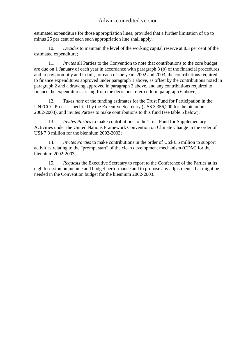estimated expenditure for those appropriation lines, provided that a further limitation of up to minus 25 per cent of each such appropriation line shall apply;

10. *Decides* to maintain the level of the working capital reserve at 8.3 per cent of the estimated expenditure;

11. *Invites* all Parties to the Convention to note that contributions to the core budget are due on 1 January of each year in accordance with paragraph 8 (b) of the financial procedures and to pay promptly and in full, for each of the years 2002 and 2003, the contributions required to finance expenditures approved under paragraph 1 above, as offset by the contributions noted in paragraph 2 and a drawing approved in paragraph 3 above, and any contributions required to finance the expenditures arising from the decisions referred to in paragraph 6 above;

12. *Takes note* of the funding estimates for the Trust Fund for Participation in the UNFCCC Process specified by the Executive Secretary (US\$ 3,356,200 for the biennium 2002-2003), and invites Parties to make contributions to this fund (see table 5 below);

13. *Invites Parties* to make contributions to the Trust Fund for Supplementary Activities under the United Nations Framework Convention on Climate Change in the order of US\$ 7.3 million for the biennium 2002-2003;

14. *Invites Parties* to make contributions in the order of US\$ 6.5 million to support activities relating to the "prompt start" of the clean development mechanism (CDM) for the biennium 2002-2003;

15. *Requests* the Executive Secretary to report to the Conference of the Parties at its eighth session on income and budget performance and to propose any adjustments that might be needed in the Convention budget for the biennium 2002-2003.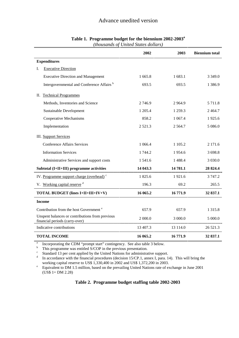|                                                                                   | (thousanas of United States dollars) |             |                       |
|-----------------------------------------------------------------------------------|--------------------------------------|-------------|-----------------------|
|                                                                                   | 2002                                 | 2003        | <b>Biennium</b> total |
| <b>Expenditures</b>                                                               |                                      |             |                       |
| <b>Executive Direction</b><br>Ι.                                                  |                                      |             |                       |
| <b>Executive Direction and Management</b>                                         | 1 665.8                              | 1 683.1     | 3 3 4 9 .0            |
| Intergovernmental and Conference Affairs <sup>b</sup>                             | 693.5                                | 693.5       | 1 3 8 6.9             |
| II. Technical Programmes                                                          |                                      |             |                       |
| Methods, Inventories and Science                                                  | 2 746.9                              | 2 9 6 4 .9  | 5 7 1 1.8             |
| Sustainable Development                                                           | 1 205.4                              | 1 259.3     | 2464.7                |
| Cooperative Mechanisms                                                            | 858.2                                | 1 0 6 7 .4  | 1925.6                |
| Implementation                                                                    | 2521.3                               | 2 5 6 4 .7  | 5 086.0               |
| <b>III.</b> Support Services                                                      |                                      |             |                       |
| <b>Conference Affairs Services</b>                                                | 1 0 6 6.4                            | 1 1 0 5 . 2 | 2 171.6               |
| <b>Information Services</b>                                                       | 1 744.2                              | 1954.6      | 3698.8                |
| Administrative Services and support costs                                         | 1 541.6                              | 1488.4      | 3 0 3 0.0             |
| Subtotal (I+II+III) programme activities                                          | 14 043.3                             | 14 781.1    | 28 824.4              |
| IV. Programme support charge (overhead) $c$                                       | 1 825.6                              | 1921.6      | 3 747.2               |
| V. Working capital reserve <sup>d</sup>                                           | 196.3                                | 69.2        | 265.5                 |
| TOTAL BUDGET (lines I+II+III+IV+V)                                                | 16 065.2                             | 16 771.9    | 32 837.1              |
| <b>Income</b>                                                                     |                                      |             |                       |
| Contribution from the host Government <sup>e</sup>                                | 657.9                                | 657.9       | 1 3 1 5 .8            |
| Unspent balances or contributions from previous<br>financial periods (carry-over) | 2 000.0                              | 3 000.0     | 5 000.0               |
| Indicative contributions                                                          | 13 407.3                             | 13 114.0    | 26 521.3              |
| <b>TOTAL INCOME</b>                                                               | 16 065.2                             | 16 771.9    | 32 837.1              |

#### **Table 1. Programme budget for the biennium 2002-2003<sup>a</sup>** *(thousands of United States dollars)*

<sup>a</sup><br>Incorporating the CDM "prompt start" contingency. See also table 3 below.<br>This programme was entitled S/COP in the previous presentation.<br>Constandant 13 per cent applied by the United Nations for administrative support

 $\degree$  Equivalent to DM 1.5 million, based on the prevailing United Nations rate of exchange in June 2001  $($ US\$ 1= DM 2.28)

#### **Table 2. Programme budget staffing table 2002-2003**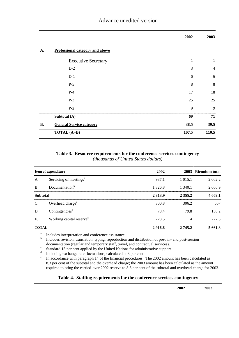|           |                                 | 2002  | 2003           |
|-----------|---------------------------------|-------|----------------|
| A.        | Professional category and above |       |                |
|           | <b>Executive Secretary</b>      | 1     | 1              |
|           | $D-2$                           | 3     | $\overline{4}$ |
|           | $D-1$                           | 6     | 6              |
|           | $P-5$                           | 8     | 8              |
|           | $P-4$                           | 17    | 18             |
|           | $P-3$                           | 25    | 25             |
|           | $P-2$                           | 9     | 9              |
|           | Subtotal (A)                    | 69    | 71             |
| <b>B.</b> | <b>General Service category</b> | 38.5  | 39.5           |
|           | TOTAL (A+B)                     | 107.5 | 110.5          |

#### **Table 3. Resource requirements for the conference services contingency** *(thousands of United States dollars)*

|                 | Item of expenditure                     | 2002       |             | 2003 Biennium total |
|-----------------|-----------------------------------------|------------|-------------|---------------------|
| A.              | Servicing of meetings <sup>a</sup>      | 987.1      | 1 0 1 5 . 1 | 2 0 0 2.2           |
| <b>B.</b>       | Documentation <sup>b</sup>              | 1 3 2 6 .8 | 1 340.1     | 2 6 6 6 9           |
| <b>Subtotal</b> |                                         | 2 3 1 3 .9 | 2 3 5 5 .2  | 4 6 69.1            |
| C.              | Overhead charge <sup>c</sup>            | 300.8      | 306.2       | 607                 |
| D.              | Contingencies <sup><math>d</math></sup> | 78.4       | 79.8        | 158.2               |
| Е.              | Working capital reserve <sup>e</sup>    | 223.5      | 4           | 227.5               |
| <b>TOTAL</b>    |                                         | 2916.6     | 2 745.2     | 5 661.8             |

<sup>a</sup> Includes interpretation and conference assistance.<br><sup>b</sup> Includes revision, translation, typing, reproduction and distribution of pre-, in- and post-session

documentation (regular and temporary staff, travel, and contractual services).<br>
Standard 13 per cent applied by the United Nations for administrative support.<br>
Including exchange rate fluctuations, calculated at 3 per cent 8.3 per cent of the subtotal and the overhead charge; the 2003 amount has been calculated as the amount required to bring the carried-over 2002 reserve to 8.3 per cent of the subtotal and overhead charge for 2003.

#### **Table 4. Staffing requirements for the conference services contingency**

| 2003 |
|------|
|      |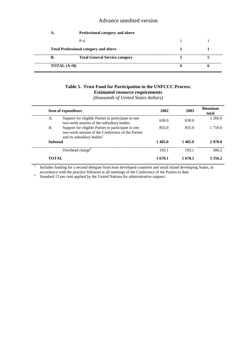| А.                   | Professional category and above              |  |  |
|----------------------|----------------------------------------------|--|--|
|                      | $P-4$                                        |  |  |
|                      | <b>Total Professional category and above</b> |  |  |
| В.                   | <b>Total General Service category</b>        |  |  |
| <b>TOTAL</b> $(A+B)$ |                                              |  |  |

## **Table 5. Trust Fund for Participation in the UNFCCC Process: Estimated resource requirements**

|                 | Item of expenditure                                                                                                                               | 2002    | 2003    | <b>Biennium</b><br>total |
|-----------------|---------------------------------------------------------------------------------------------------------------------------------------------------|---------|---------|--------------------------|
| А.              | Support for eligible Parties to participate in one.<br>two-week session of the subsidiary bodies                                                  | 630.0   | 630.0   | 1 260.0                  |
| <b>B.</b>       | Support for eligible Parties to participate in one<br>two-week session of the Conference of the Parties<br>and its subsidiary bodies <sup>a</sup> | 855.0   | 855.0   | 1 710.0                  |
| <b>Subtotal</b> |                                                                                                                                                   | 1485.0  | 1485.0  | 2970.0                   |
|                 | Overhead charge <sup>b</sup>                                                                                                                      | 193.1   | 193.1   | 386.2                    |
| <b>TOTAL</b>    |                                                                                                                                                   | 1 678.1 | 1 678.1 | 3 3 5 6 . 2              |

*(thousands of United States dollars)*

 $\frac{1}{a}$ Includes funding for a second delegate from least developed countries and small island developing States, in

accordance with the practice followed at all meetings of the Conference of the Parties to date.<br>b Standard 13 per cent applied by the United Nations for administrative support.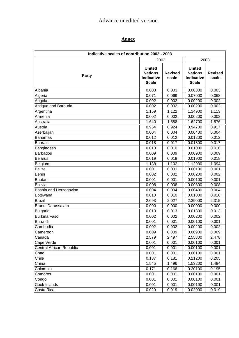# **Annex**

| Indicative scales of contribution 2002 - 2003 |                                                               |                         |                                                                      |                         |
|-----------------------------------------------|---------------------------------------------------------------|-------------------------|----------------------------------------------------------------------|-------------------------|
|                                               | 2002                                                          |                         | 2003                                                                 |                         |
| Party                                         | <b>United</b><br><b>Nations</b><br>Indicative<br><b>Scale</b> | <b>Revised</b><br>scale | <b>United</b><br><b>Nations</b><br><b>Indicative</b><br><b>Scale</b> | <b>Revised</b><br>scale |
| Albania                                       | 0.003                                                         | 0.003                   | 0.00300                                                              | 0.003                   |
| Algeria                                       | 0.071                                                         | 0.069                   | 0.07000                                                              | 0.068                   |
| Angola                                        | 0.002                                                         | 0.002                   | 0.00200                                                              | 0.002                   |
| Antigua and Barbuda                           | 0.002                                                         | 0.002                   | 0.00200                                                              | 0.002                   |
| Argentina                                     | 1.159                                                         | 1.122                   | 1.14900                                                              | 1.113                   |
| Armenia                                       | 0.002                                                         | 0.002                   | 0.00200                                                              | 0.002                   |
| Australia                                     | 1.640                                                         | 1.588                   | 1.62700                                                              | 1.576                   |
| Austria                                       | 0.954                                                         | 0.924                   | 0.94700                                                              | 0.917                   |
| Azerbaijan                                    | 0.004                                                         | 0.004                   | 0.00400                                                              | 0.004                   |
| Bahamas                                       | 0.012                                                         | 0.012                   | 0.01200                                                              | 0.012                   |
| <b>Bahrain</b>                                | 0.018                                                         | 0.017                   | 0.01800                                                              | 0.017                   |
| Bangladesh                                    | 0.010                                                         | 0.010                   | 0.01000                                                              | 0.010                   |
| <b>Barbados</b>                               | 0.009                                                         | 0.009                   | 0.00900                                                              | 0.009                   |
| <b>Belarus</b>                                | 0.019                                                         | 0.018                   | 0.01900                                                              | 0.018                   |
| Belgium                                       | 1.138                                                         | 1.102                   | 1.12900                                                              | 1.094                   |
| <b>Belize</b>                                 | 0.001                                                         | 0.001                   | 0.00100                                                              | 0.001                   |
| Benin                                         | 0.002                                                         | 0.002                   | 0.00200                                                              | 0.002                   |
| <b>Bhutan</b>                                 | 0.001                                                         | 0.001                   | 0.00100                                                              | 0.001                   |
| <b>Bolivia</b>                                | 0.008                                                         | 0.008                   | 0.00800                                                              | 0.008                   |
| Bosnia and Herzegovina                        | 0.004                                                         | 0.004                   | 0.00400                                                              | 0.004                   |
| <b>Botswana</b>                               | 0.010                                                         | 0.010                   | 0.01000                                                              | 0.010                   |
| <b>Brazil</b>                                 | 2.093                                                         | 2.027                   | 2.39000                                                              | 2.315                   |
| <b>Brunei Darussalam</b>                      | 0.000                                                         | 0.000                   | 0.00000                                                              | 0.000                   |
| <b>Bulgaria</b>                               | 0.013                                                         | 0.013                   | 0.01300                                                              | 0.013                   |
| <b>Burkina Faso</b>                           | 0.002                                                         | 0.002                   | 0.00200                                                              | 0.002                   |
| <b>Burundi</b>                                | 0.001                                                         | 0.001                   | 0.00100                                                              | 0.001                   |
| Cambodia                                      | 0.002                                                         | 0.002                   | 0.00200                                                              | 0.002                   |
| Cameroon                                      | 0.009                                                         | 0.009                   | 0.00900                                                              | 0.009                   |
| Canada                                        | 2.579                                                         | 2.497                   | 2.55800                                                              | 2.478                   |
| Cape Verde                                    | 0.001                                                         | 0.001                   | 0.00100                                                              | 0.001                   |
| Central African Republic                      | 0.001                                                         | 0.001                   | 0.00100                                                              | 0.001                   |
| Chad                                          | 0.001                                                         | 0.001                   | 0.00100                                                              | 0.001                   |
| Chile                                         | 0.187                                                         | 0.181                   | 0.21200                                                              | 0.205                   |
| China                                         | 1.545                                                         | 1.496                   | 1.53200                                                              | 1.484                   |
| Colombia                                      | 0.171                                                         | 0.166                   | 0.20100                                                              | 0.195                   |
| Comoros                                       | 0.001                                                         | 0.001                   | 0.00100                                                              | 0.001                   |
| Congo                                         | 0.001                                                         | 0.001                   | 0.00100                                                              | 0.001                   |
| Cook Islands                                  | 0.001                                                         | 0.001                   | 0.00100                                                              | 0.001                   |
| Costa Rica                                    | 0.020                                                         | 0.019                   | 0.02000                                                              | 0.019                   |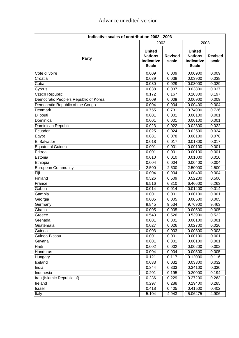| Indicative scales of contribution 2002 - 2003 |                                                               |                         |                                                                      |                         |  |
|-----------------------------------------------|---------------------------------------------------------------|-------------------------|----------------------------------------------------------------------|-------------------------|--|
|                                               | 2002                                                          |                         | 2003                                                                 |                         |  |
| <b>Party</b>                                  | <b>United</b><br><b>Nations</b><br>Indicative<br><b>Scale</b> | <b>Revised</b><br>scale | <b>United</b><br><b>Nations</b><br><b>Indicative</b><br><b>Scale</b> | <b>Revised</b><br>scale |  |
| Côte d'Ivoire                                 | 0.009                                                         | 0.009                   | 0.00900                                                              | 0.009                   |  |
| Croatia                                       | 0.039                                                         | 0.038                   | 0.03900                                                              | 0.038                   |  |
| Cuba                                          | 0.030                                                         | 0.029                   | 0.03000                                                              | 0.029                   |  |
| Cyprus                                        | 0.038                                                         | 0.037                   | 0.03800                                                              | 0.037                   |  |
| Czech Republic                                | 0.172                                                         | 0.167                   | 0.20300                                                              | 0.197                   |  |
| Democratic People's Republic of Korea         | 0.009                                                         | 0.009                   | 0.00900                                                              | 0.009                   |  |
| Democratic Republic of the Congo              | 0.004                                                         | 0.004                   | 0.00400                                                              | 0.004                   |  |
| Denmark                                       | 0.755                                                         | 0.731                   | 0.74900                                                              | 0.726                   |  |
| Djibouti                                      | 0.001                                                         | 0.001                   | 0.00100                                                              | 0.001                   |  |
| Dominica                                      | 0.001                                                         | 0.001                   | 0.00100                                                              | 0.001                   |  |
| Dominican Republic                            | 0.023                                                         | 0.022                   | 0.02300                                                              | 0.022                   |  |
| Ecuador                                       | 0.025                                                         | 0.024                   | 0.02500                                                              | 0.024                   |  |
| Egypt                                         | 0.081                                                         | 0.078                   | 0.08100                                                              | 0.078                   |  |
| El Salvador                                   | 0.018                                                         | 0.017                   | 0.01800                                                              | 0.017                   |  |
| <b>Equatorial Guinea</b>                      | 0.001                                                         | 0.001                   | 0.00100                                                              | 0.001                   |  |
| Eritrea                                       | 0.001                                                         | 0.001                   | 0.00100                                                              | 0.001                   |  |
| Estonia                                       | 0.010                                                         | 0.010                   | 0.01000                                                              | 0.010                   |  |
| Ethiopia                                      | 0.004                                                         | 0.004                   | 0.00400                                                              | 0.004                   |  |
| <b>European Community</b>                     | 2.500                                                         | 2.500                   | 2.50000                                                              | 2.500                   |  |
| Fiji                                          | 0.004                                                         | 0.004                   | 0.00400                                                              | 0.004                   |  |
| Finland                                       | 0.526                                                         | 0.509                   | 0.52200                                                              | 0.506                   |  |
| France                                        | 6.516                                                         | 6.310                   | 6.46600                                                              | 6.263                   |  |
| Gabon                                         | 0.014                                                         | 0.014                   | 0.01400                                                              | 0.014                   |  |
| Gambia                                        | 0.001                                                         | 0.001                   | 0.00100                                                              | 0.001                   |  |
| Georgia                                       | 0.005                                                         | 0.005                   | 0.00500                                                              | 0.005                   |  |
| Germany                                       | 9.845                                                         | 9.534                   | 9.76900                                                              | 9.463                   |  |
| Ghana                                         | 0.005                                                         | 0.005                   | 0.00500                                                              | 0.005                   |  |
| Greece                                        | 0.543                                                         | 0.526                   | 0.53900                                                              | 0.522                   |  |
| Grenada                                       | 0.001                                                         | 0.001                   | 0.00100                                                              | 0.001                   |  |
| Guatemala                                     | 0.027                                                         | 0.026                   | 0.02700                                                              | 0.026                   |  |
| Guinea                                        | 0.003                                                         | 0.003                   | 0.00300                                                              | 0.003                   |  |
| Guinea-Bissau                                 | 0.001                                                         | 0.001                   | 0.00100                                                              | 0.001                   |  |
| Guyana                                        | 0.001                                                         | 0.001                   | 0.00100                                                              | 0.001                   |  |
| Haiti                                         | 0.002                                                         | 0.002                   | 0.00200                                                              | 0.002                   |  |
| Honduras                                      | 0.004                                                         | 0.004                   | 0.00500                                                              | 0.005                   |  |
| Hungary                                       | 0.121                                                         | 0.117                   | 0.12000                                                              | 0.116                   |  |
| Iceland                                       | 0.033                                                         | 0.032                   | 0.03300                                                              | 0.032                   |  |
| India                                         | 0.344                                                         | 0.333                   | 0.34100                                                              | 0.330                   |  |
| Indonesia                                     | 0.201                                                         | 0.195                   | 0.20000                                                              | 0.194                   |  |
| Iran (Islamic Republic of)                    | 0.236                                                         | 0.229                   | 0.27200                                                              | 0.263                   |  |
| Ireland                                       | 0.297                                                         | 0.288                   | 0.29400                                                              | 0.285                   |  |
| Israel                                        | 0.418                                                         | 0.405                   | 0.41500                                                              | 0.402                   |  |
| Italy                                         | 5.104                                                         | 4.943                   | 5.06475                                                              | 4.906                   |  |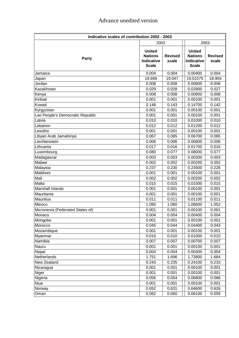| Indicative scales of contribution 2002 - 2003 |                                                               |                         |                                                                      |                         |  |  |
|-----------------------------------------------|---------------------------------------------------------------|-------------------------|----------------------------------------------------------------------|-------------------------|--|--|
|                                               | 2002                                                          |                         |                                                                      | 2003                    |  |  |
| Party                                         | <b>United</b><br><b>Nations</b><br>Indicative<br><b>Scale</b> | <b>Revised</b><br>scale | <b>United</b><br><b>Nations</b><br><b>Indicative</b><br><b>Scale</b> | <b>Revised</b><br>scale |  |  |
| Jamaica                                       | 0.004                                                         | 0.004                   | 0.00400                                                              | 0.004                   |  |  |
| Japan                                         | 19.669                                                        | 19.047                  | 19.51575                                                             | 18.904                  |  |  |
| Jordan                                        | 0.008                                                         | 0.008                   | 0.00800                                                              | 0.008                   |  |  |
| Kazakhstan                                    | 0.029                                                         | 0.028                   | 0.02800                                                              | 0.027                   |  |  |
| Kenya                                         | 0.008                                                         | 0.008                   | 0.00800                                                              | 0.008                   |  |  |
| Kiribati                                      | 0.001                                                         | 0.001                   | 0.00100                                                              | 0.001                   |  |  |
| Kuwait                                        | 0.148                                                         | 0.143                   | 0.14700                                                              | 0.142                   |  |  |
| Kyrgyzstan                                    | 0.001                                                         | 0.001                   | 0.00100                                                              | 0.001                   |  |  |
| Lao People's Democratic Republic              | 0.001                                                         | 0.001                   | 0.00100                                                              | 0.001                   |  |  |
| Latvia                                        | 0.010                                                         | 0.010                   | 0.01000                                                              | 0.010                   |  |  |
| Lebanon                                       | 0.012                                                         | 0.012                   | 0.01200                                                              | 0.012                   |  |  |
| Lesotho                                       | 0.001                                                         | 0.001                   | 0.00100                                                              | 0.001                   |  |  |
| Libyan Arab Jamahiriya                        | 0.067                                                         | 0.065                   | 0.06700                                                              | 0.065                   |  |  |
| Liechtenstein                                 | 0.006                                                         | 0.006                   | 0.00600                                                              | 0.006                   |  |  |
| Lithuania                                     | 0.017                                                         | 0.016                   | 0.01700                                                              | 0.016                   |  |  |
| Luxembourg                                    | 0.080                                                         | 0.077                   | 0.08000                                                              | 0.077                   |  |  |
| Madagascar                                    | 0.003                                                         | 0.003                   | 0.00300                                                              | 0.003                   |  |  |
| Malawi                                        | 0.002                                                         | 0.002                   | 0.00200                                                              | 0.002                   |  |  |
| Malaysia                                      | 0.237                                                         | 0.230                   | 0.23500                                                              | 0.228                   |  |  |
| <b>Maldives</b>                               | 0.001                                                         | 0.001                   | 0.00100                                                              | 0.001                   |  |  |
| Mali                                          | 0.002                                                         | 0.002                   | 0.00200                                                              | 0.002                   |  |  |
| Malta                                         | 0.015                                                         | 0.015                   | 0.01500                                                              | 0.015                   |  |  |
| <b>Marshall Islands</b>                       | 0.001                                                         | 0.001                   | 0.00100                                                              | 0.001                   |  |  |
| Mauritania                                    | 0.001                                                         | 0.001                   | 0.00100                                                              | 0.001                   |  |  |
| <b>Mauritius</b>                              | 0.011                                                         | 0.011                   | 0.01100                                                              | 0.011                   |  |  |
| Mexico                                        | 1.095                                                         | 1.060                   | 1.08600                                                              | 1.052                   |  |  |
| Micronesia (Federated States of)              | 0.001                                                         | 0.001                   | 0.00100                                                              | 0.001                   |  |  |
| Monaco                                        | 0.004                                                         | 0.004                   | 0.00400                                                              | 0.004                   |  |  |
| Mongolia                                      | 0.001                                                         | 0.001                   | 0.00100                                                              | 0.001                   |  |  |
| Morocco                                       | 0.045                                                         | 0.044                   | 0.04400                                                              | 0.043                   |  |  |
| Mozambique                                    | 0.001                                                         | 0.001                   | 0.00100                                                              | 0.001                   |  |  |
| Myanmar                                       | 0.010                                                         | 0.010                   | 0.01000                                                              | 0.010                   |  |  |
| Namibia                                       | 0.007                                                         | 0.007                   | 0.00700                                                              | 0.007                   |  |  |
| Nauru                                         | 0.001                                                         | 0.001                   | 0.00100                                                              | 0.001                   |  |  |
| Nepal                                         | 0.004                                                         | 0.004                   | 0.00400                                                              | 0.004                   |  |  |
| <b>Netherlands</b>                            | 1.751                                                         | 1.696                   | 1.73800                                                              | 1.684                   |  |  |
| New Zealand                                   | 0.243                                                         | 0.235                   | 0.24100                                                              | 0.233                   |  |  |
| Nicaragua                                     | 0.001                                                         | 0.001                   | 0.00100                                                              | 0.001                   |  |  |
| Niger                                         | 0.001                                                         | 0.001                   | 0.00100                                                              | 0.001                   |  |  |
| Nigeria                                       | 0.056                                                         | 0.054                   | 0.06800                                                              | 0.066                   |  |  |
| <b>Niue</b>                                   | 0.001                                                         | 0.001                   | 0.00100                                                              | 0.001                   |  |  |
| Norway                                        | 0.652                                                         | 0.631                   | 0.64600                                                              | 0.626                   |  |  |
| Oman                                          | 0.062                                                         | 0.060                   | 0.06100                                                              | 0.059                   |  |  |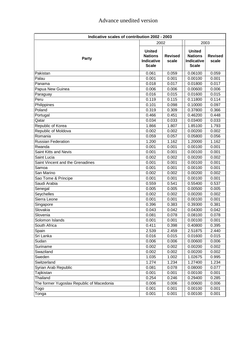| Indicative scales of contribution 2002 - 2003 |                                                               |                         |                                                                      |                         |  |
|-----------------------------------------------|---------------------------------------------------------------|-------------------------|----------------------------------------------------------------------|-------------------------|--|
|                                               | 2002                                                          |                         | 2003                                                                 |                         |  |
| <b>Party</b>                                  | <b>United</b><br><b>Nations</b><br>Indicative<br><b>Scale</b> | <b>Revised</b><br>scale | <b>United</b><br><b>Nations</b><br><b>Indicative</b><br><b>Scale</b> | <b>Revised</b><br>scale |  |
| Pakistan                                      | 0.061                                                         | 0.059                   | 0.06100                                                              | 0.059                   |  |
| Palau                                         | 0.001                                                         | 0.001                   | 0.00100                                                              | 0.001                   |  |
| Panama                                        | 0.018                                                         | 0.017                   | 0.01800                                                              | 0.017                   |  |
| Papua New Guinea                              | 0.006                                                         | 0.006                   | 0.00600                                                              | 0.006                   |  |
| Paraguay                                      | 0.016                                                         | 0.015                   | 0.01600                                                              | 0.015                   |  |
| Peru                                          | 0.119                                                         | 0.115                   | 0.11800                                                              | 0.114                   |  |
| Philippines                                   | 0.101                                                         | 0.098                   | 0.10000                                                              | 0.097                   |  |
| Poland                                        | 0.319                                                         | 0.309                   | 0.37800                                                              | 0.366                   |  |
| Portugal                                      | 0.466                                                         | 0.451                   | 0.46200                                                              | 0.448                   |  |
| Qatar                                         | 0.034                                                         | 0.033                   | 0.03400                                                              | 0.033                   |  |
| Republic of Korea                             | 1.866                                                         | 1.807                   | 1.85100                                                              | 1.793                   |  |
| Republic of Moldova                           | 0.002                                                         | 0.002                   | 0.00200                                                              | 0.002                   |  |
| Romania                                       | 0.059                                                         | 0.057                   | 0.05800                                                              | 0.056                   |  |
| <b>Russian Federation</b>                     | 1.200                                                         | 1.162                   | 1.20000                                                              | 1.162                   |  |
| Rwanda                                        | 0.001                                                         | 0.001                   | 0.00100                                                              | 0.001                   |  |
| Saint Kitts and Nevis                         | 0.001                                                         | 0.001                   | 0.00100                                                              | 0.001                   |  |
| Saint Lucia                                   | 0.002                                                         | 0.002                   | 0.00200                                                              | 0.002                   |  |
| Saint Vincent and the Grenadines              | 0.001                                                         | 0.001                   | 0.00100                                                              | 0.001                   |  |
| Samoa                                         | 0.001                                                         | 0.001                   | 0.00100                                                              | 0.001                   |  |
| San Marino                                    | 0.002                                                         | 0.002                   | 0.00200                                                              | 0.002                   |  |
| Sao Tome & Principe                           | 0.001                                                         | 0.001                   | 0.00100                                                              | 0.001                   |  |
| Saudi Arabia                                  | 0.559                                                         | 0.541                   | 0.55400                                                              | 0.537                   |  |
| Senegal                                       | 0.005                                                         | 0.005                   | 0.00500                                                              | 0.005                   |  |
| Seychelles                                    | 0.002                                                         | 0.002                   | 0.00200                                                              | 0.002                   |  |
| Sierra Leone                                  | 0.001                                                         | 0.001                   | 0.00100                                                              | 0.001                   |  |
| Singapore                                     | 0.396                                                         | 0.383                   | 0.39300                                                              | 0.381                   |  |
| Slovakia                                      | 0.043                                                         | 0.042                   | 0.04300                                                              | 0.042                   |  |
| Slovenia                                      | 0.081                                                         | 0.078                   | 0.08100                                                              | 0.078                   |  |
| Solomon Islands                               | 0.001                                                         | 0.001                   | 0.00100                                                              | 0.001                   |  |
| South Africa                                  | 0.411                                                         | 0.398                   | 0.40800                                                              | 0.395                   |  |
| Spain                                         | 2.539                                                         | 2.459                   | 2.51875                                                              | 2.440                   |  |
| Sri Lanka                                     | 0.016                                                         | 0.015                   | 0.01600                                                              | 0.015                   |  |
| Sudan                                         | 0.006                                                         | 0.006                   | 0.00600                                                              | 0.006                   |  |
| Suriname                                      | 0.002                                                         | 0.002                   | 0.00200                                                              | 0.002                   |  |
| Swaziland                                     | 0.002                                                         | 0.002                   | 0.00200                                                              | 0.002                   |  |
| Sweden                                        | 1.035                                                         | 1.002                   | 1.02675                                                              | 0.995                   |  |
| Switzerland                                   | 1.274                                                         | 1.234                   | 1.27400                                                              | 1.234                   |  |
| Syrian Arab Republic                          | 0.081                                                         | 0.078                   | 0.08000                                                              | 0.077                   |  |
| Tajikistan                                    | 0.001                                                         | 0.001                   | 0.00100                                                              | 0.001                   |  |
| Thailand                                      | 0.254                                                         | 0.246                   | 0.29400                                                              | 0.285                   |  |
| The former Yugoslav Republic of Macedonia     | 0.006                                                         | 0.006                   | 0.00600                                                              | 0.006                   |  |
| Togo                                          | 0.001                                                         | 0.001                   | 0.00100                                                              | 0.001                   |  |
| Tonga                                         | 0.001                                                         | 0.001                   | 0.00100                                                              | 0.001                   |  |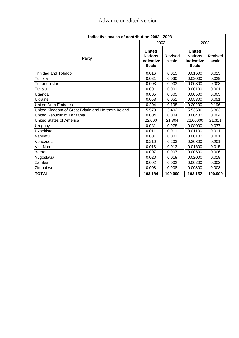| Indicative scales of contribution 2002 - 2003        |                                                               |                         |                                                                      |                         |  |
|------------------------------------------------------|---------------------------------------------------------------|-------------------------|----------------------------------------------------------------------|-------------------------|--|
|                                                      | 2002                                                          |                         |                                                                      | 2003                    |  |
| Party                                                | <b>United</b><br><b>Nations</b><br>Indicative<br><b>Scale</b> | <b>Revised</b><br>scale | <b>United</b><br><b>Nations</b><br><b>Indicative</b><br><b>Scale</b> | <b>Revised</b><br>scale |  |
| <b>Trinidad and Tobago</b>                           | 0.016                                                         | 0.015                   | 0.01600                                                              | 0.015                   |  |
| Tunisia                                              | 0.031                                                         | 0.030                   | 0.03000                                                              | 0.029                   |  |
| Turkmenistan                                         | 0.003                                                         | 0.003                   | 0.00300                                                              | 0.003                   |  |
| Tuvalu                                               | 0.001                                                         | 0.001                   | 0.00100                                                              | 0.001                   |  |
| Uganda                                               | 0.005                                                         | 0.005                   | 0.00500                                                              | 0.005                   |  |
| Ukraine                                              | 0.053                                                         | 0.051                   | 0.05300                                                              | 0.051                   |  |
| <b>United Arab Emirates</b>                          | 0.204                                                         | 0.198                   | 0.20200                                                              | 0.196                   |  |
| United Kingdom of Great Britain and Northern Ireland | 5.579                                                         | 5.402                   | 5.53600                                                              | 5.363                   |  |
| United Republic of Tanzania                          | 0.004                                                         | 0.004                   | 0.00400                                                              | 0.004                   |  |
| <b>United States of America</b>                      | 22.000                                                        | 21.304                  | 22.00000                                                             | 21.311                  |  |
| Uruguay                                              | 0.081                                                         | 0.078                   | 0.08000                                                              | 0.077                   |  |
| Uzbekistan                                           | 0.011                                                         | 0.011                   | 0.01100                                                              | 0.011                   |  |
| Vanuatu                                              | 0.001                                                         | 0.001                   | 0.00100                                                              | 0.001                   |  |
| Venezuela                                            | 0.210                                                         | 0.203                   | 0.20800                                                              | 0.201                   |  |
| Viet Nam                                             | 0.013                                                         | 0.013                   | 0.01600                                                              | 0.015                   |  |
| Yemen                                                | 0.007                                                         | 0.007                   | 0.00600                                                              | 0.006                   |  |
| Yugoslavia                                           | 0.020                                                         | 0.019                   | 0.02000                                                              | 0.019                   |  |
| Zambia                                               | 0.002                                                         | 0.002                   | 0.00200                                                              | 0.002                   |  |
| Zimbabwe                                             | 0.008                                                         | 0.008                   | 0.00800                                                              | 0.008                   |  |
| <b>TOTAL</b>                                         | 103.184                                                       | 100.000                 | 103.152                                                              | 100.000                 |  |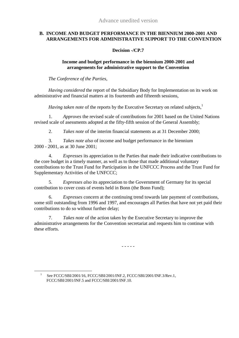## **B. INCOME AND BUDGET PERFORMANCE IN THE BIENNIUM 2000-2001 AND ARRANGEMENTS FOR ADMINISTRATIVE SUPPORT TO THE CONVENTION**

## **Decision -/CP.7**

### **Income and budget performance in the biennium 2000-2001 and arrangements for administrative support to the Convention**

*The Conference of the Parties,*

*Having considered* the report of the Subsidiary Body for Implementation on its work on administrative and financial matters at its fourteenth and fifteenth sessions,

*Having taken note* of the reports by the Executive Secretary on related subjects,<sup>1</sup>

1. *Approves* the revised scale of contributions for 2001 based on the United Nations revised scale of asessments adopted at the fifty-fifth session of the General Assembly;

2. *Takes note* of the interim financial statements as at 31 December 2000;

3. *Takes note also* of income and budget performance in the biennium 2000 - 2001, as at 30 June 2001;

4. *Expresses* its appreciation to the Parties that made their indicative contributions to the core budget in a timely manner, as well as to those that made additional voluntary contributions to the Trust Fund for Participation in the UNFCCC Process and the Trust Fund for Supplementary Activities of the UNFCCC;

5. *Expresses also* its appreciation to the Government of Germany for its special contribution to cover costs of events held in Bonn (the Bonn Fund);

6. *Expresses* concern at the continuing trend towards late payment of contributions, some still outstanding from 1996 and 1997, and encourages all Parties that have not yet paid their contributions to do so without further delay;

7. *Takes note* of the action taken by the Executive Secretary to improve the administrative arrangements for the Convention secretariat and requests him to continue with these efforts.

- - - - -

 1  $See$  FCCC/SBI/2001/16, FCCC/SBI/2001/INF.2, FCCC/SBI/2001/INF.3/Rev.1, FCCC/SBI/2001/INF.5 and FCCC/SBI/2001/INF.10.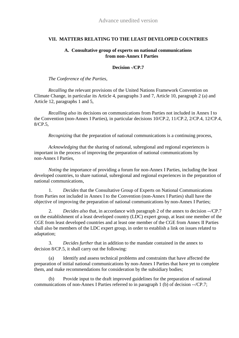#### **VII. MATTERS RELATING TO THE LEAST DEVELOPED COUNTRIES**

### **A. Consultative group of experts on national communications from non-Annex I Parties**

### **Decision -/CP.7**

*The Conference of the Parties*,

*Recalling* the relevant provisions of the United Nations Framework Convention on Climate Change, in particular its Article 4, paragraphs 3 and 7, Article 10, paragraph 2 (a) and Article 12, paragraphs 1 and 5,

*Recalling also* its decisions on communications from Parties not included in Annex I to the Convention (non-Annex I Parties), in particular decisions 10/CP.2, 11/CP.2, 2/CP.4, 12/CP.4, 8/CP.5,

*Recognizing* that the preparation of national communications is a continuing process,

*Acknowledging* that the sharing of national, subregional and regional experiences is important in the process of improving the preparation of national communications by non-Annex I Parties,

*Noting* the importance of providing a forum for non-Annex I Parties, including the least developed countries, to share national, subregional and regional experiences in the preparation of national communications,

1. *Decides* that the Consultative Group of Experts on National Communications from Parties not included in Annex I to the Convention (non-Annex I Parties) shall have the objective of improving the preparation of national communications by non-Annex I Parties;

2. *Decides also* that, in accordance with paragraph 2 of the annex to decision --/CP.7 on the establishment of a least developed country (LDC) expert group, at least one member of the CGE from least developed countries and at least one member of the CGE from Annex II Parties shall also be members of the LDC expert group, in order to establish a link on issues related to adaptation;

3. *Decides further* that in addition to the mandate contained in the annex to decision 8/CP.5, it shall carry out the following:

(a) Identify and assess technical problems and constraints that have affected the preparation of initial national communications by non-Annex I Parties that have yet to complete them, and make recommendations for consideration by the subsidiary bodies;

(b) Provide input to the draft improved guidelines for the preparation of national communications of non-Annex I Parties referred to in paragraph 1 (b) of decision --/CP.7;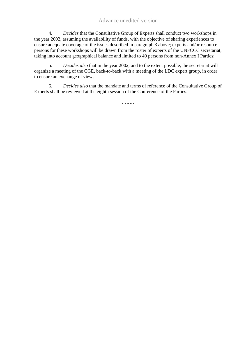4. *Decides* that the Consultative Group of Experts shall conduct two workshops in the year 2002, assuming the availability of funds, with the objective of sharing experiences to ensure adequate coverage of the issues described in paragraph 3 above; experts and/or resource persons for these workshops will be drawn from the roster of experts of the UNFCCC secretariat, taking into account geographical balance and limited to 40 persons from non-Annex I Parties;

5. *Decides also* that in the year 2002, and to the extent possible, the secretariat will organize a meeting of the CGE, back-to-back with a meeting of the LDC expert group, in order to ensure an exchange of views;

6. *Decides also* that the mandate and terms of reference of the Consultative Group of Experts shall be reviewed at the eighth session of the Conference of the Parties.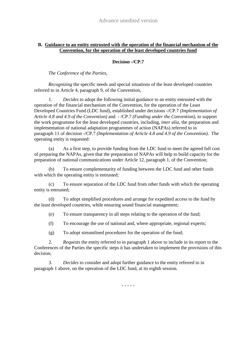## **B. Guidance to an entity entrusted with the operation of the financial mechanism of the Convention, for the operation of the least developed countries fund**

## **Decision -/CP.7**

*The Conference of the Parties,*

*Recognizing* the specific needs and special situations of the least developed countries referred to in Article 4, paragraph 9, of the Convention,

1. *Decides* to adopt the following initial guidance to an entity entrusted with the operation of the financial mechanism of the Convention, for the operation of the Least Developed Countries Fund (LDC fund), established under decisions -/CP.7 *(Implementation of Article 4.8 and 4.9 of the Convention)* and - /CP.7 *(Funding under the Convention)*, to support the work programme for the least developed countries, including, *inter alia,* the preparation and implementation of national adaptation programmes of action (NAPAs) referred to in paragraph 11 of decision -/CP.7 *(Implementation of Article 4.8 and 4.9 of the Convention)*. The operating entity is requested:

(a) As a first step, to provide funding from the LDC fund to meet the agreed full cost of preparing the NAPAs, given that the preparation of NAPAs will help to build capacity for the preparation of national communications under Article 12, paragraph 1, of the Convention;

To ensure complementarity of funding between the LDC fund and other funds with which the operating entity is entrusted:

(c) To ensure separation of the LDC fund from other funds with which the operating entity is entrusted;

(d) To adopt simplified procedures and arrange for expedited access to the fund by the least developed countries, while ensuring sound financial management;

(e) To ensure transparency in all steps relating to the operation of the fund;

(f) To encourage the use of national and, where appropriate, regional experts;

(g) To adopt streamlined procedures for the operation of the fund;

2. *Requests* the entity referred to in paragraph 1 above to include in its report to the Conferences of the Parties the specific steps it has undertaken to implement the provisions of this decision;

3. *Decides* to consider and adopt further guidance to the entity referred to in paragraph 1 above, on the operation of the LDC fund, at its eighth session.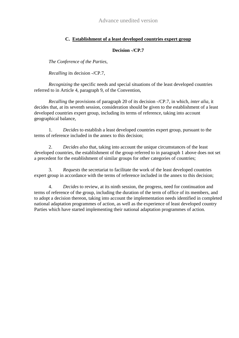## **C. Establishment of a least developed countries expert group**

## **Decision -/CP.7**

*The Conference of the Parties,*

*Recalling* its decision -/CP.7,

*Recognizing* the specific needs and special situations of the least developed countries referred to in Article 4, paragraph 9, of the Convention,

*Recalling* the provisions of paragraph 20 of its decision -/CP.7, in which, *inter alia,* it decides that, at its seventh session, consideration should be given to the establishment of a least developed countries expert group, including its terms of reference, taking into account geographical balance,

1. *Decides* to establish a least developed countries expert group, pursuant to the terms of reference included in the annex to this decision;

2. *Decides also* that, taking into account the unique circumstances of the least developed countries, the establishment of the group referred to in paragraph 1 above does not set a precedent for the establishment of similar groups for other categories of countries;

3. *Requests* the secretariat to facilitate the work of the least developed countries expert group in accordance with the terms of reference included in the annex to this decision;

4. *Decides* to review, at its ninth session, the progress, need for continuation and terms of reference of the group, including the duration of the term of office of its members, and to adopt a decision thereon, taking into account the implementation needs identified in completed national adaptation programmes of action, as well as the experience of least developed country Parties which have started implementing their national adaptation programmes of action.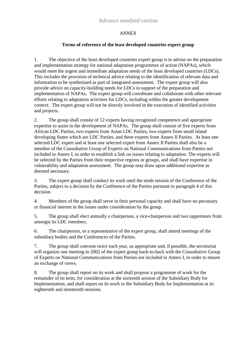## ANNEX

## **Terms of reference of the least developed countries expert group**

1. The objective of the least developed countries expert group is to advise on the preparation and implementation strategy for national adaptation programmes of action (NAPAs), which would meet the urgent and immediate adaptation needs of the least developed countries (LDCs). This includes the provision of technical advice relating to the identification of relevant data and information to be synthesized as part of integrated assessment. The expert group will also provide advice on capacity-building needs for LDCs in support of the preparation and implementation of NAPAs. The expert group will coordinate and collaborate with other relevant efforts relating to adaptation activities for LDCs, including within the greater development context. The expert group will not be directly involved in the execution of identified activities and projects.

2. The group shall consist of 12 experts having recognized competence and appropriate expertise to assist in the development of NAPAs. The group shall consist of five experts from African LDC Parties, two experts from Asian LDC Parties, two experts from small island developing States which are LDC Parties, and three experts from Annex II Parties. At least one selected LDC expert and at least one selected expert from Annex II Parties shall also be a member of the Consultative Group of Experts on National Communications from Parties not included in Annex I, in order to establish a link on issues relating to adaptation. The experts will be selected by the Parties from their respective regions or groups, and shall have expertise in vulnerability and adaptation assessment. The group may draw upon additional expertise as deemed necessary.

3. The expert group shall conduct its work until the ninth session of the Conference of the Parties, subject to a decision by the Conference of the Parties pursuant to paragraph 4 of this decision.

4. Members of the group shall serve in their personal capacity and shall have no pecuniary or financial interest in the issues under consideration by the group.

5. The group shall elect annually a chairperson, a vice-chairperson and two rapporteurs from amongst its LDC members.

6. The chairperson, or a representative of the expert group, shall attend meetings of the subsidiary bodies and the Conferences of the Parties.

7. The group shall convene twice each year, as appropriate and, if possible, the secretariat will organize one meeting in 2002 of the expert group back-to-back with the Consultative Group of Experts on National Communications from Parties not included in Annex I, in order to ensure an exchange of views.

8. The group shall report on its work and shall propose a programme of work for the remainder of its term, for consideration at the sixteenth session of the Subsidiary Body for Implementation, and shall report on its work to the Subsidiary Body for Implementation at its eighteenth and nineteenth sessions.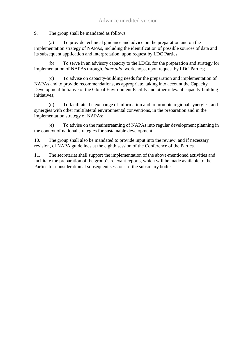9. The group shall be mandated as follows:

(a) To provide technical guidance and advice on the preparation and on the implementation strategy of NAPAs, including the identification of possible sources of data and its subsequent application and interpretation, upon request by LDC Parties;

(b) To serve in an advisory capacity to the LDCs, for the preparation and strategy for implementation of NAPAs through, *inter alia,* workshops, upon request by LDC Parties;

(c) To advise on capacity-building needs for the preparation and implementation of NAPAs and to provide recommendations, as appropriate, taking into account the Capacity Development Initiative of the Global Environment Facility and other relevant capacity-building initiatives;

(d) To facilitate the exchange of information and to promote regional synergies, and synergies with other multilateral environmental conventions, in the preparation and in the implementation strategy of NAPAs;

(e) To advise on the mainstreaming of NAPAs into regular development planning in the context of national strategies for sustainable development.

10. The group shall also be mandated to provide input into the review, and if necessary revision, of NAPA guidelines at the eighth session of the Conference of the Parties.

11. The secretariat shall support the implementation of the above-mentioned activities and facilitate the preparation of the group's relevant reports, which will be made available to the Parties for consideration at subsequent sessions of the subsidiary bodies.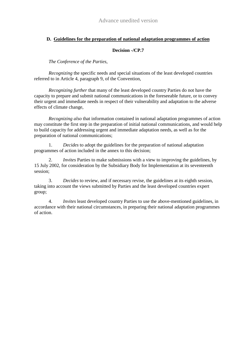## **D. Guidelines for the preparation of national adaptation programmes of action**

## **Decision -/CP.7**

*The Conference of the Parties,*

*Recognizing* the specific needs and special situations of the least developed countries referred to in Article 4, paragraph 9, of the Convention,

*Recognizing further* that many of the least developed country Parties do not have the capacity to prepare and submit national communications in the foreseeable future, or to convey their urgent and immediate needs in respect of their vulnerability and adaptation to the adverse effects of climate change,

*Recognizing also* that information contained in national adaptation programmes of action may constitute the first step in the preparation of initial national communications, and would help to build capacity for addressing urgent and immediate adaptation needs, as well as for the preparation of national communications;

1. *Decides* to adopt the guidelines for the preparation of national adaptation programmes of action included in the annex to this decision;

2. *Invites* Parties to make submissions with a view to improving the guidelines, by 15 July 2002, for consideration by the Subsidiary Body for Implementation at its seventeenth session;

3. *Decides* to review, and if necessary revise, the guidelines at its eighth session, taking into account the views submitted by Parties and the least developed countries expert group;

4. *Invites* least developed country Parties to use the above-mentioned guidelines, in accordance with their national circumstances, in preparing their national adaptation programmes of action.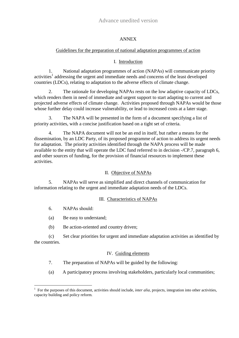## ANNEX

## Guidelines for the preparation of national adaptation programmes of action

## I. Introduction

1. National adaptation programmes of action (NAPAs) will communicate priority activities<sup>1</sup> addressing the urgent and immediate needs and concerns of the least developed countries (LDCs), relating to adaptation to the adverse effects of climate change.

2. The rationale for developing NAPAs rests on the low adaptive capacity of LDCs, which renders them in need of immediate and urgent support to start adapting to current and projected adverse effects of climate change. Activities proposed through NAPAs would be those whose further delay could increase vulnerability, or lead to increased costs at a later stage.

3. The NAPA will be presented in the form of a document specifying a list of priority activities, with a concise justification based on a tight set of criteria.

4. The NAPA document will not be an end in itself, but rather a means for the dissemination, by an LDC Party, of its proposed programme of action to address its urgent needs for adaptation. The priority activities identified through the NAPA process will be made available to the entity that will operate the LDC fund referred to in decision -/CP.7, paragraph 6, and other sources of funding, for the provision of financial resources to implement these activities.

## II. Objective of NAPAs

5. NAPAs will serve as simplified and direct channels of communication for information relating to the urgent and immediate adaptation needs of the LDCs.

## III. Characteristics of NAPAs

- 6. NAPAs should:
- (a) Be easy to understand;
- (b) Be action-oriented and country driven;

(c) Set clear priorities for urgent and immediate adaptation activities as identified by the countries.

## IV. Guiding elements

- 7. The preparation of NAPAs will be guided by the following:
- (a) A participatory process involving stakeholders, particularly local communities;

<sup>&</sup>lt;sup>1</sup> For the purposes of this document, activities should include, *inter alia*, projects, integration into other activities, capacity building and policy reform.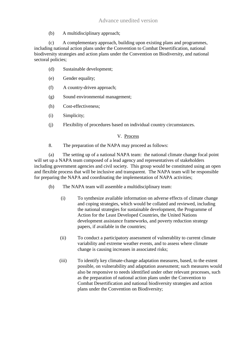(b) A multidisciplinary approach;

(c) A complementary approach, building upon existing plans and programmes, including national action plans under the Convention to Combat Desertification, national biodiversity strategies and action plans under the Convention on Biodiversity, and national sectoral policies;

- (d) Sustainable development;
- (e) Gender equality;
- (f) A country-driven approach;
- (g) Sound environmental management;
- (h) Cost-effectiveness;
- (i) Simplicity;
- (j) Flexibility of procedures based on individual country circumstances.

#### V. Process

8. The preparation of the NAPA may proceed as follows:

(a) The setting up of a national NAPA team: the national climate change focal point will set up a NAPA team composed of a lead agency and representatives of stakeholders including government agencies and civil society. This group would be constituted using an open and flexible process that will be inclusive and transparent. The NAPA team will be responsible for preparing the NAPA and coordinating the implementation of NAPA activities;

- (b) The NAPA team will assemble a multidisciplinary team:
	- (i) To synthesize available information on adverse effects of climate change and coping strategies, which would be collated and reviewed, including the national strategies for sustainable development, the Programme of Action for the Least Developed Countries, the United Nations development assistance frameworks, and poverty reduction strategy papers, if available in the countries;
	- (ii) To conduct a participatory assessment of vulnerablity to current climate variability and extreme weather events, and to assess where climate change is causing increases in associated risks;
	- (iii) To identify key climate-change adaptation measures, based, to the extent possible, on vulnerability and adaptation assessment; such measures would also be responsive to needs identified under other relevant processes, such as the preparation of national action plans under the Convention to Combat Desertification and national biodiversity strategies and action plans under the Convention on Biodiversity;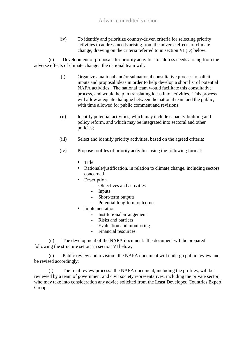(iv) To identify and prioritize country-driven criteria for selecting priority activities to address needs arising from the adverse effects of climate change, drawing on the criteria referred to in section VI (D) below.

(c) Development of proposals for priority activities to address needs arising from the adverse effects of climate change: the national team will:

- (i) Organize a national and/or subnational consultative process to solicit inputs and proposal ideas in order to help develop a short list of potential NAPA activities. The national team would facilitate this consultative process, and would help in translating ideas into activities. This process will allow adequate dialogue between the national team and the public, with time allowed for public comment and revisions;
- (ii) Identify potential activities, which may include capacity-building and policy reform, and which may be integrated into sectoral and other policies;
- (iii) Select and identify priority activities, based on the agreed criteria;
- (iv) Propose profiles of priority activities using the following format:
	- Title
	- Rationale/justification, in relation to climate change, including sectors concerned
	- Description
		- Objectives and activities
		- Inputs
		- Short-term outputs
		- Potential long-term outcomes
	- **Implementation** 
		- Institutional arrangement
		- Risks and barriers
		- Evaluation and monitoring
		- Financial resources

(d) The development of the NAPA document: the document will be prepared following the structure set out in section VI below;

(e) Public review and revision: the NAPA document will undergo public review and be revised accordingly;

(f) The final review process: the NAPA document, including the profiles, will be reviewed by a team of government and civil society representatives, including the private sector, who may take into consideration any advice solicited from the Least Developed Countries Expert Group;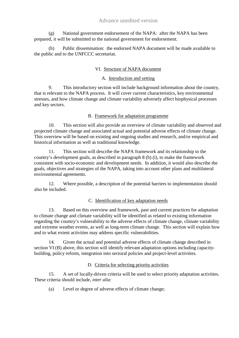(g) National government endorsement of the NAPA: after the NAPA has been prepared, it will be submitted to the national government for endorsement.

(h) Public dissemination: the endorsed NAPA document will be made available to the public and to the UNFCCC secretariat.

## VI. Structure of NAPA document

#### A. Introduction and setting

9. This introductory section will include background information about the country, that is relevant to the NAPA process. It will cover current characteristics, key environmental stresses, and how climate change and climate variability adversely affect biophysical processes and key sectors.

#### B. Framework for adaptation programme

10. This section will also provide an overview of climate variability and observed and projected climate change and associated actual and potential adverse effects of climate change. This overview will be based on existing and ongoing studies and research, and/or empirical and historical information as well as traditional knowledge.

11. This section will describe the NAPA framework and its relationship to the country's development goals, as described in paragraph 8 (b) (i), to make the framework consistent with socio-economic and development needs. In addition, it would also describe the goals, objectives and strategies of the NAPA, taking into account other plans and multilateral environmental agreements.

12. Where possible, a description of the potential barriers to implementation should also be included.

#### C. Identification of key adaptation needs

13. Based on this overview and framework, past and current practices for adaptation to climate change and climate variability will be identified as related to existing information regarding the country's vulnerability to the adverse effects of climate change, climate variability and extreme weather events, as well as long-term climate change. This section will explain how and to what extent activities may address specific vulnerabilities.

14. Given the actual and potential adverse effects of climate change described in section VI (B) above, this section will identify relevant adaptation options including capacitybuilding, policy reform, integration into sectoral policies and project-level activities.

#### D. Criteria for selecting priority activities

15. A set of locally-driven criteria will be used to select priority adaptation activities. These criteria should include, *inter alia*:

(a) Level or degree of adverse effects of climate change;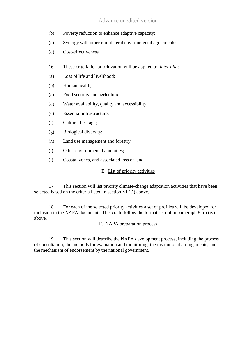- (b) Poverty reduction to enhance adaptive capacity;
- (c) Synergy with other multilateral environmental agreements;
- (d) Cost-effectiveness.
- 16. These criteria for prioritization will be applied to*, inter alia*:
- (a) Loss of life and livelihood;
- (b) Human health;
- (c) Food security and agriculture;
- (d) Water availability, quality and accessibility;
- (e) Essential infrastructure;
- (f) Cultural heritage;
- (g) Biological diversity;
- (h) Land use management and forestry;
- (i) Other environmental amenities;
- (j) Coastal zones, and associated loss of land.

## E. List of priority activities

17. This section will list priority climate-change adaptation activities that have been selected based on the criteria listed in section VI (D) above.

18. For each of the selected priority activities a set of profiles will be developed for inclusion in the NAPA document. This could follow the format set out in paragraph 8 (c) (iv) above.

#### F. NAPA preparation process

19. This section will describe the NAPA development process, including the process of consultation, the methods for evaluation and monitoring, the institutional arrangements, and the mechanism of endorsement by the national government.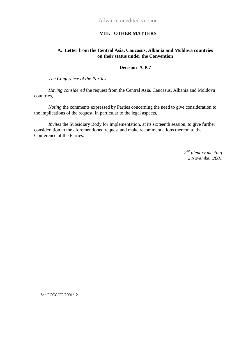## **VIII. OTHER MATTERS**

## **A. Letter from the Central Asia, Caucasus, Albania and Moldova countries on their status under the Convention**

#### **Decision -/CP.7**

*The Conference of the Parties,*

*Having considered* the request from the Central Asia, Caucasus, Albania and Moldova  $countries.<sup>1</sup>$ 

*Noting* the comments expressed by Parties concerning the need to give consideration to the implications of the request, in particular to the legal aspects,

*Invites* the Subsidiary Body for Implementation, at its sixteenth session, to give further consideration to the aforementioned request and make recommendations thereon to the Conference of the Parties.

> *2nd plenary meeting 2 November 2001*

<sup>|&</sup>lt;br>|<br>| See FCCC/CP/2001/12.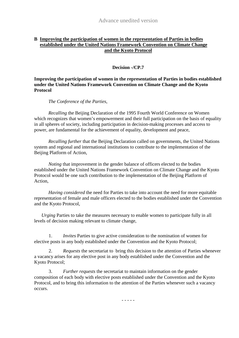## **B Improving the participation of women in the representation of Parties in bodies established under the United Nations Framework Convention on Climate Change and the Kyoto Protocol**

## **Decision -/CP.7**

## **Improving the participation of women in the representation of Parties in bodies established under the United Nations Framework Convention on Climate Change and the Kyoto Protocol**

*The Conference of the Parties,*

*Recalling* the Beijing Declaration of the 1995 Fourth World Conference on Women which recognizes that women's empowerment and their full participation on the basis of equality in all spheres of society, including participation in decision-making processes and access to power, are fundamental for the achievement of equality, development and peace,

*Recalling further* that the Beijing Declaration called on governments, the United Nations system and regional and international institutions to contribute to the implementation of the Beijing Platform of Action,

*Noting* that improvement in the gender balance of officers elected to the bodies established under the United Nations Framework Convention on Climate Change and the Kyoto Protocol would be one such contribution to the implementation of the Beijing Platform of Action,

*Having considered* the need for Parties to take into account the need for more equitable representation of female and male officers elected to the bodies established under the Convention and the Kyoto Protocol,

*Urging* Parties to take the measures necessary to enable women to participate fully in all levels of decision making relevant to climate change,

1. *Invites* Parties to give active consideration to the nomination of women for elective posts in any body established under the Convention and the Kyoto Protocol;

2. *Requests* the secretariat to bring this decision to the attention of Parties whenever a vacancy arises for any elective post in any body established under the Convention and the Kyoto Protocol;

3. *Further requests* the secretariat to maintain information on the gender composition of each body with elective posts established under the Convention and the Kyoto Protocol, and to bring this information to the attention of the Parties whenever such a vacancy occurs.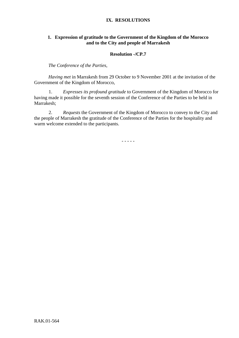#### **IX. RESOLUTIONS**

#### **1. Expression of gratitude to the Government of the Kingdom of the Morocco and to the City and people of Marrakesh**

#### **Resolution -/CP.7**

*The Conference of the Parties,*

*Having met* in Marrakesh from 29 October to 9 November 2001 at the invitation of the Government of the Kingdom of Morocco,

1. *Expresses its profound gratitude* to Government of the Kingdom of Morocco for having made it possible for the seventh session of the Conference of the Parties to be held in Marrakesh;

2. *Requests* the Government of the Kingdom of Morocco to convey to the City and the people of Marrakesh the gratitude of the Conference of the Parties for the hospitality and warm welcome extended to the participants.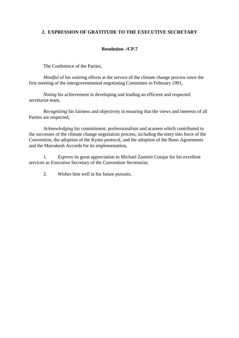## **2. EXPRESSION OF GRATITUDE TO THE EXECUTIVE SECRETARY**

#### **Resolution -/CP.7**

The Conference of the Parties,

*Mindful* of his untiring efforts at the service of the climate change process since the first meeting of the intergovernmental negotiating Committee in February 1991,

*Noting* his achievement in developing and leading an efficient and respected secretariat team,

*Recognizing* his fairness and objectivity in ensuring that the views and interests of all Parties are respected,

*Acknowledging* his commitment, professionalism and acumen which contributed to the successes of the climate change negotiation process, including the entry into force of the Convention, the adoption of the Kyoto protocol, and the adoption of the Bonn Agreements and the Marrakesh Accords for its implementation,

1. *Express* its great appreciation to Michael Zammit Cutajar for his excellent services as Executive Secretary of the Convention Secretariat;

2. *Wishes* him well in his future pursuits.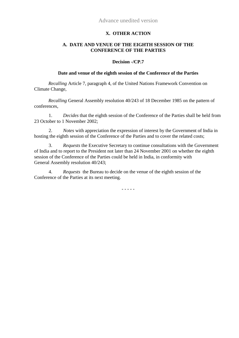## **X. OTHER ACTION**

#### **A. DATE AND VENUE OF THE EIGHTH SESSION OF THE CONFERENCE OF THE PARTIES**

#### **Decision -/CP.7**

#### **Date and venue of the eighth session of the Conference of the Parties**

*Recalling* Article 7, paragraph 4, of the United Nations Framework Convention on Climate Change,

*Recalling* General Assembly resolution 40/243 of 18 December 1985 on the pattern of conferences,

1. *Decides* that the eighth session of the Conference of the Parties shall be held from 23 October to 1 November 2002;

2. *Notes* with appreciation the expression of interest by the Government of India in hosting the eighth session of the Conference of the Parties and to cover the related costs;

3. *Requests* the Executive Secretary to continue consultations with the Government of India and to report to the President not later than 24 November 2001 on whether the eighth session of the Conference of the Parties could be held in India, in conformity with General Assembly resolution 40/243;

4. *Requests* the Bureau to decide on the venue of the eighth session of the Conference of the Parties at its next meeting.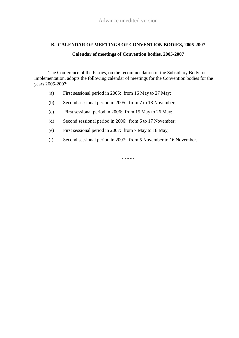# **B. CALENDAR OF MEETINGS OF CONVENTION BODIES, 2005-2007**

#### **Calendar of meetings of Convention bodies, 2005-2007**

The Conference of the Parties, on the recommendation of the Subsidiary Body for Implementation, adopts the following calendar of meetings for the Convention bodies for the years 2005-2007:

- (a) First sessional period in 2005: from 16 May to 27 May;
- (b) Second sessional period in 2005: from 7 to 18 November;
- (c) First sessional period in 2006: from 15 May to 26 May;
- (d) Second sessional period in 2006: from 6 to 17 November;
- (e) First sessional period in 2007: from 7 May to 18 May;
- (f) Second sessional period in 2007: from 5 November to 16 November.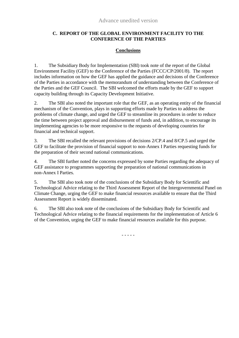## **C. REPORT OF THE GLOBAL ENVIRONMENT FACILITY TO THE CONFERENCE OF THE PARTIES**

## **Conclusions**

1. The Subsidiary Body for Implementation (SBI) took note of the report of the Global Environment Facility (GEF) to the Conference of the Parties (FCCC/CP/2001/8). The report includes information on how the GEF has applied the guidance and decisions of the Conference of the Parties in accordance with the memorandum of understanding between the Conference of the Parties and the GEF Council. The SBI welcomed the efforts made by the GEF to support capacity building through its Capacity Development Initiative.

2. The SBI also noted the important role that the GEF, as an operating entity of the financial mechanism of the Convention, plays in supporting efforts made by Parties to address the problems of climate change, and urged the GEF to streamline its procedures in order to reduce the time between project approval and disbursement of funds and, in addition, to encourage its implementing agencies to be more responsive to the requests of developing countries for financial and technical support.

3. The SBI recalled the relevant provisions of decisions 2/CP.4 and 8/CP.5 and urged the GEF to facilitate the provision of financial support to non-Annex I Parties requesting funds for the preparation of their second national communications.

4. The SBI further noted the concerns expressed by some Parties regarding the adequacy of GEF assistance to programmes supporting the preparation of national communications in non-Annex I Parties.

5. The SBI also took note of the conclusions of the Subsidiary Body for Scientific and Technological Advice relating to the Third Assessment Report of the Intergovernmental Panel on Climate Change, urging the GEF to make financial resources available to ensure that the Third Assessment Report is widely disseminated.

6. The SBI also took note of the conclusions of the Subsidiary Body for Scientific and Technological Advice relating to the financial requirements for the implementation of Article 6 of the Convention, urging the GEF to make financial resources available for this purpose.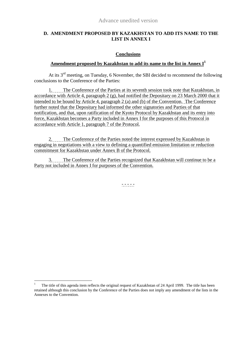### **D. AMENDMENT PROPOSED BY KAZAKHSTAN TO ADD ITS NAME TO THE LIST IN ANNEX I**

## **Conclusions**

## **Amendment proposed by Kazakhstan to add its name to the list in Annex I<sup>1</sup>**

At its 3rd meeting, on Tuesday, 6 November, the SBI decided to recommend the following conclusions to the Conference of the Parties:

1. The Conference of the Parties at its seventh session took note that Kazakhstan, in accordance with Article 4, paragraph 2 (g), had notified the Depositary on 23 March 2000 that it intended to be bound by Article 4, paragraph 2 (a) and (b) of the Convention. The Conference further noted that the Depositary had informed the other signatories and Parties of that notification, and that, upon ratification of the Kyoto Protocol by Kazakhstan and its entry into force, Kazakhstan becomes a Party included in Annex I for the purposes of this Protocol in accordance with Article 1, paragraph 7 of the Protocol.

2. The Conference of the Parties noted the interest expressed by Kazakhstan in engaging in negotiations with a view to defining a quantified emission limitation or reduction commitment for Kazakhstan under Annex B of the Protocol.

3. The Conference of the Parties recognized that Kazakhstan will continue to be a Party not included in Annex I for purposes of the Convention.

 $- - - -$ 

 $\overline{a}$ 1 The title of this agenda item reflects the original request of Kazakhstan of 24 April 1999. The title has been retained although this conclusion by the Conference of the Parties does not imply any amendment of the lists in the Annexes to the Convention.